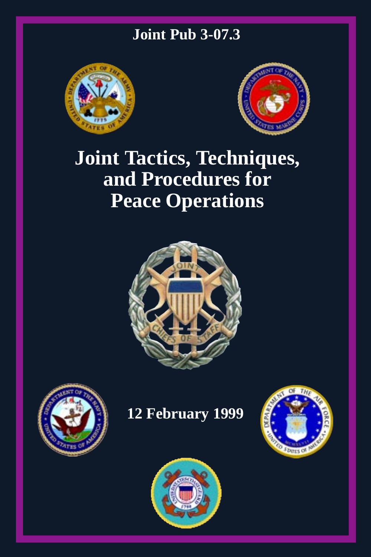## **Joint Pub 3-07.3**





# **Joint Tactics, Techniques, and Procedures for Peace Operations**





## **12 February 1999**



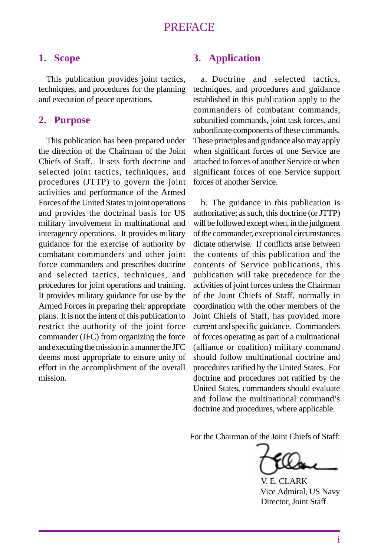### **PREFACE**

### **1. Scope**

This publication provides joint tactics, techniques, and procedures for the planning and execution of peace operations.

#### **2. Purpose**

This publication has been prepared under the direction of the Chairman of the Joint Chiefs of Staff. It sets forth doctrine and selected joint tactics, techniques, and procedures (JTTP) to govern the joint activities and performance of the Armed Forces of the United States in joint operations and provides the doctrinal basis for US military involvement in multinational and interagency operations. It provides military guidance for the exercise of authority by combatant commanders and other joint force commanders and prescribes doctrine and selected tactics, techniques, and procedures for joint operations and training. It provides military guidance for use by the Armed Forces in preparing their appropriate plans. It is not the intent of this publication to restrict the authority of the joint force commander (JFC) from organizing the force and executing the mission in a manner the JFC deems most appropriate to ensure unity of effort in the accomplishment of the overall mission.

### **3. Application**

a. Doctrine and selected tactics, techniques, and procedures and guidance established in this publication apply to the commanders of combatant commands, subunified commands, joint task forces, and subordinate components of these commands. These principles and guidance also may apply when significant forces of one Service are attached to forces of another Service or when significant forces of one Service support forces of another Service.

b. The guidance in this publication is authoritative; as such, this doctrine (or JTTP) will be followed except when, in the judgment of the commander, exceptional circumstances dictate otherwise. If conflicts arise between the contents of this publication and the contents of Service publications, this publication will take precedence for the activities of joint forces unless the Chairman of the Joint Chiefs of Staff, normally in coordination with the other members of the Joint Chiefs of Staff, has provided more current and specific guidance. Commanders of forces operating as part of a multinational (alliance or coalition) military command should follow multinational doctrine and procedures ratified by the United States. For doctrine and procedures not ratified by the United States, commanders should evaluate and follow the multinational command's doctrine and procedures, where applicable.

For the Chairman of the Joint Chiefs of Staff:

V. E. CLARK Vice Admiral, US Navy Director, Joint Staff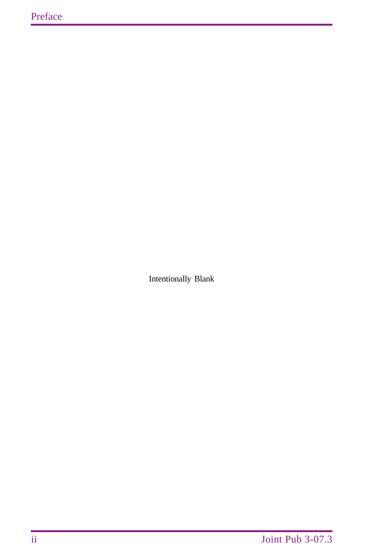Intentionally Blank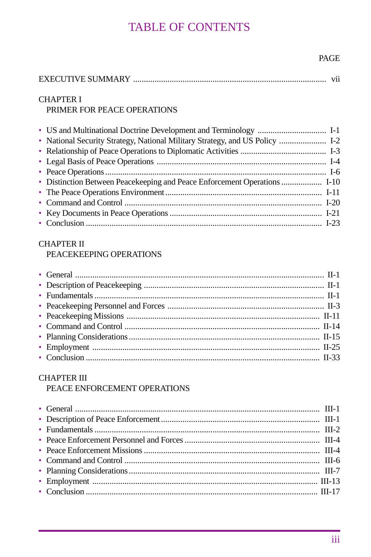### **TABLE OF CONTENTS**

### 

### **CHAPTER I**

### PRIMER FOR PEACE OPERATIONS

| • US and Multinational Doctrine Development and Terminology  I-1             |  |
|------------------------------------------------------------------------------|--|
| • National Security Strategy, National Military Strategy, and US Policy  I-2 |  |
|                                                                              |  |
|                                                                              |  |
|                                                                              |  |
| • Distinction Between Peacekeeping and Peace Enforcement Operations  I-10    |  |
|                                                                              |  |
|                                                                              |  |
|                                                                              |  |
|                                                                              |  |

### **CHAPTER II**

### PEACEKEEPING OPERATIONS

### **CHAPTER III**

### PEACE ENFORCEMENT OPERATIONS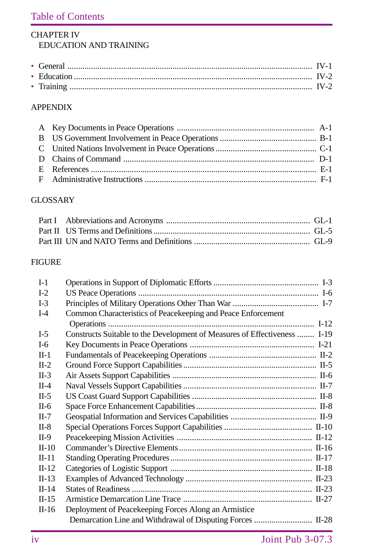### CHAPTER IV [EDUCATION AND TRAINING](#page-89-0)

### [APPENDIX](#page-95-0)

### [GLOSSARY](#page-195-0)

### [FIGURE](#page-15-0)

| $I-1$   |                                                                           |  |
|---------|---------------------------------------------------------------------------|--|
| $I-2$   |                                                                           |  |
| $I-3$   |                                                                           |  |
| $I-4$   | Common Characteristics of Peacekeeping and Peace Enforcement              |  |
|         |                                                                           |  |
| $I-5$   | Constructs Suitable to the Development of Measures of Effectiveness  I-19 |  |
| $I-6$   |                                                                           |  |
| $II-1$  |                                                                           |  |
| $II-2$  |                                                                           |  |
| $II-3$  |                                                                           |  |
| $II-4$  |                                                                           |  |
| $II-5$  |                                                                           |  |
| $II-6$  |                                                                           |  |
| $II-7$  |                                                                           |  |
| $II-8$  |                                                                           |  |
| $II-9$  |                                                                           |  |
| $II-10$ |                                                                           |  |
| $II-11$ |                                                                           |  |
| $II-12$ |                                                                           |  |
| $II-13$ |                                                                           |  |
| $II-14$ |                                                                           |  |
| $II-15$ |                                                                           |  |
| $II-16$ | Deployment of Peacekeeping Forces Along an Armistice                      |  |
|         |                                                                           |  |
|         |                                                                           |  |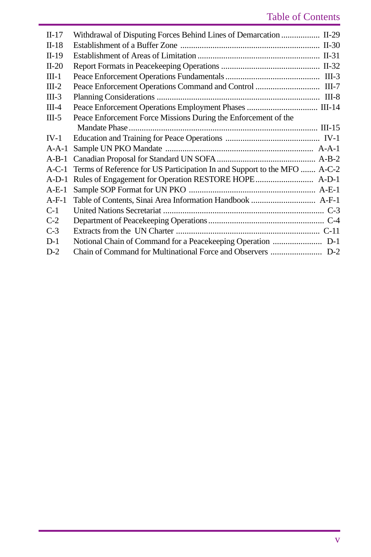| Withdrawal of Disputing Forces Behind Lines of Demarcation  II-29        |
|--------------------------------------------------------------------------|
|                                                                          |
|                                                                          |
|                                                                          |
|                                                                          |
|                                                                          |
|                                                                          |
|                                                                          |
| Peace Enforcement Force Missions During the Enforcement of the           |
|                                                                          |
|                                                                          |
|                                                                          |
|                                                                          |
| Terms of Reference for US Participation In and Support to the MFO  A-C-2 |
|                                                                          |
|                                                                          |
|                                                                          |
|                                                                          |
|                                                                          |
|                                                                          |
|                                                                          |
|                                                                          |
|                                                                          |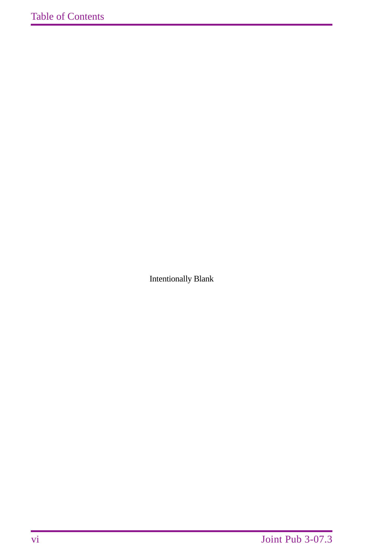Intentionally Blank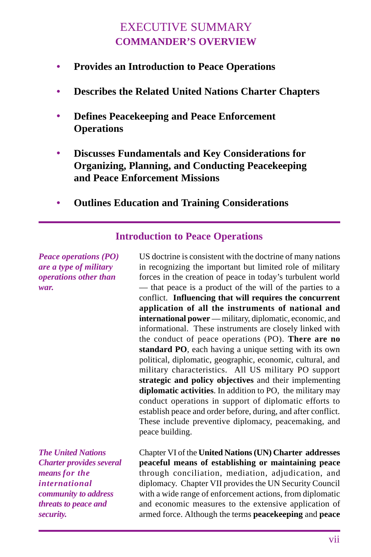### EXECUTIVE SUMMARY **COMMANDER'S OVERVIEW**

- <span id="page-7-0"></span>**• Provides an Introduction to Peace Operations**
- **• Describes the Related United Nations Charter Chapters**
- **• Defines Peacekeeping and Peace Enforcement Operations**
- **• Discusses Fundamentals and Key Considerations for Organizing, Planning, and Conducting Peacekeeping and Peace Enforcement Missions**
- **• Outlines Education and Training Considerations**

### **Introduction to Peace Operations**

*Peace operations (PO) are a type of military operations other than war.*

*The United Nations Charter provides several means for the international community to address threats to peace and security.*

US doctrine is consistent with the doctrine of many nations in recognizing the important but limited role of military forces in the creation of peace in today's turbulent world — that peace is a product of the will of the parties to a conflict. **Influencing that will requires the concurrent application of all the instruments of national and international power** — military, diplomatic, economic, and informational. These instruments are closely linked with the conduct of peace operations (PO). **There are no standard PO**, each having a unique setting with its own political, diplomatic, geographic, economic, cultural, and military characteristics. All US military PO support **strategic and policy objectives** and their implementing **diplomatic activities**. In addition to PO, the military may conduct operations in support of diplomatic efforts to establish peace and order before, during, and after conflict. These include preventive diplomacy, peacemaking, and peace building.

Chapter VI of the **United Nations (UN) Charter addresses peaceful means of establishing or maintaining peace** through conciliation, mediation, adjudication, and diplomacy. Chapter VII provides the UN Security Council with a wide range of enforcement actions, from diplomatic and economic measures to the extensive application of armed force. Although the terms **peacekeeping** and **peace**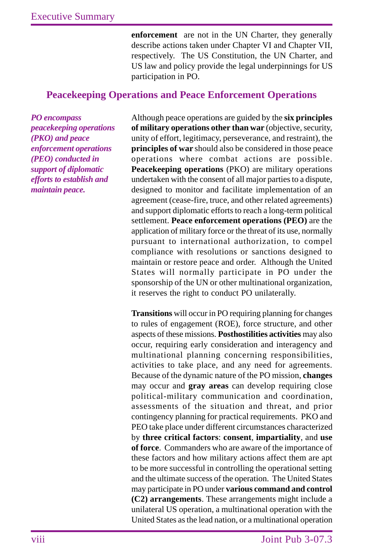**enforcement** are not in the UN Charter, they generally describe actions taken under Chapter VI and Chapter VII, respectively. The US Constitution, the UN Charter, and US law and policy provide the legal underpinnings for US participation in PO.

### **Peacekeeping Operations and Peace Enforcement Operations**

*PO encompass peacekeeping operations (PKO) and peace enforcement operations (PEO) conducted in support of diplomatic efforts to establish and maintain peace.*

Although peace operations are guided by the **six principles of military operations other than war** (objective, security, unity of effort, legitimacy, perseverance, and restraint), the **principles of war** should also be considered in those peace operations where combat actions are possible. **Peacekeeping operations** (PKO) are military operations undertaken with the consent of all major parties to a dispute, designed to monitor and facilitate implementation of an agreement (cease-fire, truce, and other related agreements) and support diplomatic efforts to reach a long-term political settlement. **Peace enforcement operations (PEO)** are the application of military force or the threat of its use, normally pursuant to international authorization, to compel compliance with resolutions or sanctions designed to maintain or restore peace and order. Although the United States will normally participate in PO under the sponsorship of the UN or other multinational organization, it reserves the right to conduct PO unilaterally.

**Transitions** will occur in PO requiring planning for changes to rules of engagement (ROE), force structure, and other aspects of these missions. **Posthostilities activities** may also occur, requiring early consideration and interagency and multinational planning concerning responsibilities, activities to take place, and any need for agreements. Because of the dynamic nature of the PO mission, **changes** may occur and **gray areas** can develop requiring close political-military communication and coordination, assessments of the situation and threat, and prior contingency planning for practical requirements. PKO and PEO take place under different circumstances characterized by **three critical factors**: **consent**, **impartiality**, and **use of force**. Commanders who are aware of the importance of these factors and how military actions affect them are apt to be more successful in controlling the operational setting and the ultimate success of the operation. The United States may participate in PO under **various command and control (C2) arrangements**. These arrangements might include a unilateral US operation, a multinational operation with the United States as the lead nation, or a multinational operation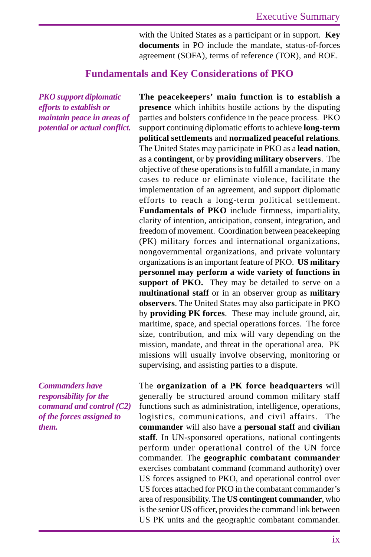with the United States as a participant or in support. **Key documents** in PO include the mandate, status-of-forces agreement (SOFA), terms of reference (TOR), and ROE.

**The peacekeepers' main function is to establish a**

### **Fundamentals and Key Considerations of PKO**

*PKO support diplomatic efforts to establish or maintain peace in areas of potential or actual conflict.*

**presence** which inhibits hostile actions by the disputing parties and bolsters confidence in the peace process.PKO support continuing diplomatic efforts to achieve **long-term political settlements** and **normalized peaceful relations**. The United States may participate in PKO as a **lead nation**, as a **contingent**, or by **providing military observers**. The objective of these operations is to fulfill a mandate, in many cases to reduce or eliminate violence, facilitate the implementation of an agreement, and support diplomatic efforts to reach a long-term political settlement. **Fundamentals of PKO** include firmness, impartiality, clarity of intention, anticipation, consent, integration, and freedom of movement. Coordination between peacekeeping (PK) military forces and international organizations, nongovernmental organizations, and private voluntary organizations is an important feature of PKO. **US military personnel may perform a wide variety of functions in support of PKO.** They may be detailed to serve on a **multinational staff** or in an observer group as **military observers**. The United States may also participate in PKO by **providing PK forces**. These may include ground, air, maritime, space, and special operations forces. The force size, contribution, and mix will vary depending on the mission, mandate, and threat in the operational area. PK missions will usually involve observing, monitoring or supervising, and assisting parties to a dispute.

*Commanders have responsibility for the command and control (C2) of the forces assigned to them.*

The **organization of a PK force headquarters** will generally be structured around common military staff functions such as administration, intelligence, operations, logistics, communications, and civil affairs. The **commander** will also have a **personal staff** and **civilian staff**. In UN-sponsored operations, national contingents perform under operational control of the UN force commander. The **geographic combatant commander** exercises combatant command (command authority) over US forces assigned to PKO, and operational control over US forces attached for PKO in the combatant commander's area of responsibility. The **US contingent commander**, who is the senior US officer, provides the command link between US PK units and the geographic combatant commander.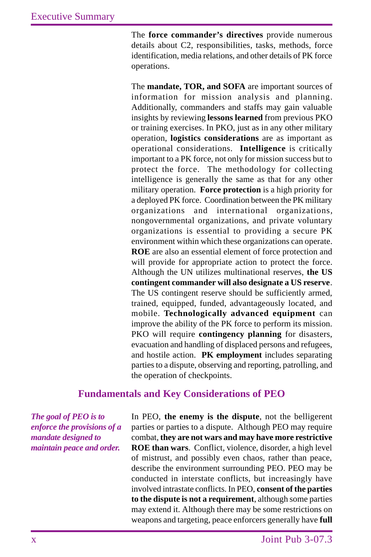The **force commander's directives** provide numerous details about C2, responsibilities, tasks, methods, force identification, media relations, and other details of PK force operations.

The **mandate, TOR, and SOFA** are important sources of information for mission analysis and planning. Additionally, commanders and staffs may gain valuable insights by reviewing **lessons learned** from previous PKO or training exercises. In PKO, just as in any other military operation, **logistics considerations** are as important as operational considerations. **Intelligence** is critically important to a PK force, not only for mission success but to protect the force. The methodology for collecting intelligence is generally the same as that for any other military operation. **Force protection** is a high priority for a deployed PK force. Coordination between the PK military organizations and international organizations, nongovernmental organizations, and private voluntary organizations is essential to providing a secure PK environment within which these organizations can operate. **ROE** are also an essential element of force protection and will provide for appropriate action to protect the force. Although the UN utilizes multinational reserves, **the US contingent commander will also designate a US reserve**. The US contingent reserve should be sufficiently armed, trained, equipped, funded, advantageously located, and mobile. **Technologically advanced equipment** can improve the ability of the PK force to perform its mission. PKO will require **contingency planning** for disasters, evacuation and handling of displaced persons and refugees, and hostile action. **PK employment** includes separating parties to a dispute, observing and reporting, patrolling, and the operation of checkpoints.

### **Fundamentals and Key Considerations of PEO**

*The goal of PEO is to enforce the provisions of a mandate designed to maintain peace and order.*

In PEO, **the enemy is the dispute**, not the belligerent parties or parties to a dispute. Although PEO may require combat, **they are not wars and may have more restrictive ROE than wars**. Conflict, violence, disorder, a high level of mistrust, and possibly even chaos, rather than peace, describe the environment surrounding PEO. PEO may be conducted in interstate conflicts, but increasingly have involved intrastate conflicts. In PEO, **consent of the parties to the dispute is not a requirement**, although some parties may extend it. Although there may be some restrictions on weapons and targeting, peace enforcers generally have **full**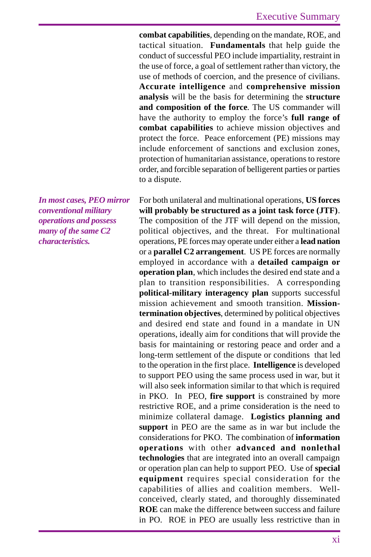**combat capabilities**, depending on the mandate, ROE, and tactical situation. **Fundamentals** that help guide the conduct of successful PEO include impartiality, restraint in the use of force, a goal of settlement rather than victory, the use of methods of coercion, and the presence of civilians. **Accurate intelligence** and **comprehensive mission analysis** will be the basis for determining the **structure and composition of the force**. The US commander will have the authority to employ the force's **full range of combat capabilities** to achieve mission objectives and protect the force. Peace enforcement (PE) missions may include enforcement of sanctions and exclusion zones, protection of humanitarian assistance, operations to restore order, and forcible separation of belligerent parties or parties to a dispute.

*In most cases, PEO mirror conventional military operations and possess many of the same C2 characteristics.*

For both unilateral and multinational operations, **US forces will probably be structured as a joint task force (JTF)**. The composition of the JTF will depend on the mission, political objectives, and the threat. For multinational operations, PE forces may operate under either a **lead nation** or a **parallel C2 arrangement**. US PE forces are normally employed in accordance with a **detailed campaign or operation plan**, which includes the desired end state and a plan to transition responsibilities. A corresponding **political-military interagency plan** supports successful mission achievement and smooth transition. **Missiontermination objectives**, determined by political objectives and desired end state and found in a mandate in UN operations, ideally aim for conditions that will provide the basis for maintaining or restoring peace and order and a long-term settlement of the dispute or conditions that led to the operation in the first place. **Intelligence** is developed to support PEO using the same process used in war, but it will also seek information similar to that which is required in PKO. In PEO, **fire support** is constrained by more restrictive ROE, and a prime consideration is the need to minimize collateral damage. **Logistics planning and support** in PEO are the same as in war but include the considerations for PKO. The combination of **information operations** with other **advanced and nonlethal technologies** that are integrated into an overall campaign or operation plan can help to support PEO. Use of **special equipment** requires special consideration for the capabilities of allies and coalition members. Wellconceived, clearly stated, and thoroughly disseminated **ROE** can make the difference between success and failure in PO. ROE in PEO are usually less restrictive than in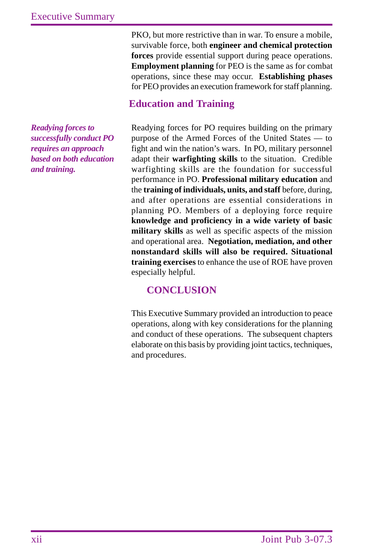PKO, but more restrictive than in war. To ensure a mobile, survivable force, both **engineer and chemical protection forces** provide essential support during peace operations. **Employment planning** for PEO is the same as for combat operations, since these may occur. **Establishing phases** for PEO provides an execution framework for staff planning.

### **Education and Training**

*Readying forces to successfully conduct PO requires an approach based on both education and training.*

Readying forces for PO requires building on the primary purpose of the Armed Forces of the United States — to fight and win the nation's wars. In PO, military personnel adapt their **warfighting skills** to the situation. Credible warfighting skills are the foundation for successful performance in PO. **Professional military education** and the **training of individuals, units, and staff** before, during, and after operations are essential considerations in planning PO. Members of a deploying force require **knowledge and proficiency in a wide variety of basic military skills** as well as specific aspects of the mission and operational area. **Negotiation, mediation, and other nonstandard skills will also be required. Situational training exercises** to enhance the use of ROE have proven especially helpful.

### **CONCLUSION**

This Executive Summary provided an introduction to peace operations, along with key considerations for the planning and conduct of these operations. The subsequent chapters elaborate on this basis by providing joint tactics, techniques, and procedures.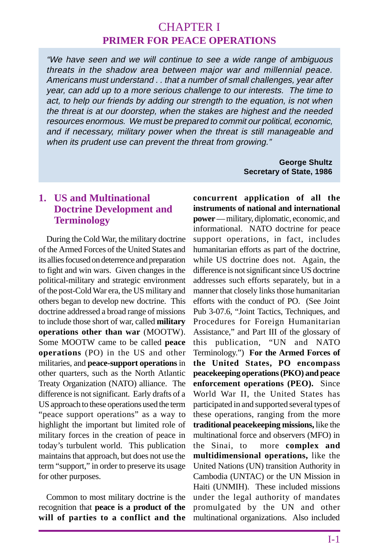### CHAPTER I **PRIMER FOR PEACE OPERATIONS**

<span id="page-13-0"></span>"We have seen and we will continue to see a wide range of ambiguous threats in the shadow area between major war and millennial peace. Americans must understand . . that a number of small challenges, year after year, can add up to a more serious challenge to our interests. The time to act, to help our friends by adding our strength to the equation, is not when the threat is at our doorstep, when the stakes are highest and the needed resources enormous. We must be prepared to commit our political, economic, and if necessary, military power when the threat is still manageable and when its prudent use can prevent the threat from growing."

### **1. US and Multinational Doctrine Development and Terminology**

During the Cold War, the military doctrine of the Armed Forces of the United States and its allies focused on deterrence and preparation to fight and win wars. Given changes in the political-military and strategic environment of the post-Cold War era, the US military and others began to develop new doctrine. This doctrine addressed a broad range of missions to include those short of war, called **military operations other than war** (MOOTW). Some MOOTW came to be called **peace operations** (PO) in the US and other militaries, and **peace-support operations** in other quarters, such as the North Atlantic Treaty Organization (NATO) alliance. The difference is not significant. Early drafts of a US approach to these operations used the term "peace support operations" as a way to highlight the important but limited role of military forces in the creation of peace in today's turbulent world. This publication maintains that approach, but does not use the term "support," in order to preserve its usage for other purposes.

Common to most military doctrine is the recognition that **peace is a product of the will of parties to a conflict and the**

**George Shultz Secretary of State, 1986**

**concurrent application of all the instruments of national and international power** — military, diplomatic, economic, and informational. NATO doctrine for peace support operations, in fact, includes humanitarian efforts as part of the doctrine, while US doctrine does not. Again, the difference is not significant since US doctrine addresses such efforts separately, but in a manner that closely links those humanitarian efforts with the conduct of PO. (See Joint Pub 3-07.6, "Joint Tactics, Techniques, and Procedures for Foreign Humanitarian Assistance," and Part III of the glossary of this publication, "UN and NATO Terminology.") **For the Armed Forces of the United States, PO encompass peacekeeping operations (PKO) and peace enforcement operations (PEO).** Since World War II, the United States has participated in and supported several types of these operations, ranging from the more **traditional peacekeeping missions,** like the multinational force and observers (MFO) in the Sinai, to more **complex and multidimensional operations,** like the United Nations (UN) transition Authority in Cambodia (UNTAC) or the UN Mission in Haiti (UNMIH). These included missions under the legal authority of mandates promulgated by the UN and other multinational organizations. Also included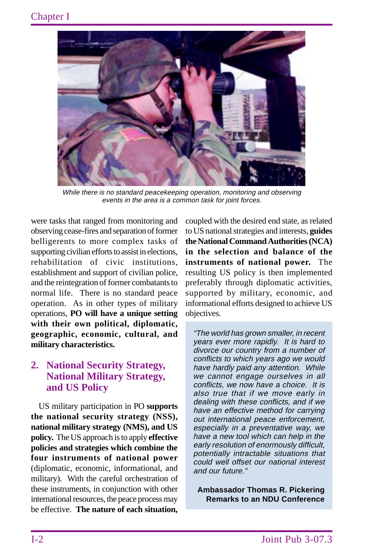<span id="page-14-0"></span>

While there is no standard peacekeeping operation, monitoring and observing events in the area is a common task for joint forces.

were tasks that ranged from monitoring and observing cease-fires and separation of former belligerents to more complex tasks of supporting civilian efforts to assist in elections, rehabilitation of civic institutions, establishment and support of civilian police, and the reintegration of former combatants to normal life. There is no standard peace operation. As in other types of military operations, **PO will have a unique setting with their own political, diplomatic, geographic, economic, cultural, and military characteristics.**

### **2. National Security Strategy, National Military Strategy, and US Policy**

US military participation in PO **supports the national security strategy (NSS), national military strategy (NMS), and US policy.** The US approach is to apply **effective policies and strategies which combine the four instruments of national power** (diplomatic, economic, informational, and military). With the careful orchestration of these instruments, in conjunction with other international resources, the peace process may be effective. **The nature of each situation,**

coupled with the desired end state, as related to US national strategies and interests, **guides the National Command Authorities (NCA) in the selection and balance of the instruments of national power.** The resulting US policy is then implemented preferably through diplomatic activities, supported by military, economic, and informational efforts designed to achieve US objectives.

"The world has grown smaller, in recent years ever more rapidly. It is hard to divorce our country from a number of conflicts to which years ago we would have hardly paid any attention. While we cannot engage ourselves in all conflicts, we now have a choice. It is also true that if we move early in dealing with these conflicts, and if we have an effective method for carrying out international peace enforcement, especially in a preventative way, we have a new tool which can help in the early resolution of enormously difficult, potentially intractable situations that could well offset our national interest and our future."

**Ambassador Thomas R. Pickering Remarks to an NDU Conference**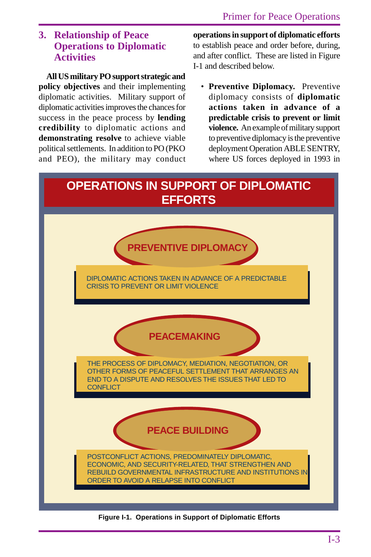### <span id="page-15-0"></span>**3. Relationship of Peace Operations to Diplomatic Activities**

**All US military PO support strategic and policy objectives** and their implementing diplomatic activities. Military support of diplomatic activities improves the chances for success in the peace process by **lending credibility** to diplomatic actions and **demonstrating resolve** to achieve viable political settlements. In addition to PO (PKO and PEO), the military may conduct **operations in support of diplomatic efforts** to establish peace and order before, during, and after conflict. These are listed in Figure I-1 and described below.

• **Preventive Diplomacy.** Preventive diplomacy consists of **diplomatic actions taken in advance of a predictable crisis to prevent or limit violence.** An example of military support to preventive diplomacy is the preventive deployment Operation ABLE SENTRY, where US forces deployed in 1993 in



**Figure I-1. Operations in Support of Diplomatic Efforts**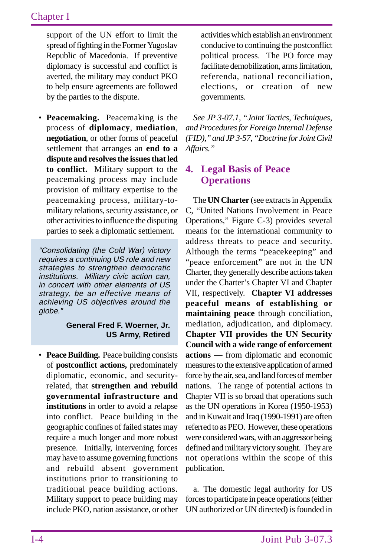<span id="page-16-0"></span>support of the UN effort to limit the spread of fighting in the Former Yugoslav Republic of Macedonia. If preventive diplomacy is successful and conflict is averted, the military may conduct PKO to help ensure agreements are followed by the parties to the dispute.

• **Peacemaking.** Peacemaking is the process of **diplomacy**, **mediation**, **negotiation**, or other forms of peaceful settlement that arranges an **end to a dispute and resolves the issues that led to conflict.** Military support to the peacemaking process may include provision of military expertise to the peacemaking process, military-tomilitary relations, security assistance, or other activities to influence the disputing parties to seek a diplomatic settlement.

"Consolidating (the Cold War) victory requires a continuing US role and new strategies to strengthen democratic institutions. Military civic action can, in concert with other elements of US strategy, be an effective means of achieving US objectives around the globe."

#### **General Fred F. Woerner, Jr. US Army, Retired**

• **Peace Building.** Peace building consists of **postconflict actions,** predominately diplomatic, economic, and securityrelated, that **strengthen and rebuild governmental infrastructure and institutions** in order to avoid a relapse into conflict. Peace building in the geographic confines of failed states may require a much longer and more robust presence. Initially, intervening forces may have to assume governing functions and rebuild absent government institutions prior to transitioning to traditional peace building actions. Military support to peace building may include PKO, nation assistance, or other activities which establish an environment conducive to continuing the postconflict political process. The PO force may facilitate demobilization, arms limitation, referenda, national reconciliation, elections, or creation of new governments.

*See JP 3-07.1, "Joint Tactics, Techniques, and Procedures for Foreign Internal Defense (FID)," and JP 3-57, "Doctrine for Joint Civil Affairs."*

### **4. Legal Basis of Peace Operations**

The **UN Charter** (see extracts in Appendix C, "United Nations Involvement in Peace Operations," Figure C-3) provides several means for the international community to address threats to peace and security. Although the terms "peacekeeping" and "peace enforcement" are not in the UN Charter, they generally describe actions taken under the Charter's Chapter VI and Chapter VII, respectively. **Chapter VI addresses peaceful means of establishing or maintaining peace** through conciliation, mediation, adjudication, and diplomacy. **Chapter VII provides the UN Security Council with a wide range of enforcement actions** — from diplomatic and economic measures to the extensive application of armed force by the air, sea, and land forces of member nations. The range of potential actions in Chapter VII is so broad that operations such as the UN operations in Korea (1950-1953) and in Kuwait and Iraq (1990-1991) are often referred to as PEO. However, these operations were considered wars, with an aggressor being defined and military victory sought. They are not operations within the scope of this publication.

a. The domestic legal authority for US forces to participate in peace operations (either UN authorized or UN directed) is founded in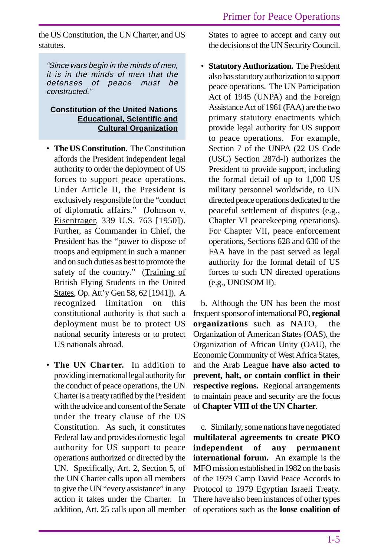the US Constitution, the UN Charter, and US statutes.

"Since wars begin in the minds of men, it is in the minds of men that the defenses of peace must be constructed."

#### **Constitution of the United Nations Educational, Scientific and Cultural Organization**

- **The US Constitution.** The Constitution affords the President independent legal authority to order the deployment of US forces to support peace operations. Under Article II, the President is exclusively responsible for the "conduct of diplomatic affairs." (Johnson v. Eisentrager, 339 U.S. 763 [1950]). Further, as Commander in Chief, the President has the "power to dispose of troops and equipment in such a manner and on such duties as best to promote the safety of the country." (Training of British Flying Students in the United States, Op. Att'y Gen 58, 62 [1941]). A recognized limitation on this constitutional authority is that such a deployment must be to protect US national security interests or to protect US nationals abroad.
- **The UN Charter.** In addition to providing international legal authority for the conduct of peace operations, the UN Charter is a treaty ratified by the President with the advice and consent of the Senate under the treaty clause of the US Constitution. As such, it constitutes Federal law and provides domestic legal authority for US support to peace operations authorized or directed by the UN. Specifically, Art. 2, Section 5, of the UN Charter calls upon all members to give the UN "every assistance" in any action it takes under the Charter. In addition, Art. 25 calls upon all member

States to agree to accept and carry out the decisions of the UN Security Council.

• **Statutory Authorization.** The President also has statutory authorization to support peace operations. The UN Participation Act of 1945 (UNPA) and the Foreign Assistance Act of 1961 (FAA) are the two primary statutory enactments which provide legal authority for US support to peace operations. For example, Section 7 of the UNPA (22 US Code (USC) Section 287d-l) authorizes the President to provide support, including the formal detail of up to 1,000 US military personnel worldwide, to UN directed peace operations dedicated to the peaceful settlement of disputes (e.g., Chapter VI peacekeeping operations). For Chapter VII, peace enforcement operations, Sections 628 and 630 of the FAA have in the past served as legal authority for the formal detail of US forces to such UN directed operations (e.g., UNOSOM II).

b. Although the UN has been the most frequent sponsor of international PO, **regional organizations** such as NATO, the Organization of American States (OAS), the Organization of African Unity (OAU), the Economic Community of West Africa States, and the Arab League **have also acted to prevent, halt, or contain conflict in their respective regions.** Regional arrangements to maintain peace and security are the focus of **Chapter VIII of the UN Charter**.

c. Similarly, some nations have negotiated **multilateral agreements to create PKO independent of any permanent international forum.** An example is the MFO mission established in 1982 on the basis of the 1979 Camp David Peace Accords to Protocol to 1979 Egyptian Israeli Treaty. There have also been instances of other types of operations such as the **loose coalition of**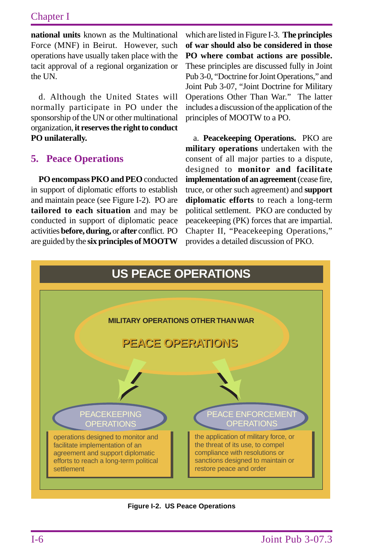<span id="page-18-0"></span>**national units** known as the Multinational Force (MNF) in Beirut. However, such operations have usually taken place with the tacit approval of a regional organization or the UN.

d. Although the United States will normally participate in PO under the sponsorship of the UN or other multinational organization, **it reserves the right to conduct PO unilaterally.**

### **5. Peace Operations**

**PO encompass PKO and PEO** conducted in support of diplomatic efforts to establish and maintain peace (see Figure I-2). PO are **tailored to each situation** and may be conducted in support of diplomatic peace activities **before,during,** or **after** conflict. PO are guided by the **six principles of MOOTW**

which are listed in Figure I-3. **The principles of war should also be considered in those PO where combat actions are possible.** These principles are discussed fully in Joint Pub 3-0, "Doctrine for Joint Operations," and Joint Pub 3-07, "Joint Doctrine for Military Operations Other Than War." The latter includes a discussion of the application of the principles of MOOTW to a PO.

a. **Peacekeeping Operations.** PKO are **military operations** undertaken with the consent of all major parties to a dispute, designed to **monitor and facilitate implementation of an agreement** (cease fire, truce, or other such agreement) and **support diplomatic efforts** to reach a long-term political settlement. PKO are conducted by peacekeeping (PK) forces that are impartial. Chapter II, "Peacekeeping Operations," provides a detailed discussion of PKO.



**Figure I-2. US Peace Operations**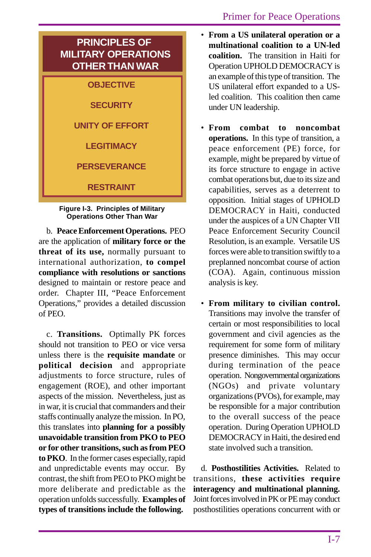### <span id="page-19-0"></span>**PRINCIPLES OF MILITARY OPERATIONS OTHER THAN WAR**

**OBJECTIVE**

**SECURITY**

### **UNITY OF EFFORT**

**LEGITIMACY**

**PERSEVERANCE**

**RESTRAINT**

#### **Figure I-3. Principles of Military Operations Other Than War**

b. **Peace Enforcement Operations.** PEO are the application of **military force or the threat of its use,** normally pursuant to international authorization, **to compel compliance with resolutions or sanctions** designed to maintain or restore peace and order. Chapter III, "Peace Enforcement Operations," provides a detailed discussion of PEO.

c. **Transitions.** Optimally PK forces should not transition to PEO or vice versa unless there is the **requisite mandate** or **political decision** and appropriate adjustments to force structure, rules of engagement (ROE), and other important aspects of the mission. Nevertheless, just as in war, it is crucial that commanders and their staffs continually analyze the mission. In PO, this translates into **planning for a possibly unavoidable transition from PKO to PEO or for other transitions, such as from PEO to PKO**. In the former cases especially, rapid and unpredictable events may occur. By contrast, the shift from PEO to PKO might be more deliberate and predictable as the operation unfolds successfully. **Examples of types of transitions include the following.**

- **From a US unilateral operation or a multinational coalition to a UN-led coalition.** The transition in Haiti for Operation UPHOLD DEMOCRACY is an example of this type of transition. The US unilateral effort expanded to a USled coalition. This coalition then came under UN leadership.
- **From combat to noncombat operations.** In this type of transition, a peace enforcement (PE) force, for example, might be prepared by virtue of its force structure to engage in active combat operations but, due to its size and capabilities, serves as a deterrent to opposition. Initial stages of UPHOLD DEMOCRACY in Haiti, conducted under the auspices of a UN Chapter VII Peace Enforcement Security Council Resolution, is an example. Versatile US forces were able to transition swiftly to a preplanned noncombat course of action (COA). Again, continuous mission analysis is key.
- **From military to civilian control.** Transitions may involve the transfer of certain or most responsibilities to local government and civil agencies as the requirement for some form of military presence diminishes. This may occur during termination of the peace operation. Nongovernmental organizations (NGOs) and private voluntary organizations (PVOs), for example, may be responsible for a major contribution to the overall success of the peace operation. During Operation UPHOLD DEMOCRACY in Haiti, the desired end state involved such a transition.

d. **Posthostilities Activities.** Related to transitions, **these activities require interagency and multinational planning.** Joint forces involved in PK or PE may conduct posthostilities operations concurrent with or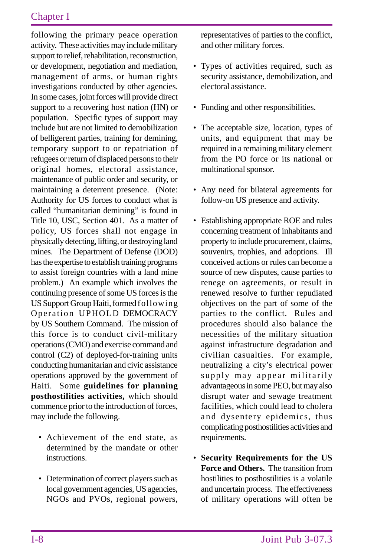following the primary peace operation activity. These activities may include military support to relief, rehabilitation, reconstruction, or development, negotiation and mediation, management of arms, or human rights investigations conducted by other agencies. In some cases, joint forces will provide direct support to a recovering host nation (HN) or population. Specific types of support may include but are not limited to demobilization of belligerent parties, training for demining, temporary support to or repatriation of refugees or return of displaced persons to their original homes, electoral assistance, maintenance of public order and security, or maintaining a deterrent presence. (Note: Authority for US forces to conduct what is called "humanitarian demining" is found in Title 10, USC, Section 401. As a matter of policy, US forces shall not engage in physically detecting, lifting, or destroying land mines. The Department of Defense (DOD) has the expertise to establish training programs to assist foreign countries with a land mine problem.) An example which involves the continuing presence of some US forces is the US Support Group Haiti, formed following Operation UPHOLD DEMOCRACY by US Southern Command. The mission of this force is to conduct civil-military operations (CMO) and exercise command and control (C2) of deployed-for-training units conducting humanitarian and civic assistance operations approved by the government of Haiti. Some **guidelines for planning posthostilities activities,** which should commence prior to the introduction of forces, may include the following.

- Achievement of the end state, as determined by the mandate or other instructions.
- Determination of correct players such as local government agencies, US agencies, NGOs and PVOs, regional powers,

representatives of parties to the conflict, and other military forces.

- Types of activities required, such as security assistance, demobilization, and electoral assistance.
- Funding and other responsibilities.
- The acceptable size, location, types of units, and equipment that may be required in a remaining military element from the PO force or its national or multinational sponsor.
- Any need for bilateral agreements for follow-on US presence and activity.
- Establishing appropriate ROE and rules concerning treatment of inhabitants and property to include procurement, claims, souvenirs, trophies, and adoptions. Ill conceived actions or rules can become a source of new disputes, cause parties to renege on agreements, or result in renewed resolve to further repudiated objectives on the part of some of the parties to the conflict. Rules and procedures should also balance the necessities of the military situation against infrastructure degradation and civilian casualties. For example, neutralizing a city's electrical power supply may appear militarily advantageous in some PEO, but may also disrupt water and sewage treatment facilities, which could lead to cholera and dysentery epidemics, thus complicating posthostilities activities and requirements.
- **Security Requirements for the US Force and Others.** The transition from hostilities to posthostilities is a volatile and uncertain process. The effectiveness of military operations will often be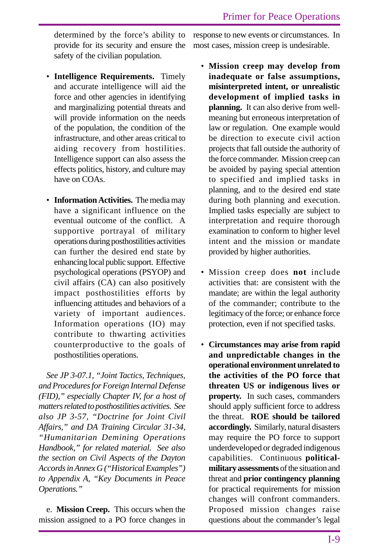determined by the force's ability to provide for its security and ensure the safety of the civilian population.

- **Intelligence Requirements.** Timely and accurate intelligence will aid the force and other agencies in identifying and marginalizing potential threats and will provide information on the needs of the population, the condition of the infrastructure, and other areas critical to aiding recovery from hostilities. Intelligence support can also assess the effects politics, history, and culture may have on COAs.
- **Information Activities.** The media may have a significant influence on the eventual outcome of the conflict. A supportive portrayal of military operations during posthostilities activities can further the desired end state by enhancing local public support. Effective psychological operations (PSYOP) and civil affairs (CA) can also positively impact posthostilities efforts by influencing attitudes and behaviors of a variety of important audiences. Information operations (IO) may contribute to thwarting activities counterproductive to the goals of posthostilities operations.

*See JP 3-07.1, "Joint Tactics, Techniques, and Procedures for Foreign Internal Defense (FID)," especially Chapter IV, for a host of matters related to posthostilities activities. See also JP 3-57, "Doctrine for Joint Civil Affairs," and DA Training Circular 31-34, "Humanitarian Demining Operations Handbook," for related material. See also the section on Civil Aspects of the Dayton Accords in Annex G ("Historical Examples") to Appendix A, "Key Documents in Peace Operations."*

e. **Mission Creep.** This occurs when the mission assigned to a PO force changes in

response to new events or circumstances. In most cases, mission creep is undesirable.

- **Mission creep may develop from inadequate or false assumptions, misinterpreted intent, or unrealistic development of implied tasks in planning.** It can also derive from wellmeaning but erroneous interpretation of law or regulation. One example would be direction to execute civil action projects that fall outside the authority of the force commander. Mission creep can be avoided by paying special attention to specified and implied tasks in planning, and to the desired end state during both planning and execution. Implied tasks especially are subject to interpretation and require thorough examination to conform to higher level intent and the mission or mandate provided by higher authorities.
- Mission creep does **not** include activities that: are consistent with the mandate; are within the legal authority of the commander; contribute to the legitimacy of the force; or enhance force protection, even if not specified tasks.
- **Circumstances may arise from rapid and unpredictable changes in the operational environment unrelated to the activities of the PO force that threaten US or indigenous lives or property.** In such cases, commanders should apply sufficient force to address the threat. **ROE should be tailored accordingly.** Similarly, natural disasters may require the PO force to support underdeveloped or degraded indigenous capabilities. Continuous **politicalmilitary assessments** of the situation and threat and **prior contingency planning** for practical requirements for mission changes will confront commanders. Proposed mission changes raise questions about the commander's legal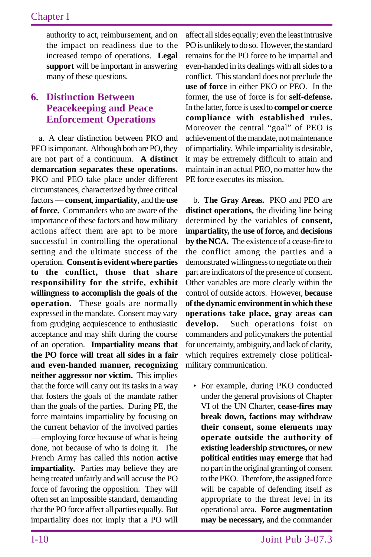<span id="page-22-0"></span>authority to act, reimbursement, and on the impact on readiness due to the increased tempo of operations. **Legal support** will be important in answering many of these questions.

### **6. Distinction Between Peacekeeping and Peace Enforcement Operations**

a. A clear distinction between PKO and PEO is important. Although both are PO, they are not part of a continuum. **A distinct demarcation separates these operations.** PKO and PEO take place under different circumstances, characterized by three critical factors — **consent**, **impartiality**, and the **use of force.** Commanders who are aware of the importance of these factors and how military actions affect them are apt to be more successful in controlling the operational setting and the ultimate success of the operation. **Consent is evident where parties to the conflict, those that share responsibility for the strife, exhibit willingness to accomplish the goals of the operation.** These goals are normally expressed in the mandate. Consent may vary from grudging acquiescence to enthusiastic acceptance and may shift during the course of an operation. **Impartiality means that the PO force will treat all sides in a fair and even-handed manner, recognizing neither aggressor nor victim.** This implies that the force will carry out its tasks in a way that fosters the goals of the mandate rather than the goals of the parties. During PE, the force maintains impartiality by focusing on the current behavior of the involved parties — employing force because of what is being done, not because of who is doing it. The French Army has called this notion **active impartiality.** Parties may believe they are being treated unfairly and will accuse the PO force of favoring the opposition. They will often set an impossible standard, demanding that the PO force affect all parties equally. But impartiality does not imply that a PO will affect all sides equally; even the least intrusive PO is unlikely to do so. However, the standard remains for the PO force to be impartial and even-handed in its dealings with all sides to a conflict. This standard does not preclude the **use of force** in either PKO or PEO. In the former, the use of force is for **self-defense.** In the latter, force is used to **compel or coerce compliance with established rules.** Moreover the central "goal" of PEO is achievement of the mandate, not maintenance of impartiality. While impartiality is desirable, it may be extremely difficult to attain and maintain in an actual PEO, no matter how the PE force executes its mission.

b. **The Gray Areas.** PKO and PEO are **distinct operations,** the dividing line being determined by the variables of **consent, impartiality,** the **use of force,** and **decisions by the NCA.** The existence of a cease-fire to the conflict among the parties and a demonstrated willingness to negotiate on their part are indicators of the presence of consent. Other variables are more clearly within the control of outside actors. However, **because of the dynamic environment in which these operations take place, gray areas can develop.** Such operations foist on commanders and policymakers the potential for uncertainty, ambiguity, and lack of clarity, which requires extremely close politicalmilitary communication.

• For example, during PKO conducted under the general provisions of Chapter VI of the UN Charter, **cease-fires may break down, factions may withdraw their consent, some elements may operate outside the authority of existing leadership structures,** or **new political entities may emerge** that had no part in the original granting of consent to the PKO. Therefore, the assigned force will be capable of defending itself as appropriate to the threat level in its operational area. **Force augmentation may be necessary,** and the commander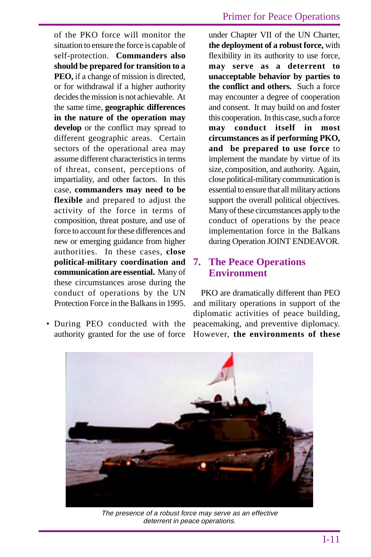<span id="page-23-0"></span>of the PKO force will monitor the situation to ensure the force is capable of self-protection. **Commanders also should be prepared for transition to a PEO,** if a change of mission is directed, or for withdrawal if a higher authority decides the mission is not achievable. At the same time, **geographic differences in the nature of the operation may develop** or the conflict may spread to different geographic areas. Certain sectors of the operational area may assume different characteristics in terms of threat, consent, perceptions of impartiality, and other factors. In this case, **commanders may need to be flexible** and prepared to adjust the activity of the force in terms of composition, threat posture, and use of force to account for these differences and new or emerging guidance from higher authorities. In these cases, **close political-military coordination and communication are essential.** Many of these circumstances arose during the conduct of operations by the UN Protection Force in the Balkans in 1995.

• During PEO conducted with the authority granted for the use of force

under Chapter VII of the UN Charter, **the deployment of a robust force,** with flexibility in its authority to use force, **may serve as a deterrent to unacceptable behavior by parties to the conflict and others.** Such a force may encounter a degree of cooperation and consent. It may build on and foster this cooperation. In this case, such a force **may conduct itself in most circumstances as if performing PKO, and be prepared to use force** to implement the mandate by virtue of its size, composition, and authority. Again, close political-military communication is essential to ensure that all military actions support the overall political objectives. Many of these circumstances apply to the conduct of operations by the peace implementation force in the Balkans during Operation JOINT ENDEAVOR.

### **7. The Peace Operations Environment**

PKO are dramatically different than PEO and military operations in support of the diplomatic activities of peace building, peacemaking, and preventive diplomacy. However, **the environments of these**



The presence of a robust force may serve as an effective deterrent in peace operations.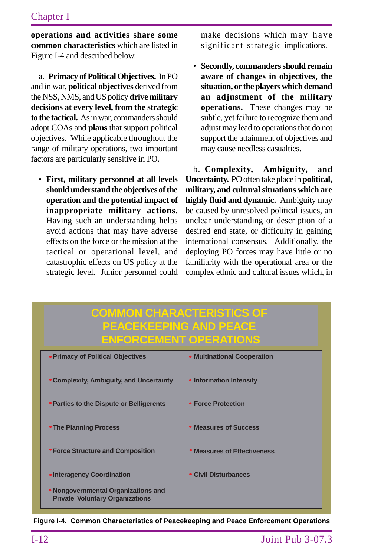<span id="page-24-0"></span>**operations and activities share some common characteristics** which are listed in Figure I-4 and described below.

a. **Primacy of Political Objectives.** In PO and in war, **political objectives** derived from the NSS, NMS, and US policy **drive military decisions at every level, from the strategic to the tactical.** As in war, commanders should adopt COAs and **plans** that support political objectives. While applicable throughout the range of military operations, two important factors are particularly sensitive in PO.

• **First, military personnel at all levels should understand the objectives of the operation and the potential impact of inappropriate military actions.** Having such an understanding helps avoid actions that may have adverse effects on the force or the mission at the tactical or operational level, and catastrophic effects on US policy at the strategic level. Junior personnel could

make decisions which may have significant strategic implications.

• **Secondly, commanders should remain aware of changes in objectives, the situation, or the players which demand an adjustment of the military operations.** These changes may be subtle, yet failure to recognize them and adjust may lead to operations that do not support the attainment of objectives and may cause needless casualties.

b. **Complexity, Ambiguity, and Uncertainty.** PO often take place in **political, military, and cultural situations which are highly fluid and dynamic.** Ambiguity may be caused by unresolved political issues, an unclear understanding or description of a desired end state, or difficulty in gaining international consensus. Additionally, the deploying PO forces may have little or no familiarity with the operational area or the complex ethnic and cultural issues which, in



**Figure I-4. Common Characteristics of Peacekeeping and Peace Enforcement Operations**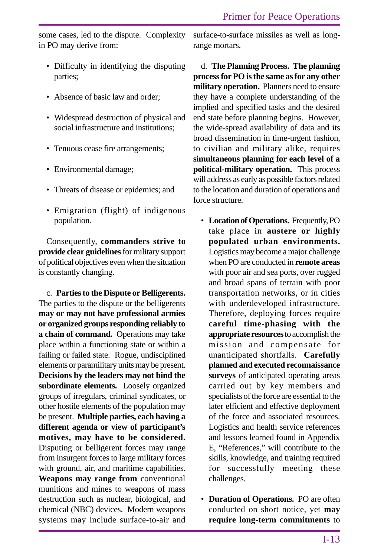some cases, led to the dispute. Complexity in PO may derive from:

- Difficulty in identifying the disputing parties;
- Absence of basic law and order;
- Widespread destruction of physical and social infrastructure and institutions;
- Tenuous cease fire arrangements;
- Environmental damage;
- Threats of disease or epidemics; and
- Emigration (flight) of indigenous population.

Consequently, **commanders strive to provide clear guidelines** for military support of political objectives even when the situation is constantly changing.

c. **Parties to the Dispute or Belligerents.** The parties to the dispute or the belligerents **may or may not have professional armies or organized groups responding reliably to a chain of command.** Operations may take place within a functioning state or within a failing or failed state. Rogue, undisciplined elements or paramilitary units may be present. **Decisions by the leaders may not bind the subordinate elements.** Loosely organized groups of irregulars, criminal syndicates, or other hostile elements of the population may be present. **Multiple parties, each having a different agenda or view of participant's motives, may have to be considered.** Disputing or belligerent forces may range from insurgent forces to large military forces with ground, air, and maritime capabilities. **Weapons may range from** conventional munitions and mines to weapons of mass destruction such as nuclear, biological, and chemical (NBC) devices. Modern weapons systems may include surface-to-air and

surface-to-surface missiles as well as longrange mortars.

d. **The Planning Process. The planning process for PO is the same as for any other military operation.** Planners need to ensure they have a complete understanding of the implied and specified tasks and the desired end state before planning begins. However, the wide-spread availability of data and its broad dissemination in time-urgent fashion, to civilian and military alike, requires **simultaneous planning for each level of a political-military operation.** This process will address as early as possible factors related to the location and duration of operations and force structure.

- **Location of Operations.** Frequently, PO take place in **austere or highly populated urban environments.** Logistics may become a major challenge when PO are conducted in **remote areas** with poor air and sea ports, over rugged and broad spans of terrain with poor transportation networks, or in cities with underdeveloped infrastructure. Therefore, deploying forces require **careful time-phasing with the appropriate resources** to accomplish the mission and compensate for unanticipated shortfalls. **Carefully planned and executed reconnaissance surveys** of anticipated operating areas carried out by key members and specialists of the force are essential to the later efficient and effective deployment of the force and associated resources. Logistics and health service references and lessons learned found in Appendix E, "References," will contribute to the skills, knowledge, and training required for successfully meeting these challenges.
- **Duration of Operations.** PO are often conducted on short notice, yet **may require long-term commitments** to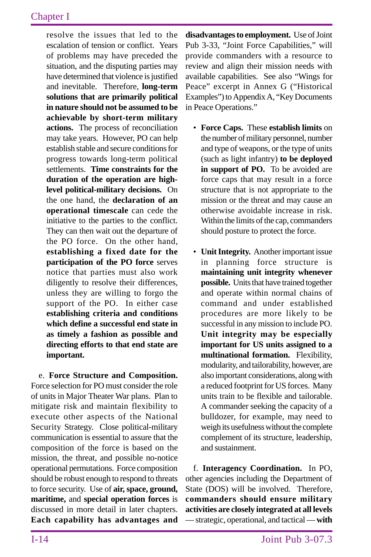resolve the issues that led to the escalation of tension or conflict. Years of problems may have preceded the situation, and the disputing parties may have determined that violence is justified and inevitable. Therefore, **long-term solutions that are primarily political in nature should not be assumed to be achievable by short-term military actions.** The process of reconciliation may take years. However, PO can help establish stable and secure conditions for progress towards long-term political settlements. **Time constraints for the duration of the operation are highlevel political-military decisions.** On the one hand, the **declaration of an operational timescale** can cede the initiative to the parties to the conflict. They can then wait out the departure of the PO force. On the other hand, **establishing a fixed date for the participation of the PO force** serves notice that parties must also work diligently to resolve their differences, unless they are willing to forgo the support of the PO. In either case **establishing criteria and conditions which define a successful end state in as timely a fashion as possible and directing efforts to that end state are important.**

e. **Force Structure and Composition.** Force selection for PO must consider the role of units in Major Theater War plans. Plan to mitigate risk and maintain flexibility to execute other aspects of the National Security Strategy. Close political-military communication is essential to assure that the composition of the force is based on the mission, the threat, and possible no-notice operational permutations. Force composition should be robust enough to respond to threats to force security. Use of **air, space, ground, maritime,** and **special operation forces** is discussed in more detail in later chapters. **Each capability has advantages and**

**disadvantages to employment.** Use of Joint Pub 3-33, "Joint Force Capabilities," will provide commanders with a resource to review and align their mission needs with available capabilities. See also "Wings for Peace" excerpt in Annex G ("Historical Examples") to Appendix A, "Key Documents in Peace Operations."

- **Force Caps.** These **establish limits** on the number of military personnel, number and type of weapons, or the type of units (such as light infantry) **to be deployed in support of PO.** To be avoided are force caps that may result in a force structure that is not appropriate to the mission or the threat and may cause an otherwise avoidable increase in risk. Within the limits of the cap, commanders should posture to protect the force.
- **Unit Integrity.** Another important issue in planning force structure is **maintaining unit integrity whenever possible.** Units that have trained together and operate within normal chains of command and under established procedures are more likely to be successful in any mission to include PO. **Unit integrity may be especially important for US units assigned to a multinational formation.** Flexibility, modularity, and tailorability, however, are also important considerations, along with a reduced footprint for US forces. Many units train to be flexible and tailorable. A commander seeking the capacity of a bulldozer, for example, may need to weigh its usefulness without the complete complement of its structure, leadership, and sustainment.

f. **Interagency Coordination.** In PO, other agencies including the Department of State (DOS) will be involved. Therefore, **commanders should ensure military activities are closely integrated at all levels** — strategic, operational, and tactical — **with**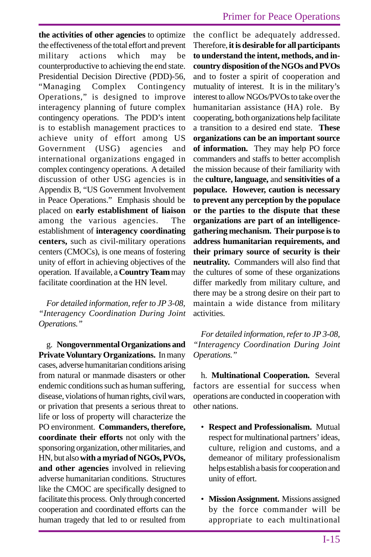Primer for Peace Operations

**the activities of other agencies** to optimize the effectiveness of the total effort and prevent military actions which may be counterproductive to achieving the end state. Presidential Decision Directive (PDD)-56, "Managing Complex Contingency Operations," is designed to improve interagency planning of future complex contingency operations. The PDD's intent is to establish management practices to achieve unity of effort among US Government (USG) agencies and international organizations engaged in complex contingency operations. A detailed discussion of other USG agencies is in Appendix B, "US Government Involvement in Peace Operations." Emphasis should be placed on **early establishment of liaison** among the various agencies. The establishment of **interagency coordinating centers,** such as civil-military operations centers (CMOCs), is one means of fostering unity of effort in achieving objectives of the operation. If available, a **Country Team** may facilitate coordination at the HN level.

*For detailed information, refer to JP 3-08, "Interagency Coordination During Joint Operations."*

g. **Nongovernmental Organizations and Private Voluntary Organizations.** In many cases, adverse humanitarian conditions arising from natural or manmade disasters or other endemic conditions such as human suffering, disease, violations of human rights, civil wars, or privation that presents a serious threat to life or loss of property will characterize the PO environment. **Commanders, therefore, coordinate their efforts** not only with the sponsoring organization, other militaries, and HN, but also **with a myriad of NGOs, PVOs, and other agencies** involved in relieving adverse humanitarian conditions. Structures like the CMOC are specifically designed to facilitate this process. Only through concerted cooperation and coordinated efforts can the human tragedy that led to or resulted from

the conflict be adequately addressed. Therefore, **it is desirable for all participants to understand the intent, methods, and incountry disposition of the NGOs and PVOs** and to foster a spirit of cooperation and mutuality of interest. It is in the military's interest to allow NGOs/PVOs to take over the humanitarian assistance (HA) role. By cooperating, both organizations help facilitate a transition to a desired end state. **These organizations can be an important source of information.** They may help PO force commanders and staffs to better accomplish the mission because of their familiarity with the **culture, language,** and **sensitivities of a populace. However, caution is necessary to prevent any perception by the populace or the parties to the dispute that these organizations are part of an intelligencegathering mechanism. Their purpose is to address humanitarian requirements, and their primary source of security is their neutrality.** Commanders will also find that the cultures of some of these organizations differ markedly from military culture, and there may be a strong desire on their part to maintain a wide distance from military activities.

*For detailed information, refer to JP 3-08, "Interagency Coordination During Joint Operations."*

h. **Multinational Cooperation.** Several factors are essential for success when operations are conducted in cooperation with other nations.

- **Respect and Professionalism.** Mutual respect for multinational partners' ideas, culture, religion and customs, and a demeanor of military professionalism helps establish a basis for cooperation and unity of effort.
- **Mission Assignment.** Missions assigned by the force commander will be appropriate to each multinational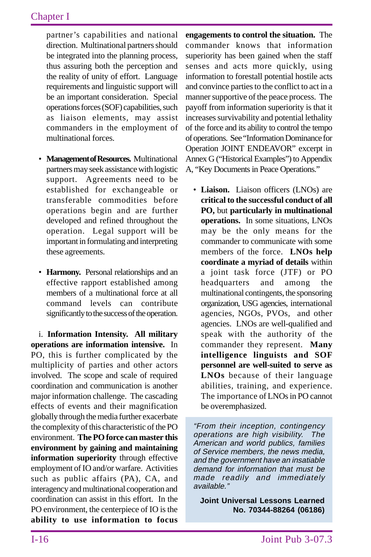partner's capabilities and national direction. Multinational partners should be integrated into the planning process, thus assuring both the perception and the reality of unity of effort. Language requirements and linguistic support will be an important consideration. Special operations forces (SOF) capabilities, such as liaison elements, may assist commanders in the employment of multinational forces.

- **Management of Resources.** Multinational partners may seek assistance with logistic support. Agreements need to be established for exchangeable or transferable commodities before operations begin and are further developed and refined throughout the operation. Legal support will be important in formulating and interpreting these agreements.
- **Harmony.** Personal relationships and an effective rapport established among members of a multinational force at all command levels can contribute significantly to the success of the operation.

i. **Information Intensity. All military operations are information intensive.** In PO, this is further complicated by the multiplicity of parties and other actors involved. The scope and scale of required coordination and communication is another major information challenge. The cascading effects of events and their magnification globally through the media further exacerbate the complexity of this characteristic of the PO environment. **The PO force can master this environment by gaining and maintaining information superiority** through effective employment of IO and/or warfare. Activities such as public affairs (PA), CA, and interagency and multinational cooperation and coordination can assist in this effort. In the PO environment, the centerpiece of IO is the **ability to use information to focus** **engagements to control the situation.** The commander knows that information superiority has been gained when the staff senses and acts more quickly, using information to forestall potential hostile acts and convince parties to the conflict to act in a manner supportive of the peace process. The payoff from information superiority is that it increases survivability and potential lethality of the force and its ability to control the tempo of operations. See "Information Dominance for Operation JOINT ENDEAVOR" excerpt in Annex G ("Historical Examples") to Appendix A, "Key Documents in Peace Operations."

• **Liaison.** Liaison officers (LNOs) are **critical to the successful conduct of all PO,** but **particularly in multinational operations.** In some situations, LNOs may be the only means for the commander to communicate with some members of the force. **LNOs help coordinate a myriad of details** within a joint task force (JTF) or PO headquarters and among the multinational contingents, the sponsoring organization, USG agencies, international agencies, NGOs, PVOs, and other agencies. LNOs are well-qualified and speak with the authority of the commander they represent. **Many intelligence linguists and SOF personnel are well-suited to serve as LNOs** because of their language abilities, training, and experience. The importance of LNOs in PO cannot be overemphasized.

"From their inception, contingency operations are high visibility. The American and world publics, families of Service members, the news media, and the government have an insatiable demand for information that must be made readily and immediately available."

**Joint Universal Lessons Learned No. 70344-88264 (06186)**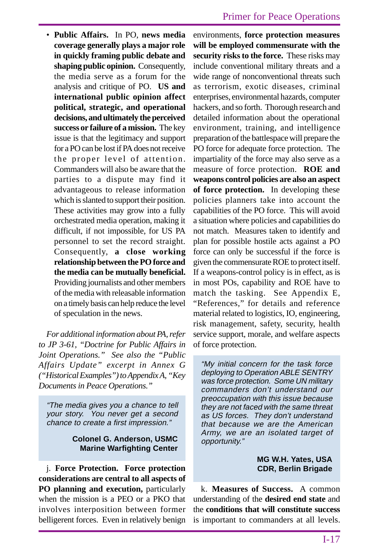• **Public Affairs.** In PO, **news media coverage generally plays a major role in quickly framing public debate and shaping public opinion.** Consequently, the media serve as a forum for the analysis and critique of PO. **US and international public opinion affect political, strategic, and operational decisions, and ultimately the perceived success or failure of a mission.** The key issue is that the legitimacy and support for a PO can be lost if PA does not receive the proper level of attention. Commanders will also be aware that the parties to a dispute may find it advantageous to release information which is slanted to support their position. These activities may grow into a fully orchestrated media operation, making it difficult, if not impossible, for US PA personnel to set the record straight. Consequently, **a close working relationship between the PO force and the media can be mutually beneficial.** Providing journalists and other members of the media with releasable information on a timely basis can help reduce the level of speculation in the news.

*For additional information about PA, refer to JP 3-61, "Doctrine for Public Affairs in Joint Operations." See also the "Public Affairs Update" excerpt in Annex G ("Historical Examples") to Appendix A, "Key Documents in Peace Operations."*

"The media gives you a chance to tell your story. You never get a second chance to create a first impression."

#### **Colonel G. Anderson, USMC Marine Warfighting Center**

j. **Force Protection. Force protection considerations are central to all aspects of PO planning and execution,** particularly when the mission is a PEO or a PKO that involves interposition between former belligerent forces. Even in relatively benign

environments, **force protection measures will be employed commensurate with the security risks to the force.** These risks may include conventional military threats and a wide range of nonconventional threats such as terrorism, exotic diseases, criminal enterprises, environmental hazards, computer hackers, and so forth. Thorough research and detailed information about the operational environment, training, and intelligence preparation of the battlespace will prepare the PO force for adequate force protection. The impartiality of the force may also serve as a measure of force protection. **ROE and weapons control policies are also an aspect of force protection.** In developing these policies planners take into account the capabilities of the PO force. This will avoid a situation where policies and capabilities do not match. Measures taken to identify and plan for possible hostile acts against a PO force can only be successful if the force is given the commensurate ROE to protect itself. If a weapons-control policy is in effect, as is in most POs, capability and ROE have to match the tasking. See Appendix E, "References," for details and reference material related to logistics, IO, engineering, risk management, safety, security, health service support, morale, and welfare aspects of force protection.

"My initial concern for the task force deploying to Operation ABLE SENTRY was force protection. Some UN military commanders don't understand our preoccupation with this issue because they are not faced with the same threat as US forces. They don't understand that because we are the American Army, we are an isolated target of opportunity."

> **MG W.H. Yates, USA CDR, Berlin Brigade**

k. **Measures of Success.** A common understanding of the **desired end state** and the **conditions that will constitute success** is important to commanders at all levels.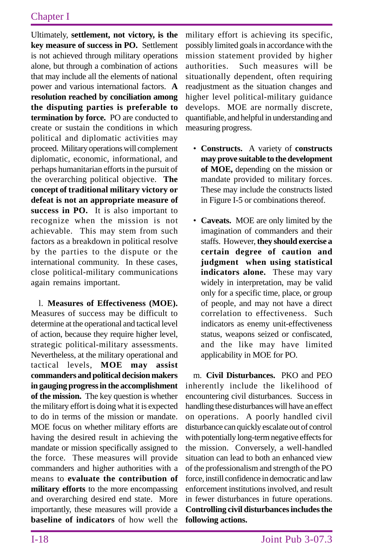Ultimately, **settlement, not victory, is the key measure of success in PO.** Settlement is not achieved through military operations alone, but through a combination of actions that may include all the elements of national power and various international factors. **A resolution reached by conciliation among the disputing parties is preferable to termination by force.** PO are conducted to create or sustain the conditions in which political and diplomatic activities may proceed. Military operations will complement diplomatic, economic, informational, and perhaps humanitarian efforts in the pursuit of the overarching political objective. **The concept of traditional military victory or defeat is not an appropriate measure of success in PO.** It is also important to recognize when the mission is not achievable. This may stem from such factors as a breakdown in political resolve by the parties to the dispute or the international community. In these cases, close political-military communications again remains important.

l. **Measures of Effectiveness (MOE).** Measures of success may be difficult to determine at the operational and tactical level of action, because they require higher level, strategic political-military assessments. Nevertheless, at the military operational and tactical levels, **MOE may assist commanders and political decision makers in gauging progress in the accomplishment of the mission.** The key question is whether the military effort is doing what it is expected to do in terms of the mission or mandate. MOE focus on whether military efforts are having the desired result in achieving the mandate or mission specifically assigned to the force. These measures will provide commanders and higher authorities with a means to **evaluate the contribution of military efforts** to the more encompassing and overarching desired end state. More importantly, these measures will provide a **baseline of indicators** of how well the

military effort is achieving its specific, possibly limited goals in accordance with the mission statement provided by higher authorities. Such measures will be situationally dependent, often requiring readjustment as the situation changes and higher level political-military guidance develops. MOE are normally discrete, quantifiable, and helpful in understanding and measuring progress.

- **Constructs.** A variety of **constructs may prove suitable to the development of MOE,** depending on the mission or mandate provided to military forces. These may include the constructs listed in Figure I-5 or combinations thereof.
- **Caveats.** MOE are only limited by the imagination of commanders and their staffs. However, **they should exercise a certain degree of caution and judgment when using statistical indicators alone.** These may vary widely in interpretation, may be valid only for a specific time, place, or group of people, and may not have a direct correlation to effectiveness. Such indicators as enemy unit-effectiveness status, weapons seized or confiscated, and the like may have limited applicability in MOE for PO.

m. **Civil Disturbances.** PKO and PEO inherently include the likelihood of encountering civil disturbances. Success in handling these disturbances will have an effect on operations. A poorly handled civil disturbance can quickly escalate out of control with potentially long-term negative effects for the mission. Conversely, a well-handled situation can lead to both an enhanced view of the professionalism and strength of the PO force, instill confidence in democratic and law enforcement institutions involved, and result in fewer disturbances in future operations. **Controlling civil disturbances includes the following actions.**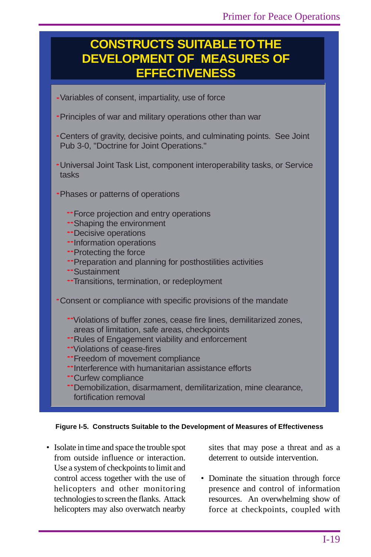## <span id="page-31-0"></span>**CONSTRUCTS SUITABLE TO THE DEVELOPMENT OF MEASURES OF EFFECTIVENESS** Variables of consent, impartiality, use of force

- Principles of war and military operations other than war
- Centers of gravity, decisive points, and culminating points. See Joint Pub 3-0, "Doctrine for Joint Operations."
- Universal Joint Task List, component interoperability tasks, or Service tasks
- Phases or patterns of operations
	- Force projection and entry operations
	- Shaping the environment
	- Decisive operations
	- Information operations
	- Protecting the force
	- \*\*Preparation and planning for posthostilities activities
	- Sustainment
	- Transitions, termination, or redeployment

Consent or compliance with specific provisions of the mandate

- Violations of buffer zones, cease fire lines, demilitarized zones, areas of limitation, safe areas, checkpoints
- Rules of Engagement viability and enforcement
- Violations of cease-fires
- \*Freedom of movement compliance
- •Interference with humanitarian assistance efforts
- Curfew compliance
- Demobilization, disarmament, demilitarization, mine clearance, fortification removal

#### **Figure I-5. Constructs Suitable to the Development of Measures of Effectiveness**

• Isolate in time and space the trouble spot from outside influence or interaction. Use a system of checkpoints to limit and control access together with the use of helicopters and other monitoring technologies to screen the flanks. Attack helicopters may also overwatch nearby sites that may pose a threat and as a deterrent to outside intervention.

• Dominate the situation through force presence and control of information resources. An overwhelming show of force at checkpoints, coupled with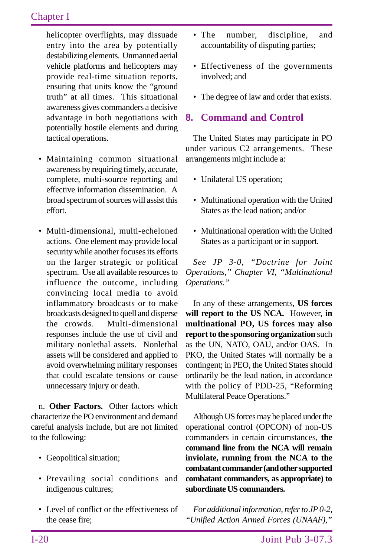<span id="page-32-0"></span>helicopter overflights, may dissuade entry into the area by potentially destabilizing elements. Unmanned aerial vehicle platforms and helicopters may provide real-time situation reports, ensuring that units know the "ground truth" at all times. This situational awareness gives commanders a decisive advantage in both negotiations with potentially hostile elements and during tactical operations.

- Maintaining common situational awareness by requiring timely, accurate, complete, multi-source reporting and effective information dissemination. A broad spectrum of sources will assist this effort.
- Multi-dimensional, multi-echeloned actions. One element may provide local security while another focuses its efforts on the larger strategic or political spectrum. Use all available resources to influence the outcome, including convincing local media to avoid inflammatory broadcasts or to make broadcasts designed to quell and disperse the crowds. Multi-dimensional responses include the use of civil and military nonlethal assets. Nonlethal assets will be considered and applied to avoid overwhelming military responses that could escalate tensions or cause unnecessary injury or death.

n. **Other Factors.** Other factors which characterize the PO environment and demand careful analysis include, but are not limited to the following:

- Geopolitical situation;
- Prevailing social conditions and indigenous cultures;
- Level of conflict or the effectiveness of the cease fire;
- The number, discipline, and accountability of disputing parties;
- Effectiveness of the governments involved; and
- The degree of law and order that exists.

### **8. Command and Control**

The United States may participate in PO under various C2 arrangements. These arrangements might include a:

- Unilateral US operation;
- Multinational operation with the United States as the lead nation; and/or
- Multinational operation with the United States as a participant or in support.

*See JP 3-0, "Doctrine for Joint Operations," Chapter VI, "Multinational Operations."*

In any of these arrangements, **US forces will report to the US NCA.** However, **in multinational PO, US forces may also report to the sponsoring organization** such as the UN, NATO, OAU, and/or OAS. In PKO, the United States will normally be a contingent; in PEO, the United States should ordinarily be the lead nation, in accordance with the policy of PDD-25, "Reforming Multilateral Peace Operations."

Although US forces may be placed under the operational control (OPCON) of non-US commanders in certain circumstances, **the command line from the NCA will remain inviolate, running from the NCA to the combatant commander (and other supported combatant commanders, as appropriate) to subordinate US commanders.**

*For additional information, refer to JP 0-2, "Unified Action Armed Forces (UNAAF),"*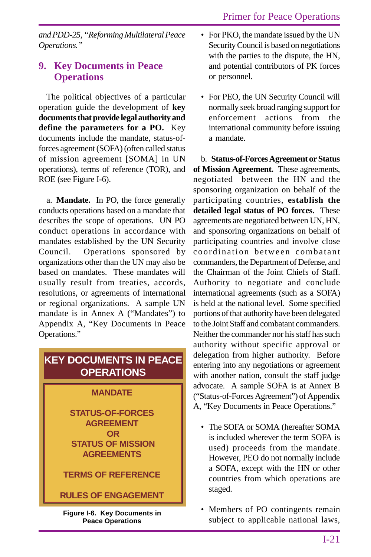<span id="page-33-0"></span>*and PDD-25, "Reforming Multilateral Peace Operations."*

### **9. Key Documents in Peace Operations**

The political objectives of a particular operation guide the development of **key documents that provide legal authority and define the parameters for a PO.** Key documents include the mandate, status-offorces agreement (SOFA) (often called status of mission agreement [SOMA] in UN operations), terms of reference (TOR), and ROE (see Figure I-6).

a. **Mandate.** In PO, the force generally conducts operations based on a mandate that describes the scope of operations. UN PO conduct operations in accordance with mandates established by the UN Security Council. Operations sponsored by organizations other than the UN may also be based on mandates. These mandates will usually result from treaties, accords, resolutions, or agreements of international or regional organizations. A sample UN mandate is in Annex A ("Mandates") to Appendix A, "Key Documents in Peace Operations."

### **KEY DOCUMENTS IN PEACE OPERATIONS**

**MANDATE**

**STATUS-OF-FORCES AGREEMENT OR STATUS OF MISSION AGREEMENTS**

### **TERMS OF REFERENCE**

**RULES OF ENGAGEMENT**

**Figure I-6. Key Documents in Peace Operations**

- For PKO, the mandate issued by the UN Security Council is based on negotiations with the parties to the dispute, the HN, and potential contributors of PK forces or personnel.
- For PEO, the UN Security Council will normally seek broad ranging support for enforcement actions from the international community before issuing a mandate.

b. **Status-of-Forces Agreement or Status of Mission Agreement.** These agreements, negotiated between the HN and the sponsoring organization on behalf of the participating countries, **establish the detailed legal status of PO forces.** These agreements are negotiated between UN, HN, and sponsoring organizations on behalf of participating countries and involve close coordination between combatant commanders, the Department of Defense, and the Chairman of the Joint Chiefs of Staff. Authority to negotiate and conclude international agreements (such as a SOFA) is held at the national level. Some specified portions of that authority have been delegated to the Joint Staff and combatant commanders. Neither the commander nor his staff has such authority without specific approval or delegation from higher authority. Before entering into any negotiations or agreement with another nation, consult the staff judge advocate. A sample SOFA is at Annex B ("Status-of-Forces Agreement") of Appendix A, "Key Documents in Peace Operations."

- The SOFA or SOMA (hereafter SOMA is included wherever the term SOFA is used) proceeds from the mandate. However, PEO do not normally include a SOFA, except with the HN or other countries from which operations are staged.
- Members of PO contingents remain subject to applicable national laws,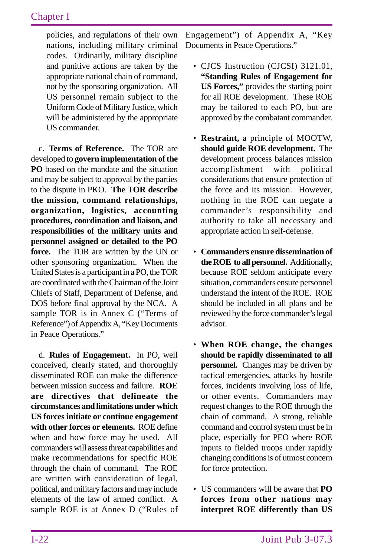policies, and regulations of their own nations, including military criminal codes. Ordinarily, military discipline and punitive actions are taken by the appropriate national chain of command, not by the sponsoring organization. All US personnel remain subject to the Uniform Code of Military Justice, which will be administered by the appropriate US commander.

c. **Terms of Reference.** The TOR are developed to **govern implementation of the PO** based on the mandate and the situation and may be subject to approval by the parties to the dispute in PKO. **The TOR describe the mission, command relationships, organization, logistics, accounting procedures, coordination and liaison, and responsibilities of the military units and personnel assigned or detailed to the PO force.** The TOR are written by the UN or other sponsoring organization. When the United States is a participant in a PO, the TOR are coordinated with the Chairman of the Joint Chiefs of Staff, Department of Defense, and DOS before final approval by the NCA. A sample TOR is in Annex C ("Terms of Reference") of Appendix A, "Key Documents in Peace Operations."

d. **Rules of Engagement.** In PO, well conceived, clearly stated, and thoroughly disseminated ROE can make the difference between mission success and failure. **ROE are directives that delineate the circumstances and limitations under which US forces initiate or continue engagement with other forces or elements.** ROE define when and how force may be used. All commanders will assess threat capabilities and make recommendations for specific ROE through the chain of command. The ROE are written with consideration of legal, political, and military factors and may include elements of the law of armed conflict. A sample ROE is at Annex D ("Rules of Engagement") of Appendix A, "Key Documents in Peace Operations."

- CJCS Instruction (CJCSI) 3121.01, **"Standing Rules of Engagement for US Forces,"** provides the starting point for all ROE development. These ROE may be tailored to each PO, but are approved by the combatant commander.
- **Restraint,** a principle of MOOTW, **should guide ROE development.** The development process balances mission accomplishment with political considerations that ensure protection of the force and its mission. However, nothing in the ROE can negate a commander's responsibility and authority to take all necessary and appropriate action in self-defense.
- **Commanders ensure dissemination of the ROE to all personnel.** Additionally, because ROE seldom anticipate every situation, commanders ensure personnel understand the intent of the ROE. ROE should be included in all plans and be reviewed by the force commander's legal advisor.
- **When ROE change, the changes should be rapidly disseminated to all personnel.** Changes may be driven by tactical emergencies, attacks by hostile forces, incidents involving loss of life, or other events. Commanders may request changes to the ROE through the chain of command. A strong, reliable command and control system must be in place, especially for PEO where ROE inputs to fielded troops under rapidly changing conditions is of utmost concern for force protection.
- US commanders will be aware that **PO forces from other nations may interpret ROE differently than US**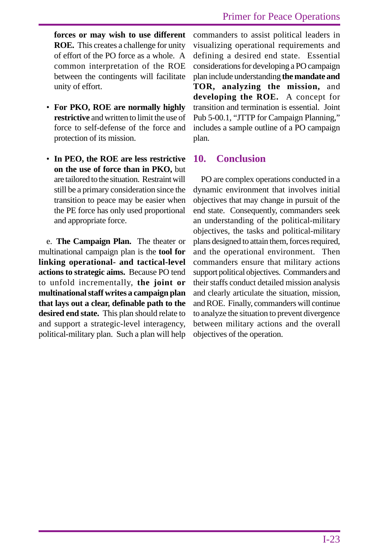<span id="page-35-0"></span>**forces or may wish to use different ROE.** This creates a challenge for unity of effort of the PO force as a whole. A common interpretation of the ROE between the contingents will facilitate unity of effort.

- **For PKO, ROE are normally highly restrictive** and written to limit the use of force to self-defense of the force and protection of its mission.
- **In PEO, the ROE are less restrictive on the use of force than in PKO,** but are tailored to the situation. Restraint will still be a primary consideration since the transition to peace may be easier when the PE force has only used proportional and appropriate force.

e. **The Campaign Plan.** The theater or multinational campaign plan is the **tool for linking operational- and tactical-level actions to strategic aims.** Because PO tend to unfold incrementally, **the joint or multinational staff writes a campaign plan that lays out a clear, definable path to the desired end state.** This plan should relate to and support a strategic-level interagency, political-military plan. Such a plan will help commanders to assist political leaders in visualizing operational requirements and defining a desired end state. Essential considerations for developing a PO campaign plan include understanding **the mandate and TOR, analyzing the mission,** and **developing the ROE.** A concept for transition and termination is essential. Joint Pub 5-00.1, "JTTP for Campaign Planning," includes a sample outline of a PO campaign plan.

### **10. Conclusion**

PO are complex operations conducted in a dynamic environment that involves initial objectives that may change in pursuit of the end state. Consequently, commanders seek an understanding of the political-military objectives, the tasks and political-military plans designed to attain them, forces required, and the operational environment. Then commanders ensure that military actions support political objectives. Commanders and their staffs conduct detailed mission analysis and clearly articulate the situation, mission, and ROE. Finally, commanders will continue to analyze the situation to prevent divergence between military actions and the overall objectives of the operation.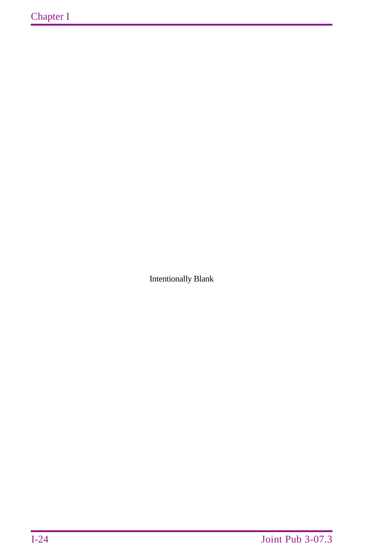Intentionally Blank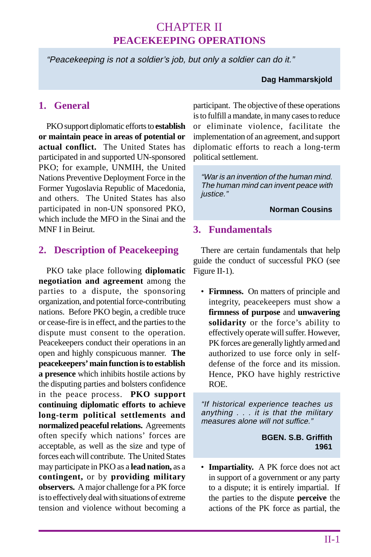## CHAPTER II **PEACEKEEPING OPERATIONS**

"Peacekeeping is not a soldier's job, but only a soldier can do it."

#### **Dag Hammarskjold**

### **1. General**

PKO support diplomatic efforts to **establish or maintain peace in areas of potential or actual conflict.** The United States has participated in and supported UN-sponsored PKO; for example, UNMIH, the United Nations Preventive Deployment Force in the Former Yugoslavia Republic of Macedonia, and others. The United States has also participated in non-UN sponsored PKO, which include the MFO in the Sinai and the MNF I in Beirut.

## **2. Description of Peacekeeping**

PKO take place following **diplomatic negotiation and agreement** among the parties to a dispute, the sponsoring organization, and potential force-contributing nations. Before PKO begin, a credible truce or cease-fire is in effect, and the parties to the dispute must consent to the operation. Peacekeepers conduct their operations in an open and highly conspicuous manner. **The peacekeepers' main function is to establish a presence** which inhibits hostile actions by the disputing parties and bolsters confidence in the peace process. **PKO support continuing diplomatic efforts to achieve long-term political settlements and normalized peaceful relations.** Agreements often specify which nations' forces are acceptable, as well as the size and type of forces each will contribute. The United States may participate in PKO as a **lead nation,** as a **contingent,** or by **providing military observers.** A major challenge for a PK force is to effectively deal with situations of extreme tension and violence without becoming a

participant. The objective of these operations is to fulfill a mandate, in many cases to reduce or eliminate violence, facilitate the implementation of an agreement, and support diplomatic efforts to reach a long-term political settlement.

"War is an invention of the human mind. The human mind can invent peace with justice."

**Norman Cousins**

### **3. Fundamentals**

There are certain fundamentals that help guide the conduct of successful PKO (see Figure II-1).

• **Firmness.** On matters of principle and integrity, peacekeepers must show a **firmness of purpose** and **unwavering solidarity** or the force's ability to effectively operate will suffer. However, PK forces are generally lightly armed and authorized to use force only in selfdefense of the force and its mission. Hence, PKO have highly restrictive ROE.

"If historical experience teaches us anything . . . it is that the military measures alone will not suffice."

> **BGEN. S.B. Griffith 1961**

• **Impartiality.** A PK force does not act in support of a government or any party to a dispute; it is entirely impartial. If the parties to the dispute **perceive** the actions of the PK force as partial, the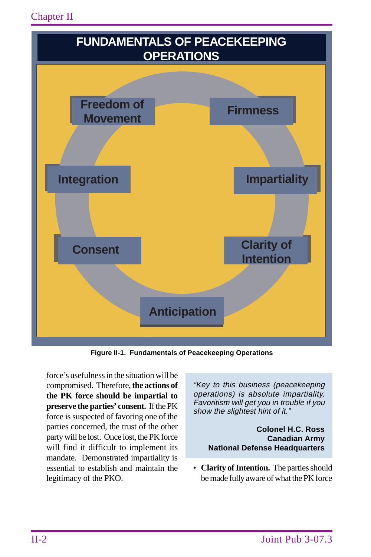## Chapter II



**Figure II-1. Fundamentals of Peacekeeping Operations**

force's usefulness in the situation will be compromised. Therefore, **the actions of the PK force should be impartial to preserve the parties' consent.** If the PK force is suspected of favoring one of the parties concerned, the trust of the other party will be lost. Once lost, the PK force will find it difficult to implement its mandate. Demonstrated impartiality is essential to establish and maintain the legitimacy of the PKO.

"Key to this business (peacekeeping operations) is absolute impartiality. Favoritism will get you in trouble if you show the slightest hint of it."

#### **Colonel H.C. Ross Canadian Army National Defense Headquarters**

• **Clarity of Intention.** The parties should be made fully aware of what the PK force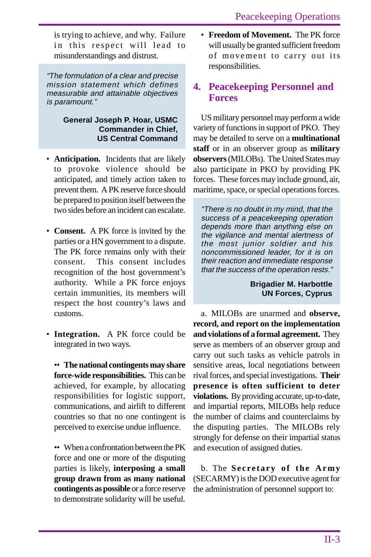is trying to achieve, and why. Failure in this respect will lead to misunderstandings and distrust.

"The formulation of a clear and precise mission statement which defines measurable and attainable objectives is paramount."

#### **General Joseph P. Hoar, USMC Commander in Chief, US Central Command**

- **Anticipation.** Incidents that are likely to provoke violence should be anticipated, and timely action taken to prevent them. A PK reserve force should be prepared to position itself between the two sides before an incident can escalate*.*
- **Consent.** A PK force is invited by the parties or a HN government to a dispute. The PK force remains only with their consent. This consent includes recognition of the host government's authority. While a PK force enjoys certain immunities, its members will respect the host country's laws and customs.
- **Integration.** A PK force could be integrated in two ways.

•• **The national contingents may share force-wide responsibilities.** This can be achieved, for example, by allocating responsibilities for logistic support, communications, and airlift to different countries so that no one contingent is perceived to exercise undue influence.

•• When a confrontation between the PK force and one or more of the disputing parties is likely, **interposing a small group drawn from as many national contingents as possible** or a force reserve to demonstrate solidarity will be useful. • **Freedom of Movement.** The PK force will usually be granted sufficient freedom of movement to carry out its responsibilities.

### **4. Peacekeeping Personnel and Forces**

US military personnel may perform a wide variety of functions in support of PKO. They may be detailed to serve on a **multinational staff** or in an observer group as **military observers** (MILOBs). The United States may also participate in PKO by providing PK forces. These forces may include ground, air, maritime, space, or special operations forces.

"There is no doubt in my mind, that the success of a peacekeeping operation depends more than anything else on the vigilance and mental alertness of the most junior soldier and his noncommissioned leader, for it is on their reaction and immediate response that the success of the operation rests."

#### **Brigadier M. Harbottle UN Forces, Cyprus**

a. MILOBs are unarmed and **observe, record, and report on the implementation and violations of a formal agreement.** They serve as members of an observer group and carry out such tasks as vehicle patrols in sensitive areas, local negotiations between rival forces, and special investigations. **Their presence is often sufficient to deter violations.** By providing accurate, up-to-date, and impartial reports, MILOBs help reduce the number of claims and counterclaims by the disputing parties. The MILOBs rely strongly for defense on their impartial status and execution of assigned duties.

b. The **Secretary of the Army** (SECARMY) is the DOD executive agent for the administration of personnel support to: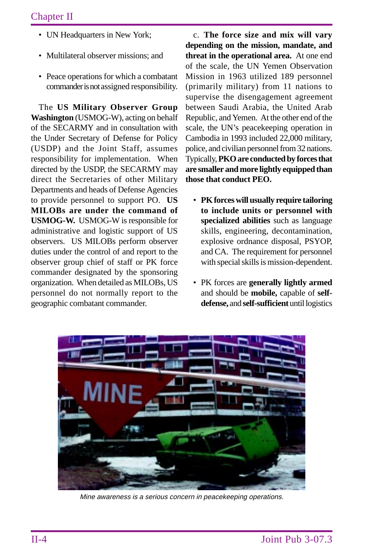- UN Headquarters in New York;
- Multilateral observer missions; and
- Peace operations for which a combatant commander is not assigned responsibility.

The **US Military Observer Group Washington** (USMOG-W), acting on behalf of the SECARMY and in consultation with the Under Secretary of Defense for Policy (USDP) and the Joint Staff, assumes responsibility for implementation. When directed by the USDP, the SECARMY may direct the Secretaries of other Military Departments and heads of Defense Agencies to provide personnel to support PO. **US MILOBs are under the command of USMOG-W.** USMOG-W is responsible for administrative and logistic support of US observers. US MILOBs perform observer duties under the control of and report to the observer group chief of staff or PK force commander designated by the sponsoring organization. When detailed as MILOBs, US personnel do not normally report to the geographic combatant commander.

c. **The force size and mix will vary depending on the mission, mandate, and threat in the operational area.** At one end of the scale, the UN Yemen Observation Mission in 1963 utilized 189 personnel (primarily military) from 11 nations to supervise the disengagement agreement between Saudi Arabia, the United Arab Republic, and Yemen. At the other end of the scale, the UN's peacekeeping operation in Cambodia in 1993 included 22,000 military, police, and civilian personnel from 32 nations. Typically, **PKO are conducted by forces that are smaller and more lightly equipped than those that conduct PEO.**

- **PK forces will usually require tailoring to include units or personnel with specialized abilities** such as language skills, engineering, decontamination, explosive ordnance disposal, PSYOP, and CA. The requirement for personnel with special skills is mission-dependent.
- PK forces are **generally lightly armed** and should be **mobile,** capable of **selfdefense,** and **self-sufficient** until logistics



Mine awareness is a serious concern in peacekeeping operations.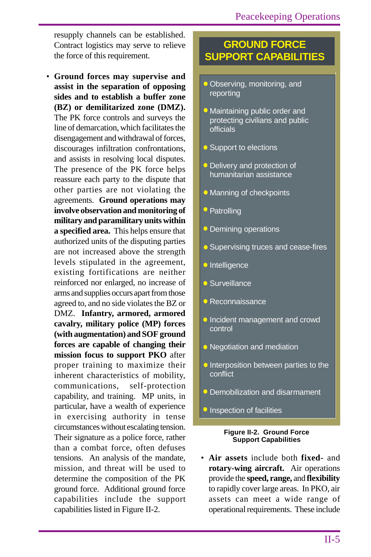resupply channels can be established. Contract logistics may serve to relieve the force of this requirement.

• **Ground forces may supervise and assist in the separation of opposing sides and to establish a buffer zone (BZ) or demilitarized zone (DMZ).** The PK force controls and surveys the line of demarcation, which facilitates the disengagement and withdrawal of forces, discourages infiltration confrontations, and assists in resolving local disputes. The presence of the PK force helps reassure each party to the dispute that other parties are not violating the agreements. **Ground operations may involve observation and monitoring of military and paramilitary units within a specified area.** This helps ensure that authorized units of the disputing parties are not increased above the strength levels stipulated in the agreement, existing fortifications are neither reinforced nor enlarged, no increase of arms and supplies occurs apart from those agreed to, and no side violates the BZ or DMZ. **Infantry, armored, armored cavalry, military police (MP) forces (with augmentation) and SOF ground forces are capable of changing their mission focus to support PKO** after proper training to maximize their inherent characteristics of mobility, communications, self-protection capability, and training. MP units, in particular, have a wealth of experience in exercising authority in tense circumstances without escalating tension. Their signature as a police force, rather than a combat force, often defuses tensions. An analysis of the mandate, mission, and threat will be used to determine the composition of the PK ground force. Additional ground force capabilities include the support capabilities listed in Figure II-2.

## **GROUND FORCE SUPPORT CAPABILITIES**

- Observing, monitoring, and reporting
- **Maintaining public order and** protecting civilians and public officials
- **Support to elections**
- **O** Delivery and protection of humanitarian assistance
- **Manning of checkpoints**
- Patrolling
- Demining operations
- **Supervising truces and cease-fires**
- **•** Intelligence
- **Surveillance**
- **Reconnaissance**
- **Incident management and crowd** control
- Negotiation and mediation
- **Interposition between parties to the** conflict
- **O** Demobilization and disarmament
- **Inspection of facilities**

#### **Figure II-2. Ground Force Support Capabilities**

• **Air assets** include both **fixed-** and **rotary-wing aircraft.** Air operations provide the **speed, range,** and **flexibility** to rapidly cover large areas. In PKO, air assets can meet a wide range of operational requirements. These include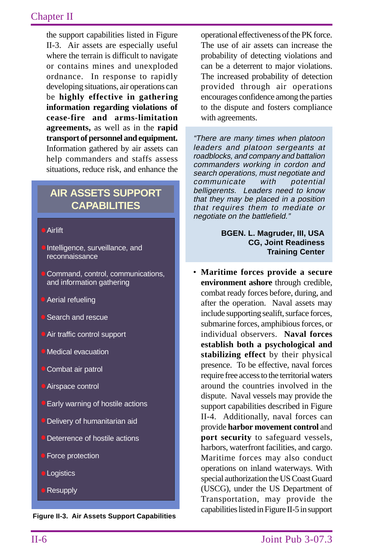## Chapter II

the support capabilities listed in Figure II-3. Air assets are especially useful where the terrain is difficult to navigate or contains mines and unexploded ordnance. In response to rapidly developing situations, air operations can be **highly effective in gathering information regarding violations of cease-fire and arms-limitation agreements,** as well as in the **rapid transport of personnel and equipment.** Information gathered by air assets can help commanders and staffs assess situations, reduce risk, and enhance the

## **AIR ASSETS SUPPORT CAPABILITIES**

#### Airlift

- Intelligence, surveillance, and reconnaissance
- Command, control, communications, and information gathering
- Aerial refueling
- Search and rescue
- Air traffic control support
- **Medical evacuation**
- Combat air patrol
- Airspace control
- Early warning of hostile actions
- Delivery of humanitarian aid
- Deterrence of hostile actions
- Force protection
- **Logistics**
- **Resupply**



operational effectiveness of the PK force. The use of air assets can increase the probability of detecting violations and can be a deterrent to major violations. The increased probability of detection provided through air operations encourages confidence among the parties to the dispute and fosters compliance with agreements.

"There are many times when platoon leaders and platoon sergeants at roadblocks, and company and battalion commanders working in cordon and search operations, must negotiate and communicate with potential belligerents. Leaders need to know that they may be placed in a position that requires them to mediate or negotiate on the battlefield."

> **BGEN. L. Magruder, III, USA CG, Joint Readiness Training Center**

• **Maritime forces provide a secure environment ashore** through credible, combat ready forces before, during, and after the operation. Naval assets may include supporting sealift, surface forces, submarine forces, amphibious forces, or individual observers. **Naval forces establish both a psychological and stabilizing effect** by their physical presence. To be effective, naval forces require free access to the territorial waters around the countries involved in the dispute. Naval vessels may provide the support capabilities described in Figure II-4. Additionally, naval forces can provide **harbor movement control** and **port security** to safeguard vessels, harbors, waterfront facilities, and cargo. Maritime forces may also conduct operations on inland waterways. With special authorization the US Coast Guard (USCG), under the US Department of Transportation, may provide the capabilities listed in Figure II-5 in support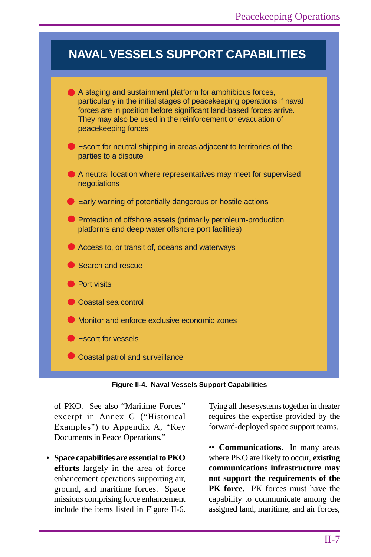



of PKO. See also "Maritime Forces" excerpt in Annex G ("Historical Examples") to Appendix A, "Key Documents in Peace Operations."

• **Space capabilities are essential to PKO efforts** largely in the area of force enhancement operations supporting air, ground, and maritime forces. Space missions comprising force enhancement include the items listed in Figure II-6. Tying all these systems together in theater requires the expertise provided by the forward-deployed space support teams.

•• **Communications.** In many areas where PKO are likely to occur, **existing communications infrastructure may not support the requirements of the PK force.** PK forces must have the capability to communicate among the assigned land, maritime, and air forces,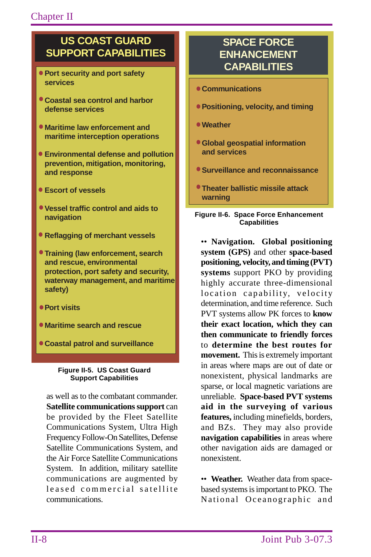## **US COAST GUARD SUPPORT CAPABILITIES**

- **Port security and port safety services**
- **Coastal sea control and harbor defense services**
- **Maritime law enforcement and maritime interception operations**
- **Environmental defense and pollution prevention, mitigation, monitoring, and response**
- **Escort of vessels**
- **Vessel traffic control and aids to navigation**
- **Reflagging of merchant vessels**
- **Training (law enforcement, search and rescue, environmental protection, port safety and security, waterway management, and maritime safety)**
- **Port visits**
- **Maritime search and rescue**
- **Coastal patrol and surveillance**

#### **Figure II-5. US Coast Guard Support Capabilities**

as well as to the combatant commander. **Satellite communications support** can be provided by the Fleet Satellite Communications System, Ultra High Frequency Follow-On Satellites, Defense Satellite Communications System, and the Air Force Satellite Communications System. In addition, military satellite communications are augmented by leased commercial satellite communications.

## **SPACE FORCE ENHANCEMENT CAPABILITIES**

- **Communications**
- **Positioning, velocity, and timing**
- **Weather**
- **Global geospatial information and services**
- **Surveillance and reconnaissance**
- **Theater ballistic missile attack warning**
- **Figure II-6. Space Force Enhancement Capabilities**

•• **Navigation. Global positioning system (GPS)** and other **space-based positioning, velocity, and timing (PVT) systems** support PKO by providing highly accurate three-dimensional location capability, velocity determination, and time reference. Such PVT systems allow PK forces to **know their exact location, which they can then communicate to friendly forces** to **determine the best routes for movement.** This is extremely important in areas where maps are out of date or nonexistent, physical landmarks are sparse, or local magnetic variations are unreliable. **Space-based PVT systems aid in the surveying of various features,** including minefields, borders, and BZs. They may also provide **navigation capabilities** in areas where other navigation aids are damaged or nonexistent.

•• **Weather.** Weather data from spacebased systems is important to PKO. The National Oceanographic and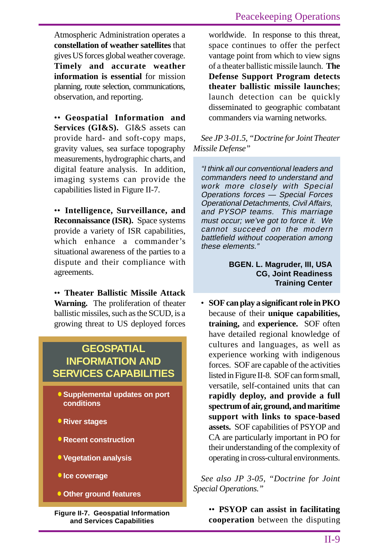Atmospheric Administration operates a **constellation of weather satellites** that gives US forces global weather coverage. **Timely and accurate weather information is essential** for mission planning, route selection, communications, observation, and reporting.

•• **Geospatial Information and Services (GI&S).** GI&S assets can provide hard- and soft-copy maps, gravity values, sea surface topography measurements, hydrographic charts, and digital feature analysis. In addition, imaging systems can provide the capabilities listed in Figure II-7.

•• **Intelligence, Surveillance, and Reconnaissance (ISR).** Space systems provide a variety of ISR capabilities, which enhance a commander's situational awareness of the parties to a dispute and their compliance with agreements.

•• **Theater Ballistic Missile Attack Warning.** The proliferation of theater ballistic missiles, such as the SCUD, is a growing threat to US deployed forces

## **GEOSPATIAL INFORMATION AND SERVICES CAPABILITIES**

- **Supplemental updates on port conditions**
- **River stages**
- **Recent construction**
- **Vegetation analysis**
- **Ice coverage**
- **Other ground features**

**Figure II-7. Geospatial Information and Services Capabilities**

worldwide. In response to this threat, space continues to offer the perfect vantage point from which to view signs of a theater ballistic missile launch. **The Defense Support Program detects theater ballistic missile launches**; launch detection can be quickly disseminated to geographic combatant commanders via warning networks.

*See JP 3-01.5, "Doctrine for Joint Theater Missile Defense"*

"I think all our conventional leaders and commanders need to understand and work more closely with Special Operations forces — Special Forces Operational Detachments, Civil Affairs, and PYSOP teams. This marriage must occur; we've got to force it. We cannot succeed on the modern battlefield without cooperation among these elements."

> **BGEN. L. Magruder, III, USA CG, Joint Readiness Training Center**

• **SOF can play a significant role in PKO** because of their **unique capabilities, training,** and **experience.** SOF often have detailed regional knowledge of cultures and languages, as well as experience working with indigenous forces. SOF are capable of the activities listed in Figure II-8. SOF can form small, versatile, self-contained units that can **rapidly deploy, and provide a full spectrum of air, ground, and maritime support with links to space-based assets.** SOF capabilities of PSYOP and CA are particularly important in PO for their understanding of the complexity of operating in cross-cultural environments.

*See also JP 3-05, "Doctrine for Joint Special Operations."*

> •• **PSYOP can assist in facilitating cooperation** between the disputing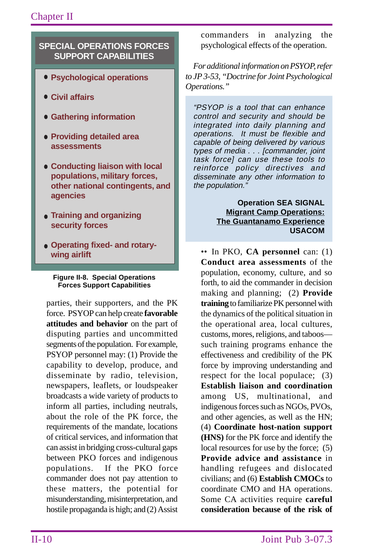### **SPECIAL OPERATIONS FORCES SUPPORT CAPABILITIES**

- **Psychological operations**
- **Civil affairs**
- **Gathering information**
- **Providing detailed area assessments**
- **Conducting liaison with local populations, military forces, other national contingents, and agencies**
- **Training and organizing security forces**
- **Operating fixed- and rotarywing airlift**

#### **Figure II-8. Special Operations Forces Support Capabilities**

parties, their supporters, and the PK force. PSYOP can help create **favorable attitudes and behavior** on the part of disputing parties and uncommitted segments of the population. For example, PSYOP personnel may: (1) Provide the capability to develop, produce, and disseminate by radio, television, newspapers, leaflets, or loudspeaker broadcasts a wide variety of products to inform all parties, including neutrals, about the role of the PK force, the requirements of the mandate, locations of critical services, and information that can assist in bridging cross-cultural gaps between PKO forces and indigenous populations. If the PKO force commander does not pay attention to these matters, the potential for misunderstanding, misinterpretation, and hostile propaganda is high; and (2) Assist

commanders in analyzing the psychological effects of the operation.

*For additional information on PSYOP, refer to JP 3-53, "Doctrine for Joint Psychological Operations."*

"PSYOP is a tool that can enhance control and security and should be integrated into daily planning and operations. It must be flexible and capable of being delivered by various types of media . . . [commander, joint task force] can use these tools to reinforce policy directives and disseminate any other information to the population."

#### **Operation SEA SIGNAL Migrant Camp Operations: The Guantanamo Experience USACOM**

•• In PKO, **CA personnel** can: (1) **Conduct area assessments** of the population, economy, culture, and so forth, to aid the commander in decision making and planning; (2) **Provide training** to familiarize PK personnel with the dynamics of the political situation in the operational area, local cultures, customs, mores, religions, and taboos such training programs enhance the effectiveness and credibility of the PK force by improving understanding and respect for the local populace; (3) **Establish liaison and coordination** among US, multinational, and indigenous forces such as NGOs, PVOs, and other agencies, as well as the HN; (4) **Coordinate host-nation support (HNS)** for the PK force and identify the local resources for use by the force; (5) **Provide advice and assistance** in handling refugees and dislocated civilians; and (6) **Establish CMOCs** to coordinate CMO and HA operations. Some CA activities require **careful consideration because of the risk of**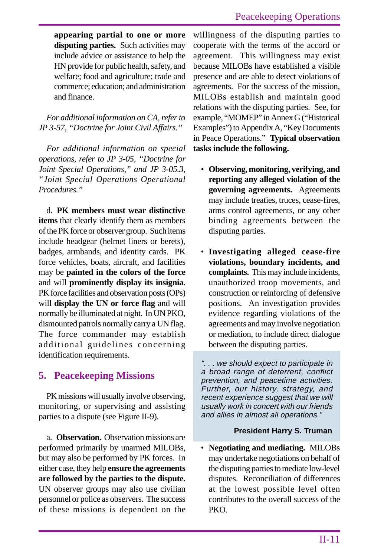**appearing partial to one or more disputing parties.** Such activities may include advice or assistance to help the HN provide for public health, safety, and welfare; food and agriculture; trade and commerce; education; and administration and finance.

*For additional information on CA, refer to JP 3-57, "Doctrine for Joint Civil Affairs."*

*For additional information on special operations, refer to JP 3-05, "Doctrine for Joint Special Operations," and JP 3-05.3, "Joint Special Operations Operational Procedures."*

d. **PK members must wear distinctive items** that clearly identify them as members of the PK force or observer group. Such items include headgear (helmet liners or berets), badges, armbands, and identity cards. PK force vehicles, boats, aircraft, and facilities may be **painted in the colors of the force** and will **prominently display its insignia.** PK force facilities and observation posts (OPs) will **display the UN or force flag** and will normally be illuminated at night. In UN PKO, dismounted patrols normally carry a UN flag. The force commander may establish additional guidelines concerning identification requirements.

## **5. Peacekeeping Missions**

PK missions will usually involve observing, monitoring, or supervising and assisting parties to a dispute (see Figure II-9).

a. **Observation.** Observation missions are performed primarily by unarmed MILOBs, but may also be performed by PK forces. In either case, they help **ensure the agreements are followed by the parties to the dispute.** UN observer groups may also use civilian personnel or police as observers. The success of these missions is dependent on the willingness of the disputing parties to cooperate with the terms of the accord or agreement. This willingness may exist because MILOBs have established a visible presence and are able to detect violations of agreements. For the success of the mission, MILOBs establish and maintain good relations with the disputing parties. See, for example, "MOMEP" in Annex G ("Historical Examples") to Appendix A, "Key Documents in Peace Operations." **Typical observation tasks include the following.**

- **Observing, monitoring, verifying, and reporting any alleged violation of the governing agreements.** Agreements may include treaties, truces, cease-fires, arms control agreements, or any other binding agreements between the disputing parties.
- **Investigating alleged cease-fire violations, boundary incidents, and complaints.** This may include incidents, unauthorized troop movements, and construction or reinforcing of defensive positions. An investigation provides evidence regarding violations of the agreements and may involve negotiation or mediation, to include direct dialogue between the disputing parties.

". . . we should expect to participate in a broad range of deterrent, conflict prevention, and peacetime activities. Further, our history, strategy, and recent experience suggest that we will usually work in concert with our friends and allies in almost all operations."

### **President Harry S. Truman**

• **Negotiating and mediating.** MILOBs may undertake negotiations on behalf of the disputing parties to mediate low-level disputes. Reconciliation of differences at the lowest possible level often contributes to the overall success of the PKO.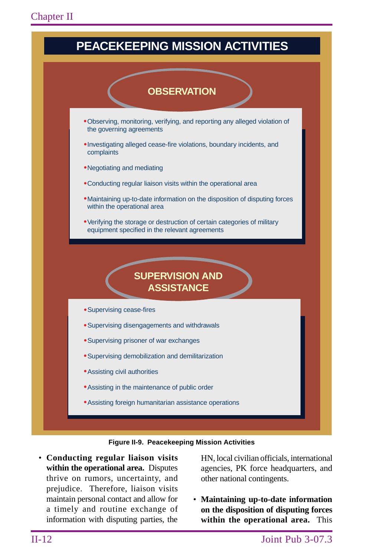## Chapter II





• **Conducting regular liaison visits within the operational area.** Disputes thrive on rumors, uncertainty, and prejudice. Therefore, liaison visits maintain personal contact and allow for a timely and routine exchange of information with disputing parties, the

HN, local civilian officials, international agencies, PK force headquarters, and other national contingents.

• **Maintaining up-to-date information on the disposition of disputing forces within the operational area.** This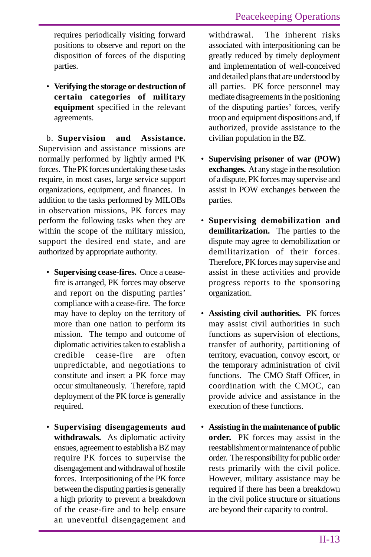• **Verifying the storage or destruction of certain categories of military equipment** specified in the relevant agreements.

b. **Supervision and Assistance.** Supervision and assistance missions are normally performed by lightly armed PK forces. The PK forces undertaking these tasks require, in most cases, large service support organizations, equipment, and finances. In addition to the tasks performed by MILOBs in observation missions, PK forces may perform the following tasks when they are within the scope of the military mission, support the desired end state, and are authorized by appropriate authority.

- **Supervising cease-fires.** Once a ceasefire is arranged, PK forces may observe and report on the disputing parties' compliance with a cease-fire. The force may have to deploy on the territory of more than one nation to perform its mission. The tempo and outcome of diplomatic activities taken to establish a credible cease-fire are often unpredictable, and negotiations to constitute and insert a PK force may occur simultaneously. Therefore, rapid deployment of the PK force is generally required.
- **Supervising disengagements and withdrawals.** As diplomatic activity ensues, agreement to establish a BZ may require PK forces to supervise the disengagement and withdrawal of hostile forces. Interpositioning of the PK force between the disputing parties is generally a high priority to prevent a breakdown of the cease-fire and to help ensure an uneventful disengagement and

withdrawal. The inherent risks associated with interpositioning can be greatly reduced by timely deployment and implementation of well-conceived and detailed plans that are understood by all parties. PK force personnel may mediate disagreements in the positioning of the disputing parties' forces, verify troop and equipment dispositions and, if authorized, provide assistance to the civilian population in the BZ.

- **Supervising prisoner of war (POW) exchanges.** At any stage in the resolution of a dispute, PK forces may supervise and assist in POW exchanges between the parties.
- **Supervising demobilization and demilitarization.** The parties to the dispute may agree to demobilization or demilitarization of their forces. Therefore, PK forces may supervise and assist in these activities and provide progress reports to the sponsoring organization.
- **Assisting civil authorities.** PK forces may assist civil authorities in such functions as supervision of elections, transfer of authority, partitioning of territory, evacuation, convoy escort, or the temporary administration of civil functions. The CMO Staff Officer, in coordination with the CMOC, can provide advice and assistance in the execution of these functions.
- **Assisting in the maintenance of public order.** PK forces may assist in the reestablishment or maintenance of public order. The responsibility for public order rests primarily with the civil police. However, military assistance may be required if there has been a breakdown in the civil police structure or situations are beyond their capacity to control.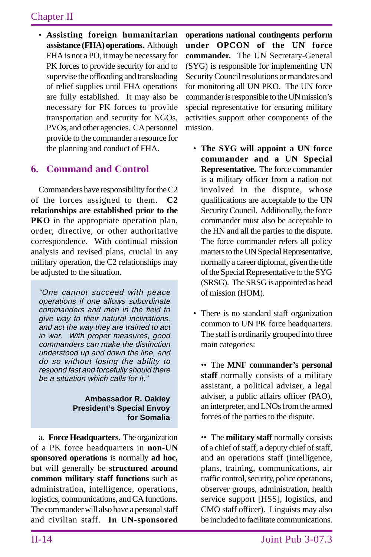• **Assisting foreign humanitarian assistance (FHA) operations.** Although FHA is not a PO, it may be necessary for PK forces to provide security for and to supervise the offloading and transloading of relief supplies until FHA operations are fully established. It may also be necessary for PK forces to provide transportation and security for NGOs, PVOs, and other agencies. CA personnel provide to the commander a resource for the planning and conduct of FHA.

## **6. Command and Control**

Commanders have responsibility for the C2 of the forces assigned to them. **C2 relationships are established prior to the PKO** in the appropriate operation plan, order, directive, or other authoritative correspondence. With continual mission analysis and revised plans, crucial in any military operation, the C2 relationships may be adjusted to the situation.

"One cannot succeed with peace operations if one allows subordinate commanders and men in the field to give way to their natural inclinations, and act the way they are trained to act in war. With proper measures, good commanders can make the distinction understood up and down the line, and do so without losing the ability to respond fast and forcefully should there be a situation which calls for it."

#### **Ambassador R. Oakley President's Special Envoy for Somalia**

a. **Force Headquarters.** The organization of a PK force headquarters in **non-UN sponsored operations** is normally **ad hoc,** but will generally be **structured around common military staff functions** such as administration, intelligence, operations, logistics, communications, and CA functions. The commander will also have a personal staff and civilian staff. **In UN-sponsored**

**operations national contingents perform under OPCON of the UN force commander.** The UN Secretary-General (SYG) is responsible for implementing UN Security Council resolutions or mandates and for monitoring all UN PKO. The UN force commander is responsible to the UN mission's special representative for ensuring military activities support other components of the mission.

- **The SYG will appoint a UN force commander and a UN Special Representative.** The force commander is a military officer from a nation not involved in the dispute, whose qualifications are acceptable to the UN Security Council. Additionally, the force commander must also be acceptable to the HN and all the parties to the dispute. The force commander refers all policy matters to the UN Special Representative, normally a career diplomat, given the title of the Special Representative to the SYG (SRSG). The SRSG is appointed as head of mission (HOM).
- There is no standard staff organization common to UN PK force headquarters. The staff is ordinarily grouped into three main categories:

•• The **MNF commander's personal staff** normally consists of a military assistant, a political adviser, a legal adviser, a public affairs officer (PAO), an interpreter, and LNOs from the armed forces of the parties to the dispute.

•• The **military staff** normally consists of a chief of staff, a deputy chief of staff, and an operations staff (intelligence, plans, training, communications, air traffic control, security, police operations, observer groups, administration, health service support [HSS], logistics, and CMO staff officer). Linguists may also be included to facilitate communications.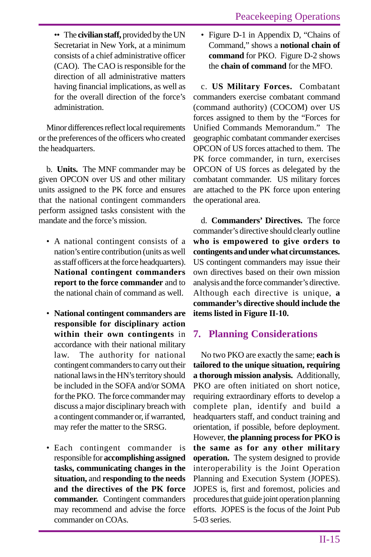•• The **civilian staff,** provided by the UN Secretariat in New York, at a minimum consists of a chief administrative officer (CAO). The CAO is responsible for the direction of all administrative matters having financial implications, as well as for the overall direction of the force's administration.

Minor differences reflect local requirements or the preferences of the officers who created the headquarters.

b. **Units.** The MNF commander may be given OPCON over US and other military units assigned to the PK force and ensures that the national contingent commanders perform assigned tasks consistent with the mandate and the force's mission.

- A national contingent consists of a nation's entire contribution (units as well as staff officers at the force headquarters). **National contingent commanders report to the force commander** and to the national chain of command as well.
- **National contingent commanders are responsible for disciplinary action within their own contingents** in accordance with their national military law. The authority for national contingent commanders to carry out their national laws in the HN's territory should be included in the SOFA and/or SOMA for the PKO. The force commander may discuss a major disciplinary breach with a contingent commander or, if warranted, may refer the matter to the SRSG.
- Each contingent commander is responsible for **accomplishing assigned tasks, communicating changes in the situation,** and **responding to the needs and the directives of the PK force commander.** Contingent commanders may recommend and advise the force commander on COAs.

• Figure D-1 in Appendix D, "Chains of Command," shows a **notional chain of command** for PKO. Figure D-2 shows the **chain of command** for the MFO.

c. **US Military Forces.** Combatant commanders exercise combatant command (command authority) (COCOM) over US forces assigned to them by the "Forces for Unified Commands Memorandum." The geographic combatant commander exercises OPCON of US forces attached to them. The PK force commander, in turn, exercises OPCON of US forces as delegated by the combatant commander. US military forces are attached to the PK force upon entering the operational area.

d. **Commanders' Directives.** The force commander's directive should clearly outline **who is empowered to give orders to contingents and under what circumstances.** US contingent commanders may issue their own directives based on their own mission analysis and the force commander's directive. Although each directive is unique, **a commander's directive should include the items listed in Figure II-10.**

## **7. Planning Considerations**

No two PKO are exactly the same; **each is tailored to the unique situation, requiring a thorough mission analysis.** Additionally, PKO are often initiated on short notice, requiring extraordinary efforts to develop a complete plan, identify and build a headquarters staff, and conduct training and orientation, if possible, before deployment. However, **the planning process for PKO is the same as for any other military operation.** The system designed to provide interoperability is the Joint Operation Planning and Execution System (JOPES). JOPES is, first and foremost, policies and procedures that guide joint operation planning efforts. JOPES is the focus of the Joint Pub 5-03 series.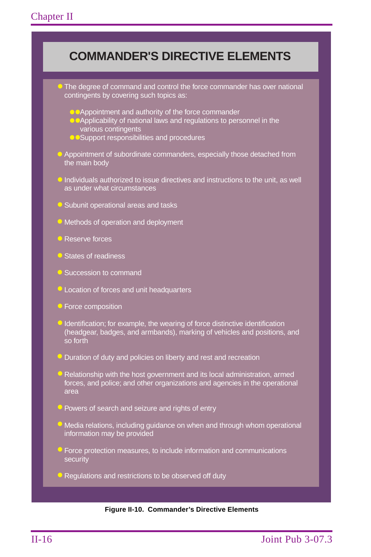

#### **Figure II-10. Commander's Directive Elements**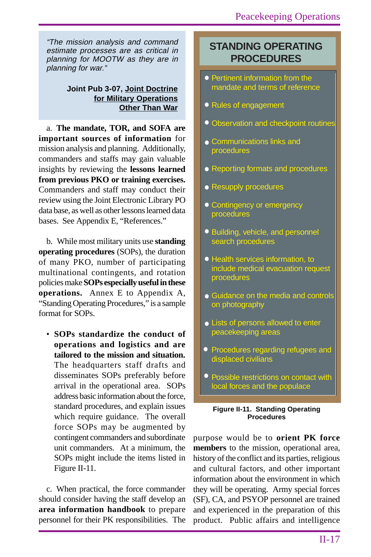"The mission analysis and command estimate processes are as critical in planning for MOOTW as they are in planning for war."

#### **Joint Pub 3-07, Joint Doctrine for Military Operations Other Than War**

a. **The mandate, TOR, and SOFA are important sources of information** for mission analysis and planning. Additionally, commanders and staffs may gain valuable insights by reviewing the **lessons learned from previous PKO or training exercises.** Commanders and staff may conduct their review using the Joint Electronic Library PO data base, as well as other lessons learned data bases. See Appendix E, "References."

b. While most military units use **standing operating procedures** (SOPs), the duration of many PKO, number of participating multinational contingents, and rotation policies make **SOPs especially useful in these operations.** Annex E to Appendix A, "Standing Operating Procedures," is a sample format for SOPs.

• **SOPs standardize the conduct of operations and logistics and are tailored to the mission and situation.** The headquarters staff drafts and disseminates SOPs preferably before arrival in the operational area. SOPs address basic information about the force, standard procedures, and explain issues which require guidance. The overall force SOPs may be augmented by contingent commanders and subordinate unit commanders. At a minimum, the SOPs might include the items listed in Figure II-11.

c. When practical, the force commander should consider having the staff develop an **area information handbook** to prepare personnel for their PK responsibilities. The

## **STANDING OPERATING PROCEDURES**

- **Pertinent information from the** mandate and terms of reference
- Rules of engagement
- **Observation and checkpoint routines**
- Communications links and procedures
- Reporting formats and procedures
- **Resupply procedures**
- **Contingency or emergency** procedures
- Building, vehicle, and personnel search procedures
- Health services information, to include medical evacuation request procedures
- Guidance on the media and controls on photography
- Lists of persons allowed to enter peacekeeping areas
- **Procedures regarding refugees and** displaced civilians
- Possible restrictions on contact with local forces and the populace

#### **Figure II-11. Standing Operating Procedures**

purpose would be to **orient PK force members** to the mission, operational area, history of the conflict and its parties, religious and cultural factors, and other important information about the environment in which they will be operating. Army special forces (SF), CA, and PSYOP personnel are trained and experienced in the preparation of this product. Public affairs and intelligence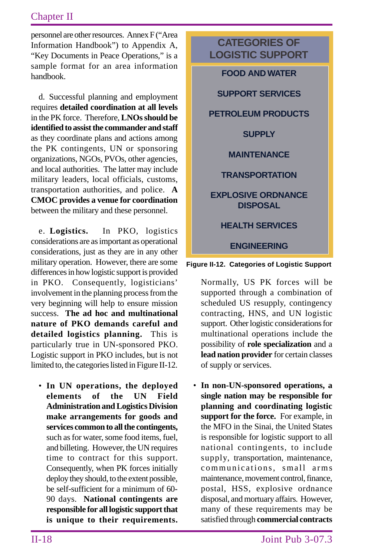### Chapter II

personnel are other resources. Annex F ("Area Information Handbook") to Appendix A, "Key Documents in Peace Operations," is a sample format for an area information handbook.

d. Successful planning and employment requires **detailed coordination at all levels** in the PK force. Therefore, **LNOs should be identified to assist the commander and staff** as they coordinate plans and actions among the PK contingents, UN or sponsoring organizations, NGOs, PVOs, other agencies, and local authorities. The latter may include military leaders, local officials, customs, transportation authorities, and police. **A CMOC provides a venue for coordination** between the military and these personnel.

e. **Logistics.** In PKO, logistics considerations are as important as operational considerations, just as they are in any other military operation. However, there are some differences in how logistic support is provided in PKO. Consequently, logisticians' involvement in the planning process from the very beginning will help to ensure mission success. **The ad hoc and multinational nature of PKO demands careful and detailed logistics planning.** This is particularly true in UN-sponsored PKO. Logistic support in PKO includes, but is not limited to, the categories listed in Figure II-12.

• **In UN operations, the deployed elements of the UN Field Administration and Logistics Division make arrangements for goods and services common to all the contingents,** such as for water, some food items, fuel, and billeting. However, the UN requires time to contract for this support. Consequently, when PK forces initially deploy they should, to the extent possible, be self-sufficient for a minimum of 60- 90 days. **National contingents are responsible for all logistic support that is unique to their requirements.**

# **CATEGORIES OF LOGISTIC SUPPORT FOOD AND WATER**

**SUPPORT SERVICES**

**PETROLEUM PRODUCTS**

**SUPPLY**

**MAINTENANCE**

**TRANSPORTATION**

**EXPLOSIVE ORDNANCE DISPOSAL**

**HEALTH SERVICES**

**ENGINEERING**

#### **Figure II-12. Categories of Logistic Support**

Normally, US PK forces will be supported through a combination of scheduled US resupply, contingency contracting, HNS, and UN logistic support. Other logistic considerations for multinational operations include the possibility of **role specialization** and a **lead nation provider** for certain classes of supply or services.

• **In non-UN-sponsored operations, a single nation may be responsible for planning and coordinating logistic support for the force.** For example, in the MFO in the Sinai, the United States is responsible for logistic support to all national contingents, to include supply, transportation, maintenance, communications, small arms maintenance, movement control, finance, postal, HSS, explosive ordnance disposal, and mortuary affairs. However, many of these requirements may be satisfied through **commercial contracts**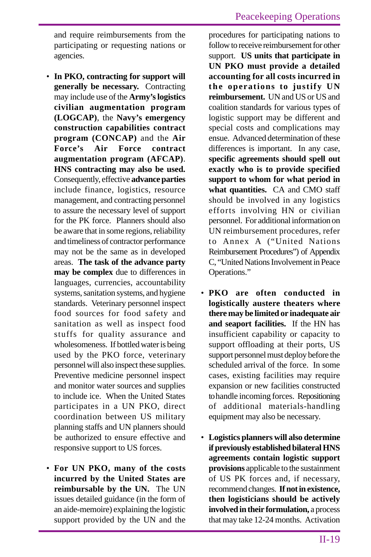and require reimbursements from the participating or requesting nations or agencies.

- **In PKO, contracting for support will generally be necessary.** Contracting may include use of the **Army's logistics civilian augmentation program (LOGCAP)**, the **Navy's emergency construction capabilities contract program (CONCAP)** and the **Air Force's Air Force contract augmentation program (AFCAP)**. **HNS contracting may also be used.** Consequently, effective **advance parties** include finance, logistics, resource management, and contracting personnel to assure the necessary level of support for the PK force. Planners should also be aware that in some regions, reliability and timeliness of contractor performance may not be the same as in developed areas. **The task of the advance party may be complex** due to differences in languages, currencies, accountability systems, sanitation systems, and hygiene standards. Veterinary personnel inspect food sources for food safety and sanitation as well as inspect food stuffs for quality assurance and wholesomeness. If bottled water is being used by the PKO force, veterinary personnel will also inspect these supplies. Preventive medicine personnel inspect and monitor water sources and supplies to include ice. When the United States participates in a UN PKO, direct coordination between US military planning staffs and UN planners should be authorized to ensure effective and responsive support to US forces.
- **For UN PKO, many of the costs incurred by the United States are reimbursable by the UN.** The UN issues detailed guidance (in the form of an aide-memoire) explaining the logistic support provided by the UN and the

procedures for participating nations to follow to receive reimbursement for other support. **US units that participate in UN PKO must provide a detailed accounting for all costs incurred in the operations to justify UN reimbursement.** UN and US or US and coalition standards for various types of logistic support may be different and special costs and complications may ensue. Advanced determination of these differences is important. In any case, **specific agreements should spell out exactly who is to provide specified support to whom for what period in what quantities.** CA and CMO staff should be involved in any logistics efforts involving HN or civilian personnel. For additional information on UN reimbursement procedures, refer to Annex A ("United Nations Reimbursement Procedures") of Appendix C, "United Nations Involvement in Peace Operations."

- **PKO are often conducted in logistically austere theaters where there may be limited or inadequate air and seaport facilities.** If the HN has insufficient capability or capacity to support offloading at their ports, US support personnel must deploy before the scheduled arrival of the force. In some cases, existing facilities may require expansion or new facilities constructed to handle incoming forces. Repositioning of additional materials-handling equipment may also be necessary.
- **Logistics planners will also determine if previously established bilateral HNS agreements contain logistic support provisions** applicable to the sustainment of US PK forces and, if necessary, recommend changes. **If not in existence, then logisticians should be actively involved in their formulation,** a process that may take 12-24 months. Activation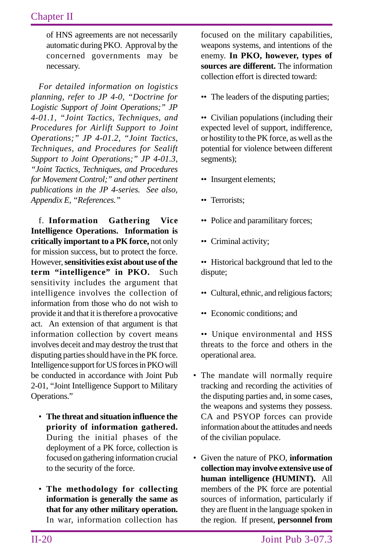of HNS agreements are not necessarily automatic during PKO. Approval by the concerned governments may be necessary.

*For detailed information on logistics planning, refer to JP 4-0, "Doctrine for Logistic Support of Joint Operations;" JP 4-01.1, "Joint Tactics, Techniques, and Procedures for Airlift Support to Joint Operations;" JP 4-01.2, "Joint Tactics, Techniques, and Procedures for Sealift Support to Joint Operations;" JP 4-01.3, "Joint Tactics, Techniques, and Procedures for Movement Control;" and other pertinent publications in the JP 4-series. See also, Appendix E, "References."*

f. **Information Gathering Vice Intelligence Operations. Information is critically important to a PK force,** not only for mission success, but to protect the force. However, **sensitivities exist about use of the term "intelligence" in PKO.** Such sensitivity includes the argument that intelligence involves the collection of information from those who do not wish to provide it and that it is therefore a provocative act. An extension of that argument is that information collection by covert means involves deceit and may destroy the trust that disputing parties should have in the PK force. Intelligence support for US forces in PKO will be conducted in accordance with Joint Pub 2-01, "Joint Intelligence Support to Military Operations."

- **The threat and situation influence the priority of information gathered.** During the initial phases of the deployment of a PK force, collection is focused on gathering information crucial to the security of the force.
- **The methodology for collecting information is generally the same as that for any other military operation.** In war, information collection has

focused on the military capabilities, weapons systems, and intentions of the enemy. **In PKO, however, types of sources are different.** The information collection effort is directed toward:

• The leaders of the disputing parties;

•• Civilian populations (including their expected level of support, indifference, or hostility to the PK force, as well as the potential for violence between different segments);

- Insurgent elements;
- Terrorists;
- Police and paramilitary forces;
- •• Criminal activity;
- •• Historical background that led to the dispute;
- Cultural, ethnic, and religious factors;
- Economic conditions; and

•• Unique environmental and HSS threats to the force and others in the operational area.

- The mandate will normally require tracking and recording the activities of the disputing parties and, in some cases, the weapons and systems they possess. CA and PSYOP forces can provide information about the attitudes and needs of the civilian populace.
- Given the nature of PKO, **information collection may involve extensive use of human intelligence (HUMINT).** All members of the PK force are potential sources of information, particularly if they are fluent in the language spoken in the region. If present, **personnel from**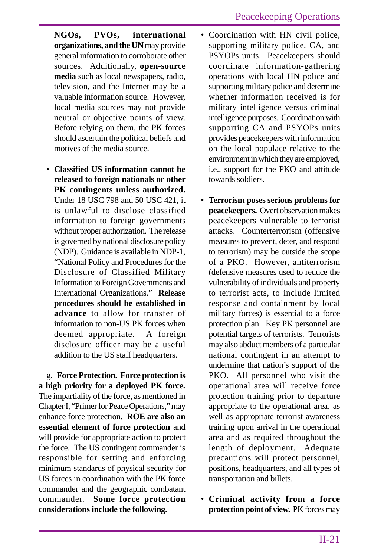**NGOs, PVOs, international organizations, and the UN** may provide general information to corroborate other sources. Additionally, **open-source media** such as local newspapers, radio, television, and the Internet may be a valuable information source. However, local media sources may not provide neutral or objective points of view. Before relying on them, the PK forces should ascertain the political beliefs and motives of the media source.

• **Classified US information cannot be released to foreign nationals or other PK contingents unless authorized.** Under 18 USC 798 and 50 USC 421, it is unlawful to disclose classified information to foreign governments without proper authorization. The release is governed by national disclosure policy (NDP). Guidance is available in NDP-1, "National Policy and Procedures for the Disclosure of Classified Military Information to Foreign Governments and International Organizations." **Release procedures should be established in advance** to allow for transfer of information to non-US PK forces when deemed appropriate. A foreign disclosure officer may be a useful addition to the US staff headquarters.

g. **Force Protection. Force protection is a high priority for a deployed PK force.** The impartiality of the force, as mentioned in Chapter I, "Primer for Peace Operations," may enhance force protection. **ROE are also an essential element of force protection** and will provide for appropriate action to protect the force. The US contingent commander is responsible for setting and enforcing minimum standards of physical security for US forces in coordination with the PK force commander and the geographic combatant commander. **Some force protection considerations include the following.**

- Coordination with HN civil police, supporting military police, CA, and PSYOPs units. Peacekeepers should coordinate information-gathering operations with local HN police and supporting military police and determine whether information received is for military intelligence versus criminal intelligence purposes. Coordination with supporting CA and PSYOPs units provides peacekeepers with information on the local populace relative to the environment in which they are employed, i.e., support for the PKO and attitude towards soldiers.
- **Terrorism poses serious problems for peacekeepers.** Overt observation makes peacekeepers vulnerable to terrorist attacks. Counterterrorism (offensive measures to prevent, deter, and respond to terrorism) may be outside the scope of a PKO. However, antiterrorism (defensive measures used to reduce the vulnerability of individuals and property to terrorist acts, to include limited response and containment by local military forces) is essential to a force protection plan. Key PK personnel are potential targets of terrorists. Terrorists may also abduct members of a particular national contingent in an attempt to undermine that nation's support of the PKO. All personnel who visit the operational area will receive force protection training prior to departure appropriate to the operational area, as well as appropriate terrorist awareness training upon arrival in the operational area and as required throughout the length of deployment. Adequate precautions will protect personnel, positions, headquarters, and all types of transportation and billets.
- **Criminal activity from a force protection point of view.** PK forces may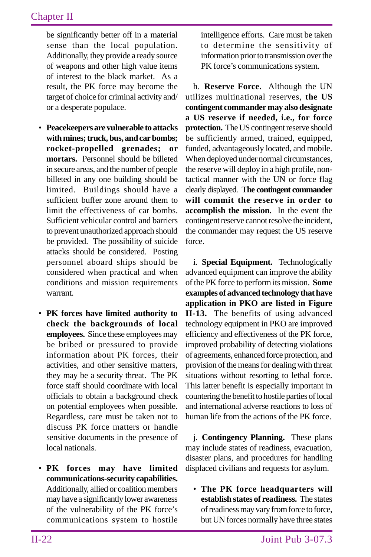be significantly better off in a material sense than the local population. Additionally, they provide a ready source of weapons and other high value items of interest to the black market. As a result, the PK force may become the target of choice for criminal activity and/ or a desperate populace.

- **Peacekeepers are vulnerable to attacks with mines; truck, bus, and car bombs;**  $rocket$ -propelled grenades; **mortars.** Personnel should be billeted in secure areas, and the number of people billeted in any one building should be limited. Buildings should have a sufficient buffer zone around them to limit the effectiveness of car bombs. Sufficient vehicular control and barriers to prevent unauthorized approach should be provided. The possibility of suicide attacks should be considered. Posting personnel aboard ships should be considered when practical and when conditions and mission requirements warrant.
- **PK forces have limited authority to check the backgrounds of local employees.** Since these employees may be bribed or pressured to provide information about PK forces, their activities, and other sensitive matters, they may be a security threat. The PK force staff should coordinate with local officials to obtain a background check on potential employees when possible. Regardless, care must be taken not to discuss PK force matters or handle sensitive documents in the presence of local nationals.
- **PK forces may have limited communications-security capabilities.** Additionally, allied or coalition members may have a significantly lower awareness of the vulnerability of the PK force's communications system to hostile

intelligence efforts. Care must be taken to determine the sensitivity of information prior to transmission over the PK force's communications system.

h. **Reserve Force.** Although the UN utilizes multinational reserves, **the US contingent commander may also designate a US reserve if needed, i.e., for force protection.** The US contingent reserve should be sufficiently armed, trained, equipped, funded, advantageously located, and mobile. When deployed under normal circumstances, the reserve will deploy in a high profile, nontactical manner with the UN or force flag clearly displayed. **The contingent commander will commit the reserve in order to accomplish the mission.** In the event the contingent reserve cannot resolve the incident, the commander may request the US reserve force.

i. **Special Equipment.** Technologically advanced equipment can improve the ability of the PK force to perform its mission. **Some examples of advanced technology that have application in PKO are listed in Figure II-13.** The benefits of using advanced technology equipment in PKO are improved efficiency and effectiveness of the PK force, improved probability of detecting violations of agreements, enhanced force protection, and provision of the means for dealing with threat situations without resorting to lethal force. This latter benefit is especially important in countering the benefit to hostile parties of local and international adverse reactions to loss of human life from the actions of the PK force.

j. **Contingency Planning.** These plans may include states of readiness, evacuation, disaster plans, and procedures for handling displaced civilians and requests for asylum.

• **The PK force headquarters will establish states of readiness.** The states of readiness may vary from force to force, but UN forces normally have three states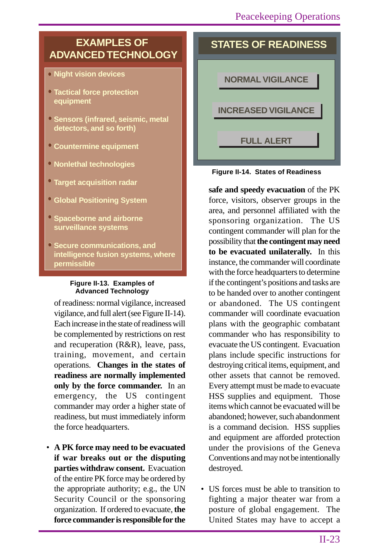## **EXAMPLES OF ADVANCED TECHNOLOGY**

- **Night vision devices**
- **Tactical force protection equipment**
- **Sensors (infrared, seismic, metal detectors, and so forth)**
- **Countermine equipment**
- **Nonlethal technologies**
- **Target acquisition radar**
- **Global Positioning System**
- **Spaceborne and airborne surveillance systems**
- **Secure communications, and intelligence fusion systems, where permissible**

#### **Figure II-13. Examples of Advanced Technology**

of readiness: normal vigilance, increased vigilance, and full alert (see Figure II-14). Each increase in the state of readiness will be complemented by restrictions on rest and recuperation (R&R), leave, pass, training, movement, and certain operations. **Changes in the states of readiness are normally implemented only by the force commander.** In an emergency, the US contingent commander may order a higher state of readiness, but must immediately inform the force headquarters.

• **A PK force may need to be evacuated if war breaks out or the disputing parties withdraw consent.** Evacuation of the entire PK force may be ordered by the appropriate authority; e.g., the UN Security Council or the sponsoring organization. If ordered to evacuate, **the force commander is responsible for the**



**Figure II-14. States of Readiness**

**safe and speedy evacuation** of the PK force, visitors, observer groups in the area, and personnel affiliated with the sponsoring organization. The US contingent commander will plan for the possibility that **the contingent may need to be evacuated unilaterally.** In this instance, the commander will coordinate with the force headquarters to determine if the contingent's positions and tasks are to be handed over to another contingent or abandoned. The US contingent commander will coordinate evacuation plans with the geographic combatant commander who has responsibility to evacuate the US contingent. Evacuation plans include specific instructions for destroying critical items, equipment, and other assets that cannot be removed. Every attempt must be made to evacuate HSS supplies and equipment. Those items which cannot be evacuated will be abandoned; however, such abandonment is a command decision. HSS supplies and equipment are afforded protection under the provisions of the Geneva Conventions and may not be intentionally destroyed.

• US forces must be able to transition to fighting a major theater war from a posture of global engagement. The United States may have to accept a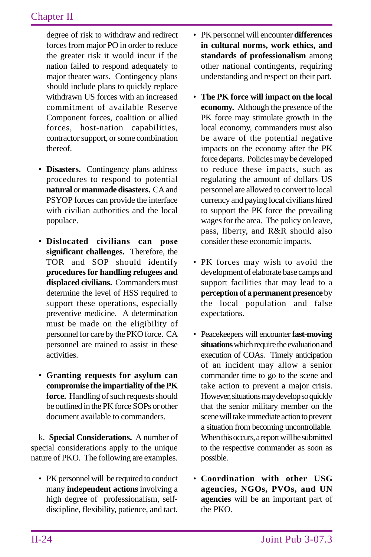degree of risk to withdraw and redirect forces from major PO in order to reduce the greater risk it would incur if the nation failed to respond adequately to major theater wars. Contingency plans should include plans to quickly replace withdrawn US forces with an increased commitment of available Reserve Component forces, coalition or allied forces, host-nation capabilities, contractor support, or some combination thereof.

- **Disasters.** Contingency plans address procedures to respond to potential **natural** or **manmade disasters.** CA and PSYOP forces can provide the interface with civilian authorities and the local populace.
- **Dislocated civilians can pose significant challenges.** Therefore, the TOR and SOP should identify **procedures for handling refugees and displaced civilians.** Commanders must determine the level of HSS required to support these operations, especially preventive medicine. A determination must be made on the eligibility of personnel for care by the PKO force. CA personnel are trained to assist in these activities.
- **Granting requests for asylum can compromise the impartiality of the PK force.** Handling of such requests should be outlined in the PK force SOPs or other document available to commanders.

k. **Special Considerations.** A number of special considerations apply to the unique nature of PKO. The following are examples.

• PK personnel will be required to conduct many **independent actions** involving a high degree of professionalism, selfdiscipline, flexibility, patience, and tact.

- PK personnel will encounter **differences in cultural norms, work ethics, and standards of professionalism** among other national contingents, requiring understanding and respect on their part.
- **The PK force will impact on the local economy.** Although the presence of the PK force may stimulate growth in the local economy, commanders must also be aware of the potential negative impacts on the economy after the PK force departs. Policies may be developed to reduce these impacts, such as regulating the amount of dollars US personnel are allowed to convert to local currency and paying local civilians hired to support the PK force the prevailing wages for the area. The policy on leave, pass, liberty, and R&R should also consider these economic impacts.
- PK forces may wish to avoid the development of elaborate base camps and support facilities that may lead to a **perception of a permanent presence** by the local population and false expectations.
- Peacekeepers will encounter **fast-moving situations** which require the evaluation and execution of COAs. Timely anticipation of an incident may allow a senior commander time to go to the scene and take action to prevent a major crisis. However, situations may develop so quickly that the senior military member on the scene will take immediate action to prevent a situation from becoming uncontrollable. When this occurs, a report will be submitted to the respective commander as soon as possible.
- **Coordination with other USG agencies, NGOs, PVOs, and UN agencies** will be an important part of the PKO.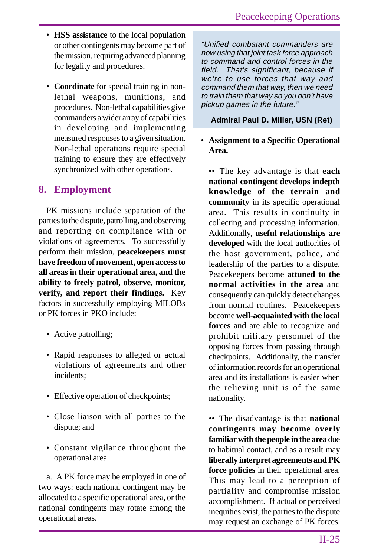- **HSS assistance** to the local population or other contingents may become part of the mission, requiring advanced planning for legality and procedures.
- **Coordinate** for special training in nonlethal weapons, munitions, and procedures. Non-lethal capabilities give commanders a wider array of capabilities in developing and implementing measured responses to a given situation. Non-lethal operations require special training to ensure they are effectively synchronized with other operations.

## **8. Employment**

PK missions include separation of the parties to the dispute, patrolling, and observing and reporting on compliance with or violations of agreements. To successfully perform their mission, **peacekeepers must have freedom of movement, open access to all areas in their operational area, and the ability to freely patrol, observe, monitor, verify, and report their findings.** Key factors in successfully employing MILOBs or PK forces in PKO include:

- Active patrolling;
- Rapid responses to alleged or actual violations of agreements and other incidents;
- Effective operation of checkpoints;
- Close liaison with all parties to the dispute; and
- Constant vigilance throughout the operational area.

a. A PK force may be employed in one of two ways: each national contingent may be allocated to a specific operational area, or the national contingents may rotate among the operational areas.

"Unified combatant commanders are now using that joint task force approach to command and control forces in the field. That's significant, because if we're to use forces that way and command them that way, then we need to train them that way so you don't have pickup games in the future."

#### **Admiral Paul D. Miller, USN (Ret)**

• **Assignment to a Specific Operational Area.**

•• The key advantage is that **each national contingent develops indepth knowledge of the terrain and community** in its specific operational area. This results in continuity in collecting and processing information. Additionally, **useful relationships are developed** with the local authorities of the host government, police, and leadership of the parties to a dispute. Peacekeepers become **attuned to the normal activities in the area** and consequently can quickly detect changes from normal routines. Peacekeepers become **well-acquainted with the local forces** and are able to recognize and prohibit military personnel of the opposing forces from passing through checkpoints. Additionally, the transfer of information records for an operational area and its installations is easier when the relieving unit is of the same nationality.

•• The disadvantage is that **national contingents may become overly familiar with the people in the area** due to habitual contact, and as a result may **liberally interpret agreements and PK force policies** in their operational area. This may lead to a perception of partiality and compromise mission accomplishment. If actual or perceived inequities exist, the parties to the dispute may request an exchange of PK forces.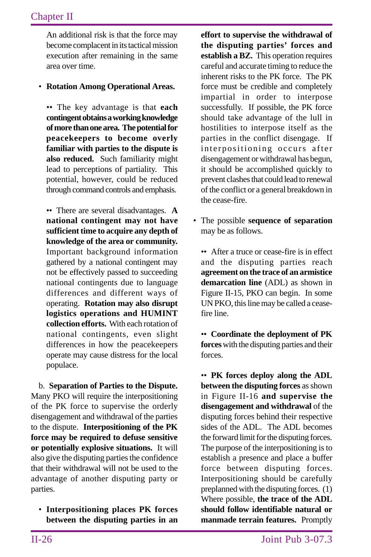An additional risk is that the force may become complacent in its tactical mission execution after remaining in the same area over time.

• **Rotation Among Operational Areas.**

•• The key advantage is that **each contingent obtains a working knowledge of more than one area. The potential for peacekeepers to become overly familiar with parties to the dispute is also reduced.** Such familiarity might lead to perceptions of partiality. This potential, however, could be reduced through command controls and emphasis.

•• There are several disadvantages. **A national contingent may not have sufficient time to acquire any depth of knowledge of the area or community.** Important background information gathered by a national contingent may not be effectively passed to succeeding national contingents due to language differences and different ways of operating. **Rotation may also disrupt logistics operations and HUMINT collection efforts.** With each rotation of national contingents, even slight differences in how the peacekeepers operate may cause distress for the local populace.

b. **Separation of Parties to the Dispute.** Many PKO will require the interpositioning of the PK force to supervise the orderly disengagement and withdrawal of the parties to the dispute. **Interpositioning of the PK force may be required to defuse sensitive or potentially explosive situations.** It will also give the disputing parties the confidence that their withdrawal will not be used to the advantage of another disputing party or parties.

• **Interpositioning places PK forces between the disputing parties in an**

**effort to supervise the withdrawal of the disputing parties' forces and establish a BZ.** This operation requires careful and accurate timing to reduce the inherent risks to the PK force. The PK force must be credible and completely impartial in order to interpose successfully. If possible, the PK force should take advantage of the lull in hostilities to interpose itself as the parties in the conflict disengage. If interpositioning occurs after disengagement or withdrawal has begun, it should be accomplished quickly to prevent clashes that could lead to renewal of the conflict or a general breakdown in the cease-fire.

• The possible **sequence of separation** may be as follows.

•• After a truce or cease-fire is in effect and the disputing parties reach **agreement on the trace of an armistice demarcation line** (ADL) as shown in Figure II-15, PKO can begin. In some UN PKO, this line may be called a ceasefire line.

•• **Coordinate the deployment of PK forces** with the disputing parties and their forces.

•• **PK forces deploy along the ADL between the disputing forces** as shown in Figure II-16 **and supervise the disengagement and withdrawal** of the disputing forces behind their respective sides of the ADL. The ADL becomes the forward limit for the disputing forces. The purpose of the interpositioning is to establish a presence and place a buffer force between disputing forces. Interpositioning should be carefully preplanned with the disputing forces. (1) Where possible, **the trace of the ADL should follow identifiable natural or manmade terrain features.** Promptly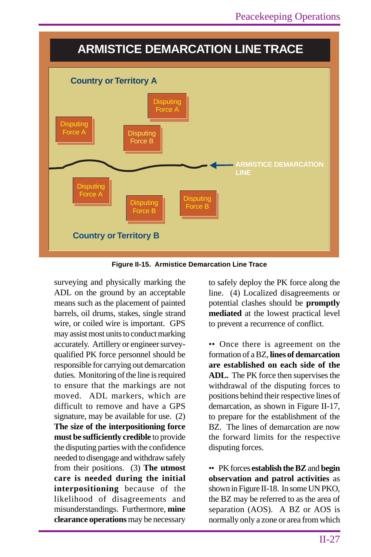

**Figure II-15. Armistice Demarcation Line Trace**

surveying and physically marking the ADL on the ground by an acceptable means such as the placement of painted barrels, oil drums, stakes, single strand wire, or coiled wire is important. GPS may assist most units to conduct marking accurately. Artillery or engineer surveyqualified PK force personnel should be responsible for carrying out demarcation duties. Monitoring of the line is required to ensure that the markings are not moved. ADL markers, which are difficult to remove and have a GPS signature, may be available for use. (2) **The size of the interpositioning force must be sufficiently credible** to provide the disputing parties with the confidence needed to disengage and withdraw safely from their positions. (3) **The utmost care is needed during the initial interpositioning** because of the likelihood of disagreements and misunderstandings. Furthermore, **mine clearance operations** may be necessary

to safely deploy the PK force along the line. (4) Localized disagreements or potential clashes should be **promptly mediated** at the lowest practical level to prevent a recurrence of conflict.

•• Once there is agreement on the formation of a BZ, **lines of demarcation are established on each side of the ADL.** The PK force then supervises the withdrawal of the disputing forces to positions behind their respective lines of demarcation, as shown in Figure II-17, to prepare for the establishment of the BZ. The lines of demarcation are now the forward limits for the respective disputing forces.

•• PK forces **establish the BZ** and **begin observation and patrol activities** as shown in Figure II-18. In some UN PKO, the BZ may be referred to as the area of separation (AOS). A BZ or AOS is normally only a zone or area from which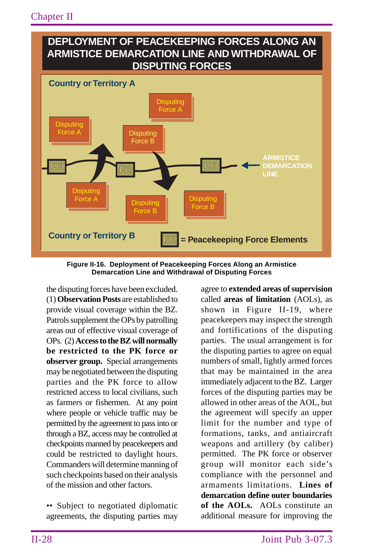

**Figure II-16. Deployment of Peacekeeping Forces Along an Armistice Demarcation Line and Withdrawal of Disputing Forces**

the disputing forces have been excluded. (1) **Observation Posts** are established to provide visual coverage within the BZ. Patrols supplement the OPs by patrolling areas out of effective visual coverage of OPs. (2) **Access to the BZ will normally be restricted to the PK force or observer group.** Special arrangements may be negotiated between the disputing parties and the PK force to allow restricted access to local civilians, such as farmers or fishermen. At any point where people or vehicle traffic may be permitted by the agreement to pass into or through a BZ, access may be controlled at checkpoints manned by peacekeepers and could be restricted to daylight hours. Commanders will determine manning of such checkpoints based on their analysis of the mission and other factors.

•• Subject to negotiated diplomatic agreements, the disputing parties may

agree to **extended areas of supervision** called **areas of limitation** (AOLs), as shown in Figure II-19, where peacekeepers may inspect the strength and fortifications of the disputing parties. The usual arrangement is for the disputing parties to agree on equal numbers of small, lightly armed forces that may be maintained in the area immediately adjacent to the BZ. Larger forces of the disputing parties may be allowed in other areas of the AOL, but the agreement will specify an upper limit for the number and type of formations, tanks, and antiaircraft weapons and artillery (by caliber) permitted. The PK force or observer group will monitor each side's compliance with the personnel and armaments limitations. **Lines of demarcation define outer boundaries of the AOLs.** AOLs constitute an additional measure for improving the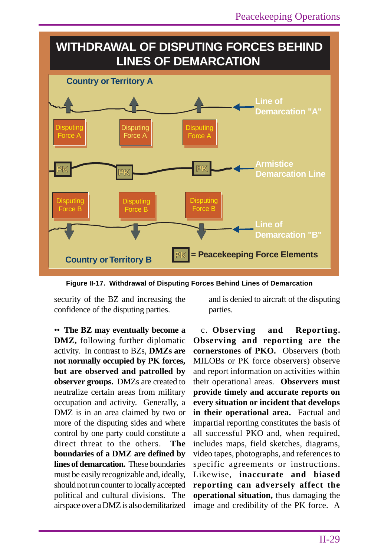# **WITHDRAWAL OF DISPUTING FORCES BEHIND LINES OF DEMARCATION**



**Figure II-17. Withdrawal of Disputing Forces Behind Lines of Demarcation**

security of the BZ and increasing the confidence of the disputing parties.

•• **The BZ may eventually become a DMZ,** following further diplomatic activity. In contrast to BZs, **DMZs are not normally occupied by PK forces, but are observed and patrolled by observer groups.** DMZs are created to neutralize certain areas from military occupation and activity. Generally, a DMZ is in an area claimed by two or more of the disputing sides and where control by one party could constitute a direct threat to the others. **The boundaries of a DMZ are defined by lines of demarcation.** These boundaries must be easily recognizable and, ideally, should not run counter to locally accepted political and cultural divisions. The airspace over a DMZ is also demilitarized

and is denied to aircraft of the disputing parties.

c. **Observing and Reporting. Observing and reporting are the cornerstones of PKO.** Observers (both MILOBs or PK force observers) observe and report information on activities within their operational areas. **Observers must provide timely and accurate reports on every situation or incident that develops in their operational area.** Factual and impartial reporting constitutes the basis of all successful PKO and, when required, includes maps, field sketches, diagrams, video tapes, photographs, and references to specific agreements or instructions. Likewise, **inaccurate and biased reporting can adversely affect the operational situation,** thus damaging the image and credibility of the PK force. A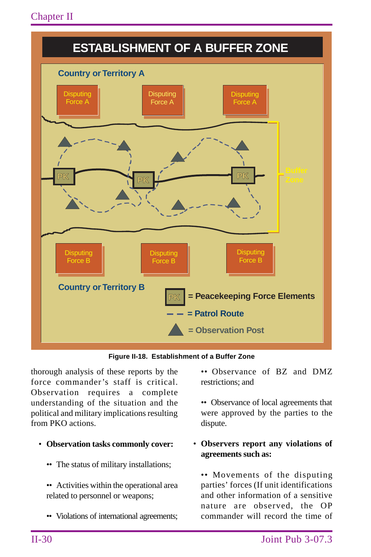



thorough analysis of these reports by the force commander's staff is critical. Observation requires a complete understanding of the situation and the political and military implications resulting from PKO actions.

- **Observation tasks commonly cover:**
	- •• The status of military installations;
	- •• Activities within the operational area related to personnel or weapons;
	- •• Violations of international agreements;

•• Observance of BZ and DMZ restrictions; and

•• Observance of local agreements that were approved by the parties to the dispute.

• **Observers report any violations of agreements such as:**

•• Movements of the disputing parties' forces (If unit identifications and other information of a sensitive nature are observed, the OP commander will record the time of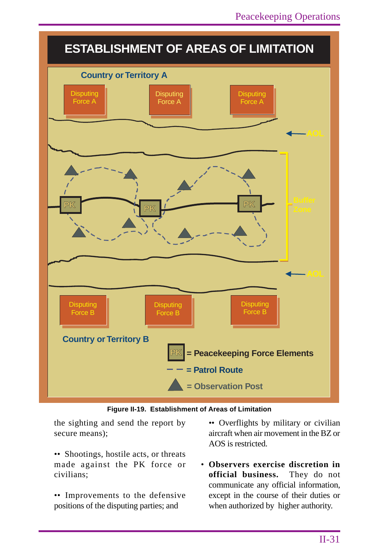

**Figure II-19. Establishment of Areas of Limitation**

the sighting and send the report by secure means);

- •• Shootings, hostile acts, or threats made against the PK force or civilians;
- •• Improvements to the defensive positions of the disputing parties; and

•• Overflights by military or civilian aircraft when air movement in the BZ or AOS is restricted.

• **Observers exercise discretion in official business.** They do not communicate any official information, except in the course of their duties or when authorized by higher authority.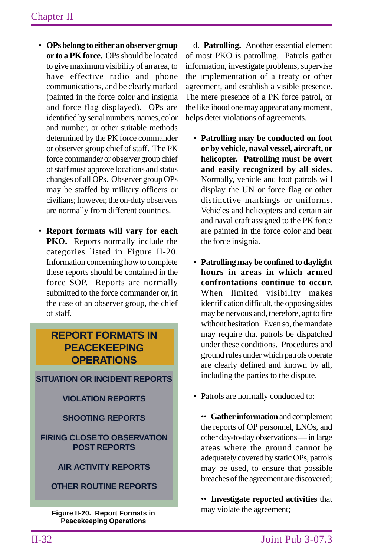- **OPs belong to either an observer group or to a PK force.** OPs should be located to give maximum visibility of an area, to have effective radio and phone communications, and be clearly marked (painted in the force color and insignia and force flag displayed). OPs are identified by serial numbers, names, color and number, or other suitable methods determined by the PK force commander or observer group chief of staff. The PK force commander or observer group chief of staff must approve locations and status changes of all OPs. Observer group OPs may be staffed by military officers or civilians; however, the on-duty observers are normally from different countries.
- **Report formats will vary for each PKO.** Reports normally include the categories listed in Figure II-20. Information concerning how to complete these reports should be contained in the force SOP. Reports are normally submitted to the force commander or, in the case of an observer group, the chief of staff.

## **REPORT FORMATS IN PEACEKEEPING OPERATIONS**

**SITUATION OR INCIDENT REPORTS**

#### **VIOLATION REPORTS**

#### **SHOOTING REPORTS**

**FIRING CLOSE TO OBSERVATION POST REPORTS**

#### **AIR ACTIVITY REPORTS**

**OTHER ROUTINE REPORTS**

**Figure II-20. Report Formats in Peacekeeping Operations**

d. **Patrolling.** Another essential element of most PKO is patrolling. Patrols gather information, investigate problems, supervise the implementation of a treaty or other agreement, and establish a visible presence. The mere presence of a PK force patrol, or the likelihood one may appear at any moment, helps deter violations of agreements.

- **Patrolling may be conducted on foot or by vehicle, naval vessel, aircraft, or helicopter. Patrolling must be overt and easily recognized by all sides.** Normally, vehicle and foot patrols will display the UN or force flag or other distinctive markings or uniforms. Vehicles and helicopters and certain air and naval craft assigned to the PK force are painted in the force color and bear the force insignia.
- **Patrolling may be confined to daylight hours in areas in which armed confrontations continue to occur.** When limited visibility makes identification difficult, the opposing sides may be nervous and, therefore, apt to fire without hesitation. Even so, the mandate may require that patrols be dispatched under these conditions. Procedures and ground rules under which patrols operate are clearly defined and known by all, including the parties to the dispute.
- Patrols are normally conducted to:

•• **Gather information** and complement the reports of OP personnel, LNOs, and other day-to-day observations — in large areas where the ground cannot be adequately covered by static OPs, patrols may be used, to ensure that possible breaches of the agreement are discovered;

•• **Investigate reported activities** that may violate the agreement;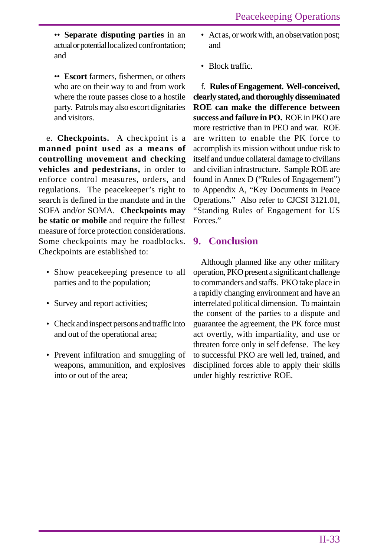•• **Separate disputing parties** in an actual or potential localized confrontation; and

•• **Escort** farmers, fishermen, or others who are on their way to and from work where the route passes close to a hostile party. Patrols may also escort dignitaries and visitors.

e. **Checkpoints.** A checkpoint is a **manned point used as a means of controlling movement and checking vehicles and pedestrians,** in order to enforce control measures, orders, and regulations. The peacekeeper's right to search is defined in the mandate and in the SOFA and/or SOMA. **Checkpoints may be static or mobile** and require the fullest measure of force protection considerations. Some checkpoints may be roadblocks. Checkpoints are established to:

- Show peacekeeping presence to all parties and to the population;
- Survey and report activities;
- Check and inspect persons and traffic into and out of the operational area;
- Prevent infiltration and smuggling of weapons, ammunition, and explosives into or out of the area;
- Act as, or work with, an observation post; and
- Block traffic.

f. **Rules of Engagement. Well-conceived, clearly stated, and thoroughly disseminated ROE can make the difference between success and failure in PO.** ROE in PKO are more restrictive than in PEO and war. ROE are written to enable the PK force to accomplish its mission without undue risk to itself and undue collateral damage to civilians and civilian infrastructure. Sample ROE are found in Annex D ("Rules of Engagement") to Appendix A, "Key Documents in Peace Operations." Also refer to CJCSI 3121.01, "Standing Rules of Engagement for US Forces."

### **9. Conclusion**

Although planned like any other military operation, PKO present a significant challenge to commanders and staffs. PKO take place in a rapidly changing environment and have an interrelated political dimension. To maintain the consent of the parties to a dispute and guarantee the agreement, the PK force must act overtly, with impartiality, and use or threaten force only in self defense. The key to successful PKO are well led, trained, and disciplined forces able to apply their skills under highly restrictive ROE.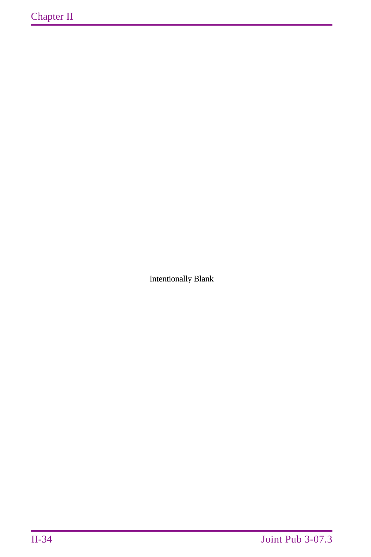Intentionally Blank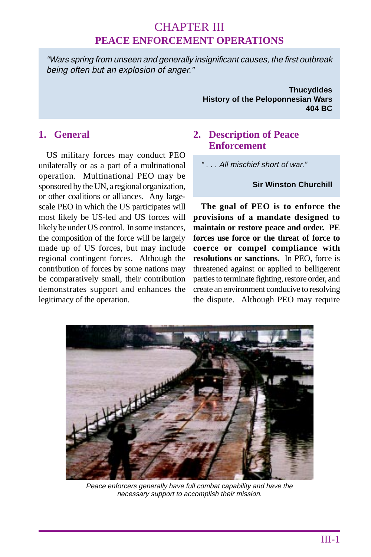## CHAPTER III **PEACE ENFORCEMENT OPERATIONS**

"Wars spring from unseen and generally insignificant causes, the first outbreak being often but an explosion of anger."

> **Thucydides History of the Peloponnesian Wars 404 BC**

### **1. General**

US military forces may conduct PEO unilaterally or as a part of a multinational operation. Multinational PEO may be sponsored by the UN, a regional organization, or other coalitions or alliances. Any largescale PEO in which the US participates will most likely be US-led and US forces will likely be under US control. In some instances, the composition of the force will be largely made up of US forces, but may include regional contingent forces. Although the contribution of forces by some nations may be comparatively small, their contribution demonstrates support and enhances the legitimacy of the operation.

## **2. Description of Peace Enforcement**

" . . . All mischief short of war."

#### **Sir Winston Churchill**

**The goal of PEO is to enforce the provisions of a mandate designed to maintain or restore peace and order. PE forces use force or the threat of force to coerce or compel compliance with resolutions or sanctions.** In PEO, force is threatened against or applied to belligerent parties to terminate fighting, restore order, and create an environment conducive to resolving the dispute. Although PEO may require



Peace enforcers generally have full combat capability and have the necessary support to accomplish their mission.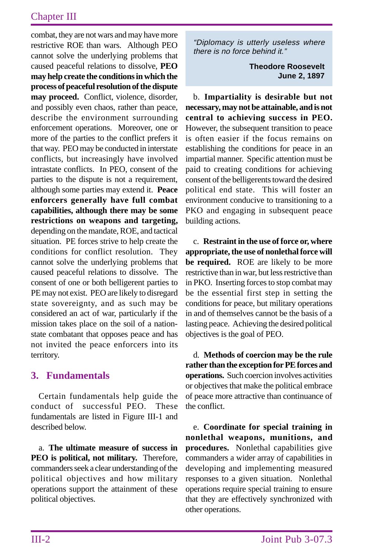combat, they are not wars and may have more restrictive ROE than wars. Although PEO cannot solve the underlying problems that caused peaceful relations to dissolve, **PEO may help create the conditions in which the process of peaceful resolution of the dispute may proceed.** Conflict, violence, disorder, and possibly even chaos, rather than peace, describe the environment surrounding enforcement operations. Moreover, one or more of the parties to the conflict prefers it that way. PEO may be conducted in interstate conflicts, but increasingly have involved intrastate conflicts. In PEO, consent of the parties to the dispute is not a requirement, although some parties may extend it. **Peace enforcers generally have full combat capabilities, although there may be some restrictions on weapons and targeting,** depending on the mandate, ROE, and tactical situation. PE forces strive to help create the conditions for conflict resolution. They cannot solve the underlying problems that caused peaceful relations to dissolve. The consent of one or both belligerent parties to PE may not exist. PEO are likely to disregard state sovereignty, and as such may be considered an act of war, particularly if the mission takes place on the soil of a nationstate combatant that opposes peace and has not invited the peace enforcers into its territory.

# **3. Fundamentals**

Certain fundamentals help guide the conduct of successful PEO. These fundamentals are listed in Figure III-1 and described below.

a. **The ultimate measure of success in PEO is political, not military.** Therefore, commanders seek a clear understanding of the political objectives and how military operations support the attainment of these political objectives.

"Diplomacy is utterly useless where there is no force behind it."

> **Theodore Roosevelt June 2, 1897**

b. **Impartiality is desirable but not necessary, may not be attainable, and is not central to achieving success in PEO.** However, the subsequent transition to peace is often easier if the focus remains on establishing the conditions for peace in an impartial manner. Specific attention must be paid to creating conditions for achieving consent of the belligerents toward the desired political end state. This will foster an environment conducive to transitioning to a PKO and engaging in subsequent peace building actions.

c. **Restraint in the use of force or, where appropriate, the use of nonlethal force will be required.** ROE are likely to be more restrictive than in war, but less restrictive than in PKO. Inserting forces to stop combat may be the essential first step in setting the conditions for peace, but military operations in and of themselves cannot be the basis of a lasting peace. Achieving the desired political objectives is the goal of PEO.

d. **Methods of coercion may be the rule rather than the exception for PE forces and operations.** Such coercion involves activities or objectives that make the political embrace of peace more attractive than continuance of the conflict.

e. **Coordinate for special training in nonlethal weapons, munitions, and procedures.** Nonlethal capabilities give commanders a wider array of capabilities in developing and implementing measured responses to a given situation. Nonlethal operations require special training to ensure that they are effectively synchronized with other operations.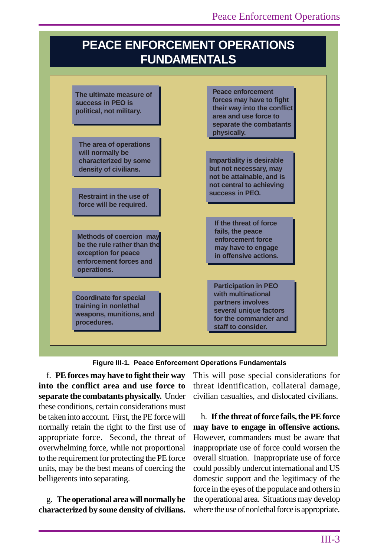# **PEACE ENFORCEMENT OPERATIONS FUNDAMENTALS**



#### **Figure III-1. Peace Enforcement Operations Fundamentals**

f. **PE forces may have to fight their way into the conflict area and use force to separate the combatants physically.** Under these conditions, certain considerations must be taken into account. First, the PE force will normally retain the right to the first use of appropriate force. Second, the threat of overwhelming force, while not proportional to the requirement for protecting the PE force units, may be the best means of coercing the belligerents into separating.

g. **The operational area will normally be characterized by some density of civilians.**

This will pose special considerations for threat identification, collateral damage, civilian casualties, and dislocated civilians.

h. **If the threat of force fails, the PE force may have to engage in offensive actions.** However, commanders must be aware that inappropriate use of force could worsen the overall situation. Inappropriate use of force could possibly undercut international and US domestic support and the legitimacy of the force in the eyes of the populace and others in the operational area. Situations may develop where the use of nonlethal force is appropriate.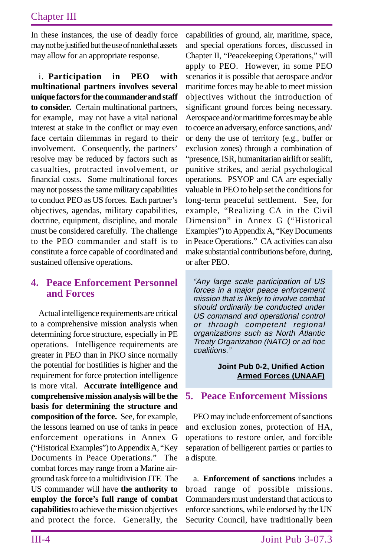In these instances, the use of deadly force may not be justified but the use of nonlethal assets may allow for an appropriate response.

i. **Participation in PEO with multinational partners involves several unique factors for the commander and staff to consider.** Certain multinational partners, for example, may not have a vital national interest at stake in the conflict or may even face certain dilemmas in regard to their involvement. Consequently, the partners' resolve may be reduced by factors such as casualties, protracted involvement, or financial costs. Some multinational forces may not possess the same military capabilities to conduct PEO as US forces. Each partner's objectives, agendas, military capabilities, doctrine, equipment, discipline, and morale must be considered carefully. The challenge to the PEO commander and staff is to constitute a force capable of coordinated and sustained offensive operations.

# **4. Peace Enforcement Personnel and Forces**

Actual intelligence requirements are critical to a comprehensive mission analysis when determining force structure, especially in PE operations. Intelligence requirements are greater in PEO than in PKO since normally the potential for hostilities is higher and the requirement for force protection intelligence is more vital. **Accurate intelligence and comprehensive mission analysis will be the basis for determining the structure and composition of the force.** See, for example, the lessons learned on use of tanks in peace enforcement operations in Annex G ("Historical Examples") to Appendix A, "Key Documents in Peace Operations." The combat forces may range from a Marine airground task force to a multidivision JTF. The US commander will have **the authority to employ the force's full range of combat capabilities** to achieve the mission objectives and protect the force. Generally, the capabilities of ground, air, maritime, space, and special operations forces, discussed in Chapter II, "Peacekeeping Operations," will apply to PEO. However, in some PEO scenarios it is possible that aerospace and/or maritime forces may be able to meet mission objectives without the introduction of significant ground forces being necessary. Aerospace and/or maritime forces may be able to coerce an adversary, enforce sanctions, and/ or deny the use of territory (e.g., buffer or exclusion zones) through a combination of "presence, ISR, humanitarian airlift or sealift, punitive strikes, and aerial psychological operations. PSYOP and CA are especially valuable in PEO to help set the conditions for long-term peaceful settlement. See, for example, "Realizing CA in the Civil Dimension" in Annex G ("Historical Examples") to Appendix A, "Key Documents in Peace Operations." CA activities can also make substantial contributions before, during, or after PEO.

"Any large scale participation of US forces in a major peace enforcement mission that is likely to involve combat should ordinarily be conducted under US command and operational control or through competent regional organizations such as North Atlantic Treaty Organization (NATO) or ad hoc coalitions."

#### **Joint Pub 0-2, Unified Action Armed Forces (UNAAF)**

# **5. Peace Enforcement Missions**

PEO may include enforcement of sanctions and exclusion zones, protection of HA, operations to restore order, and forcible separation of belligerent parties or parties to a dispute.

a. **Enforcement of sanctions** includes a broad range of possible missions. Commanders must understand that actions to enforce sanctions, while endorsed by the UN Security Council, have traditionally been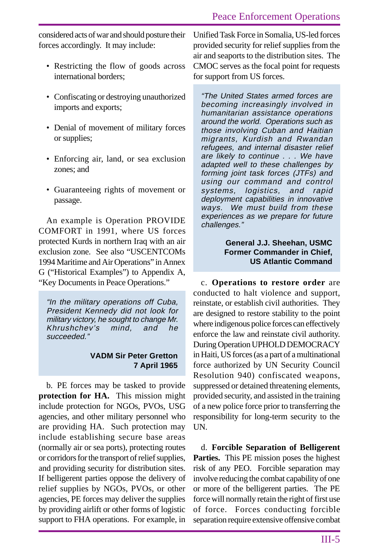considered acts of war and should posture their forces accordingly. It may include:

- Restricting the flow of goods across international borders;
- Confiscating or destroying unauthorized imports and exports;
- Denial of movement of military forces or supplies;
- Enforcing air, land, or sea exclusion zones; and
- Guaranteeing rights of movement or passage.

An example is Operation PROVIDE COMFORT in 1991, where US forces protected Kurds in northern Iraq with an air exclusion zone. See also "USCENTCOMs 1994 Maritime and Air Operations" in Annex G ("Historical Examples") to Appendix A, "Key Documents in Peace Operations."

"In the military operations off Cuba, President Kennedy did not look for military victory, he sought to change Mr. Khrushchev's mind, and he succeeded."

#### **VADM Sir Peter Gretton 7 April 1965**

b. PE forces may be tasked to provide **protection for HA.** This mission might include protection for NGOs, PVOs, USG agencies, and other military personnel who are providing HA. Such protection may include establishing secure base areas (normally air or sea ports), protecting routes or corridors for the transport of relief supplies, and providing security for distribution sites. If belligerent parties oppose the delivery of relief supplies by NGOs, PVOs, or other agencies, PE forces may deliver the supplies by providing airlift or other forms of logistic support to FHA operations. For example, in

Unified Task Force in Somalia, US-led forces provided security for relief supplies from the air and seaports to the distribution sites. The CMOC serves as the focal point for requests for support from US forces.

"The United States armed forces are becoming increasingly involved in humanitarian assistance operations around the world. Operations such as those involving Cuban and Haitian migrants, Kurdish and Rwandan refugees, and internal disaster relief are likely to continue . . . We have adapted well to these challenges by forming joint task forces (JTFs) and using our command and control systems, logistics, and rapid deployment capabilities in innovative ways. We must build from these experiences as we prepare for future challenges."

### **General J.J. Sheehan, USMC Former Commander in Chief, US Atlantic Command**

c. **Operations to restore order** are conducted to halt violence and support, reinstate, or establish civil authorities. They are designed to restore stability to the point where indigenous police forces can effectively enforce the law and reinstate civil authority. During Operation UPHOLD DEMOCRACY in Haiti, US forces (as a part of a multinational force authorized by UN Security Council Resolution 940) confiscated weapons, suppressed or detained threatening elements, provided security, and assisted in the training of a new police force prior to transferring the responsibility for long-term security to the UN.

d. **Forcible Separation of Belligerent Parties.** This PE mission poses the highest risk of any PEO. Forcible separation may involve reducing the combat capability of one or more of the belligerent parties. The PE force will normally retain the right of first use of force. Forces conducting forcible separation require extensive offensive combat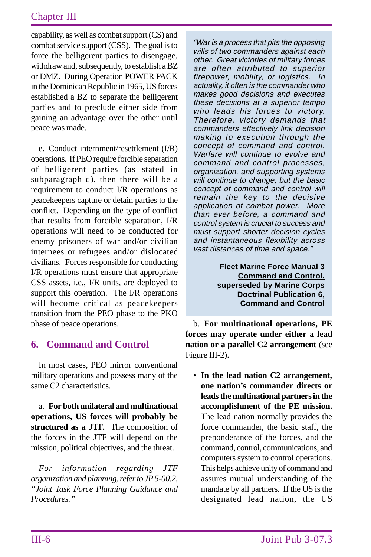capability, as well as combat support (CS) and combat service support (CSS). The goal is to force the belligerent parties to disengage, withdraw and, subsequently, to establish a BZ or DMZ. During Operation POWER PACK in the Dominican Republic in 1965, US forces established a BZ to separate the belligerent parties and to preclude either side from gaining an advantage over the other until peace was made.

e. Conduct internment/resettlement (I/R) operations. If PEO require forcible separation of belligerent parties (as stated in subparagraph d), then there will be a requirement to conduct I/R operations as peacekeepers capture or detain parties to the conflict. Depending on the type of conflict that results from forcible separation, I/R operations will need to be conducted for enemy prisoners of war and/or civilian internees or refugees and/or dislocated civilians. Forces responsible for conducting I/R operations must ensure that appropriate CSS assets, i.e., I/R units, are deployed to support this operation. The I/R operations will become critical as peacekeepers transition from the PEO phase to the PKO phase of peace operations.

# **6. Command and Control**

In most cases, PEO mirror conventional military operations and possess many of the same C2 characteristics.

a. **For both unilateral and multinational operations, US forces will probably be structured as a JTF.** The composition of the forces in the JTF will depend on the mission, political objectives, and the threat.

*For information regarding JTF organization and planning, refer to JP 5-00.2, "Joint Task Force Planning Guidance and Procedures."*

"War is a process that pits the opposing wills of two commanders against each other. Great victories of military forces are often attributed to superior firepower, mobility, or logistics. In actuality, it often is the commander who makes good decisions and executes these decisions at a superior tempo who leads his forces to victory. Therefore, victory demands that commanders effectively link decision making to execution through the concept of command and control. Warfare will continue to evolve and command and control processes, organization, and supporting systems will continue to change, but the basic concept of command and control will remain the key to the decisive application of combat power. More than ever before, a command and control system is crucial to success and must support shorter decision cycles and instantaneous flexibility across vast distances of time and space."

> **Fleet Marine Force Manual 3 Command and Control, superseded by Marine Corps Doctrinal Publication 6, Command and Control**

b. **For multinational operations, PE forces may operate under either a lead nation or a parallel C2 arrangement** (see Figure III-2).

• **In the lead nation C2 arrangement, one nation's commander directs or leads the multinational partners in the accomplishment of the PE mission.** The lead nation normally provides the force commander, the basic staff, the preponderance of the forces, and the command, control, communications, and computers system to control operations. This helps achieve unity of command and assures mutual understanding of the mandate by all partners. If the US is the designated lead nation, the US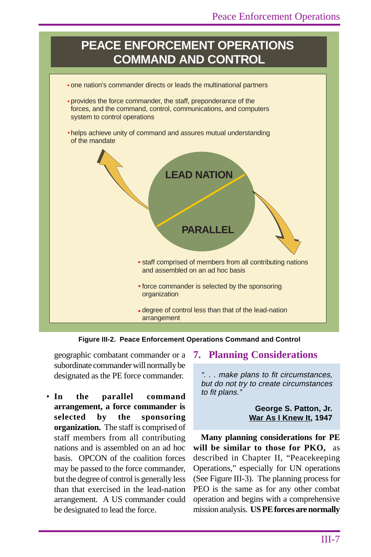

**Figure III-2. Peace Enforcement Operations Command and Control**

geographic combatant commander or a subordinate commander will normally be designated as the PE force commander.

• **In the parallel command arrangement, a force commander is selected by the sponsoring organization.** The staff is comprised of staff members from all contributing nations and is assembled on an ad hoc basis. OPCON of the coalition forces may be passed to the force commander, but the degree of control is generally less than that exercised in the lead-nation arrangement. A US commander could be designated to lead the force.

# **7. Planning Considerations**

". . . make plans to fit circumstances, but do not try to create circumstances to fit plans."

#### **George S. Patton, Jr. War As I Knew It, 1947**

**Many planning considerations for PE will be similar to those for PKO,** as described in Chapter II, "Peacekeeping Operations," especially for UN operations (See Figure III-3). The planning process for PEO is the same as for any other combat operation and begins with a comprehensive mission analysis. **US PE forces are normally**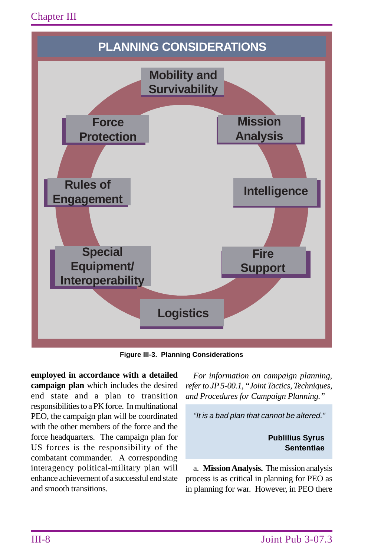# Chapter III



**Figure III-3. Planning Considerations**

**employed in accordance with a detailed campaign plan** which includes the desired end state and a plan to transition responsibilities to a PK force. In multinational PEO, the campaign plan will be coordinated with the other members of the force and the force headquarters. The campaign plan for US forces is the responsibility of the combatant commander. A corresponding interagency political-military plan will enhance achievement of a successful end state and smooth transitions.

*For information on campaign planning, refer to JP 5-00.1, "Joint Tactics, Techniques, and Procedures for Campaign Planning."*

"It is a bad plan that cannot be altered."

**Publilius Syrus Sententiae**

a. **Mission Analysis.** The mission analysis process is as critical in planning for PEO as in planning for war. However, in PEO there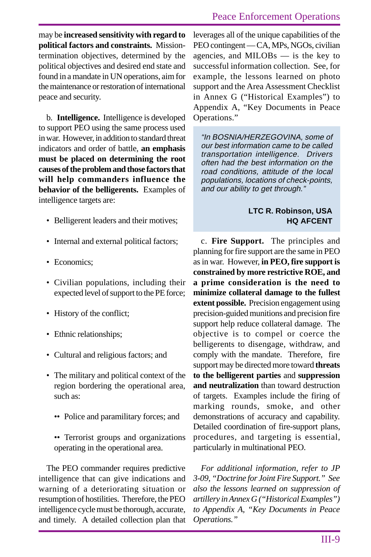may be **increased sensitivity with regard to political factors and constraints.** Missiontermination objectives, determined by the political objectives and desired end state and found in a mandate in UN operations, aim for the maintenance or restoration of international peace and security.

b. **Intelligence.** Intelligence is developed to support PEO using the same process used in war. However, in addition to standard threat indicators and order of battle, **an emphasis must be placed on determining the root causes of the problem and those factors that will help commanders influence the behavior of the belligerents.** Examples of intelligence targets are:

- Belligerent leaders and their motives;
- Internal and external political factors;
- Economics;
- Civilian populations, including their expected level of support to the PE force;
- History of the conflict;
- Ethnic relationships;
- Cultural and religious factors; and
- The military and political context of the region bordering the operational area, such as:
	- •• Police and paramilitary forces; and
	- •• Terrorist groups and organizations operating in the operational area.

The PEO commander requires predictive intelligence that can give indications and warning of a deteriorating situation or resumption of hostilities. Therefore, the PEO intelligence cycle must be thorough, accurate, and timely. A detailed collection plan that leverages all of the unique capabilities of the PEO contingent — CA, MPs, NGOs, civilian agencies, and MILOBs — is the key to successful information collection. See, for example, the lessons learned on photo support and the Area Assessment Checklist in Annex G ("Historical Examples") to Appendix A, "Key Documents in Peace Operations."

"In BOSNIA/HERZEGOVINA, some of our best information came to be called transportation intelligence. Drivers often had the best information on the road conditions, attitude of the local populations, locations of check-points, and our ability to get through."

### **LTC R. Robinson, USA HQ AFCENT**

c. **Fire Support.** The principles and planning for fire support are the same in PEO as in war. However, **in PEO, fire support is constrained by more restrictive ROE, and a prime consideration is the need to minimize collateral damage to the fullest extent possible.** Precision engagement using precision-guided munitions and precision fire support help reduce collateral damage. The objective is to compel or coerce the belligerents to disengage, withdraw, and comply with the mandate. Therefore, fire support may be directed more toward **threats to the belligerent parties** and **suppression and neutralization** than toward destruction of targets. Examples include the firing of marking rounds, smoke, and other demonstrations of accuracy and capability. Detailed coordination of fire-support plans, procedures, and targeting is essential, particularly in multinational PEO.

*For additional information, refer to JP 3-09, "Doctrine for Joint Fire Support." See also the lessons learned on suppression of artillery in Annex G ("Historical Examples") to Appendix A, "Key Documents in Peace Operations."*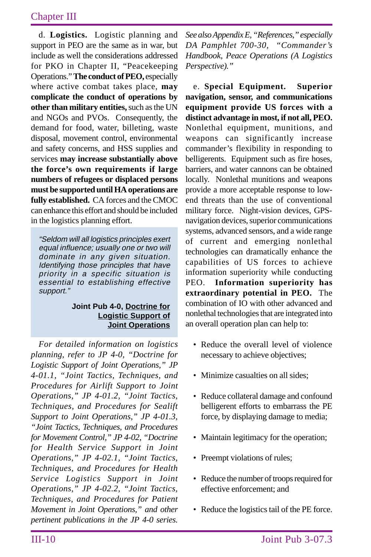# Chapter III

d. **Logistics.** Logistic planning and support in PEO are the same as in war, but include as well the considerations addressed for PKO in Chapter II, "Peacekeeping Operations." **The conduct of PEO,** especially where active combat takes place, **may complicate the conduct of operations by other than military entities,** such as the UN and NGOs and PVOs. Consequently, the demand for food, water, billeting, waste disposal, movement control, environmental and safety concerns, and HSS supplies and services **may increase substantially above the force's own requirements if large numbers of refugees or displaced persons must be supported until HA operations are fully established.** CA forces and the CMOC can enhance this effort and should be included in the logistics planning effort.

"Seldom will all logistics principles exert equal influence; usually one or two will dominate in any given situation. Identifying those principles that have priority in a specific situation is essential to establishing effective support."

#### **Joint Pub 4-0, Doctrine for Logistic Support of Joint Operations**

*For detailed information on logistics planning, refer to JP 4-0, "Doctrine for Logistic Support of Joint Operations," JP 4-01.1, "Joint Tactics, Techniques, and Procedures for Airlift Support to Joint Operations," JP 4-01.2, "Joint Tactics, Techniques, and Procedures for Sealift Support to Joint Operations," JP 4-01.3, "Joint Tactics, Techniques, and Procedures for Movement Control," JP 4-02, "Doctrine for Health Service Support in Joint Operations," JP 4-02.1, "Joint Tactics, Techniques, and Procedures for Health Service Logistics Support in Joint Operations," JP 4-02.2, "Joint Tactics, Techniques, and Procedures for Patient Movement in Joint Operations," and other pertinent publications in the JP 4-0 series.*

*See also Appendix E, "References," especially DA Pamphlet 700-30, "Commander's Handbook, Peace Operations (A Logistics Perspective)."*

e. **Special Equipment. Superior navigation, sensor, and communications equipment provide US forces with a distinct advantage in most, if not all, PEO.** Nonlethal equipment, munitions, and weapons can significantly increase commander's flexibility in responding to belligerents. Equipment such as fire hoses, barriers, and water cannons can be obtained locally. Nonlethal munitions and weapons provide a more acceptable response to lowend threats than the use of conventional military force. Night-vision devices, GPSnavigation devices, superior communications systems, advanced sensors, and a wide range of current and emerging nonlethal technologies can dramatically enhance the capabilities of US forces to achieve information superiority while conducting PEO. **Information superiority has extraordinary potential in PEO.** The combination of IO with other advanced and nonlethal technologies that are integrated into an overall operation plan can help to:

- Reduce the overall level of violence necessary to achieve objectives;
- Minimize casualties on all sides;
- Reduce collateral damage and confound belligerent efforts to embarrass the PE force, by displaying damage to media;
- Maintain legitimacy for the operation;
- Preempt violations of rules;
- Reduce the number of troops required for effective enforcement; and
- Reduce the logistics tail of the PE force.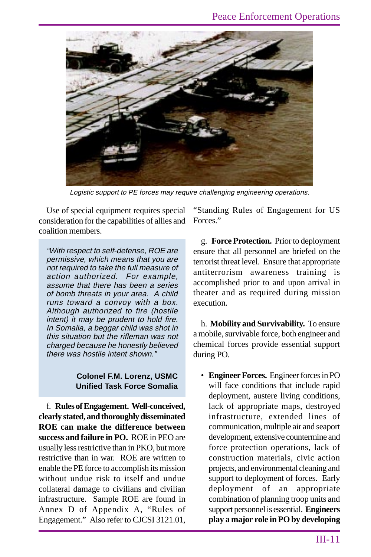

Logistic support to PE forces may require challenging engineering operations.

Use of special equipment requires special consideration for the capabilities of allies and coalition members.

"With respect to self-defense, ROE are permissive, which means that you are not required to take the full measure of action authorized. For example, assume that there has been a series of bomb threats in your area. A child runs toward a convoy with a box. Although authorized to fire (hostile intent) it may be prudent to hold fire. In Somalia, a beggar child was shot in this situation but the rifleman was not charged because he honestly believed there was hostile intent shown."

## **Colonel F.M. Lorenz, USMC Unified Task Force Somalia**

f. **Rules of Engagement. Well-conceived, clearly stated, and thoroughly disseminated ROE can make the difference between success and failure in PO.** ROE in PEO are usually less restrictive than in PKO, but more restrictive than in war. ROE are written to enable the PE force to accomplish its mission without undue risk to itself and undue collateral damage to civilians and civilian infrastructure. Sample ROE are found in Annex D of Appendix A, "Rules of Engagement." Also refer to CJCSI 3121.01, "Standing Rules of Engagement for US Forces."

g. **Force Protection.** Prior to deployment ensure that all personnel are briefed on the terrorist threat level. Ensure that appropriate antiterrorism awareness training is accomplished prior to and upon arrival in theater and as required during mission execution.

h. **Mobility and Survivability.** To ensure a mobile, survivable force, both engineer and chemical forces provide essential support during PO.

• **Engineer Forces.** Engineer forces in PO will face conditions that include rapid deployment, austere living conditions, lack of appropriate maps, destroyed infrastructure, extended lines of communication, multiple air and seaport development, extensive countermine and force protection operations, lack of construction materials, civic action projects, and environmental cleaning and support to deployment of forces. Early deployment of an appropriate combination of planning troop units and support personnel is essential. **Engineers play a major role in PO by developing**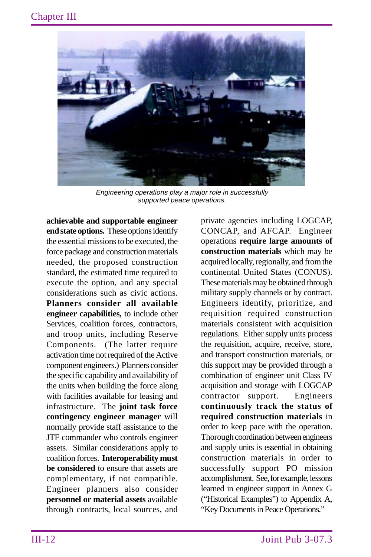# Chapter III



Engineering operations play a major role in successfully supported peace operations.

**achievable and supportable engineer end state options.** These options identify the essential missions to be executed, the force package and construction materials needed, the proposed construction standard, the estimated time required to execute the option, and any special considerations such as civic actions. **Planners consider all available engineer capabilities,** to include other Services, coalition forces, contractors, and troop units, including Reserve Components. (The latter require activation time not required of the Active component engineers.) Planners consider the specific capability and availability of the units when building the force along with facilities available for leasing and infrastructure. The **joint task force contingency engineer manager** will normally provide staff assistance to the JTF commander who controls engineer assets. Similar considerations apply to coalition forces. **Interoperability must be considered** to ensure that assets are complementary, if not compatible. Engineer planners also consider **personnel or material assets** available through contracts, local sources, and

private agencies including LOGCAP, CONCAP, and AFCAP. Engineer operations **require large amounts of construction materials** which may be acquired locally, regionally, and from the continental United States (CONUS). These materials may be obtained through military supply channels or by contract. Engineers identify, prioritize, and requisition required construction materials consistent with acquisition regulations. Either supply units process the requisition, acquire, receive, store, and transport construction materials, or this support may be provided through a combination of engineer unit Class IV acquisition and storage with LOGCAP contractor support. Engineers **continuously track the status of required construction materials** in order to keep pace with the operation. Thorough coordination between engineers and supply units is essential in obtaining construction materials in order to successfully support PO mission accomplishment. See, for example, lessons learned in engineer support in Annex G ("Historical Examples") to Appendix A, "Key Documents in Peace Operations."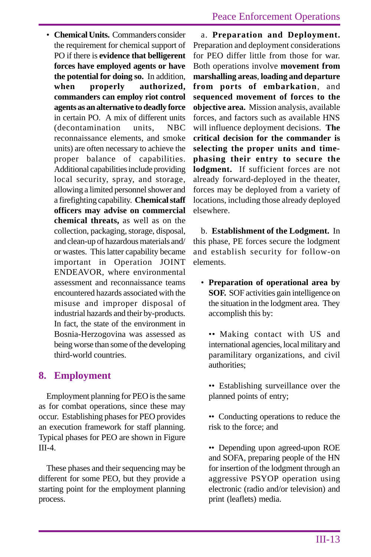• **Chemical Units.** Commanders consider the requirement for chemical support of PO if there is **evidence that belligerent forces have employed agents or have the potential for doing so.** In addition, **when properly authorized, commanders can employ riot control agents as an alternative to deadly force** in certain PO. A mix of different units (decontamination units, NBC reconnaissance elements, and smoke units) are often necessary to achieve the proper balance of capabilities. Additional capabilities include providing local security, spray, and storage, allowing a limited personnel shower and a firefighting capability. **Chemical staff officers may advise on commercial chemical threats,** as well as on the collection, packaging, storage, disposal, and clean-up of hazardous materials and/ or wastes. This latter capability became important in Operation JOINT ENDEAVOR, where environmental assessment and reconnaissance teams encountered hazards associated with the misuse and improper disposal of industrial hazards and their by-products. In fact, the state of the environment in Bosnia-Herzogovina was assessed as being worse than some of the developing third-world countries.

# **8. Employment**

Employment planning for PEO is the same as for combat operations, since these may occur. Establishing phases for PEO provides an execution framework for staff planning. Typical phases for PEO are shown in Figure III-4.

These phases and their sequencing may be different for some PEO, but they provide a starting point for the employment planning process.

a. **Preparation and Deployment.** Preparation and deployment considerations for PEO differ little from those for war. Both operations involve **movement from marshalling areas**, **loading and departure from ports of embarkation**, and **sequenced movement of forces to the objective area.** Mission analysis, available forces, and factors such as available HNS will influence deployment decisions. **The critical decision for the commander is selecting the proper units and timephasing their entry to secure the lodgment.** If sufficient forces are not already forward-deployed in the theater, forces may be deployed from a variety of locations, including those already deployed elsewhere.

b. **Establishment of the Lodgment.** In this phase, PE forces secure the lodgment and establish security for follow-on elements.

• **Preparation of operational area by SOF.** SOF activities gain intelligence on the situation in the lodgment area. They accomplish this by:

•• Making contact with US and international agencies, local military and paramilitary organizations, and civil authorities;

- •• Establishing surveillance over the planned points of entry;
- •• Conducting operations to reduce the risk to the force; and
- •• Depending upon agreed-upon ROE and SOFA, preparing people of the HN for insertion of the lodgment through an aggressive PSYOP operation using electronic (radio and/or television) and print (leaflets) media.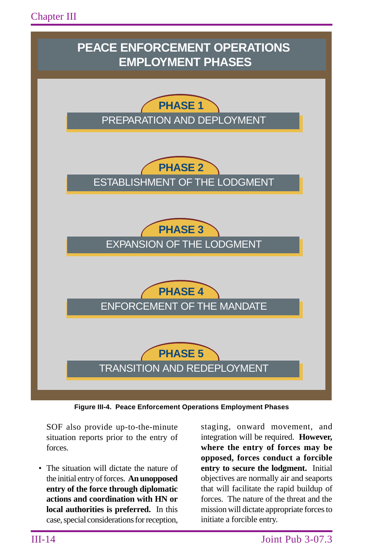# Chapter III



**Figure III-4. Peace Enforcement Operations Employment Phases**

SOF also provide up-to-the-minute situation reports prior to the entry of forces.

• The situation will dictate the nature of the initial entry of forces. **An unopposed entry of the force through diplomatic actions and coordination with HN or local authorities is preferred.** In this case, special considerations for reception,

staging, onward movement, and integration will be required. **However, where the entry of forces may be opposed, forces conduct a forcible entry to secure the lodgment.** Initial objectives are normally air and seaports that will facilitate the rapid buildup of forces. The nature of the threat and the mission will dictate appropriate forces to initiate a forcible entry.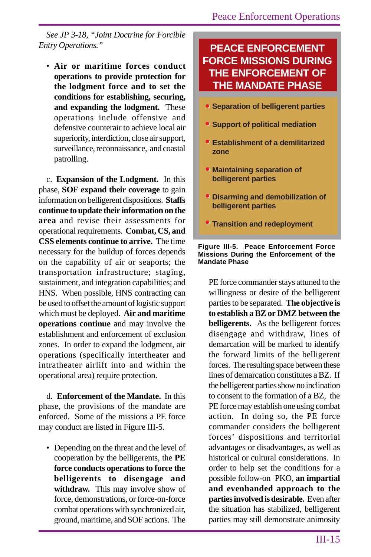*See JP 3-18, "Joint Doctrine for Forcible Entry Operations."*

• **Air or maritime forces conduct operations to provide protection for the lodgment force and to set the conditions for establishing, securing, and expanding the lodgment.** These operations include offensive and defensive counterair to achieve local air superiority, interdiction, close air support, surveillance, reconnaissance, and coastal patrolling.

c. **Expansion of the Lodgment.** In this phase, **SOF expand their coverage** to gain information on belligerent dispositions. **Staffs continue to update their information on the area** and revise their assessments for operational requirements. **Combat, CS, and CSS elements continue to arrive.** The time necessary for the buildup of forces depends on the capability of air or seaports; the transportation infrastructure; staging, sustainment, and integration capabilities; and HNS. When possible, HNS contracting can be used to offset the amount of logistic support which must be deployed. **Air and maritime operations continue** and may involve the establishment and enforcement of exclusion zones. In order to expand the lodgment, air operations (specifically intertheater and intratheater airlift into and within the operational area) require protection.

d. **Enforcement of the Mandate.** In this phase, the provisions of the mandate are enforced. Some of the missions a PE force may conduct are listed in Figure III-5.

• Depending on the threat and the level of cooperation by the belligerents, the **PE force conducts operations to force the belligerents to disengage and withdraw.** This may involve show of force, demonstrations, or force-on-force combat operations with synchronized air, ground, maritime, and SOF actions. The

# **PEACE ENFORCEMENT FORCE MISSIONS DURING THE ENFORCEMENT OF THE MANDATE PHASE**

- **Separation of belligerent parties**
- **Support of political mediation**
- **Establishment of a demilitarized zone**
- **Maintaining separation of belligerent parties**
- **Disarming and demobilization of belligerent parties**
- **Transition and redeployment**

#### **Figure III-5. Peace Enforcement Force Missions During the Enforcement of the Mandate Phase**

PE force commander stays attuned to the willingness or desire of the belligerent parties to be separated. **The objective is to establish a BZ or DMZ between the belligerents.** As the belligerent forces disengage and withdraw, lines of demarcation will be marked to identify the forward limits of the belligerent forces. The resulting space between these lines of demarcation constitutes a BZ. If the belligerent parties show no inclination to consent to the formation of a BZ, the PE force may establish one using combat action. In doing so, the PE force commander considers the belligerent forces' dispositions and territorial advantages or disadvantages, as well as historical or cultural considerations. In order to help set the conditions for a possible follow-on PKO, **an impartial and evenhanded approach to the parties involved is desirable.** Even after the situation has stabilized, belligerent parties may still demonstrate animosity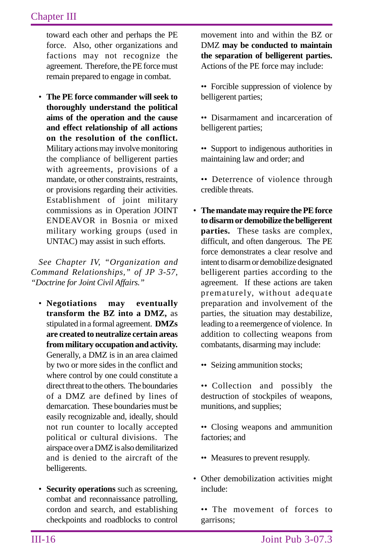# Chapter III

toward each other and perhaps the PE force. Also, other organizations and factions may not recognize the agreement. Therefore, the PE force must remain prepared to engage in combat.

• **The PE force commander will seek to thoroughly understand the political aims of the operation and the cause and effect relationship of all actions on the resolution of the conflict.** Military actions may involve monitoring the compliance of belligerent parties with agreements, provisions of a mandate, or other constraints, restraints, or provisions regarding their activities. Establishment of joint military commissions as in Operation JOINT ENDEAVOR in Bosnia or mixed military working groups (used in UNTAC) may assist in such efforts.

*See Chapter IV, "Organization and Command Relationships," of JP 3-57, "Doctrine for Joint Civil Affairs."*

- **Negotiations may eventually transform the BZ into a DMZ,** as stipulated in a formal agreement. **DMZs are created to neutralize certain areas from military occupation and activity.** Generally, a DMZ is in an area claimed by two or more sides in the conflict and where control by one could constitute a direct threat to the others. The boundaries of a DMZ are defined by lines of demarcation. These boundaries must be easily recognizable and, ideally, should not run counter to locally accepted political or cultural divisions. The airspace over a DMZ is also demilitarized and is denied to the aircraft of the belligerents.
- **Security operations** such as screening, combat and reconnaissance patrolling, cordon and search, and establishing checkpoints and roadblocks to control

movement into and within the BZ or DMZ **may be conducted to maintain the separation of belligerent parties.** Actions of the PE force may include:

- •• Forcible suppression of violence by belligerent parties;
- •• Disarmament and incarceration of belligerent parties;
- •• Support to indigenous authorities in maintaining law and order; and
- •• Deterrence of violence through credible threats.
- **The mandate may require the PE force to disarm or demobilize the belligerent parties.** These tasks are complex, difficult, and often dangerous. The PE force demonstrates a clear resolve and intent to disarm or demobilize designated belligerent parties according to the agreement. If these actions are taken prematurely, without adequate preparation and involvement of the parties, the situation may destabilize, leading to a reemergence of violence. In addition to collecting weapons from combatants, disarming may include:
	- Seizing ammunition stocks;
	- •• Collection and possibly the destruction of stockpiles of weapons, munitions, and supplies;
	- •• Closing weapons and ammunition factories; and
	- Measures to prevent resupply.
- Other demobilization activities might include:
	- •• The movement of forces to garrisons;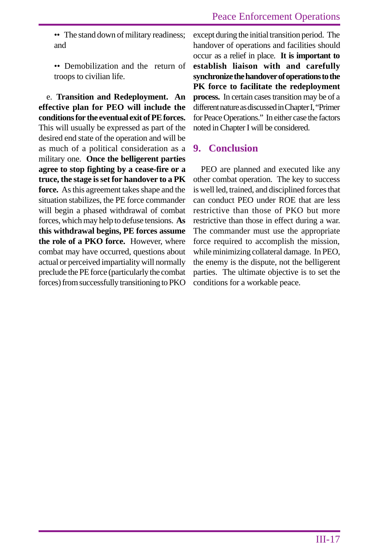•• The stand down of military readiness; and

•• Demobilization and the return of troops to civilian life.

e. **Transition and Redeployment. An effective plan for PEO will include the conditions for the eventual exit of PE forces.** This will usually be expressed as part of the desired end state of the operation and will be as much of a political consideration as a military one. **Once the belligerent parties agree to stop fighting by a cease-fire or a truce, the stage is set for handover to a PK force.** As this agreement takes shape and the situation stabilizes, the PE force commander will begin a phased withdrawal of combat forces, which may help to defuse tensions. **As this withdrawal begins, PE forces assume the role of a PKO force.** However, where combat may have occurred, questions about actual or perceived impartiality will normally preclude the PE force (particularly the combat forces) from successfully transitioning to PKO

except during the initial transition period. The handover of operations and facilities should occur as a relief in place. **It is important to establish liaison with and carefully synchronize the handover of operations to the PK force to facilitate the redeployment process.** In certain cases transition may be of a different nature as discussed in Chapter I, "Primer for Peace Operations." In either case the factors noted in Chapter I will be considered.

# **9. Conclusion**

PEO are planned and executed like any other combat operation. The key to success is well led, trained, and disciplined forces that can conduct PEO under ROE that are less restrictive than those of PKO but more restrictive than those in effect during a war. The commander must use the appropriate force required to accomplish the mission, while minimizing collateral damage. In PEO, the enemy is the dispute, not the belligerent parties. The ultimate objective is to set the conditions for a workable peace.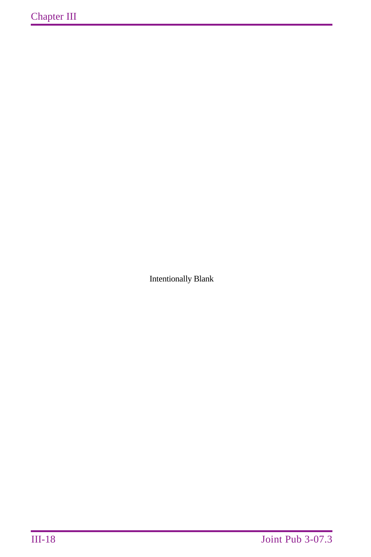Intentionally Blank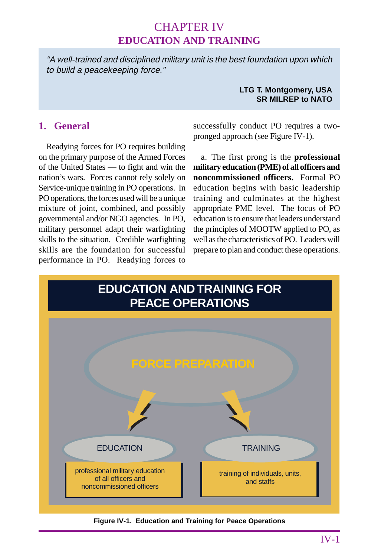# CHAPTER IV **EDUCATION AND TRAINING**

"A well-trained and disciplined military unit is the best foundation upon which to build a peacekeeping force."

# **1. General**

Readying forces for PO requires building on the primary purpose of the Armed Forces of the United States — to fight and win the nation's wars. Forces cannot rely solely on Service-unique training in PO operations. In PO operations, the forces used will be a unique mixture of joint, combined, and possibly governmental and/or NGO agencies. In PO, military personnel adapt their warfighting skills to the situation. Credible warfighting skills are the foundation for successful performance in PO. Readying forces to

**LTG T. Montgomery, USA SR MILREP to NATO**

successfully conduct PO requires a twopronged approach (see Figure IV-1).

a. The first prong is the **professional military education (PME) of all officers and noncommissioned officers.** Formal PO education begins with basic leadership training and culminates at the highest appropriate PME level. The focus of PO education is to ensure that leaders understand the principles of MOOTW applied to PO, as well as the characteristics of PO. Leaders will prepare to plan and conduct these operations.



**Figure IV-1. Education and Training for Peace Operations**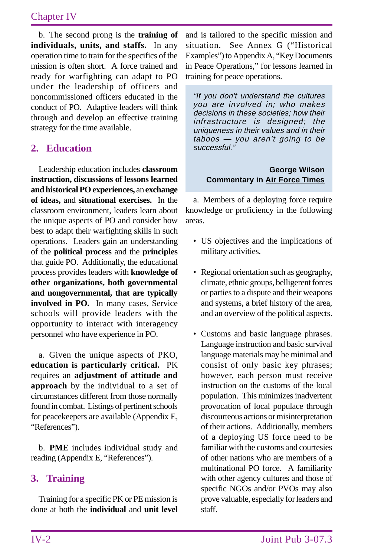# Chapter IV

b. The second prong is the **training of individuals, units, and staffs.** In any operation time to train for the specifics of the mission is often short. A force trained and ready for warfighting can adapt to PO under the leadership of officers and noncommissioned officers educated in the conduct of PO. Adaptive leaders will think through and develop an effective training strategy for the time available.

# **2. Education**

Leadership education includes **classroom instruction, discussions of lessons learned and historical PO experiences,** an **exchange of ideas,** and **situational exercises.** In the classroom environment, leaders learn about the unique aspects of PO and consider how best to adapt their warfighting skills in such operations. Leaders gain an understanding of the **political process** and the **principles** that guide PO. Additionally, the educational process provides leaders with **knowledge of other organizations, both governmental and nongovernmental, that are typically involved in PO.** In many cases, Service schools will provide leaders with the opportunity to interact with interagency personnel who have experience in PO.

a. Given the unique aspects of PKO, **education is particularly critical.** PK requires an **adjustment of attitude and approach** by the individual to a set of circumstances different from those normally found in combat. Listings of pertinent schools for peacekeepers are available (Appendix E, "References").

b. **PME** includes individual study and reading (Appendix E, "References").

# **3. Training**

Training for a specific PK or PE mission is done at both the **individual** and **unit level** and is tailored to the specific mission and situation. See Annex G ("Historical Examples") to Appendix A, "Key Documents in Peace Operations," for lessons learned in training for peace operations.

"If you don't understand the cultures you are involved in; who makes decisions in these societies; how their infrastructure is designed; the uniqueness in their values and in their taboos — you aren't going to be successful.

## **George Wilson Commentary in Air Force Times**

a. Members of a deploying force require knowledge or proficiency in the following areas.

- US objectives and the implications of military activities.
- Regional orientation such as geography, climate, ethnic groups, belligerent forces or parties to a dispute and their weapons and systems, a brief history of the area, and an overview of the political aspects.
- Customs and basic language phrases. Language instruction and basic survival language materials may be minimal and consist of only basic key phrases; however, each person must receive instruction on the customs of the local population. This minimizes inadvertent provocation of local populace through discourteous actions or misinterpretation of their actions. Additionally, members of a deploying US force need to be familiar with the customs and courtesies of other nations who are members of a multinational PO force. A familiarity with other agency cultures and those of specific NGOs and/or PVOs may also prove valuable, especially for leaders and staff.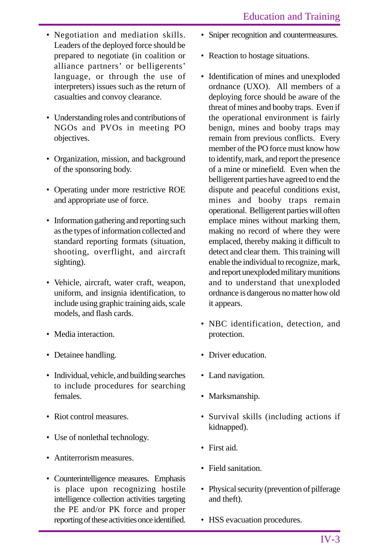- Negotiation and mediation skills. Leaders of the deployed force should be prepared to negotiate (in coalition or alliance partners' or belligerents' language, or through the use of interpreters) issues such as the return of casualties and convoy clearance.
- Understanding roles and contributions of NGOs and PVOs in meeting PO objectives.
- Organization, mission, and background of the sponsoring body.
- Operating under more restrictive ROE and appropriate use of force.
- Information gathering and reporting such as the types of information collected and standard reporting formats (situation, shooting, overflight, and aircraft sighting).
- Vehicle, aircraft, water craft, weapon, uniform, and insignia identification, to include using graphic training aids, scale models, and flash cards.
- Media interaction.
- Detainee handling.
- Individual, vehicle, and building searches to include procedures for searching females.
- Riot control measures.
- Use of nonlethal technology.
- Antiterrorism measures.
- Counterintelligence measures. Emphasis is place upon recognizing hostile intelligence collection activities targeting the PE and/or PK force and proper reporting of these activities once identified.
- Sniper recognition and countermeasures.
- Reaction to hostage situations.
- Identification of mines and unexploded ordnance (UXO). All members of a deploying force should be aware of the threat of mines and booby traps. Even if the operational environment is fairly benign, mines and booby traps may remain from previous conflicts. Every member of the PO force must know how to identify, mark, and report the presence of a mine or minefield. Even when the belligerent parties have agreed to end the dispute and peaceful conditions exist, mines and booby traps remain operational. Belligerent parties will often emplace mines without marking them, making no record of where they were emplaced, thereby making it difficult to detect and clear them. This training will enable the individual to recognize, mark, and report unexploded military munitions and to understand that unexploded ordnance is dangerous no matter how old it appears.
- NBC identification, detection, and protection.
- Driver education.
- Land navigation.
- Marksmanship.
- Survival skills (including actions if kidnapped).
- First aid.
- Field sanitation.
- Physical security (prevention of pilferage and theft).
- HSS evacuation procedures.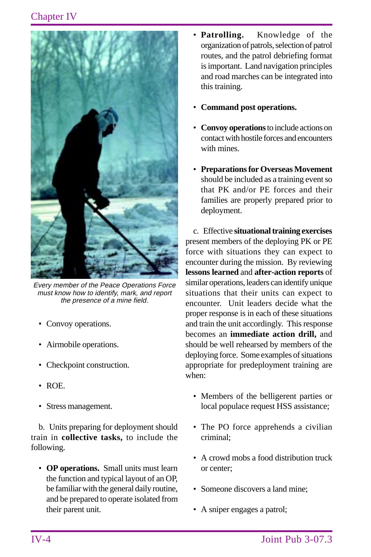# Chapter IV



Every member of the Peace Operations Force must know how to identify, mark, and report the presence of a mine field.

- Convoy operations.
- Airmobile operations.
- Checkpoint construction.
- ROE.
- Stress management.

b. Units preparing for deployment should train in **collective tasks,** to include the following.

• **OP operations.** Small units must learn the function and typical layout of an OP, be familiar with the general daily routine, and be prepared to operate isolated from their parent unit.

- **Patrolling.** Knowledge of the organization of patrols, selection of patrol routes, and the patrol debriefing format is important. Land navigation principles and road marches can be integrated into this training.
- **Command post operations.**
- **Convoy operations** to include actions on contact with hostile forces and encounters with mines.
- **Preparations for Overseas Movement** should be included as a training event so that PK and/or PE forces and their families are properly prepared prior to deployment.

c. Effective **situational training exercises** present members of the deploying PK or PE force with situations they can expect to encounter during the mission. By reviewing **lessons learned** and **after-action reports** of similar operations, leaders can identify unique situations that their units can expect to encounter. Unit leaders decide what the proper response is in each of these situations and train the unit accordingly. This response becomes an **immediate action drill,** and should be well rehearsed by members of the deploying force. Some examples of situations appropriate for predeployment training are when:

- Members of the belligerent parties or local populace request HSS assistance;
- The PO force apprehends a civilian criminal;
- A crowd mobs a food distribution truck or center;
- Someone discovers a land mine;
- A sniper engages a patrol;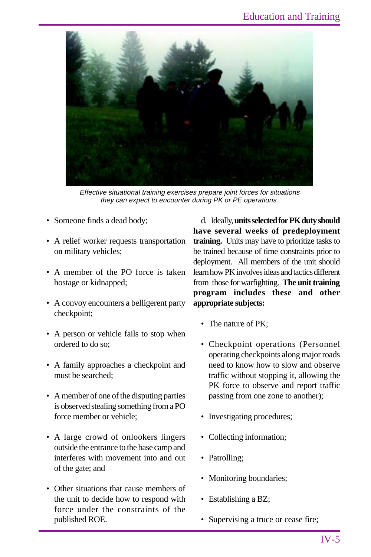

Effective situational training exercises prepare joint forces for situations they can expect to encounter during PK or PE operations.

- Someone finds a dead body;
- A relief worker requests transportation on military vehicles;
- A member of the PO force is taken hostage or kidnapped;
- A convoy encounters a belligerent party checkpoint;
- A person or vehicle fails to stop when ordered to do so;
- A family approaches a checkpoint and must be searched;
- A member of one of the disputing parties is observed stealing something from a PO force member or vehicle;
- A large crowd of onlookers lingers outside the entrance to the base camp and interferes with movement into and out of the gate; and
- Other situations that cause members of the unit to decide how to respond with force under the constraints of the published ROE.

d. Ideally, **units selected for PK duty should have several weeks of predeployment training.** Units may have to prioritize tasks to be trained because of time constraints prior to deployment. All members of the unit should learn how PK involves ideas and tactics different from those for warfighting. **The unit training program includes these and other appropriate subjects:**

- The nature of PK:
- Checkpoint operations (Personnel operating checkpoints along major roads need to know how to slow and observe traffic without stopping it, allowing the PK force to observe and report traffic passing from one zone to another);
- Investigating procedures;
- Collecting information;
- Patrolling:
- Monitoring boundaries;
- Establishing a BZ;
- Supervising a truce or cease fire;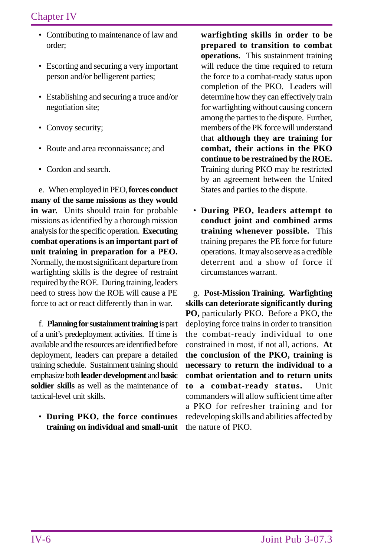- Contributing to maintenance of law and order;
- Escorting and securing a very important person and/or belligerent parties;
- Establishing and securing a truce and/or negotiation site;
- Convoy security;
- Route and area reconnaissance; and
- Cordon and search.

e. When employed in PEO, **forces conduct many of the same missions as they would in war.** Units should train for probable missions as identified by a thorough mission analysis for the specific operation. **Executing combat operations is an important part of unit training in preparation for a PEO.** Normally, the most significant departure from warfighting skills is the degree of restraint required by the ROE. During training, leaders need to stress how the ROE will cause a PE force to act or react differently than in war.

f. **Planning for sustainment training** is part of a unit's predeployment activities. If time is available and the resources are identified before deployment, leaders can prepare a detailed training schedule. Sustainment training should emphasize both **leader development** and **basic soldier skills** as well as the maintenance of tactical-level unit skills.

• **During PKO, the force continues training on individual and small-unit**

**warfighting skills in order to be prepared to transition to combat operations.** This sustainment training will reduce the time required to return the force to a combat-ready status upon completion of the PKO. Leaders will determine how they can effectively train for warfighting without causing concern among the parties to the dispute. Further, members of the PK force will understand that **although they are training for combat, their actions in the PKO continue to be restrained by the ROE.** Training during PKO may be restricted by an agreement between the United States and parties to the dispute.

• **During PEO, leaders attempt to conduct joint and combined arms training whenever possible.** This training prepares the PE force for future operations. It may also serve as a credible deterrent and a show of force if circumstances warrant.

g. **Post-Mission Training. Warfighting skills can deteriorate significantly during PO,** particularly PKO. Before a PKO, the deploying force trains in order to transition the combat-ready individual to one constrained in most, if not all, actions. **At the conclusion of the PKO, training is necessary to return the individual to a combat orientation and to return units to a combat-ready status.** Unit commanders will allow sufficient time after a PKO for refresher training and for redeveloping skills and abilities affected by the nature of PKO.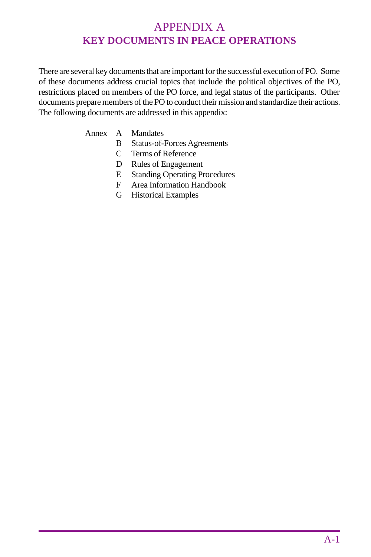# APPENDIX A **KEY DOCUMENTS IN PEACE OPERATIONS**

There are several key documents that are important for the successful execution of PO. Some of these documents address crucial topics that include the political objectives of the PO, restrictions placed on members of the PO force, and legal status of the participants. Other documents prepare members of the PO to conduct their mission and standardize their actions. The following documents are addressed in this appendix:

- Annex A Mandates
	- B Status-of-Forces Agreements
	- C Terms of Reference
	- D Rules of Engagement
	- E Standing Operating Procedures
	- F Area Information Handbook
	- G Historical Examples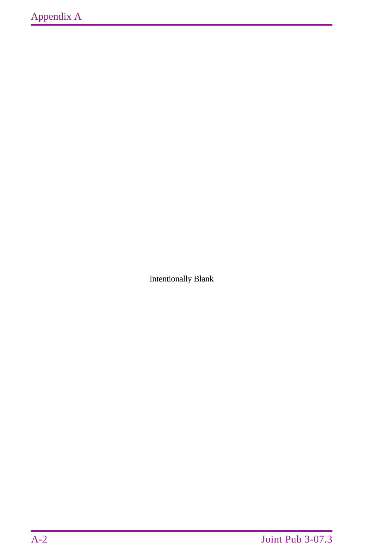Intentionally Blank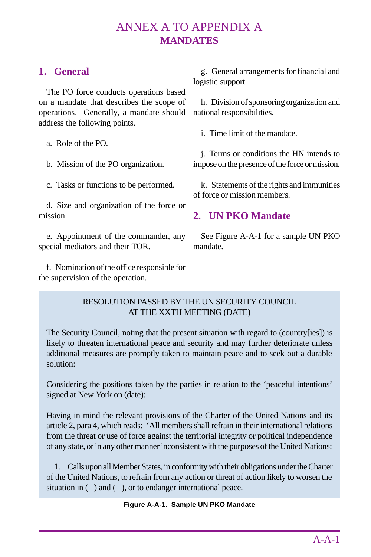# ANNEX A TO APPENDIX A **MANDATES**

# **1. General**

The PO force conducts operations based on a mandate that describes the scope of operations. Generally, a mandate should address the following points.

a. Role of the PO.

b. Mission of the PO organization.

c. Tasks or functions to be performed.

d. Size and organization of the force or mission.

e. Appointment of the commander, any special mediators and their TOR.

f. Nomination of the office responsible for the supervision of the operation.

g. General arrangements for financial and logistic support.

h. Division of sponsoring organization and national responsibilities.

i. Time limit of the mandate.

j. Terms or conditions the HN intends to impose on the presence of the force or mission.

k. Statements of the rights and immunities of force or mission members.

# **2. UN PKO Mandate**

See Figure A-A-1 for a sample UN PKO mandate.

# RESOLUTION PASSED BY THE UN SECURITY COUNCIL AT THE XXTH MEETING (DATE)

The Security Council, noting that the present situation with regard to (country[ies]) is likely to threaten international peace and security and may further deteriorate unless additional measures are promptly taken to maintain peace and to seek out a durable solution:

Considering the positions taken by the parties in relation to the 'peaceful intentions' signed at New York on (date):

Having in mind the relevant provisions of the Charter of the United Nations and its article 2, para 4, which reads: 'All members shall refrain in their international relations from the threat or use of force against the territorial integrity or political independence of any state, or in any other manner inconsistent with the purposes of the United Nations:

1. Calls upon all Member States, in conformity with their obligations under the Charter of the United Nations, to refrain from any action or threat of action likely to worsen the situation in ( ) and ( ), or to endanger international peace.

#### **Figure A-A-1. Sample UN PKO Mandate**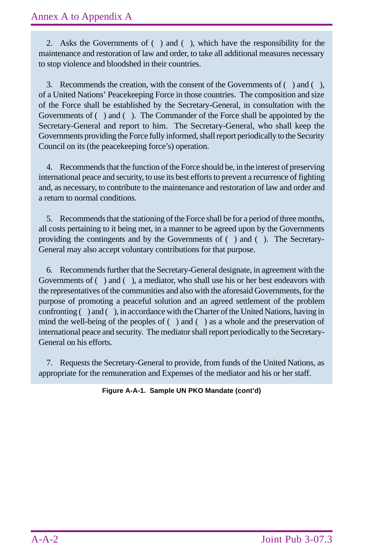2. Asks the Governments of ( ) and ( ), which have the responsibility for the maintenance and restoration of law and order, to take all additional measures necessary to stop violence and bloodshed in their countries.

3. Recommends the creation, with the consent of the Governments of  $( )$  and  $( )$ , of a United Nations' Peacekeeping Force in those countries. The composition and size of the Force shall be established by the Secretary-General, in consultation with the Governments of ( ) and ( ). The Commander of the Force shall be appointed by the Secretary-General and report to him. The Secretary-General, who shall keep the Governments providing the Force fully informed, shall report periodically to the Security Council on its (the peacekeeping force's) operation.

4. Recommends that the function of the Force should be, in the interest of preserving international peace and security, to use its best efforts to prevent a recurrence of fighting and, as necessary, to contribute to the maintenance and restoration of law and order and a return to normal conditions.

5. Recommends that the stationing of the Force shall be for a period of three months, all costs pertaining to it being met, in a manner to be agreed upon by the Governments providing the contingents and by the Governments of ( ) and ( ). The Secretary-General may also accept voluntary contributions for that purpose.

6. Recommends further that the Secretary-General designate, in agreement with the Governments of  $( )$  and  $( )$ , a mediator, who shall use his or her best endeavors with the representatives of the communities and also with the aforesaid Governments, for the purpose of promoting a peaceful solution and an agreed settlement of the problem confronting ( ) and ( ), in accordance with the Charter of the United Nations, having in mind the well-being of the peoples of ( ) and ( ) as a whole and the preservation of international peace and security. The mediator shall report periodically to the Secretary-General on his efforts.

7. Requests the Secretary-General to provide, from funds of the United Nations, as appropriate for the remuneration and Expenses of the mediator and his or her staff.

**Figure A-A-1. Sample UN PKO Mandate (cont'd)**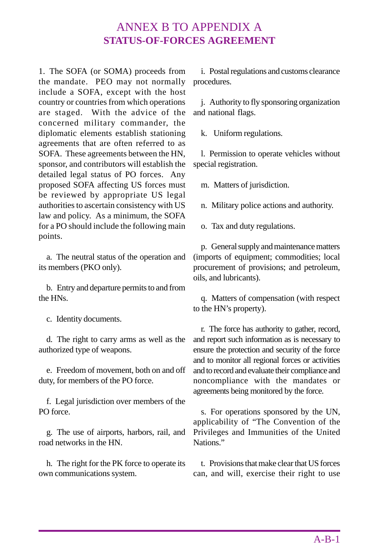# ANNEX B TO APPENDIX A **STATUS-OF-FORCES AGREEMENT**

1. The SOFA (or SOMA) proceeds from the mandate. PEO may not normally include a SOFA, except with the host country or countries from which operations are staged. With the advice of the concerned military commander, the diplomatic elements establish stationing agreements that are often referred to as SOFA. These agreements between the HN, sponsor, and contributors will establish the detailed legal status of PO forces. Any proposed SOFA affecting US forces must be reviewed by appropriate US legal authorities to ascertain consistency with US law and policy. As a minimum, the SOFA for a PO should include the following main points.

a. The neutral status of the operation and its members (PKO only).

b. Entry and departure permits to and from the HNs.

c. Identity documents.

d. The right to carry arms as well as the authorized type of weapons.

e. Freedom of movement, both on and off duty, for members of the PO force.

f. Legal jurisdiction over members of the PO force.

g. The use of airports, harbors, rail, and road networks in the HN.

h. The right for the PK force to operate its own communications system.

i. Postal regulations and customs clearance procedures.

j. Authority to fly sponsoring organization and national flags.

k. Uniform regulations.

l. Permission to operate vehicles without special registration.

m. Matters of jurisdiction.

n. Military police actions and authority.

o. Tax and duty regulations.

p. General supply and maintenance matters (imports of equipment; commodities; local procurement of provisions; and petroleum, oils, and lubricants).

q. Matters of compensation (with respect to the HN's property).

r. The force has authority to gather, record, and report such information as is necessary to ensure the protection and security of the force and to monitor all regional forces or activities and to record and evaluate their compliance and noncompliance with the mandates or agreements being monitored by the force.

s. For operations sponsored by the UN, applicability of "The Convention of the Privileges and Immunities of the United Nations<sup>"</sup>

t. Provisions that make clear that US forces can, and will, exercise their right to use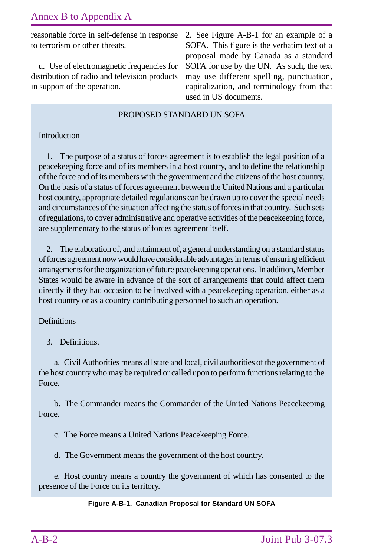reasonable force in self-defense in response to terrorism or other threats.

u. Use of electromagnetic frequencies for distribution of radio and television products in support of the operation.

2. See Figure A-B-1 for an example of a SOFA. This figure is the verbatim text of a proposal made by Canada as a standard SOFA for use by the UN. As such, the text may use different spelling, punctuation, capitalization, and terminology from that used in US documents.

## PROPOSED STANDARD UN SOFA

## **Introduction**

1. The purpose of a status of forces agreement is to establish the legal position of a peacekeeping force and of its members in a host country, and to define the relationship of the force and of its members with the government and the citizens of the host country. On the basis of a status of forces agreement between the United Nations and a particular host country, appropriate detailed regulations can be drawn up to cover the special needs and circumstances of the situation affecting the status of forces in that country. Such sets of regulations, to cover administrative and operative activities of the peacekeeping force, are supplementary to the status of forces agreement itself.

2. The elaboration of, and attainment of, a general understanding on a standard status of forces agreement now would have considerable advantages in terms of ensuring efficient arrangements for the organization of future peacekeeping operations. In addition, Member States would be aware in advance of the sort of arrangements that could affect them directly if they had occasion to be involved with a peacekeeping operation, either as a host country or as a country contributing personnel to such an operation.

## **Definitions**

3. Definitions.

a. Civil Authorities means all state and local, civil authorities of the government of the host country who may be required or called upon to perform functions relating to the Force.

b. The Commander means the Commander of the United Nations Peacekeeping Force.

c. The Force means a United Nations Peacekeeping Force.

d. The Government means the government of the host country.

e. Host country means a country the government of which has consented to the presence of the Force on its territory.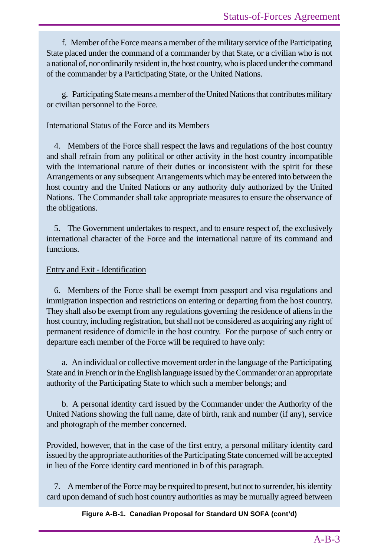f. Member of the Force means a member of the military service of the Participating State placed under the command of a commander by that State, or a civilian who is not a national of, nor ordinarily resident in, the host country, who is placed under the command of the commander by a Participating State, or the United Nations.

g. Participating State means a member of the United Nations that contributes military or civilian personnel to the Force.

#### International Status of the Force and its Members

4. Members of the Force shall respect the laws and regulations of the host country and shall refrain from any political or other activity in the host country incompatible with the international nature of their duties or inconsistent with the spirit for these Arrangements or any subsequent Arrangements which may be entered into between the host country and the United Nations or any authority duly authorized by the United Nations. The Commander shall take appropriate measures to ensure the observance of the obligations.

5. The Government undertakes to respect, and to ensure respect of, the exclusively international character of the Force and the international nature of its command and functions.

#### Entry and Exit - Identification

6. Members of the Force shall be exempt from passport and visa regulations and immigration inspection and restrictions on entering or departing from the host country. They shall also be exempt from any regulations governing the residence of aliens in the host country, including registration, but shall not be considered as acquiring any right of permanent residence of domicile in the host country. For the purpose of such entry or departure each member of the Force will be required to have only:

a. An individual or collective movement order in the language of the Participating State and in French or in the English language issued by the Commander or an appropriate authority of the Participating State to which such a member belongs; and

b. A personal identity card issued by the Commander under the Authority of the United Nations showing the full name, date of birth, rank and number (if any), service and photograph of the member concerned.

Provided, however, that in the case of the first entry, a personal military identity card issued by the appropriate authorities of the Participating State concerned will be accepted in lieu of the Force identity card mentioned in b of this paragraph.

7. A member of the Force may be required to present, but not to surrender, his identity card upon demand of such host country authorities as may be mutually agreed between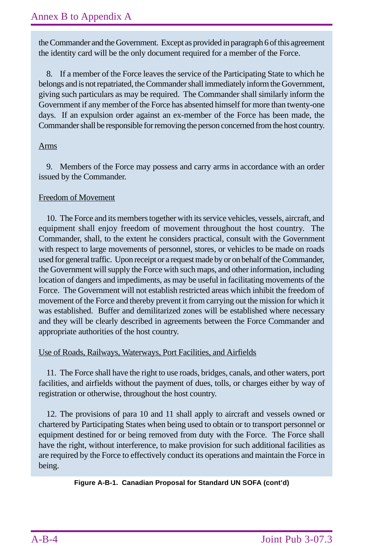the Commander and the Government. Except as provided in paragraph 6 of this agreement the identity card will be the only document required for a member of the Force.

8. If a member of the Force leaves the service of the Participating State to which he belongs and is not repatriated, the Commander shall immediately inform the Government, giving such particulars as may be required. The Commander shall similarly inform the Government if any member of the Force has absented himself for more than twenty-one days. If an expulsion order against an ex-member of the Force has been made, the Commander shall be responsible for removing the person concerned from the host country.

### Arms

9. Members of the Force may possess and carry arms in accordance with an order issued by the Commander.

### Freedom of Movement

10. The Force and its members together with its service vehicles, vessels, aircraft, and equipment shall enjoy freedom of movement throughout the host country. The Commander, shall, to the extent he considers practical, consult with the Government with respect to large movements of personnel, stores, or vehicles to be made on roads used for general traffic. Upon receipt or a request made by or on behalf of the Commander, the Government will supply the Force with such maps, and other information, including location of dangers and impediments, as may be useful in facilitating movements of the Force. The Government will not establish restricted areas which inhibit the freedom of movement of the Force and thereby prevent it from carrying out the mission for which it was established. Buffer and demilitarized zones will be established where necessary and they will be clearly described in agreements between the Force Commander and appropriate authorities of the host country.

## Use of Roads, Railways, Waterways, Port Facilities, and Airfields

11. The Force shall have the right to use roads, bridges, canals, and other waters, port facilities, and airfields without the payment of dues, tolls, or charges either by way of registration or otherwise, throughout the host country.

12. The provisions of para 10 and 11 shall apply to aircraft and vessels owned or chartered by Participating States when being used to obtain or to transport personnel or equipment destined for or being removed from duty with the Force. The Force shall have the right, without interference, to make provision for such additional facilities as are required by the Force to effectively conduct its operations and maintain the Force in being.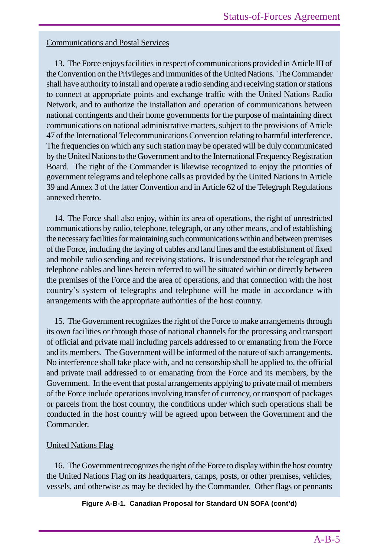#### Communications and Postal Services

13. The Force enjoys facilities in respect of communications provided in Article III of the Convention on the Privileges and Immunities of the United Nations. The Commander shall have authority to install and operate a radio sending and receiving station or stations to connect at appropriate points and exchange traffic with the United Nations Radio Network, and to authorize the installation and operation of communications between national contingents and their home governments for the purpose of maintaining direct communications on national administrative matters, subject to the provisions of Article 47 of the International Telecommunications Convention relating to harmful interference. The frequencies on which any such station may be operated will be duly communicated by the United Nations to the Government and to the International Frequency Registration Board. The right of the Commander is likewise recognized to enjoy the priorities of government telegrams and telephone calls as provided by the United Nations in Article 39 and Annex 3 of the latter Convention and in Article 62 of the Telegraph Regulations annexed thereto.

14. The Force shall also enjoy, within its area of operations, the right of unrestricted communications by radio, telephone, telegraph, or any other means, and of establishing the necessary facilities for maintaining such communications within and between premises of the Force, including the laying of cables and land lines and the establishment of fixed and mobile radio sending and receiving stations. It is understood that the telegraph and telephone cables and lines herein referred to will be situated within or directly between the premises of the Force and the area of operations, and that connection with the host country's system of telegraphs and telephone will be made in accordance with arrangements with the appropriate authorities of the host country.

15. The Government recognizes the right of the Force to make arrangements through its own facilities or through those of national channels for the processing and transport of official and private mail including parcels addressed to or emanating from the Force and its members. The Government will be informed of the nature of such arrangements. No interference shall take place with, and no censorship shall be applied to, the official and private mail addressed to or emanating from the Force and its members, by the Government. In the event that postal arrangements applying to private mail of members of the Force include operations involving transfer of currency, or transport of packages or parcels from the host country, the conditions under which such operations shall be conducted in the host country will be agreed upon between the Government and the Commander.

#### United Nations Flag

16. The Government recognizes the right of the Force to display within the host country the United Nations Flag on its headquarters, camps, posts, or other premises, vehicles, vessels, and otherwise as may be decided by the Commander. Other flags or pennants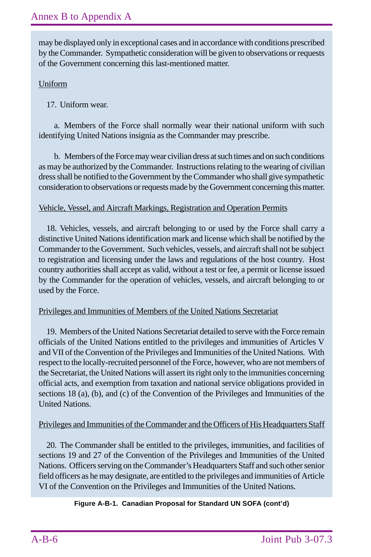may be displayed only in exceptional cases and in accordance with conditions prescribed by the Commander. Sympathetic consideration will be given to observations or requests of the Government concerning this last-mentioned matter.

## Uniform

17. Uniform wear.

a. Members of the Force shall normally wear their national uniform with such identifying United Nations insignia as the Commander may prescribe.

b. Members of the Force may wear civilian dress at such times and on such conditions as may be authorized by the Commander. Instructions relating to the wearing of civilian dress shall be notified to the Government by the Commander who shall give sympathetic consideration to observations or requests made by the Government concerning this matter.

## Vehicle, Vessel, and Aircraft Markings, Registration and Operation Permits

18. Vehicles, vessels, and aircraft belonging to or used by the Force shall carry a distinctive United Nations identification mark and license which shall be notified by the Commander to the Government. Such vehicles, vessels, and aircraft shall not be subject to registration and licensing under the laws and regulations of the host country. Host country authorities shall accept as valid, without a test or fee, a permit or license issued by the Commander for the operation of vehicles, vessels, and aircraft belonging to or used by the Force.

## Privileges and Immunities of Members of the United Nations Secretariat

19. Members of the United Nations Secretariat detailed to serve with the Force remain officials of the United Nations entitled to the privileges and immunities of Articles V and VII of the Convention of the Privileges and Immunities of the United Nations. With respect to the locally-recruited personnel of the Force, however, who are not members of the Secretariat, the United Nations will assert its right only to the immunities concerning official acts, and exemption from taxation and national service obligations provided in sections 18 (a), (b), and (c) of the Convention of the Privileges and Immunities of the United Nations.

# Privileges and Immunities of the Commander and the Officers of His Headquarters Staff

20. The Commander shall be entitled to the privileges, immunities, and facilities of sections 19 and 27 of the Convention of the Privileges and Immunities of the United Nations. Officers serving on the Commander's Headquarters Staff and such other senior field officers as he may designate, are entitled to the privileges and immunities of Article VI of the Convention on the Privileges and Immunities of the United Nations.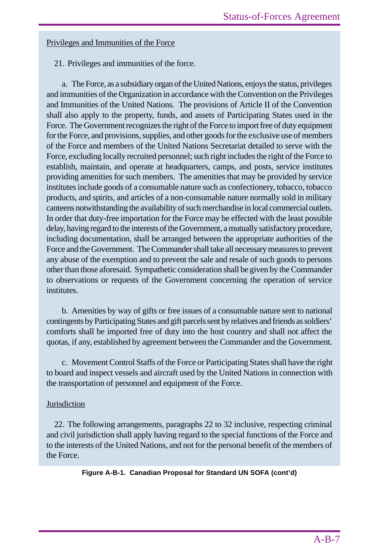#### Privileges and Immunities of the Force

21. Privileges and immunities of the force.

a. The Force, as a subsidiary organ of the United Nations, enjoys the status, privileges and immunities of the Organization in accordance with the Convention on the Privileges and Immunities of the United Nations. The provisions of Article II of the Convention shall also apply to the property, funds, and assets of Participating States used in the Force. The Government recognizes the right of the Force to import free of duty equipment for the Force, and provisions, supplies, and other goods for the exclusive use of members of the Force and members of the United Nations Secretariat detailed to serve with the Force, excluding locally recruited personnel; such right includes the right of the Force to establish, maintain, and operate at headquarters, camps, and posts, service institutes providing amenities for such members. The amenities that may be provided by service institutes include goods of a consumable nature such as confectionery, tobacco, tobacco products, and spirits, and articles of a non-consumable nature normally sold in military canteens notwithstanding the availability of such merchandise in local commercial outlets. In order that duty-free importation for the Force may be effected with the least possible delay, having regard to the interests of the Government, a mutually satisfactory procedure, including documentation, shall be arranged between the appropriate authorities of the Force and the Government. The Commander shall take all necessary measures to prevent any abuse of the exemption and to prevent the sale and resale of such goods to persons other than those aforesaid. Sympathetic consideration shall be given by the Commander to observations or requests of the Government concerning the operation of service institutes.

b. Amenities by way of gifts or free issues of a consumable nature sent to national contingents by Participating States and gift parcels sent by relatives and friends as soldiers' comforts shall be imported free of duty into the host country and shall not affect the quotas, if any, established by agreement between the Commander and the Government.

c. Movement Control Staffs of the Force or Participating States shall have the right to board and inspect vessels and aircraft used by the United Nations in connection with the transportation of personnel and equipment of the Force.

#### **Jurisdiction**

22. The following arrangements, paragraphs 22 to 32 inclusive, respecting criminal and civil jurisdiction shall apply having regard to the special functions of the Force and to the interests of the United Nations, and not for the personal benefit of the members of the Force.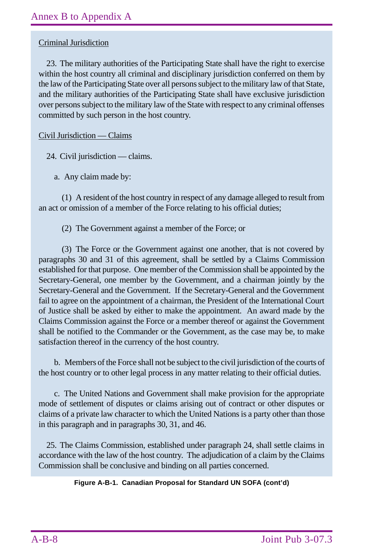### Criminal Jurisdiction

23. The military authorities of the Participating State shall have the right to exercise within the host country all criminal and disciplinary jurisdiction conferred on them by the law of the Participating State over all persons subject to the military law of that State, and the military authorities of the Participating State shall have exclusive jurisdiction over persons subject to the military law of the State with respect to any criminal offenses committed by such person in the host country.

Civil Jurisdiction — Claims

24. Civil jurisdiction — claims.

a. Any claim made by:

(1) A resident of the host country in respect of any damage alleged to result from an act or omission of a member of the Force relating to his official duties;

(2) The Government against a member of the Force; or

(3) The Force or the Government against one another, that is not covered by paragraphs 30 and 31 of this agreement, shall be settled by a Claims Commission established for that purpose. One member of the Commission shall be appointed by the Secretary-General, one member by the Government, and a chairman jointly by the Secretary-General and the Government. If the Secretary-General and the Government fail to agree on the appointment of a chairman, the President of the International Court of Justice shall be asked by either to make the appointment. An award made by the Claims Commission against the Force or a member thereof or against the Government shall be notified to the Commander or the Government, as the case may be, to make satisfaction thereof in the currency of the host country.

b. Members of the Force shall not be subject to the civil jurisdiction of the courts of the host country or to other legal process in any matter relating to their official duties.

c. The United Nations and Government shall make provision for the appropriate mode of settlement of disputes or claims arising out of contract or other disputes or claims of a private law character to which the United Nations is a party other than those in this paragraph and in paragraphs 30, 31, and 46.

25. The Claims Commission, established under paragraph 24, shall settle claims in accordance with the law of the host country. The adjudication of a claim by the Claims Commission shall be conclusive and binding on all parties concerned.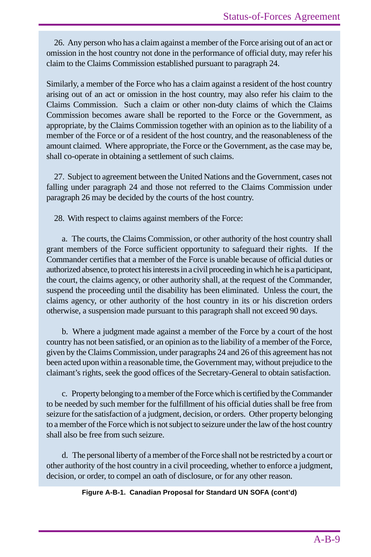26. Any person who has a claim against a member of the Force arising out of an act or omission in the host country not done in the performance of official duty, may refer his claim to the Claims Commission established pursuant to paragraph 24.

Similarly, a member of the Force who has a claim against a resident of the host country arising out of an act or omission in the host country, may also refer his claim to the Claims Commission. Such a claim or other non-duty claims of which the Claims Commission becomes aware shall be reported to the Force or the Government, as appropriate, by the Claims Commission together with an opinion as to the liability of a member of the Force or of a resident of the host country, and the reasonableness of the amount claimed. Where appropriate, the Force or the Government, as the case may be, shall co-operate in obtaining a settlement of such claims.

27. Subject to agreement between the United Nations and the Government, cases not falling under paragraph 24 and those not referred to the Claims Commission under paragraph 26 may be decided by the courts of the host country.

28. With respect to claims against members of the Force:

a. The courts, the Claims Commission, or other authority of the host country shall grant members of the Force sufficient opportunity to safeguard their rights. If the Commander certifies that a member of the Force is unable because of official duties or authorized absence, to protect his interests in a civil proceeding in which he is a participant, the court, the claims agency, or other authority shall, at the request of the Commander, suspend the proceeding until the disability has been eliminated. Unless the court, the claims agency, or other authority of the host country in its or his discretion orders otherwise, a suspension made pursuant to this paragraph shall not exceed 90 days.

b. Where a judgment made against a member of the Force by a court of the host country has not been satisfied, or an opinion as to the liability of a member of the Force, given by the Claims Commission, under paragraphs 24 and 26 of this agreement has not been acted upon within a reasonable time, the Government may, without prejudice to the claimant's rights, seek the good offices of the Secretary-General to obtain satisfaction.

c. Property belonging to a member of the Force which is certified by the Commander to be needed by such member for the fulfillment of his official duties shall be free from seizure for the satisfaction of a judgment, decision, or orders. Other property belonging to a member of the Force which is not subject to seizure under the law of the host country shall also be free from such seizure.

d. The personal liberty of a member of the Force shall not be restricted by a court or other authority of the host country in a civil proceeding, whether to enforce a judgment, decision, or order, to compel an oath of disclosure, or for any other reason.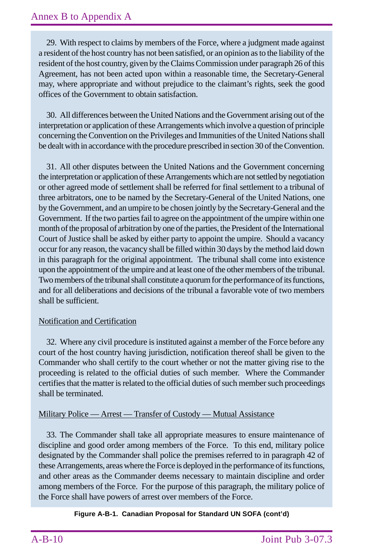29. With respect to claims by members of the Force, where a judgment made against a resident of the host country has not been satisfied, or an opinion as to the liability of the resident of the host country, given by the Claims Commission under paragraph 26 of this Agreement, has not been acted upon within a reasonable time, the Secretary-General may, where appropriate and without prejudice to the claimant's rights, seek the good offices of the Government to obtain satisfaction.

30. All differences between the United Nations and the Government arising out of the interpretation or application of these Arrangements which involve a question of principle concerning the Convention on the Privileges and Immunities of the United Nations shall be dealt with in accordance with the procedure prescribed in section 30 of the Convention.

31. All other disputes between the United Nations and the Government concerning the interpretation or application of these Arrangements which are not settled by negotiation or other agreed mode of settlement shall be referred for final settlement to a tribunal of three arbitrators, one to be named by the Secretary-General of the United Nations, one by the Government, and an umpire to be chosen jointly by the Secretary-General and the Government. If the two parties fail to agree on the appointment of the umpire within one month of the proposal of arbitration by one of the parties, the President of the International Court of Justice shall be asked by either party to appoint the umpire. Should a vacancy occur for any reason, the vacancy shall be filled within 30 days by the method laid down in this paragraph for the original appointment. The tribunal shall come into existence upon the appointment of the umpire and at least one of the other members of the tribunal. Two members of the tribunal shall constitute a quorum for the performance of its functions, and for all deliberations and decisions of the tribunal a favorable vote of two members shall be sufficient.

## Notification and Certification

32. Where any civil procedure is instituted against a member of the Force before any court of the host country having jurisdiction, notification thereof shall be given to the Commander who shall certify to the court whether or not the matter giving rise to the proceeding is related to the official duties of such member. Where the Commander certifies that the matter is related to the official duties of such member such proceedings shall be terminated.

## Military Police — Arrest — Transfer of Custody — Mutual Assistance

33. The Commander shall take all appropriate measures to ensure maintenance of discipline and good order among members of the Force. To this end, military police designated by the Commander shall police the premises referred to in paragraph 42 of these Arrangements, areas where the Force is deployed in the performance of its functions, and other areas as the Commander deems necessary to maintain discipline and order among members of the Force. For the purpose of this paragraph, the military police of the Force shall have powers of arrest over members of the Force.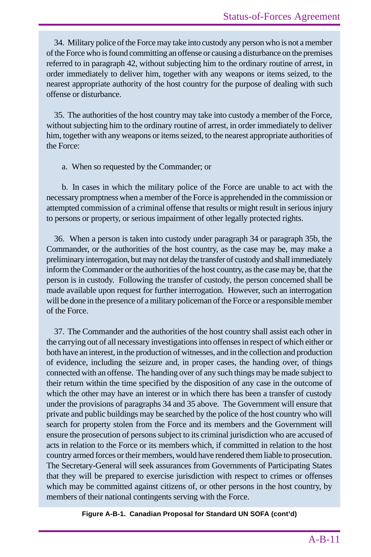34. Military police of the Force may take into custody any person who is not a member of the Force who is found committing an offense or causing a disturbance on the premises referred to in paragraph 42, without subjecting him to the ordinary routine of arrest, in order immediately to deliver him, together with any weapons or items seized, to the nearest appropriate authority of the host country for the purpose of dealing with such offense or disturbance.

35. The authorities of the host country may take into custody a member of the Force, without subjecting him to the ordinary routine of arrest, in order immediately to deliver him, together with any weapons or items seized, to the nearest appropriate authorities of the Force:

a. When so requested by the Commander; or

b. In cases in which the military police of the Force are unable to act with the necessary promptness when a member of the Force is apprehended in the commission or attempted commission of a criminal offense that results or might result in serious injury to persons or property, or serious impairment of other legally protected rights.

36. When a person is taken into custody under paragraph 34 or paragraph 35b, the Commander, or the authorities of the host country, as the case may be, may make a preliminary interrogation, but may not delay the transfer of custody and shall immediately inform the Commander or the authorities of the host country, as the case may be, that the person is in custody. Following the transfer of custody, the person concerned shall be made available upon request for further interrogation. However, such an interrogation will be done in the presence of a military policeman of the Force or a responsible member of the Force.

37. The Commander and the authorities of the host country shall assist each other in the carrying out of all necessary investigations into offenses in respect of which either or both have an interest, in the production of witnesses, and in the collection and production of evidence, including the seizure and, in proper cases, the handing over, of things connected with an offense. The handing over of any such things may be made subject to their return within the time specified by the disposition of any case in the outcome of which the other may have an interest or in which there has been a transfer of custody under the provisions of paragraphs 34 and 35 above. The Government will ensure that private and public buildings may be searched by the police of the host country who will search for property stolen from the Force and its members and the Government will ensure the prosecution of persons subject to its criminal jurisdiction who are accused of acts in relation to the Force or its members which, if committed in relation to the host country armed forces or their members, would have rendered them liable to prosecution. The Secretary-General will seek assurances from Governments of Participating States that they will be prepared to exercise jurisdiction with respect to crimes or offenses which may be committed against citizens of, or other persons in the host country, by members of their national contingents serving with the Force.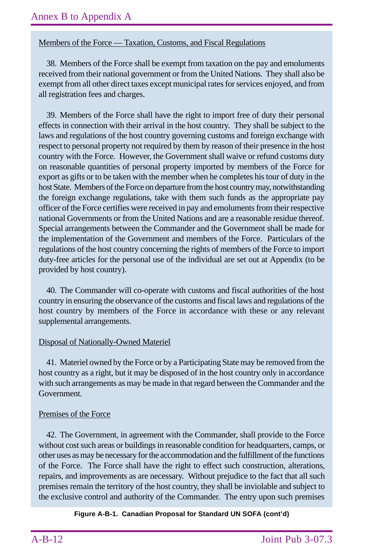## Members of the Force — Taxation, Customs, and Fiscal Regulations

38. Members of the Force shall be exempt from taxation on the pay and emoluments received from their national government or from the United Nations. They shall also be exempt from all other direct taxes except municipal rates for services enjoyed, and from all registration fees and charges.

39. Members of the Force shall have the right to import free of duty their personal effects in connection with their arrival in the host country. They shall be subject to the laws and regulations of the host country governing customs and foreign exchange with respect to personal property not required by them by reason of their presence in the host country with the Force. However, the Government shall waive or refund customs duty on reasonable quantities of personal property imported by members of the Force for export as gifts or to be taken with the member when he completes his tour of duty in the host State. Members of the Force on departure from the host country may, notwithstanding the foreign exchange regulations, take with them such funds as the appropriate pay officer of the Force certifies were received in pay and emoluments from their respective national Governments or from the United Nations and are a reasonable residue thereof. Special arrangements between the Commander and the Government shall be made for the implementation of the Government and members of the Force. Particulars of the regulations of the host country concerning the rights of members of the Force to import duty-free articles for the personal use of the individual are set out at Appendix (to be provided by host country).

40. The Commander will co-operate with customs and fiscal authorities of the host country in ensuring the observance of the customs and fiscal laws and regulations of the host country by members of the Force in accordance with these or any relevant supplemental arrangements.

## Disposal of Nationally-Owned Materiel

41. Materiel owned by the Force or by a Participating State may be removed from the host country as a right, but it may be disposed of in the host country only in accordance with such arrangements as may be made in that regard between the Commander and the Government.

### Premises of the Force

42. The Government, in agreement with the Commander, shall provide to the Force without cost such areas or buildings in reasonable condition for headquarters, camps, or other uses as may be necessary for the accommodation and the fulfillment of the functions of the Force. The Force shall have the right to effect such construction, alterations, repairs, and improvements as are necessary. Without prejudice to the fact that all such premises remain the territory of the host country, they shall be inviolable and subject to the exclusive control and authority of the Commander. The entry upon such premises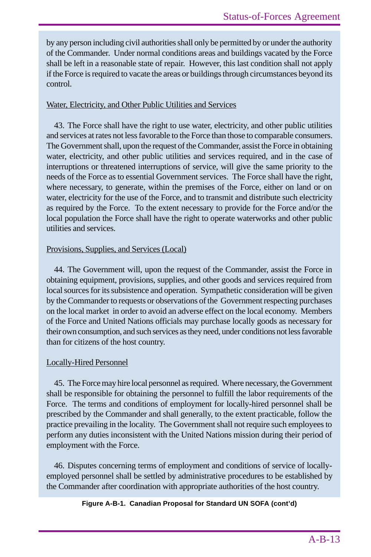by any person including civil authorities shall only be permitted by or under the authority of the Commander. Under normal conditions areas and buildings vacated by the Force shall be left in a reasonable state of repair. However, this last condition shall not apply if the Force is required to vacate the areas or buildings through circumstances beyond its control.

#### Water, Electricity, and Other Public Utilities and Services

43. The Force shall have the right to use water, electricity, and other public utilities and services at rates not less favorable to the Force than those to comparable consumers. The Government shall, upon the request of the Commander, assist the Force in obtaining water, electricity, and other public utilities and services required, and in the case of interruptions or threatened interruptions of service, will give the same priority to the needs of the Force as to essential Government services. The Force shall have the right, where necessary, to generate, within the premises of the Force, either on land or on water, electricity for the use of the Force, and to transmit and distribute such electricity as required by the Force. To the extent necessary to provide for the Force and/or the local population the Force shall have the right to operate waterworks and other public utilities and services.

#### Provisions, Supplies, and Services (Local)

44. The Government will, upon the request of the Commander, assist the Force in obtaining equipment, provisions, supplies, and other goods and services required from local sources for its subsistence and operation. Sympathetic consideration will be given by the Commander to requests or observations of the Government respecting purchases on the local market in order to avoid an adverse effect on the local economy. Members of the Force and United Nations officials may purchase locally goods as necessary for their own consumption, and such services as they need, under conditions not less favorable than for citizens of the host country.

#### Locally-Hired Personnel

45. The Force may hire local personnel as required. Where necessary, the Government shall be responsible for obtaining the personnel to fulfill the labor requirements of the Force. The terms and conditions of employment for locally-hired personnel shall be prescribed by the Commander and shall generally, to the extent practicable, follow the practice prevailing in the locality. The Government shall not require such employees to perform any duties inconsistent with the United Nations mission during their period of employment with the Force.

46. Disputes concerning terms of employment and conditions of service of locallyemployed personnel shall be settled by administrative procedures to be established by the Commander after coordination with appropriate authorities of the host country.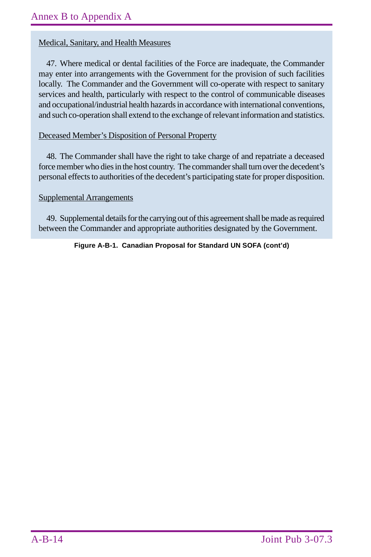## Medical, Sanitary, and Health Measures

47. Where medical or dental facilities of the Force are inadequate, the Commander may enter into arrangements with the Government for the provision of such facilities locally. The Commander and the Government will co-operate with respect to sanitary services and health, particularly with respect to the control of communicable diseases and occupational/industrial health hazards in accordance with international conventions, and such co-operation shall extend to the exchange of relevant information and statistics.

### Deceased Member's Disposition of Personal Property

48. The Commander shall have the right to take charge of and repatriate a deceased force member who dies in the host country. The commander shall turn over the decedent's personal effects to authorities of the decedent's participating state for proper disposition.

### Supplemental Arrangements

49. Supplemental details for the carrying out of this agreement shall be made as required between the Commander and appropriate authorities designated by the Government.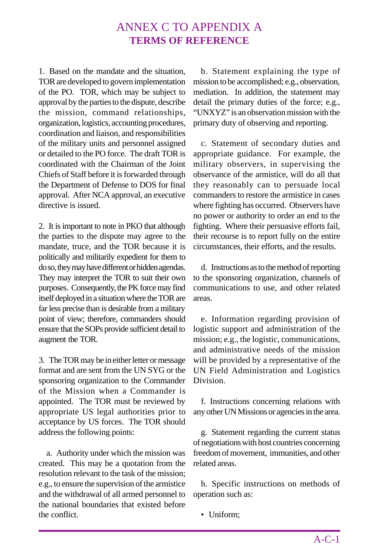# ANNEX C TO APPENDIX A **TERMS OF REFERENCE**

1. Based on the mandate and the situation, TOR are developed to govern implementation of the PO. TOR, which may be subject to approval by the parties to the dispute, describe the mission, command relationships, organization, logistics, accounting procedures, coordination and liaison, and responsibilities of the military units and personnel assigned or detailed to the PO force. The draft TOR is coordinated with the Chairman of the Joint Chiefs of Staff before it is forwarded through the Department of Defense to DOS for final approval. After NCA approval, an executive directive is issued.

2. It is important to note in PKO that although the parties to the dispute may agree to the mandate, truce, and the TOR because it is politically and militarily expedient for them to do so, they may have different or hidden agendas. They may interpret the TOR to suit their own purposes. Consequently, the PK force may find itself deployed in a situation where the TOR are far less precise than is desirable from a military point of view; therefore, commanders should ensure that the SOPs provide sufficient detail to augment the TOR.

3. The TOR may be in either letter or message format and are sent from the UN SYG or the sponsoring organization to the Commander of the Mission when a Commander is appointed. The TOR must be reviewed by appropriate US legal authorities prior to acceptance by US forces. The TOR should address the following points:

a. Authority under which the mission was created. This may be a quotation from the resolution relevant to the task of the mission; e.g., to ensure the supervision of the armistice and the withdrawal of all armed personnel to the national boundaries that existed before the conflict.

b. Statement explaining the type of mission to be accomplished; e.g., observation, mediation. In addition, the statement may detail the primary duties of the force; e.g., "UNXYZ" is an observation mission with the primary duty of observing and reporting.

c. Statement of secondary duties and appropriate guidance. For example, the military observers, in supervising the observance of the armistice, will do all that they reasonably can to persuade local commanders to restore the armistice in cases where fighting has occurred. Observers have no power or authority to order an end to the fighting. Where their persuasive efforts fail, their recourse is to report fully on the entire circumstances, their efforts, and the results.

d. Instructions as to the method of reporting to the sponsoring organization, channels of communications to use, and other related areas.

e. Information regarding provision of logistic support and administration of the mission; e.g., the logistic, communications, and administrative needs of the mission will be provided by a representative of the UN Field Administration and Logistics Division.

f. Instructions concerning relations with any other UN Missions or agencies in the area.

g. Statement regarding the current status of negotiations with host countries concerning freedom of movement, immunities, and other related areas.

h. Specific instructions on methods of operation such as:

• Uniform;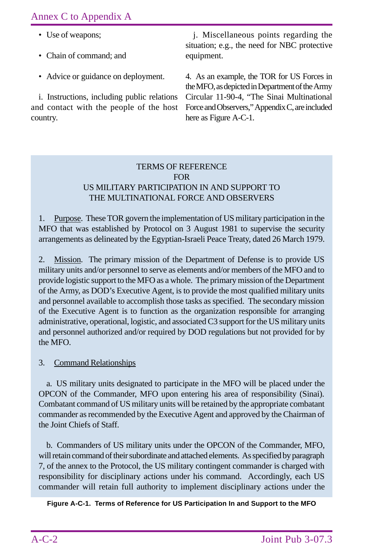# Annex C to Appendix A

- Use of weapons;
- Chain of command; and
- Advice or guidance on deployment.

i. Instructions, including public relations and contact with the people of the host country.

j. Miscellaneous points regarding the situation; e.g., the need for NBC protective equipment.

4. As an example, the TOR for US Forces in the MFO, as depicted in Department of the Army Circular 11-90-4, "The Sinai Multinational Force and Observers," Appendix C, are included here as Figure A-C-1.

# TERMS OF REFERENCE FOR US MILITARY PARTICIPATION IN AND SUPPORT TO THE MULTINATIONAL FORCE AND OBSERVERS

1. Purpose. These TOR govern the implementation of US military participation in the MFO that was established by Protocol on 3 August 1981 to supervise the security arrangements as delineated by the Egyptian-Israeli Peace Treaty, dated 26 March 1979.

2. Mission. The primary mission of the Department of Defense is to provide US military units and/or personnel to serve as elements and/or members of the MFO and to provide logistic support to the MFO as a whole. The primary mission of the Department of the Army, as DOD's Executive Agent, is to provide the most qualified military units and personnel available to accomplish those tasks as specified. The secondary mission of the Executive Agent is to function as the organization responsible for arranging administrative, operational, logistic, and associated C3 support for the US military units and personnel authorized and/or required by DOD regulations but not provided for by the MFO.

## 3. Command Relationships

a. US military units designated to participate in the MFO will be placed under the OPCON of the Commander, MFO upon entering his area of responsibility (Sinai). Combatant command of US military units will be retained by the appropriate combatant commander as recommended by the Executive Agent and approved by the Chairman of the Joint Chiefs of Staff.

b. Commanders of US military units under the OPCON of the Commander, MFO, will retain command of their subordinate and attached elements. As specified by paragraph 7, of the annex to the Protocol, the US military contingent commander is charged with responsibility for disciplinary actions under his command. Accordingly, each US commander will retain full authority to implement disciplinary actions under the

**Figure A-C-1. Terms of Reference for US Participation In and Support to the MFO**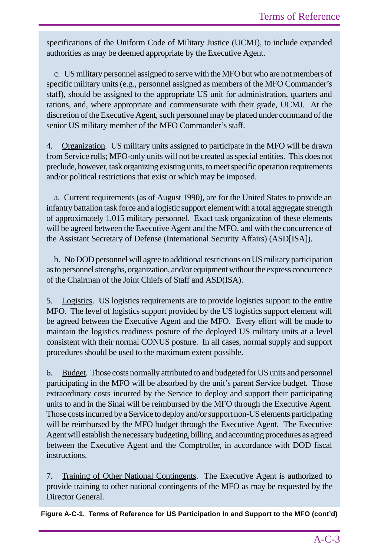specifications of the Uniform Code of Military Justice (UCMJ), to include expanded authorities as may be deemed appropriate by the Executive Agent.

c. US military personnel assigned to serve with the MFO but who are not members of specific military units (e.g., personnel assigned as members of the MFO Commander's staff), should be assigned to the appropriate US unit for administration, quarters and rations, and, where appropriate and commensurate with their grade, UCMJ. At the discretion of the Executive Agent, such personnel may be placed under command of the senior US military member of the MFO Commander's staff.

4. Organization. US military units assigned to participate in the MFO will be drawn from Service rolls; MFO-only units will not be created as special entities. This does not preclude, however, task organizing existing units, to meet specific operation requirements and/or political restrictions that exist or which may be imposed.

a. Current requirements (as of August 1990), are for the United States to provide an infantry battalion task force and a logistic support element with a total aggregate strength of approximately 1,015 military personnel. Exact task organization of these elements will be agreed between the Executive Agent and the MFO, and with the concurrence of the Assistant Secretary of Defense (International Security Affairs) (ASD[ISA]).

b. No DOD personnel will agree to additional restrictions on US military participation as to personnel strengths, organization, and/or equipment without the express concurrence of the Chairman of the Joint Chiefs of Staff and ASD(ISA).

5. Logistics. US logistics requirements are to provide logistics support to the entire MFO. The level of logistics support provided by the US logistics support element will be agreed between the Executive Agent and the MFO. Every effort will be made to maintain the logistics readiness posture of the deployed US military units at a level consistent with their normal CONUS posture. In all cases, normal supply and support procedures should be used to the maximum extent possible.

6. Budget. Those costs normally attributed to and budgeted for US units and personnel participating in the MFO will be absorbed by the unit's parent Service budget. Those extraordinary costs incurred by the Service to deploy and support their participating units to and in the Sinai will be reimbursed by the MFO through the Executive Agent. Those costs incurred by a Service to deploy and/or support non-US elements participating will be reimbursed by the MFO budget through the Executive Agent. The Executive Agent will establish the necessary budgeting, billing, and accounting procedures as agreed between the Executive Agent and the Comptroller, in accordance with DOD fiscal instructions.

7. Training of Other National Contingents. The Executive Agent is authorized to provide training to other national contingents of the MFO as may be requested by the Director General.

**Figure A-C-1. Terms of Reference for US Participation In and Support to the MFO (cont'd)**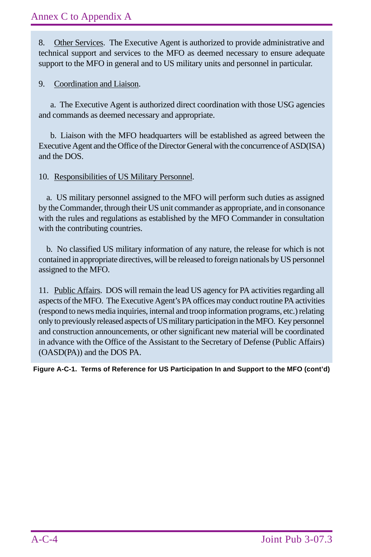8. Other Services. The Executive Agent is authorized to provide administrative and technical support and services to the MFO as deemed necessary to ensure adequate support to the MFO in general and to US military units and personnel in particular.

## 9. Coordination and Liaison.

a. The Executive Agent is authorized direct coordination with those USG agencies and commands as deemed necessary and appropriate.

b. Liaison with the MFO headquarters will be established as agreed between the Executive Agent and the Office of the Director General with the concurrence of ASD(ISA) and the DOS.

## 10. Responsibilities of US Military Personnel.

a. US military personnel assigned to the MFO will perform such duties as assigned by the Commander, through their US unit commander as appropriate, and in consonance with the rules and regulations as established by the MFO Commander in consultation with the contributing countries.

b. No classified US military information of any nature, the release for which is not contained in appropriate directives, will be released to foreign nationals by US personnel assigned to the MFO.

11. Public Affairs. DOS will remain the lead US agency for PA activities regarding all aspects of the MFO. The Executive Agent's PA offices may conduct routine PA activities (respond to news media inquiries, internal and troop information programs, etc.) relating only to previously released aspects of US military participation in the MFO. Key personnel and construction announcements, or other significant new material will be coordinated in advance with the Office of the Assistant to the Secretary of Defense (Public Affairs) (OASD(PA)) and the DOS PA.

**Figure A-C-1. Terms of Reference for US Participation In and Support to the MFO (cont'd)**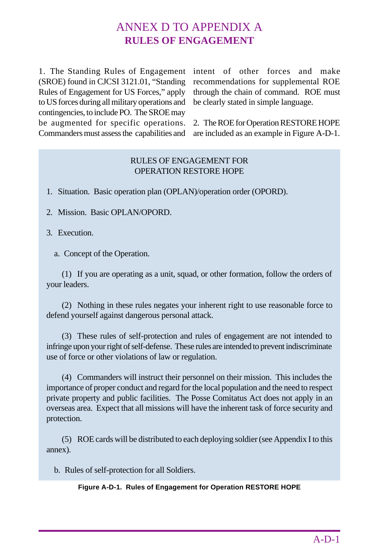# ANNEX D TO APPENDIX A **RULES OF ENGAGEMENT**

1. The Standing Rules of Engagement (SROE) found in CJCSI 3121.01, "Standing Rules of Engagement for US Forces," apply to US forces during all military operations and contingencies, to include PO. The SROE may be augmented for specific operations. Commanders must assess the capabilities and

intent of other forces and make recommendations for supplemental ROE through the chain of command. ROE must be clearly stated in simple language.

2. The ROE for Operation RESTORE HOPE are included as an example in Figure A-D-1.

### RULES OF ENGAGEMENT FOR OPERATION RESTORE HOPE

1. Situation. Basic operation plan (OPLAN)/operation order (OPORD).

2. Mission. Basic OPLAN/OPORD.

3. Execution.

a. Concept of the Operation.

(1) If you are operating as a unit, squad, or other formation, follow the orders of your leaders.

(2) Nothing in these rules negates your inherent right to use reasonable force to defend yourself against dangerous personal attack.

(3) These rules of self-protection and rules of engagement are not intended to infringe upon your right of self-defense. These rules are intended to prevent indiscriminate use of force or other violations of law or regulation.

(4) Commanders will instruct their personnel on their mission. This includes the importance of proper conduct and regard for the local population and the need to respect private property and public facilities. The Posse Comitatus Act does not apply in an overseas area. Expect that all missions will have the inherent task of force security and protection.

(5) ROE cards will be distributed to each deploying soldier (see Appendix I to this annex).

b. Rules of self-protection for all Soldiers.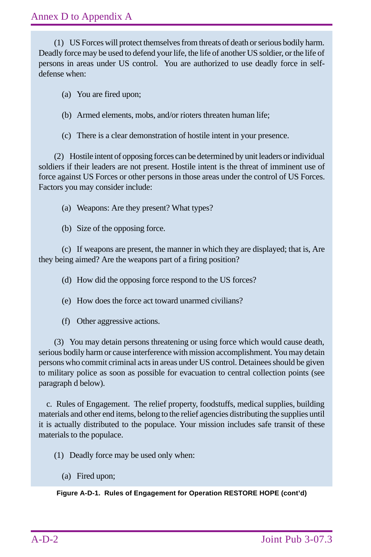(1) US Forces will protect themselves from threats of death or serious bodily harm. Deadly force may be used to defend your life, the life of another US soldier, or the life of persons in areas under US control. You are authorized to use deadly force in selfdefense when:

- (a) You are fired upon;
- (b) Armed elements, mobs, and/or rioters threaten human life;
- (c) There is a clear demonstration of hostile intent in your presence.

(2) Hostile intent of opposing forces can be determined by unit leaders or individual soldiers if their leaders are not present. Hostile intent is the threat of imminent use of force against US Forces or other persons in those areas under the control of US Forces. Factors you may consider include:

- (a) Weapons: Are they present? What types?
- (b) Size of the opposing force.

(c) If weapons are present, the manner in which they are displayed; that is, Are they being aimed? Are the weapons part of a firing position?

(d) How did the opposing force respond to the US forces?

- (e) How does the force act toward unarmed civilians?
- (f) Other aggressive actions.

(3) You may detain persons threatening or using force which would cause death, serious bodily harm or cause interference with mission accomplishment. You may detain persons who commit criminal acts in areas under US control. Detainees should be given to military police as soon as possible for evacuation to central collection points (see paragraph d below).

c. Rules of Engagement. The relief property, foodstuffs, medical supplies, building materials and other end items, belong to the relief agencies distributing the supplies until it is actually distributed to the populace. Your mission includes safe transit of these materials to the populace.

- (1) Deadly force may be used only when:
	- (a) Fired upon;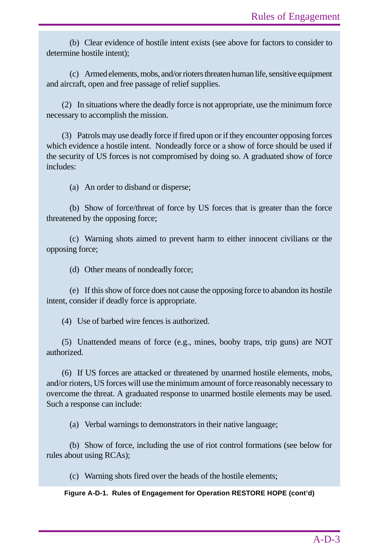(b) Clear evidence of hostile intent exists (see above for factors to consider to determine hostile intent);

(c) Armed elements, mobs, and/or rioters threaten human life, sensitive equipment and aircraft, open and free passage of relief supplies.

(2) In situations where the deadly force is not appropriate, use the minimum force necessary to accomplish the mission.

(3) Patrols may use deadly force if fired upon or if they encounter opposing forces which evidence a hostile intent. Nondeadly force or a show of force should be used if the security of US forces is not compromised by doing so. A graduated show of force includes:

(a) An order to disband or disperse;

(b) Show of force/threat of force by US forces that is greater than the force threatened by the opposing force;

(c) Warning shots aimed to prevent harm to either innocent civilians or the opposing force;

(d) Other means of nondeadly force;

(e) If this show of force does not cause the opposing force to abandon its hostile intent, consider if deadly force is appropriate.

(4) Use of barbed wire fences is authorized.

(5) Unattended means of force (e.g., mines, booby traps, trip guns) are NOT authorized.

(6) If US forces are attacked or threatened by unarmed hostile elements, mobs, and/or rioters, US forces will use the minimum amount of force reasonably necessary to overcome the threat. A graduated response to unarmed hostile elements may be used. Such a response can include:

(a) Verbal warnings to demonstrators in their native language;

(b) Show of force, including the use of riot control formations (see below for rules about using RCAs);

(c) Warning shots fired over the heads of the hostile elements;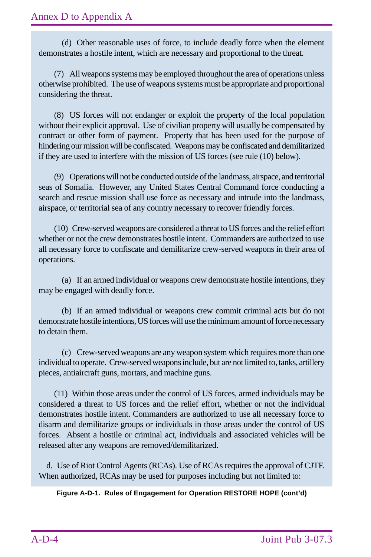(d) Other reasonable uses of force, to include deadly force when the element demonstrates a hostile intent, which are necessary and proportional to the threat.

(7) All weapons systems may be employed throughout the area of operations unless otherwise prohibited. The use of weapons systems must be appropriate and proportional considering the threat.

(8) US forces will not endanger or exploit the property of the local population without their explicit approval. Use of civilian property will usually be compensated by contract or other form of payment. Property that has been used for the purpose of hindering our mission will be confiscated. Weapons may be confiscated and demilitarized if they are used to interfere with the mission of US forces (see rule (10) below).

(9) Operations will not be conducted outside of the landmass, airspace, and territorial seas of Somalia. However, any United States Central Command force conducting a search and rescue mission shall use force as necessary and intrude into the landmass, airspace, or territorial sea of any country necessary to recover friendly forces.

(10) Crew-served weapons are considered a threat to US forces and the relief effort whether or not the crew demonstrates hostile intent. Commanders are authorized to use all necessary force to confiscate and demilitarize crew-served weapons in their area of operations.

(a) If an armed individual or weapons crew demonstrate hostile intentions, they may be engaged with deadly force.

(b) If an armed individual or weapons crew commit criminal acts but do not demonstrate hostile intentions, US forces will use the minimum amount of force necessary to detain them.

(c) Crew-served weapons are any weapon system which requires more than one individual to operate. Crew-served weapons include, but are not limited to, tanks, artillery pieces, antiaircraft guns, mortars, and machine guns.

(11) Within those areas under the control of US forces, armed individuals may be considered a threat to US forces and the relief effort, whether or not the individual demonstrates hostile intent. Commanders are authorized to use all necessary force to disarm and demilitarize groups or individuals in those areas under the control of US forces. Absent a hostile or criminal act, individuals and associated vehicles will be released after any weapons are removed/demilitarized.

d. Use of Riot Control Agents (RCAs). Use of RCAs requires the approval of CJTF. When authorized, RCAs may be used for purposes including but not limited to: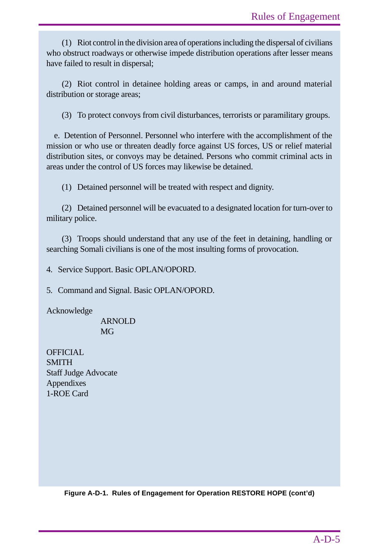(1) Riot control in the division area of operations including the dispersal of civilians who obstruct roadways or otherwise impede distribution operations after lesser means have failed to result in dispersal;

(2) Riot control in detainee holding areas or camps, in and around material distribution or storage areas;

(3) To protect convoys from civil disturbances, terrorists or paramilitary groups.

e. Detention of Personnel. Personnel who interfere with the accomplishment of the mission or who use or threaten deadly force against US forces, US or relief material distribution sites, or convoys may be detained. Persons who commit criminal acts in areas under the control of US forces may likewise be detained.

(1) Detained personnel will be treated with respect and dignity.

(2) Detained personnel will be evacuated to a designated location for turn-over to military police.

(3) Troops should understand that any use of the feet in detaining, handling or searching Somali civilians is one of the most insulting forms of provocation.

4. Service Support. Basic OPLAN/OPORD.

5. Command and Signal. Basic OPLAN/OPORD.

Acknowledge

ARNOLD MG

**OFFICIAL** SMITH Staff Judge Advocate Appendixes 1-ROE Card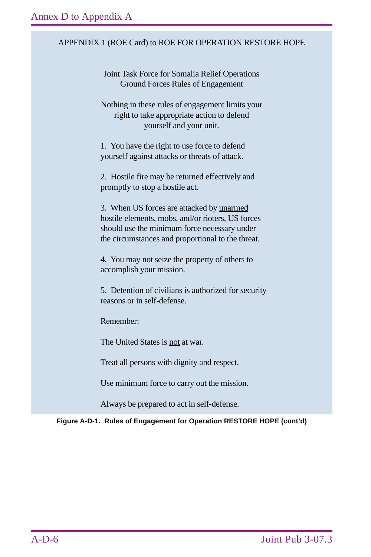#### APPENDIX 1 (ROE Card) to ROE FOR OPERATION RESTORE HOPE

Joint Task Force for Somalia Relief Operations Ground Forces Rules of Engagement

Nothing in these rules of engagement limits your right to take appropriate action to defend yourself and your unit.

1. You have the right to use force to defend yourself against attacks or threats of attack.

2. Hostile fire may be returned effectively and promptly to stop a hostile act.

3. When US forces are attacked by unarmed hostile elements, mobs, and/or rioters, US forces should use the minimum force necessary under the circumstances and proportional to the threat.

4. You may not seize the property of others to accomplish your mission.

5. Detention of civilians is authorized for security reasons or in self-defense.

Remember:

The United States is not at war.

Treat all persons with dignity and respect.

Use minimum force to carry out the mission.

Always be prepared to act in self-defense.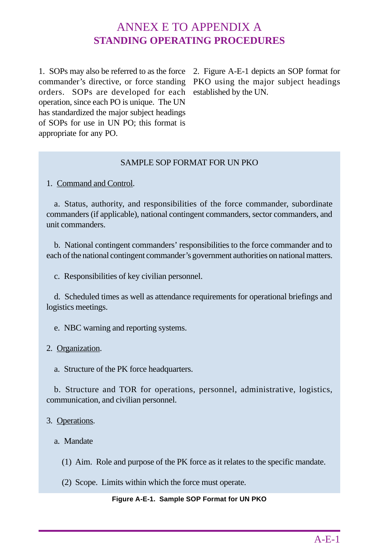# ANNEX E TO APPENDIX A **STANDING OPERATING PROCEDURES**

1. SOPs may also be referred to as the force 2. Figure A-E-1 depicts an SOP format for commander's directive, or force standing PKO using the major subject headings orders. SOPs are developed for each established by the UN. operation, since each PO is unique. The UN has standardized the major subject headings of SOPs for use in UN PO; this format is appropriate for any PO.

### SAMPLE SOP FORMAT FOR UN PKO

1. Command and Control.

a. Status, authority, and responsibilities of the force commander, subordinate commanders (if applicable), national contingent commanders, sector commanders, and unit commanders.

b. National contingent commanders' responsibilities to the force commander and to each of the national contingent commander's government authorities on national matters.

c. Responsibilities of key civilian personnel.

d. Scheduled times as well as attendance requirements for operational briefings and logistics meetings.

e. NBC warning and reporting systems.

2. Organization.

a. Structure of the PK force headquarters.

b. Structure and TOR for operations, personnel, administrative, logistics, communication, and civilian personnel.

3. Operations.

a. Mandate

(1) Aim. Role and purpose of the PK force as it relates to the specific mandate.

(2) Scope. Limits within which the force must operate.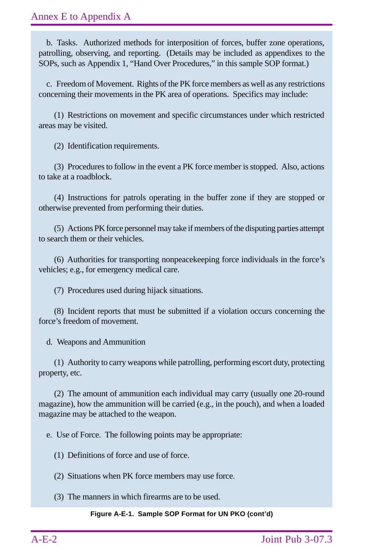# Annex E to Appendix A

b. Tasks. Authorized methods for interposition of forces, buffer zone operations, patrolling, observing, and reporting. (Details may be included as appendixes to the SOPs, such as Appendix 1, "Hand Over Procedures," in this sample SOP format.)

c. Freedom of Movement. Rights of the PK force members as well as any restrictions concerning their movements in the PK area of operations. Specifics may include:

(1) Restrictions on movement and specific circumstances under which restricted areas may be visited.

(2) Identification requirements.

(3) Procedures to follow in the event a PK force member is stopped. Also, actions to take at a roadblock.

(4) Instructions for patrols operating in the buffer zone if they are stopped or otherwise prevented from performing their duties.

(5) Actions PK force personnel may take if members of the disputing parties attempt to search them or their vehicles.

(6) Authorities for transporting nonpeacekeeping force individuals in the force's vehicles; e.g., for emergency medical care.

(7) Procedures used during hijack situations.

(8) Incident reports that must be submitted if a violation occurs concerning the force's freedom of movement.

d. Weapons and Ammunition

(1) Authority to carry weapons while patrolling, performing escort duty, protecting property, etc.

(2) The amount of ammunition each individual may carry (usually one 20-round magazine), how the ammunition will be carried (e.g., in the pouch), and when a loaded magazine may be attached to the weapon.

e. Use of Force. The following points may be appropriate:

(1) Definitions of force and use of force.

(2) Situations when PK force members may use force.

(3) The manners in which firearms are to be used.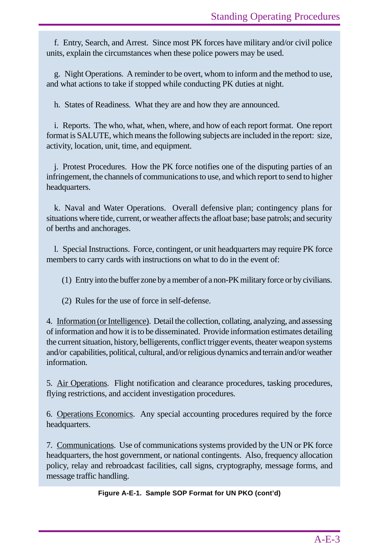f. Entry, Search, and Arrest. Since most PK forces have military and/or civil police units, explain the circumstances when these police powers may be used.

g. Night Operations. A reminder to be overt, whom to inform and the method to use, and what actions to take if stopped while conducting PK duties at night.

h. States of Readiness. What they are and how they are announced.

i. Reports. The who, what, when, where, and how of each report format. One report format is SALUTE, which means the following subjects are included in the report: size, activity, location, unit, time, and equipment.

j. Protest Procedures. How the PK force notifies one of the disputing parties of an infringement, the channels of communications to use, and which report to send to higher headquarters.

k. Naval and Water Operations. Overall defensive plan; contingency plans for situations where tide, current, or weather affects the afloat base; base patrols; and security of berths and anchorages.

l. Special Instructions. Force, contingent, or unit headquarters may require PK force members to carry cards with instructions on what to do in the event of:

(1) Entry into the buffer zone by a member of a non-PK military force or by civilians.

(2) Rules for the use of force in self-defense.

4. Information (or Intelligence). Detail the collection, collating, analyzing, and assessing of information and how it is to be disseminated. Provide information estimates detailing the current situation, history, belligerents, conflict trigger events, theater weapon systems and/or capabilities, political, cultural, and/or religious dynamics and terrain and/or weather information.

5. Air Operations. Flight notification and clearance procedures, tasking procedures, flying restrictions, and accident investigation procedures.

6. Operations Economics. Any special accounting procedures required by the force headquarters.

7. Communications. Use of communications systems provided by the UN or PK force headquarters, the host government, or national contingents. Also, frequency allocation policy, relay and rebroadcast facilities, call signs, cryptography, message forms, and message traffic handling.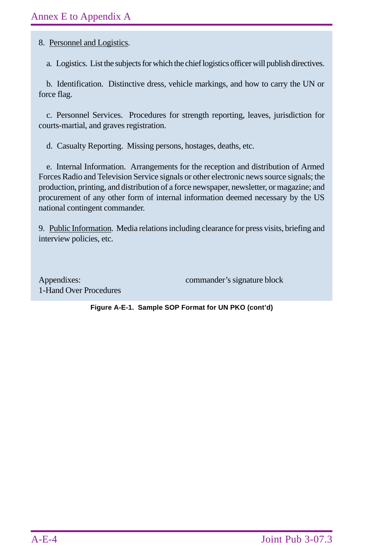8. Personnel and Logistics.

a. Logistics. List the subjects for which the chief logistics officer will publish directives.

b. Identification. Distinctive dress, vehicle markings, and how to carry the UN or force flag.

c. Personnel Services. Procedures for strength reporting, leaves, jurisdiction for courts-martial, and graves registration.

d. Casualty Reporting. Missing persons, hostages, deaths, etc.

e. Internal Information. Arrangements for the reception and distribution of Armed Forces Radio and Television Service signals or other electronic news source signals; the production, printing, and distribution of a force newspaper, newsletter, or magazine; and procurement of any other form of internal information deemed necessary by the US national contingent commander.

9. Public Information. Media relations including clearance for press visits, briefing and interview policies, etc.

1-Hand Over Procedures

Appendixes: commander's signature block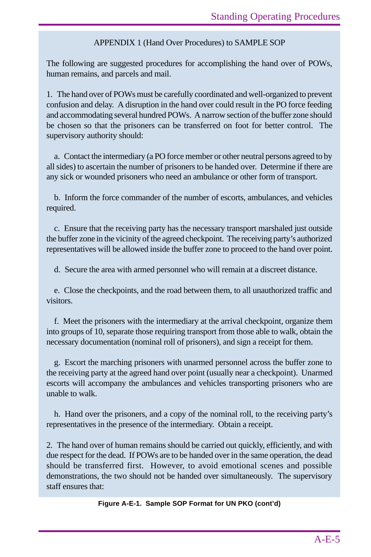#### APPENDIX 1 (Hand Over Procedures) to SAMPLE SOP

The following are suggested procedures for accomplishing the hand over of POWs, human remains, and parcels and mail.

1. The hand over of POWs must be carefully coordinated and well-organized to prevent confusion and delay. A disruption in the hand over could result in the PO force feeding and accommodating several hundred POWs. A narrow section of the buffer zone should be chosen so that the prisoners can be transferred on foot for better control. The supervisory authority should:

a. Contact the intermediary (a PO force member or other neutral persons agreed to by all sides) to ascertain the number of prisoners to be handed over. Determine if there are any sick or wounded prisoners who need an ambulance or other form of transport.

b. Inform the force commander of the number of escorts, ambulances, and vehicles required.

c. Ensure that the receiving party has the necessary transport marshaled just outside the buffer zone in the vicinity of the agreed checkpoint. The receiving party's authorized representatives will be allowed inside the buffer zone to proceed to the hand over point.

d. Secure the area with armed personnel who will remain at a discreet distance.

e. Close the checkpoints, and the road between them, to all unauthorized traffic and visitors.

f. Meet the prisoners with the intermediary at the arrival checkpoint, organize them into groups of 10, separate those requiring transport from those able to walk, obtain the necessary documentation (nominal roll of prisoners), and sign a receipt for them.

g. Escort the marching prisoners with unarmed personnel across the buffer zone to the receiving party at the agreed hand over point (usually near a checkpoint). Unarmed escorts will accompany the ambulances and vehicles transporting prisoners who are unable to walk.

h. Hand over the prisoners, and a copy of the nominal roll, to the receiving party's representatives in the presence of the intermediary. Obtain a receipt.

2. The hand over of human remains should be carried out quickly, efficiently, and with due respect for the dead. If POWs are to be handed over in the same operation, the dead should be transferred first. However, to avoid emotional scenes and possible demonstrations, the two should not be handed over simultaneously. The supervisory staff ensures that: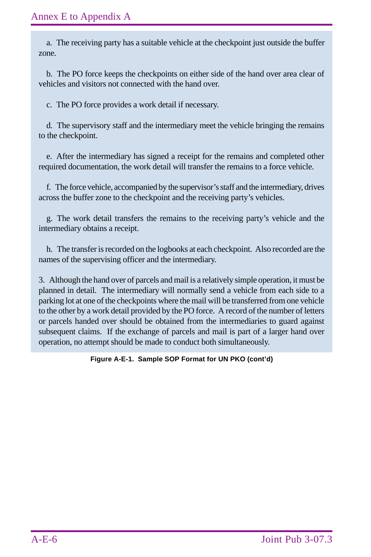a. The receiving party has a suitable vehicle at the checkpoint just outside the buffer zone.

b. The PO force keeps the checkpoints on either side of the hand over area clear of vehicles and visitors not connected with the hand over.

c. The PO force provides a work detail if necessary.

d. The supervisory staff and the intermediary meet the vehicle bringing the remains to the checkpoint.

e. After the intermediary has signed a receipt for the remains and completed other required documentation, the work detail will transfer the remains to a force vehicle.

f. The force vehicle, accompanied by the supervisor's staff and the intermediary, drives across the buffer zone to the checkpoint and the receiving party's vehicles.

g. The work detail transfers the remains to the receiving party's vehicle and the intermediary obtains a receipt.

h. The transfer is recorded on the logbooks at each checkpoint. Also recorded are the names of the supervising officer and the intermediary.

3. Although the hand over of parcels and mail is a relatively simple operation, it must be planned in detail. The intermediary will normally send a vehicle from each side to a parking lot at one of the checkpoints where the mail will be transferred from one vehicle to the other by a work detail provided by the PO force. A record of the number of letters or parcels handed over should be obtained from the intermediaries to guard against subsequent claims. If the exchange of parcels and mail is part of a larger hand over operation, no attempt should be made to conduct both simultaneously.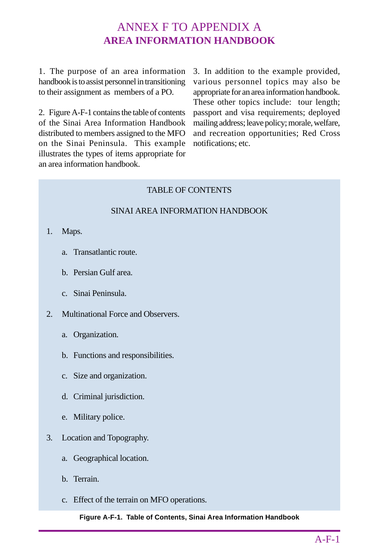# ANNEX F TO APPENDIX A **AREA INFORMATION HANDBOOK**

1. The purpose of an area information handbook is to assist personnel in transitioning to their assignment as members of a PO.

2. Figure A-F-1 contains the table of contents of the Sinai Area Information Handbook distributed to members assigned to the MFO on the Sinai Peninsula. This example illustrates the types of items appropriate for an area information handbook.

3. In addition to the example provided, various personnel topics may also be appropriate for an area information handbook. These other topics include: tour length; passport and visa requirements; deployed mailing address; leave policy; morale, welfare, and recreation opportunities; Red Cross notifications; etc.

# TABLE OF CONTENTS

## SINAI AREA INFORMATION HANDBOOK

- 1. Maps.
	- a. Transatlantic route.
	- b. Persian Gulf area.
	- c. Sinai Peninsula.
- 2. Multinational Force and Observers.
	- a. Organization.
	- b. Functions and responsibilities.
	- c. Size and organization.
	- d. Criminal jurisdiction.
	- e. Military police.
- 3. Location and Topography.
	- a. Geographical location.
	- b. Terrain.
	- c. Effect of the terrain on MFO operations.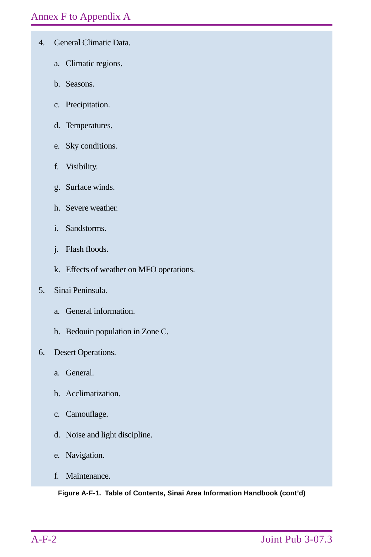|  |  | General Climatic Data. |  |
|--|--|------------------------|--|
|--|--|------------------------|--|

- a. Climatic regions.
- b. Seasons.
- c. Precipitation.
- d. Temperatures.
- e. Sky conditions.
- f. Visibility.
- g. Surface winds.
- h. Severe weather.
- i. Sandstorms.
- j. Flash floods.
- k. Effects of weather on MFO operations.

## 5. Sinai Peninsula.

- a. General information.
- b. Bedouin population in Zone C.

# 6. Desert Operations.

- a. General.
- b. Acclimatization.
- c. Camouflage.
- d. Noise and light discipline.
- e. Navigation.
- f. Maintenance.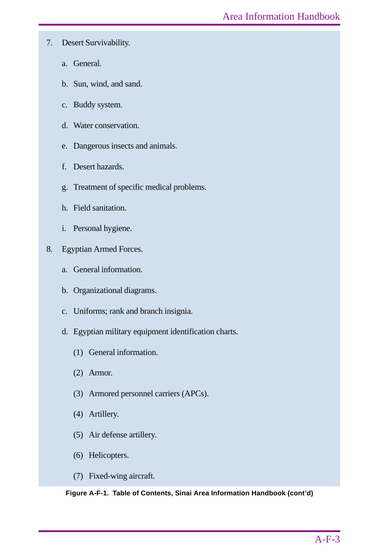- 7. Desert Survivability.
	- a. General.
	- b. Sun, wind, and sand.
	- c. Buddy system.
	- d. Water conservation.
	- e. Dangerous insects and animals.
	- f. Desert hazards.
	- g. Treatment of specific medical problems.
	- h. Field sanitation.
	- i. Personal hygiene.
- 8. Egyptian Armed Forces.
	- a. General information.
	- b. Organizational diagrams.
	- c. Uniforms; rank and branch insignia.
	- d. Egyptian military equipment identification charts.
		- (1) General information.
		- (2) Armor.
		- (3) Armored personnel carriers (APCs).
		- (4) Artillery.
		- (5) Air defense artillery.
		- (6) Helicopters.
		- (7) Fixed-wing aircraft.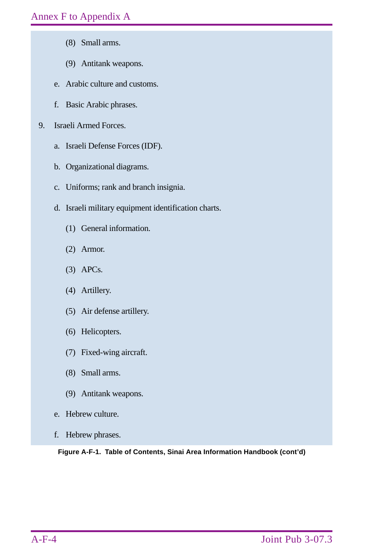- (8) Small arms.
- (9) Antitank weapons.
- e. Arabic culture and customs.
- f. Basic Arabic phrases.
- 9. Israeli Armed Forces.
	- a. Israeli Defense Forces (IDF).
	- b. Organizational diagrams.
	- c. Uniforms; rank and branch insignia.
	- d. Israeli military equipment identification charts.
		- (1) General information.
		- (2) Armor.
		- (3) APCs.
		- (4) Artillery.
		- (5) Air defense artillery.
		- (6) Helicopters.
		- (7) Fixed-wing aircraft.
		- (8) Small arms.
		- (9) Antitank weapons.
	- e. Hebrew culture.
	- f. Hebrew phrases.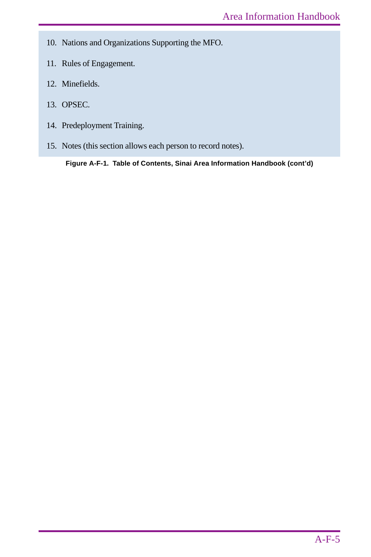- 10. Nations and Organizations Supporting the MFO.
- 11. Rules of Engagement.
- 12. Minefields.
- 13. OPSEC.
- 14. Predeployment Training.
- 15. Notes (this section allows each person to record notes).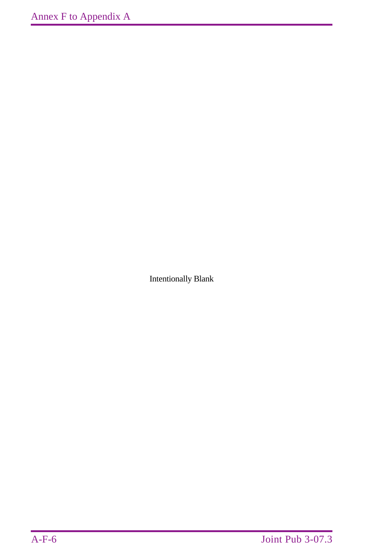Intentionally Blank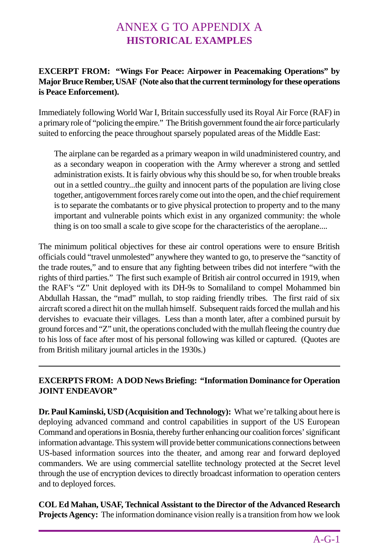# ANNEX G TO APPENDIX A **HISTORICAL EXAMPLES**

# **EXCERPT FROM: "Wings For Peace: Airpower in Peacemaking Operations" by Major Bruce Rember, USAF (Note also that the current terminology for these operations is Peace Enforcement).**

Immediately following World War I, Britain successfully used its Royal Air Force (RAF) in a primary role of "policing the empire." The British government found the air force particularly suited to enforcing the peace throughout sparsely populated areas of the Middle East:

The airplane can be regarded as a primary weapon in wild unadministered country, and as a secondary weapon in cooperation with the Army wherever a strong and settled administration exists. It is fairly obvious why this should be so, for when trouble breaks out in a settled country...the guilty and innocent parts of the population are living close together, antigovernment forces rarely come out into the open, and the chief requirement is to separate the combatants or to give physical protection to property and to the many important and vulnerable points which exist in any organized community: the whole thing is on too small a scale to give scope for the characteristics of the aeroplane....

The minimum political objectives for these air control operations were to ensure British officials could "travel unmolested" anywhere they wanted to go, to preserve the "sanctity of the trade routes," and to ensure that any fighting between tribes did not interfere "with the rights of third parties." The first such example of British air control occurred in 1919, when the RAF's "Z" Unit deployed with its DH-9s to Somaliland to compel Mohammed bin Abdullah Hassan, the "mad" mullah, to stop raiding friendly tribes. The first raid of six aircraft scored a direct hit on the mullah himself. Subsequent raids forced the mullah and his dervishes to evacuate their villages. Less than a month later, after a combined pursuit by ground forces and "Z" unit, the operations concluded with the mullah fleeing the country due to his loss of face after most of his personal following was killed or captured. (Quotes are from British military journal articles in the 1930s.)

## **EXCERPTS FROM: A DOD News Briefing: "Information Dominance for Operation JOINT ENDEAVOR"**

**Dr. Paul Kaminski, USD (Acquisition and Technology):** What we're talking about here is deploying advanced command and control capabilities in support of the US European Command and operations in Bosnia, thereby further enhancing our coalition forces' significant information advantage. This system will provide better communications connections between US-based information sources into the theater, and among rear and forward deployed commanders. We are using commercial satellite technology protected at the Secret level through the use of encryption devices to directly broadcast information to operation centers and to deployed forces.

**COL Ed Mahan, USAF, Technical Assistant to the Director of the Advanced Research Projects Agency:** The information dominance vision really is a transition from how we look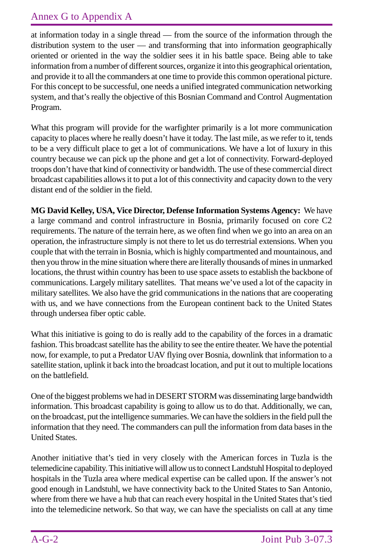# Annex G to Appendix A

at information today in a single thread — from the source of the information through the distribution system to the user — and transforming that into information geographically oriented or oriented in the way the soldier sees it in his battle space. Being able to take information from a number of different sources, organize it into this geographical orientation, and provide it to all the commanders at one time to provide this common operational picture. For this concept to be successful, one needs a unified integrated communication networking system, and that's really the objective of this Bosnian Command and Control Augmentation Program.

What this program will provide for the warfighter primarily is a lot more communication capacity to places where he really doesn't have it today. The last mile, as we refer to it, tends to be a very difficult place to get a lot of communications. We have a lot of luxury in this country because we can pick up the phone and get a lot of connectivity. Forward-deployed troops don't have that kind of connectivity or bandwidth. The use of these commercial direct broadcast capabilities allows it to put a lot of this connectivity and capacity down to the very distant end of the soldier in the field.

**MG David Kelley, USA, Vice Director, Defense Information Systems Agency:** We have a large command and control infrastructure in Bosnia, primarily focused on core C2 requirements. The nature of the terrain here, as we often find when we go into an area on an operation, the infrastructure simply is not there to let us do terrestrial extensions. When you couple that with the terrain in Bosnia, which is highly compartmented and mountainous, and then you throw in the mine situation where there are literally thousands of mines in unmarked locations, the thrust within country has been to use space assets to establish the backbone of communications. Largely military satellites. That means we've used a lot of the capacity in military satellites. We also have the grid communications in the nations that are cooperating with us, and we have connections from the European continent back to the United States through undersea fiber optic cable.

What this initiative is going to do is really add to the capability of the forces in a dramatic fashion. This broadcast satellite has the ability to see the entire theater. We have the potential now, for example, to put a Predator UAV flying over Bosnia, downlink that information to a satellite station, uplink it back into the broadcast location, and put it out to multiple locations on the battlefield.

One of the biggest problems we had in DESERT STORM was disseminating large bandwidth information. This broadcast capability is going to allow us to do that. Additionally, we can, on the broadcast, put the intelligence summaries. We can have the soldiers in the field pull the information that they need. The commanders can pull the information from data bases in the United States.

Another initiative that's tied in very closely with the American forces in Tuzla is the telemedicine capability. This initiative will allow us to connect Landstuhl Hospital to deployed hospitals in the Tuzla area where medical expertise can be called upon. If the answer's not good enough in Landstuhl, we have connectivity back to the United States to San Antonio, where from there we have a hub that can reach every hospital in the United States that's tied into the telemedicine network. So that way, we can have the specialists on call at any time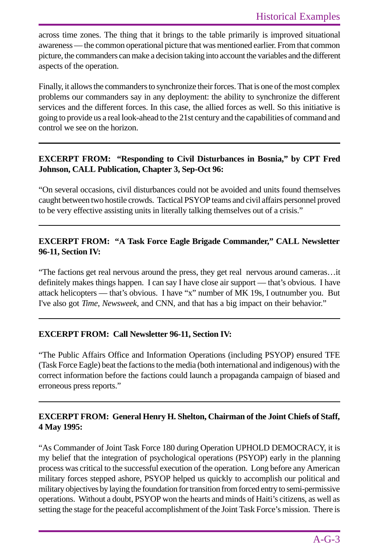across time zones. The thing that it brings to the table primarily is improved situational awareness — the common operational picture that was mentioned earlier. From that common picture, the commanders can make a decision taking into account the variables and the different aspects of the operation.

Finally, it allows the commanders to synchronize their forces. That is one of the most complex problems our commanders say in any deployment: the ability to synchronize the different services and the different forces. In this case, the allied forces as well. So this initiative is going to provide us a real look-ahead to the 21st century and the capabilities of command and control we see on the horizon.

# **EXCERPT FROM: "Responding to Civil Disturbances in Bosnia," by CPT Fred Johnson, CALL Publication, Chapter 3, Sep-Oct 96:**

"On several occasions, civil disturbances could not be avoided and units found themselves caught between two hostile crowds. Tactical PSYOP teams and civil affairs personnel proved to be very effective assisting units in literally talking themselves out of a crisis."

# **EXCERPT FROM: "A Task Force Eagle Brigade Commander," CALL Newsletter 96-11, Section IV:**

"The factions get real nervous around the press, they get real nervous around cameras…it definitely makes things happen. I can say I have close air support — that's obvious. I have attack helicopters — that's obvious. I have "x" number of MK 19s, I outnumber you. But I've also got *Time*, *Newsweek*, and CNN, and that has a big impact on their behavior."

# **EXCERPT FROM: Call Newsletter 96-11, Section IV:**

"The Public Affairs Office and Information Operations (including PSYOP) ensured TFE (Task Force Eagle) beat the factions to the media (both international and indigenous) with the correct information before the factions could launch a propaganda campaign of biased and erroneous press reports."

## **EXCERPT FROM: General Henry H. Shelton, Chairman of the Joint Chiefs of Staff, 4 May 1995:**

"As Commander of Joint Task Force 180 during Operation UPHOLD DEMOCRACY, it is my belief that the integration of psychological operations (PSYOP) early in the planning process was critical to the successful execution of the operation. Long before any American military forces stepped ashore, PSYOP helped us quickly to accomplish our political and military objectives by laying the foundation for transition from forced entry to semi-permissive operations. Without a doubt, PSYOP won the hearts and minds of Haiti's citizens, as well as setting the stage for the peaceful accomplishment of the Joint Task Force's mission. There is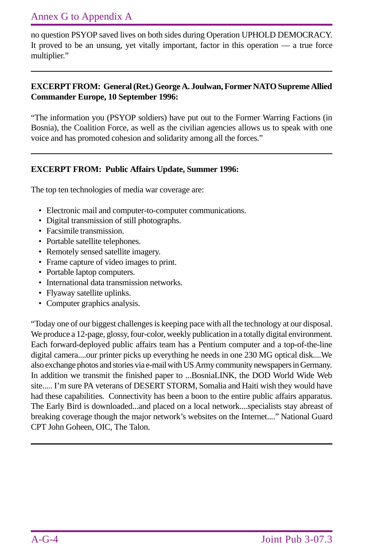# Annex G to Appendix A

no question PSYOP saved lives on both sides during Operation UPHOLD DEMOCRACY. It proved to be an unsung, yet vitally important, factor in this operation — a true force multiplier."

## **EXCERPT FROM: General (Ret.) George A. Joulwan, Former NATO Supreme Allied Commander Europe, 10 September 1996:**

"The information you (PSYOP soldiers) have put out to the Former Warring Factions (in Bosnia), the Coalition Force, as well as the civilian agencies allows us to speak with one voice and has promoted cohesion and solidarity among all the forces."

## **EXCERPT FROM: Public Affairs Update, Summer 1996:**

The top ten technologies of media war coverage are:

- Electronic mail and computer-to-computer communications.
- Digital transmission of still photographs.
- Facsimile transmission.
- Portable satellite telephones.
- Remotely sensed satellite imagery.
- Frame capture of video images to print.
- Portable laptop computers.
- International data transmission networks.
- Flyaway satellite uplinks.
- Computer graphics analysis.

"Today one of our biggest challenges is keeping pace with all the technology at our disposal. We produce a 12-page, glossy, four-color, weekly publication in a totally digital environment. Each forward-deployed public affairs team has a Pentium computer and a top-of-the-line digital camera....our printer picks up everything he needs in one 230 MG optical disk....We also exchange photos and stories via e-mail with US Army community newspapers in Germany. In addition we transmit the finished paper to ...BosniaLINK, the DOD World Wide Web site..... I'm sure PA veterans of DESERT STORM, Somalia and Haiti wish they would have had these capabilities. Connectivity has been a boon to the entire public affairs apparatus. The Early Bird is downloaded...and placed on a local network....specialists stay abreast of breaking coverage though the major network's websites on the Internet...." National Guard CPT John Goheen, OIC, The Talon.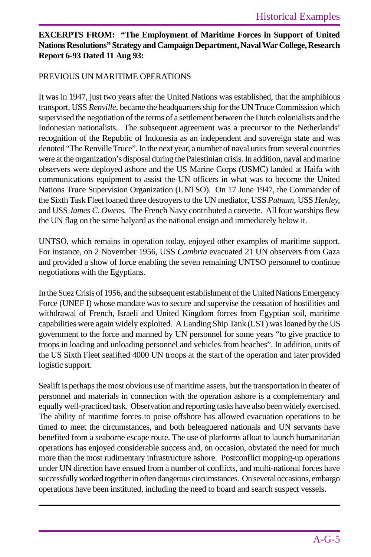## **EXCERPTS FROM: "The Employment of Maritime Forces in Support of United Nations Resolutions" Strategy and Campaign Department, Naval War College, Research Report 6-93 Dated 11 Aug 93:**

## PREVIOUS UN MARITIME OPERATIONS

It was in 1947, just two years after the United Nations was established, that the amphibious transport, USS *Renville,* became the headquarters ship for the UN Truce Commission which supervised the negotiation of the terms of a settlement between the Dutch colonialists and the Indonesian nationalists. The subsequent agreement was a precursor to the Netherlands' recognition of the Republic of Indonesia as an independent and sovereign state and was denoted "The Renville Truce". In the next year, a number of naval units from several countries were at the organization's disposal during the Palestinian crisis. In addition, naval and marine observers were deployed ashore and the US Marine Corps (USMC) landed at Haifa with communications equipment to assist the UN officers in what was to become the United Nations Truce Supervision Organization (UNTSO). On 17 June 1947, the Commander of the Sixth Task Fleet loaned three destroyers to the UN mediator, USS *Putnam,* USS *Henley,* and USS *James C. Owens.* The French Navy contributed a corvette. All four warships flew the UN flag on the same halyard as the national ensign and immediately below it.

UNTSO, which remains in operation today, enjoyed other examples of maritime support. For instance, on 2 November 1956, USS *Cambria* evacuated 21 UN observers from Gaza and provided a show of force enabling the seven remaining UNTSO personnel to continue negotiations with the Egyptians.

In the Suez Crisis of 1956, and the subsequent establishment of the United Nations Emergency Force (UNEF I) whose mandate was to secure and supervise the cessation of hostilities and withdrawal of French, Israeli and United Kingdom forces from Egyptian soil, maritime capabilities were again widely exploited. A Landing Ship Tank (LST) was loaned by the US government to the force and manned by UN personnel for some years "to give practice to troops in loading and unloading personnel and vehicles from beaches". In addition, units of the US Sixth Fleet sealifted 4000 UN troops at the start of the operation and later provided logistic support.

Sealift is perhaps the most obvious use of maritime assets, but the transportation in theater of personnel and materials in connection with the operation ashore is a complementary and equally well-practiced task. Observation and reporting tasks have also been widely exercised. The ability of maritime forces to poise offshore has allowed evacuation operations to be timed to meet the circumstances, and both beleaguered nationals and UN servants have benefited from a seaborne escape route. The use of platforms afloat to launch humanitarian operations has enjoyed considerable success and, on occasion, obviated the need for much more than the most rudimentary infrastructure ashore. Postconflict mopping-up operations under UN direction have ensued from a number of conflicts, and multi-national forces have successfully worked together in often dangerous circumstances. On several occasions, embargo operations have been instituted, including the need to board and search suspect vessels.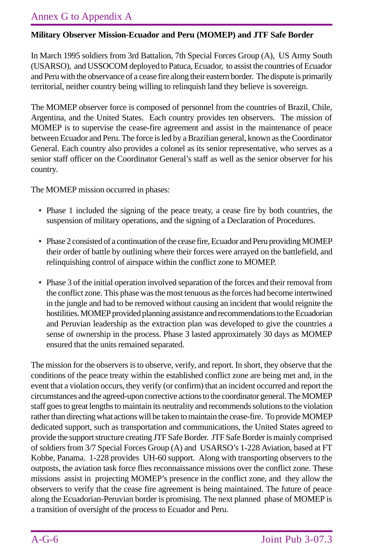# **Military Observer Mission-Ecuador and Peru (MOMEP) and JTF Safe Border**

In March 1995 soldiers from 3rd Battalion, 7th Special Forces Group (A), US Army South (USARSO), and USSOCOM deployed to Patuca, Ecuador, to assist the countries of Ecuador and Peru with the observance of a cease fire along their eastern border. The dispute is primarily territorial, neither country being willing to relinquish land they believe is sovereign.

The MOMEP observer force is composed of personnel from the countries of Brazil, Chile, Argentina, and the United States. Each country provides ten observers. The mission of MOMEP is to supervise the cease-fire agreement and assist in the maintenance of peace between Ecuador and Peru. The force is led by a Brazilian general, known as the Coordinator General. Each country also provides a colonel as its senior representative, who serves as a senior staff officer on the Coordinator General's staff as well as the senior observer for his country.

The MOMEP mission occurred in phases:

- Phase 1 included the signing of the peace treaty, a cease fire by both countries, the suspension of military operations, and the signing of a Declaration of Procedures.
- Phase 2 consisted of a continuation of the cease fire, Ecuador and Peru providing MOMEP their order of battle by outlining where their forces were arrayed on the battlefield, and relinquishing control of airspace within the conflict zone to MOMEP.
- Phase 3 of the initial operation involved separation of the forces and their removal from the conflict zone. This phase was the most tenuous as the forces had become intertwined in the jungle and had to be removed without causing an incident that would reignite the hostilities. MOMEP provided planning assistance and recommendations to the Ecuadorian and Peruvian leadership as the extraction plan was developed to give the countries a sense of ownership in the process. Phase 3 lasted approximately 30 days as MOMEP ensured that the units remained separated.

The mission for the observers is to observe, verify, and report. In short, they observe that the conditions of the peace treaty within the established conflict zone are being met and, in the event that a violation occurs, they verify (or confirm) that an incident occurred and report the circumstances and the agreed-upon corrective actions to the coordinator general. The MOMEP staff goes to great lengths to maintain its neutrality and recommends solutions to the violation rather than directing what actions will be taken to maintain the cease-fire. To provide MOMEP dedicated support, such as transportation and communications, the United States agreed to provide the support structure creating JTF Safe Border. JTF Safe Border is mainly comprised of soldiers from 3/7 Special Forces Group (A) and USARSO's 1-228 Aviation, based at FT Kobbe, Panama. 1-228 provides UH-60 support. Along with transporting observers to the outposts, the aviation task force flies reconnaissance missions over the conflict zone. These missions assist in projecting MOMEP's presence in the conflict zone, and they allow the observers to verify that the cease fire agreement is being maintained. The future of peace along the Ecuadorian-Peruvian border is promising. The next planned phase of MOMEP is a transition of oversight of the process to Ecuador and Peru.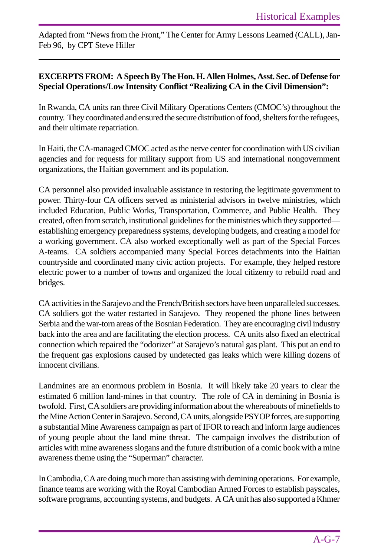Adapted from "News from the Front," The Center for Army Lessons Learned (CALL), Jan-Feb 96, by CPT Steve Hiller

## **EXCERPTS FROM: A Speech By The Hon. H. Allen Holmes, Asst. Sec. of Defense for Special Operations/Low Intensity Conflict "Realizing CA in the Civil Dimension":**

In Rwanda, CA units ran three Civil Military Operations Centers (CMOC's) throughout the country. They coordinated and ensured the secure distribution of food, shelters for the refugees, and their ultimate repatriation.

In Haiti, the CA-managed CMOC acted as the nerve center for coordination with US civilian agencies and for requests for military support from US and international nongovernment organizations, the Haitian government and its population.

CA personnel also provided invaluable assistance in restoring the legitimate government to power. Thirty-four CA officers served as ministerial advisors in twelve ministries, which included Education, Public Works, Transportation, Commerce, and Public Health. They created, often from scratch, institutional guidelines for the ministries which they supported establishing emergency preparedness systems, developing budgets, and creating a model for a working government. CA also worked exceptionally well as part of the Special Forces A-teams. CA soldiers accompanied many Special Forces detachments into the Haitian countryside and coordinated many civic action projects. For example, they helped restore electric power to a number of towns and organized the local citizenry to rebuild road and bridges.

CA activities in the Sarajevo and the French/British sectors have been unparalleled successes. CA soldiers got the water restarted in Sarajevo. They reopened the phone lines between Serbia and the war-torn areas of the Bosnian Federation. They are encouraging civil industry back into the area and are facilitating the election process. CA units also fixed an electrical connection which repaired the "odorizer" at Sarajevo's natural gas plant. This put an end to the frequent gas explosions caused by undetected gas leaks which were killing dozens of innocent civilians.

Landmines are an enormous problem in Bosnia. It will likely take 20 years to clear the estimated 6 million land-mines in that country. The role of CA in demining in Bosnia is twofold. First, CA soldiers are providing information about the whereabouts of minefields to the Mine Action Center in Sarajevo. Second, CA units, alongside PSYOP forces, are supporting a substantial Mine Awareness campaign as part of IFOR to reach and inform large audiences of young people about the land mine threat. The campaign involves the distribution of articles with mine awareness slogans and the future distribution of a comic book with a mine awareness theme using the "Superman" character.

In Cambodia, CA are doing much more than assisting with demining operations. For example, finance teams are working with the Royal Cambodian Armed Forces to establish payscales, software programs, accounting systems, and budgets. A CA unit has also supported a Khmer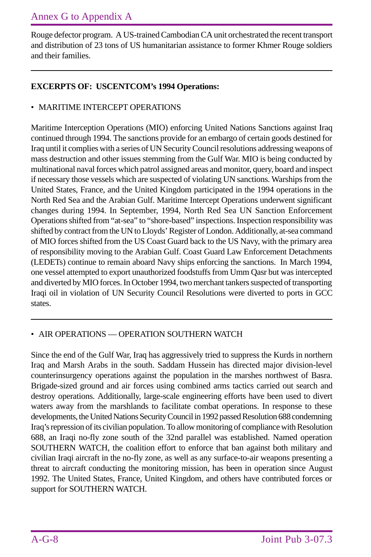Rouge defector program. A US-trained Cambodian CA unit orchestrated the recent transport and distribution of 23 tons of US humanitarian assistance to former Khmer Rouge soldiers and their families.

# **EXCERPTS OF: USCENTCOM's 1994 Operations:**

# • MARITIME INTERCEPT OPERATIONS

Maritime Interception Operations (MIO) enforcing United Nations Sanctions against Iraq continued through 1994. The sanctions provide for an embargo of certain goods destined for Iraq until it complies with a series of UN Security Council resolutions addressing weapons of mass destruction and other issues stemming from the Gulf War. MIO is being conducted by multinational naval forces which patrol assigned areas and monitor, query, board and inspect if necessary those vessels which are suspected of violating UN sanctions. Warships from the United States, France, and the United Kingdom participated in the 1994 operations in the North Red Sea and the Arabian Gulf. Maritime Intercept Operations underwent significant changes during 1994. In September, 1994, North Red Sea UN Sanction Enforcement Operations shifted from "at-sea" to "shore-based" inspections. Inspection responsibility was shifted by contract from the UN to Lloyds' Register of London. Additionally, at-sea command of MIO forces shifted from the US Coast Guard back to the US Navy, with the primary area of responsibility moving to the Arabian Gulf. Coast Guard Law Enforcement Detachments (LEDETs) continue to remain aboard Navy ships enforcing the sanctions. In March 1994, one vessel attempted to export unauthorized foodstuffs from Umm Qasr but was intercepted and diverted by MIO forces. In October 1994, two merchant tankers suspected of transporting Iraqi oil in violation of UN Security Council Resolutions were diverted to ports in GCC states.

• AIR OPERATIONS — OPERATION SOUTHERN WATCH

Since the end of the Gulf War, Iraq has aggressively tried to suppress the Kurds in northern Iraq and Marsh Arabs in the south. Saddam Hussein has directed major division-level counterinsurgency operations against the population in the marshes northwest of Basra. Brigade-sized ground and air forces using combined arms tactics carried out search and destroy operations. Additionally, large-scale engineering efforts have been used to divert waters away from the marshlands to facilitate combat operations. In response to these developments, the United Nations Security Council in 1992 passed Resolution 688 condemning Iraq's repression of its civilian population. To allow monitoring of compliance with Resolution 688, an Iraqi no-fly zone south of the 32nd parallel was established. Named operation SOUTHERN WATCH, the coalition effort to enforce that ban against both military and civilian Iraqi aircraft in the no-fly zone, as well as any surface-to-air weapons presenting a threat to aircraft conducting the monitoring mission, has been in operation since August 1992. The United States, France, United Kingdom, and others have contributed forces or support for SOUTHERN WATCH.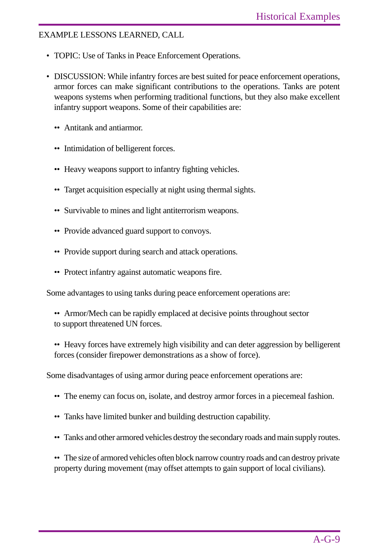## EXAMPLE LESSONS LEARNED, CALL

- TOPIC: Use of Tanks in Peace Enforcement Operations.
- DISCUSSION: While infantry forces are best suited for peace enforcement operations, armor forces can make significant contributions to the operations. Tanks are potent weapons systems when performing traditional functions, but they also make excellent infantry support weapons. Some of their capabilities are:
	- •• Antitank and antiarmor.
	- Intimidation of belligerent forces.
	- •• Heavy weapons support to infantry fighting vehicles.
	- Target acquisition especially at night using thermal sights.
	- •• Survivable to mines and light antiterrorism weapons.
	- •• Provide advanced guard support to convoys.
	- •• Provide support during search and attack operations.
	- •• Protect infantry against automatic weapons fire.

Some advantages to using tanks during peace enforcement operations are:

- •• Armor/Mech can be rapidly emplaced at decisive points throughout sector to support threatened UN forces.
- •• Heavy forces have extremely high visibility and can deter aggression by belligerent forces (consider firepower demonstrations as a show of force).

Some disadvantages of using armor during peace enforcement operations are:

- •• The enemy can focus on, isolate, and destroy armor forces in a piecemeal fashion.
- •• Tanks have limited bunker and building destruction capability.
- •• Tanks and other armored vehicles destroy the secondary roads and main supply routes.

• The size of armored vehicles often block narrow country roads and can destroy private property during movement (may offset attempts to gain support of local civilians).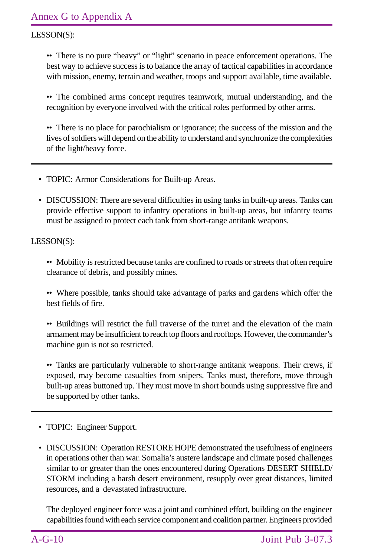LESSON(S):

•• There is no pure "heavy" or "light" scenario in peace enforcement operations. The best way to achieve success is to balance the array of tactical capabilities in accordance with mission, enemy, terrain and weather, troops and support available, time available.

•• The combined arms concept requires teamwork, mutual understanding, and the recognition by everyone involved with the critical roles performed by other arms.

•• There is no place for parochialism or ignorance; the success of the mission and the lives of soldiers will depend on the ability to understand and synchronize the complexities of the light/heavy force.

- TOPIC: Armor Considerations for Built-up Areas.
- DISCUSSION: There are several difficulties in using tanks in built-up areas. Tanks can provide effective support to infantry operations in built-up areas, but infantry teams must be assigned to protect each tank from short-range antitank weapons.

LESSON(S):

•• Mobility is restricted because tanks are confined to roads or streets that often require clearance of debris, and possibly mines.

•• Where possible, tanks should take advantage of parks and gardens which offer the best fields of fire.

•• Buildings will restrict the full traverse of the turret and the elevation of the main armament may be insufficient to reach top floors and rooftops. However, the commander's machine gun is not so restricted.

•• Tanks are particularly vulnerable to short-range antitank weapons. Their crews, if exposed, may become casualties from snipers. Tanks must, therefore, move through built-up areas buttoned up. They must move in short bounds using suppressive fire and be supported by other tanks.

- TOPIC: Engineer Support.
- DISCUSSION: Operation RESTORE HOPE demonstrated the usefulness of engineers in operations other than war. Somalia's austere landscape and climate posed challenges similar to or greater than the ones encountered during Operations DESERT SHIELD/ STORM including a harsh desert environment, resupply over great distances, limited resources, and a devastated infrastructure.

The deployed engineer force was a joint and combined effort, building on the engineer capabilities found with each service component and coalition partner. Engineers provided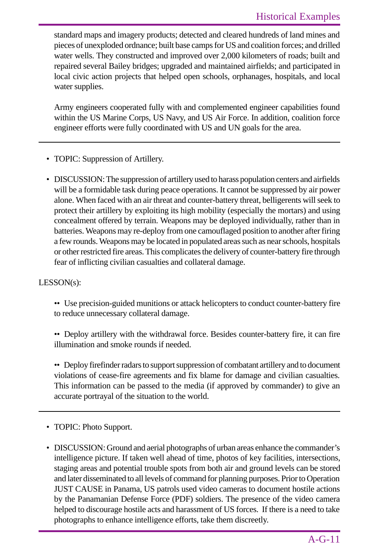standard maps and imagery products; detected and cleared hundreds of land mines and pieces of unexploded ordnance; built base camps for US and coalition forces; and drilled water wells. They constructed and improved over 2,000 kilometers of roads; built and repaired several Bailey bridges; upgraded and maintained airfields; and participated in local civic action projects that helped open schools, orphanages, hospitals, and local water supplies.

Army engineers cooperated fully with and complemented engineer capabilities found within the US Marine Corps, US Navy, and US Air Force. In addition, coalition force engineer efforts were fully coordinated with US and UN goals for the area.

- TOPIC: Suppression of Artillery.
- DISCUSSION: The suppression of artillery used to harass population centers and airfields will be a formidable task during peace operations. It cannot be suppressed by air power alone. When faced with an air threat and counter-battery threat, belligerents will seek to protect their artillery by exploiting its high mobility (especially the mortars) and using concealment offered by terrain. Weapons may be deployed individually, rather than in batteries. Weapons may re-deploy from one camouflaged position to another after firing a few rounds. Weapons may be located in populated areas such as near schools, hospitals or other restricted fire areas. This complicates the delivery of counter-battery fire through fear of inflicting civilian casualties and collateral damage.

#### LESSON(s):

•• Use precision-guided munitions or attack helicopters to conduct counter-battery fire to reduce unnecessary collateral damage.

• Deploy artillery with the withdrawal force. Besides counter-battery fire, it can fire illumination and smoke rounds if needed.

•• Deploy firefinder radars to support suppression of combatant artillery and to document violations of cease-fire agreements and fix blame for damage and civilian casualties. This information can be passed to the media (if approved by commander) to give an accurate portrayal of the situation to the world.

- TOPIC: Photo Support.
- DISCUSSION: Ground and aerial photographs of urban areas enhance the commander's intelligence picture. If taken well ahead of time, photos of key facilities, intersections, staging areas and potential trouble spots from both air and ground levels can be stored and later disseminated to all levels of command for planning purposes. Prior to Operation JUST CAUSE in Panama, US patrols used video cameras to document hostile actions by the Panamanian Defense Force (PDF) soldiers. The presence of the video camera helped to discourage hostile acts and harassment of US forces. If there is a need to take photographs to enhance intelligence efforts, take them discreetly.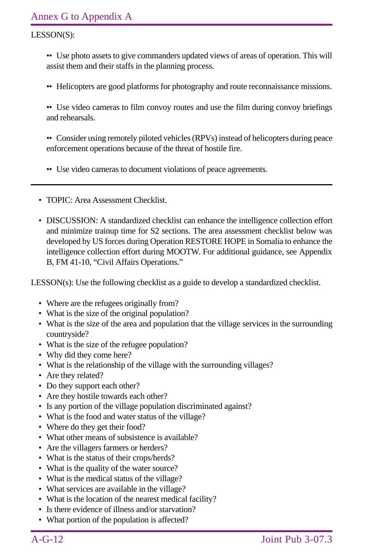#### LESSON(S):

• Use photo assets to give commanders updated views of areas of operation. This will assist them and their staffs in the planning process.

•• Helicopters are good platforms for photography and route reconnaissance missions.

• Use video cameras to film convoy routes and use the film during convoy briefings and rehearsals.

•• Consider using remotely piloted vehicles (RPVs) instead of helicopters during peace enforcement operations because of the threat of hostile fire.

- •• Use video cameras to document violations of peace agreements.
- TOPIC: Area Assessment Checklist.
- DISCUSSION: A standardized checklist can enhance the intelligence collection effort and minimize trainup time for S2 sections. The area assessment checklist below was developed by US forces during Operation RESTORE HOPE in Somalia to enhance the intelligence collection effort during MOOTW. For additional guidance, see Appendix B, FM 41-10, "Civil Affairs Operations."

LESSON(s): Use the following checklist as a guide to develop a standardized checklist.

- Where are the refugees originally from?
- What is the size of the original population?
- What is the size of the area and population that the village services in the surrounding countryside?
- What is the size of the refugee population?
- Why did they come here?
- What is the relationship of the village with the surrounding villages?
- Are they related?
- Do they support each other?
- Are they hostile towards each other?
- Is any portion of the village population discriminated against?
- What is the food and water status of the village?
- Where do they get their food?
- What other means of subsistence is available?
- Are the villagers farmers or herders?
- What is the status of their crops/herds?
- What is the quality of the water source?
- What is the medical status of the village?
- What services are available in the village?
- What is the location of the nearest medical facility?
- Is there evidence of illness and/or starvation?
- What portion of the population is affected?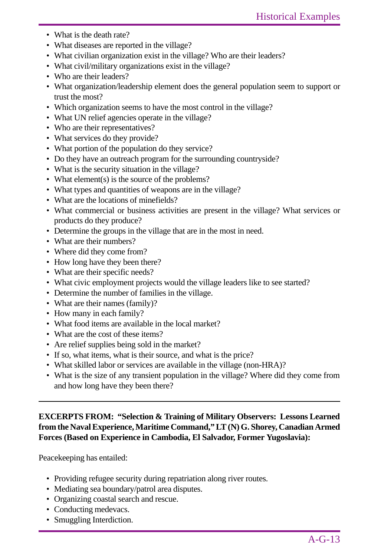- What is the death rate?
- What diseases are reported in the village?
- What civilian organization exist in the village? Who are their leaders?
- What civil/military organizations exist in the village?
- Who are their leaders?
- What organization/leadership element does the general population seem to support or trust the most?
- Which organization seems to have the most control in the village?
- What UN relief agencies operate in the village?
- Who are their representatives?
- What services do they provide?
- What portion of the population do they service?
- Do they have an outreach program for the surrounding countryside?
- What is the security situation in the village?
- What element(s) is the source of the problems?
- What types and quantities of weapons are in the village?
- What are the locations of minefields?
- What commercial or business activities are present in the village? What services or products do they produce?
- Determine the groups in the village that are in the most in need.
- What are their numbers?
- Where did they come from?
- How long have they been there?
- What are their specific needs?
- What civic employment projects would the village leaders like to see started?
- Determine the number of families in the village.
- What are their names (family)?
- How many in each family?
- What food items are available in the local market?
- What are the cost of these items?
- Are relief supplies being sold in the market?
- If so, what items, what is their source, and what is the price?
- What skilled labor or services are available in the village (non-HRA)?
- What is the size of any transient population in the village? Where did they come from and how long have they been there?

#### **EXCERPTS FROM: "Selection & Training of Military Observers: Lessons Learned from the Naval Experience, Maritime Command," LT (N) G. Shorey, Canadian Armed Forces (Based on Experience in Cambodia, El Salvador, Former Yugoslavia):**

Peacekeeping has entailed:

- Providing refugee security during repatriation along river routes.
- Mediating sea boundary/patrol area disputes.
- Organizing coastal search and rescue.
- Conducting medevacs.
- Smuggling Interdiction.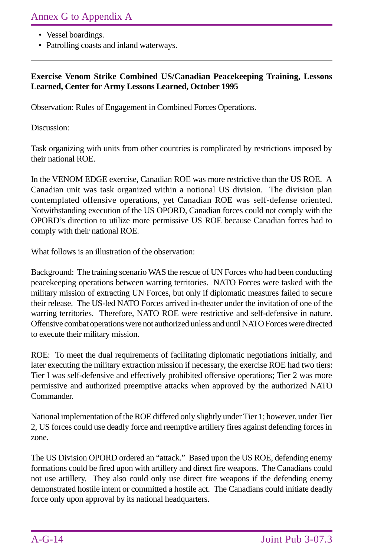- Vessel boardings.
- Patrolling coasts and inland waterways.

#### **Exercise Venom Strike Combined US/Canadian Peacekeeping Training, Lessons Learned, Center for Army Lessons Learned, October 1995**

Observation: Rules of Engagement in Combined Forces Operations.

Discussion:

Task organizing with units from other countries is complicated by restrictions imposed by their national ROE.

In the VENOM EDGE exercise, Canadian ROE was more restrictive than the US ROE. A Canadian unit was task organized within a notional US division. The division plan contemplated offensive operations, yet Canadian ROE was self-defense oriented. Notwithstanding execution of the US OPORD, Canadian forces could not comply with the OPORD's direction to utilize more permissive US ROE because Canadian forces had to comply with their national ROE.

What follows is an illustration of the observation:

Background: The training scenario WAS the rescue of UN Forces who had been conducting peacekeeping operations between warring territories. NATO Forces were tasked with the military mission of extracting UN Forces, but only if diplomatic measures failed to secure their release. The US-led NATO Forces arrived in-theater under the invitation of one of the warring territories. Therefore, NATO ROE were restrictive and self-defensive in nature. Offensive combat operations were not authorized unless and until NATO Forces were directed to execute their military mission.

ROE: To meet the dual requirements of facilitating diplomatic negotiations initially, and later executing the military extraction mission if necessary, the exercise ROE had two tiers: Tier I was self-defensive and effectively prohibited offensive operations; Tier 2 was more permissive and authorized preemptive attacks when approved by the authorized NATO Commander.

National implementation of the ROE differed only slightly under Tier 1; however, under Tier 2, US forces could use deadly force and reemptive artillery fires against defending forces in zone.

The US Division OPORD ordered an "attack." Based upon the US ROE, defending enemy formations could be fired upon with artillery and direct fire weapons. The Canadians could not use artillery. They also could only use direct fire weapons if the defending enemy demonstrated hostile intent or committed a hostile act. The Canadians could initiate deadly force only upon approval by its national headquarters.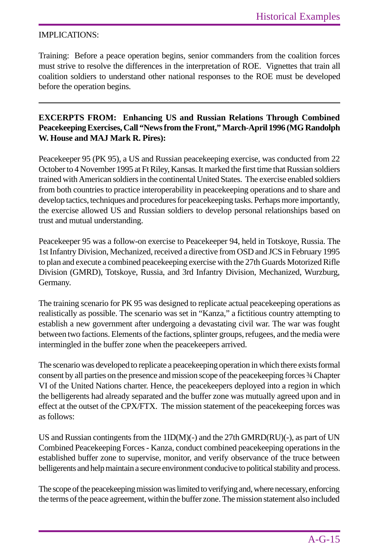#### IMPLICATIONS:

Training: Before a peace operation begins, senior commanders from the coalition forces must strive to resolve the differences in the interpretation of ROE. Vignettes that train all coalition soldiers to understand other national responses to the ROE must be developed before the operation begins.

#### **EXCERPTS FROM: Enhancing US and Russian Relations Through Combined Peacekeeping Exercises, Call "News from the Front," March-April 1996 (MG Randolph W. House and MAJ Mark R. Pires):**

Peacekeeper 95 (PK 95), a US and Russian peacekeeping exercise, was conducted from 22 October to 4 November 1995 at Ft Riley, Kansas. It marked the first time that Russian soldiers trained with American soldiers in the continental United States. The exercise enabled soldiers from both countries to practice interoperability in peacekeeping operations and to share and develop tactics, techniques and procedures for peacekeeping tasks. Perhaps more importantly, the exercise allowed US and Russian soldiers to develop personal relationships based on trust and mutual understanding.

Peacekeeper 95 was a follow-on exercise to Peacekeeper 94, held in Totskoye, Russia. The 1st Infantry Division, Mechanized, received a directive from OSD and JCS in February 1995 to plan and execute a combined peacekeeping exercise with the 27th Guards Motorized Rifle Division (GMRD), Totskoye, Russia, and 3rd Infantry Division, Mechanized, Wurzburg, Germany.

The training scenario for PK 95 was designed to replicate actual peacekeeping operations as realistically as possible. The scenario was set in "Kanza," a fictitious country attempting to establish a new government after undergoing a devastating civil war. The war was fought between two factions. Elements of the factions, splinter groups, refugees, and the media were intermingled in the buffer zone when the peacekeepers arrived.

The scenario was developed to replicate a peacekeeping operation in which there exists formal consent by all parties on the presence and mission scope of the peacekeeping forces ¾ Chapter VI of the United Nations charter. Hence, the peacekeepers deployed into a region in which the belligerents had already separated and the buffer zone was mutually agreed upon and in effect at the outset of the CPX/FTX. The mission statement of the peacekeeping forces was as follows:

US and Russian contingents from the  $1ID(M)(-)$  and the  $27th$   $GMRD(RU)(-)$ , as part of UN Combined Peacekeeping Forces - Kanza, conduct combined peacekeeping operations in the established buffer zone to supervise, monitor, and verify observance of the truce between belligerents and help maintain a secure environment conducive to political stability and process.

The scope of the peacekeeping mission was limited to verifying and, where necessary, enforcing the terms of the peace agreement, within the buffer zone. The mission statement also included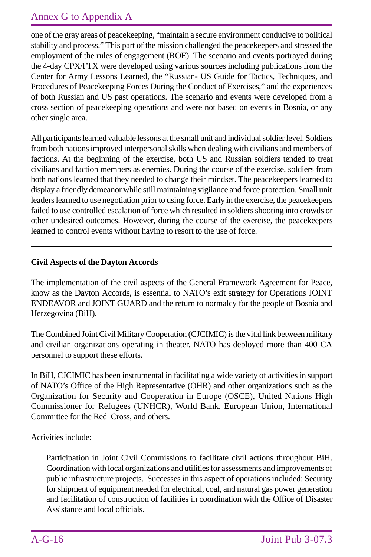# Annex G to Appendix A

one of the gray areas of peacekeeping, "maintain a secure environment conducive to political stability and process." This part of the mission challenged the peacekeepers and stressed the employment of the rules of engagement (ROE). The scenario and events portrayed during the 4-day CPX/FTX were developed using various sources including publications from the Center for Army Lessons Learned, the "Russian- US Guide for Tactics, Techniques, and Procedures of Peacekeeping Forces During the Conduct of Exercises," and the experiences of both Russian and US past operations. The scenario and events were developed from a cross section of peacekeeping operations and were not based on events in Bosnia, or any other single area.

All participants learned valuable lessons at the small unit and individual soldier level. Soldiers from both nations improved interpersonal skills when dealing with civilians and members of factions. At the beginning of the exercise, both US and Russian soldiers tended to treat civilians and faction members as enemies. During the course of the exercise, soldiers from both nations learned that they needed to change their mindset. The peacekeepers learned to display a friendly demeanor while still maintaining vigilance and force protection. Small unit leaders learned to use negotiation prior to using force. Early in the exercise, the peacekeepers failed to use controlled escalation of force which resulted in soldiers shooting into crowds or other undesired outcomes. However, during the course of the exercise, the peacekeepers learned to control events without having to resort to the use of force.

#### **Civil Aspects of the Dayton Accords**

The implementation of the civil aspects of the General Framework Agreement for Peace, know as the Dayton Accords, is essential to NATO's exit strategy for Operations JOINT ENDEAVOR and JOINT GUARD and the return to normalcy for the people of Bosnia and Herzegovina (BiH).

The Combined Joint Civil Military Cooperation (CJCIMIC) is the vital link between military and civilian organizations operating in theater. NATO has deployed more than 400 CA personnel to support these efforts.

In BiH, CJCIMIC has been instrumental in facilitating a wide variety of activities in support of NATO's Office of the High Representative (OHR) and other organizations such as the Organization for Security and Cooperation in Europe (OSCE), United Nations High Commissioner for Refugees (UNHCR), World Bank, European Union, International Committee for the Red Cross, and others.

Activities include:

Participation in Joint Civil Commissions to facilitate civil actions throughout BiH. Coordination with local organizations and utilities for assessments and improvements of public infrastructure projects. Successes in this aspect of operations included: Security for shipment of equipment needed for electrical, coal, and natural gas power generation and facilitation of construction of facilities in coordination with the Office of Disaster Assistance and local officials.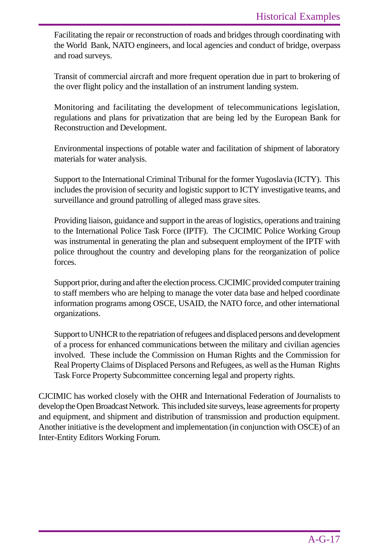Facilitating the repair or reconstruction of roads and bridges through coordinating with the World Bank, NATO engineers, and local agencies and conduct of bridge, overpass and road surveys.

Transit of commercial aircraft and more frequent operation due in part to brokering of the over flight policy and the installation of an instrument landing system.

Monitoring and facilitating the development of telecommunications legislation, regulations and plans for privatization that are being led by the European Bank for Reconstruction and Development.

Environmental inspections of potable water and facilitation of shipment of laboratory materials for water analysis.

Support to the International Criminal Tribunal for the former Yugoslavia (ICTY). This includes the provision of security and logistic support to ICTY investigative teams, and surveillance and ground patrolling of alleged mass grave sites.

Providing liaison, guidance and support in the areas of logistics, operations and training to the International Police Task Force (IPTF). The CJCIMIC Police Working Group was instrumental in generating the plan and subsequent employment of the IPTF with police throughout the country and developing plans for the reorganization of police forces.

Support prior, during and after the election process. CJCIMIC provided computer training to staff members who are helping to manage the voter data base and helped coordinate information programs among OSCE, USAID, the NATO force, and other international organizations.

Support to UNHCR to the repatriation of refugees and displaced persons and development of a process for enhanced communications between the military and civilian agencies involved. These include the Commission on Human Rights and the Commission for Real Property Claims of Displaced Persons and Refugees, as well as the Human Rights Task Force Property Subcommittee concerning legal and property rights.

CJCIMIC has worked closely with the OHR and International Federation of Journalists to develop the Open Broadcast Network. This included site surveys, lease agreements for property and equipment, and shipment and distribution of transmission and production equipment. Another initiative is the development and implementation (in conjunction with OSCE) of an Inter-Entity Editors Working Forum.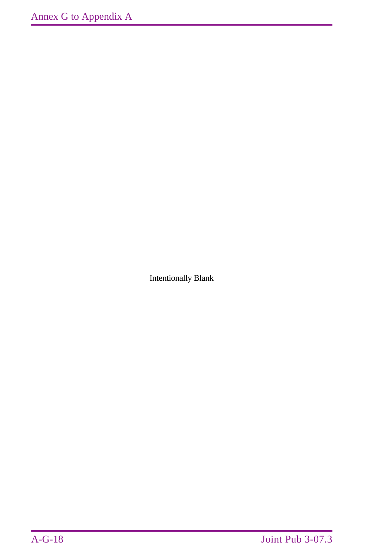Intentionally Blank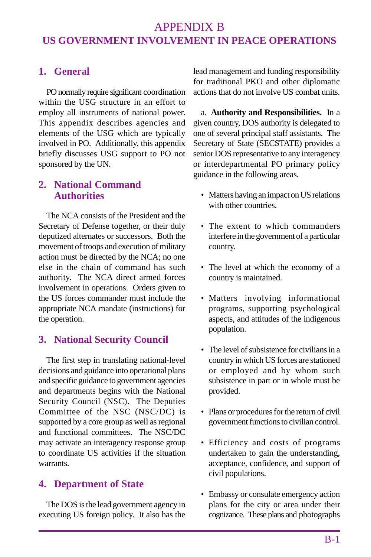# APPENDIX B **US GOVERNMENT INVOLVEMENT IN PEACE OPERATIONS**

## **1. General**

PO normally require significant coordination within the USG structure in an effort to employ all instruments of national power. This appendix describes agencies and elements of the USG which are typically involved in PO. Additionally, this appendix briefly discusses USG support to PO not sponsored by the UN.

## **2. National Command Authorities**

The NCA consists of the President and the Secretary of Defense together, or their duly deputized alternates or successors. Both the movement of troops and execution of military action must be directed by the NCA; no one else in the chain of command has such authority. The NCA direct armed forces involvement in operations. Orders given to the US forces commander must include the appropriate NCA mandate (instructions) for the operation.

# **3. National Security Council**

The first step in translating national-level decisions and guidance into operational plans and specific guidance to government agencies and departments begins with the National Security Council (NSC). The Deputies Committee of the NSC (NSC/DC) is supported by a core group as well as regional and functional committees. The NSC/DC may activate an interagency response group to coordinate US activities if the situation warrants.

## **4. Department of State**

The DOS is the lead government agency in executing US foreign policy. It also has the lead management and funding responsibility for traditional PKO and other diplomatic actions that do not involve US combat units.

a. **Authority and Responsibilities.** In a given country, DOS authority is delegated to one of several principal staff assistants. The Secretary of State (SECSTATE) provides a senior DOS representative to any interagency or interdepartmental PO primary policy guidance in the following areas.

- Matters having an impact on US relations with other countries.
- The extent to which commanders interfere in the government of a particular country.
- The level at which the economy of a country is maintained.
- Matters involving informational programs, supporting psychological aspects, and attitudes of the indigenous population.
- The level of subsistence for civilians in a country in which US forces are stationed or employed and by whom such subsistence in part or in whole must be provided.
- Plans or procedures for the return of civil government functions to civilian control.
- Efficiency and costs of programs undertaken to gain the understanding, acceptance, confidence, and support of civil populations.
- Embassy or consulate emergency action plans for the city or area under their cognizance. These plans and photographs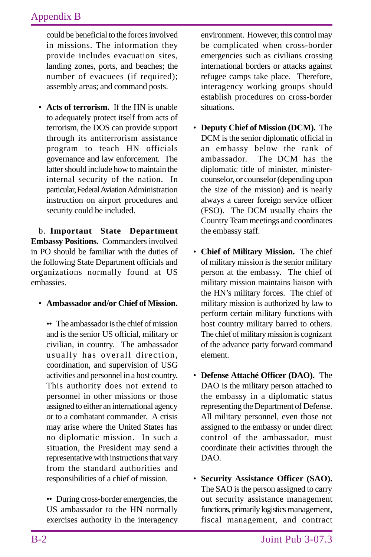could be beneficial to the forces involved in missions. The information they provide includes evacuation sites, landing zones, ports, and beaches; the number of evacuees (if required); assembly areas; and command posts.

• **Acts of terrorism.** If the HN is unable to adequately protect itself from acts of terrorism, the DOS can provide support through its antiterrorism assistance program to teach HN officials governance and law enforcement. The latter should include how to maintain the internal security of the nation. In particular, Federal Aviation Administration instruction on airport procedures and security could be included.

b. **Important State Department Embassy Positions.** Commanders involved in PO should be familiar with the duties of the following State Department officials and organizations normally found at US embassies.

#### • **Ambassador and/or Chief of Mission.**

• The ambassador is the chief of mission and is the senior US official, military or civilian, in country. The ambassador usually has overall direction, coordination, and supervision of USG activities and personnel in a host country. This authority does not extend to personnel in other missions or those assigned to either an international agency or to a combatant commander. A crisis may arise where the United States has no diplomatic mission. In such a situation, the President may send a representative with instructions that vary from the standard authorities and responsibilities of a chief of mission.

•• During cross-border emergencies, the US ambassador to the HN normally exercises authority in the interagency environment. However, this control may be complicated when cross-border emergencies such as civilians crossing international borders or attacks against refugee camps take place. Therefore, interagency working groups should establish procedures on cross-border situations.

- **Deputy Chief of Mission (DCM).** The DCM is the senior diplomatic official in an embassy below the rank of ambassador. The DCM has the diplomatic title of minister, ministercounselor, or counselor (depending upon the size of the mission) and is nearly always a career foreign service officer (FSO). The DCM usually chairs the Country Team meetings and coordinates the embassy staff.
- **Chief of Military Mission.** The chief of military mission is the senior military person at the embassy. The chief of military mission maintains liaison with the HN's military forces. The chief of military mission is authorized by law to perform certain military functions with host country military barred to others. The chief of military mission is cognizant of the advance party forward command element.
- **Defense Attaché Officer (DAO).** The DAO is the military person attached to the embassy in a diplomatic status representing the Department of Defense. All military personnel, even those not assigned to the embassy or under direct control of the ambassador, must coordinate their activities through the DAO.
- **Security Assistance Officer (SAO).** The SAO is the person assigned to carry out security assistance management functions, primarily logistics management, fiscal management, and contract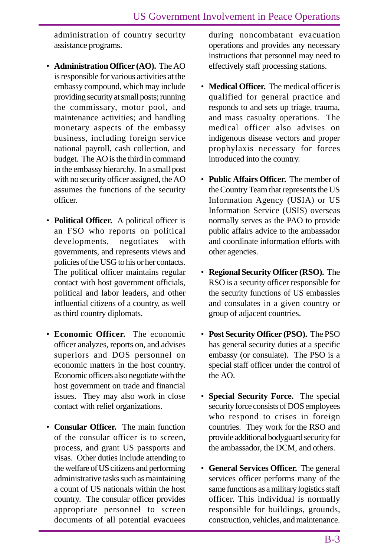administration of country security assistance programs.

- **Administration Officer (AO).** The AO is responsible for various activities at the embassy compound, which may include providing security at small posts; running the commissary, motor pool, and maintenance activities; and handling monetary aspects of the embassy business, including foreign service national payroll, cash collection, and budget. The AO is the third in command in the embassy hierarchy. In a small post with no security officer assigned, the AO assumes the functions of the security officer.
- **Political Officer.** A political officer is an FSO who reports on political developments, negotiates with governments, and represents views and policies of the USG to his or her contacts. The political officer maintains regular contact with host government officials, political and labor leaders, and other influential citizens of a country, as well as third country diplomats.
- **Economic Officer.** The economic officer analyzes, reports on, and advises superiors and DOS personnel on economic matters in the host country. Economic officers also negotiate with the host government on trade and financial issues. They may also work in close contact with relief organizations.
- **Consular Officer.** The main function of the consular officer is to screen, process, and grant US passports and visas. Other duties include attending to the welfare of US citizens and performing administrative tasks such as maintaining a count of US nationals within the host country. The consular officer provides appropriate personnel to screen documents of all potential evacuees

during noncombatant evacuation operations and provides any necessary instructions that personnel may need to effectively staff processing stations.

- **Medical Officer.** The medical officer is qualified for general practice and responds to and sets up triage, trauma, and mass casualty operations. The medical officer also advises on indigenous disease vectors and proper prophylaxis necessary for forces introduced into the country.
- **Public Affairs Officer.** The member of the Country Team that represents the US Information Agency (USIA) or US Information Service (USIS) overseas normally serves as the PAO to provide public affairs advice to the ambassador and coordinate information efforts with other agencies.
- **Regional Security Officer (RSO).** The RSO is a security officer responsible for the security functions of US embassies and consulates in a given country or group of adjacent countries.
- **Post Security Officer (PSO).** The PSO has general security duties at a specific embassy (or consulate). The PSO is a special staff officer under the control of the AO.
- **Special Security Force.** The special security force consists of DOS employees who respond to crises in foreign countries. They work for the RSO and provide additional bodyguard security for the ambassador, the DCM, and others.
- **General Services Officer.** The general services officer performs many of the same functions as a military logistics staff officer. This individual is normally responsible for buildings, grounds, construction, vehicles, and maintenance.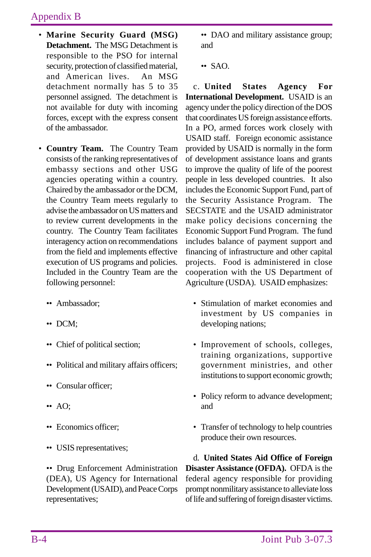# Appendix B

- **Marine Security Guard (MSG) Detachment.** The MSG Detachment is responsible to the PSO for internal security, protection of classified material, and American lives. An MSG detachment normally has 5 to 35 personnel assigned. The detachment is not available for duty with incoming forces, except with the express consent of the ambassador.
- **Country Team.** The Country Team consists of the ranking representatives of embassy sections and other USG agencies operating within a country. Chaired by the ambassador or the DCM, the Country Team meets regularly to advise the ambassador on US matters and to review current developments in the country. The Country Team facilitates interagency action on recommendations from the field and implements effective execution of US programs and policies. Included in the Country Team are the following personnel:
	- •• Ambassador;
	- •• DCM;
	- Chief of political section;
	- Political and military affairs officers;
	- Consular officer;
	- AO;
	- Economics officer;
	- USIS representatives;

• Drug Enforcement Administration (DEA), US Agency for International Development (USAID), and Peace Corps representatives;

•• DAO and military assistance group; and

•• SAO.

c. **United States Agency For International Development.** USAID is an agency under the policy direction of the DOS that coordinates US foreign assistance efforts. In a PO, armed forces work closely with USAID staff. Foreign economic assistance provided by USAID is normally in the form of development assistance loans and grants to improve the quality of life of the poorest people in less developed countries. It also includes the Economic Support Fund, part of the Security Assistance Program. The SECSTATE and the USAID administrator make policy decisions concerning the Economic Support Fund Program. The fund includes balance of payment support and financing of infrastructure and other capital projects. Food is administered in close cooperation with the US Department of Agriculture (USDA). USAID emphasizes:

- Stimulation of market economies and investment by US companies in developing nations;
- Improvement of schools, colleges, training organizations, supportive government ministries, and other institutions to support economic growth;
- Policy reform to advance development; and
- Transfer of technology to help countries produce their own resources.

d. **United States Aid Office of Foreign Disaster Assistance (OFDA).** OFDA is the federal agency responsible for providing prompt nonmilitary assistance to alleviate loss of life and suffering of foreign disaster victims.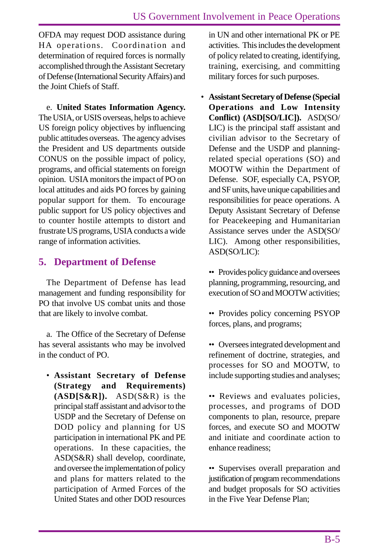OFDA may request DOD assistance during HA operations. Coordination and determination of required forces is normally accomplished through the Assistant Secretary of Defense (International Security Affairs) and the Joint Chiefs of Staff.

e. **United States Information Agency.** The USIA, or USIS overseas, helps to achieve US foreign policy objectives by influencing public attitudes overseas. The agency advises the President and US departments outside CONUS on the possible impact of policy, programs, and official statements on foreign opinion. USIA monitors the impact of PO on local attitudes and aids PO forces by gaining popular support for them. To encourage public support for US policy objectives and to counter hostile attempts to distort and frustrate US programs, USIA conducts a wide range of information activities.

# **5. Department of Defense**

The Department of Defense has lead management and funding responsibility for PO that involve US combat units and those that are likely to involve combat.

a. The Office of the Secretary of Defense has several assistants who may be involved in the conduct of PO.

• **Assistant Secretary of Defense (Strategy and Requirements) (ASD[S&R]).** ASD(S&R) is the principal staff assistant and advisor to the USDP and the Secretary of Defense on DOD policy and planning for US participation in international PK and PE operations. In these capacities, the ASD(S&R) shall develop, coordinate, and oversee the implementation of policy and plans for matters related to the participation of Armed Forces of the United States and other DOD resources

in UN and other international PK or PE activities. This includes the development of policy related to creating, identifying, training, exercising, and committing military forces for such purposes.

• **Assistant Secretary of Defense (Special Operations and Low Intensity Conflict) (ASD[SO/LIC]).** ASD(SO/ LIC) is the principal staff assistant and civilian advisor to the Secretary of Defense and the USDP and planningrelated special operations (SO) and MOOTW within the Department of Defense. SOF, especially CA, PSYOP, and SF units, have unique capabilities and responsibilities for peace operations. A Deputy Assistant Secretary of Defense for Peacekeeping and Humanitarian Assistance serves under the ASD(SO/ LIC). Among other responsibilities, ASD(SO/LIC):

•• Provides policy guidance and oversees planning, programming, resourcing, and execution of SO and MOOTW activities;

- •• Provides policy concerning PSYOP forces, plans, and programs;
- •• Oversees integrated development and refinement of doctrine, strategies, and processes for SO and MOOTW, to include supporting studies and analyses;
- •• Reviews and evaluates policies, processes, and programs of DOD components to plan, resource, prepare forces, and execute SO and MOOTW and initiate and coordinate action to enhance readiness;

•• Supervises overall preparation and justification of program recommendations and budget proposals for SO activities in the Five Year Defense Plan;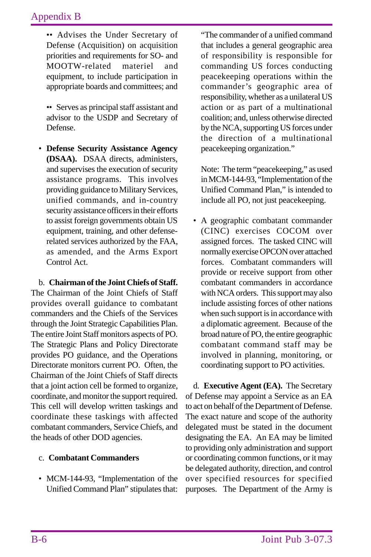•• Advises the Under Secretary of Defense (Acquisition) on acquisition priorities and requirements for SO- and MOOTW-related materiel and equipment, to include participation in appropriate boards and committees; and

•• Serves as principal staff assistant and advisor to the USDP and Secretary of Defense.

• **Defense Security Assistance Agency (DSAA).** DSAA directs, administers, and supervises the execution of security assistance programs. This involves providing guidance to Military Services, unified commands, and in-country security assistance officers in their efforts to assist foreign governments obtain US equipment, training, and other defenserelated services authorized by the FAA, as amended, and the Arms Export Control Act.

b. **Chairman of the Joint Chiefs of Staff.** The Chairman of the Joint Chiefs of Staff provides overall guidance to combatant commanders and the Chiefs of the Services through the Joint Strategic Capabilities Plan. The entire Joint Staff monitors aspects of PO. The Strategic Plans and Policy Directorate provides PO guidance, and the Operations Directorate monitors current PO. Often, the Chairman of the Joint Chiefs of Staff directs that a joint action cell be formed to organize, coordinate, and monitor the support required. This cell will develop written taskings and coordinate these taskings with affected combatant commanders, Service Chiefs, and the heads of other DOD agencies.

#### c. **Combatant Commanders**

• MCM-144-93, "Implementation of the Unified Command Plan" stipulates that:

"The commander of a unified command that includes a general geographic area of responsibility is responsible for commanding US forces conducting peacekeeping operations within the commander's geographic area of responsibility, whether as a unilateral US action or as part of a multinational coalition; and, unless otherwise directed by the NCA, supporting US forces under the direction of a multinational peacekeeping organization."

Note: The term "peacekeeping," as used in MCM-144-93, "Implementation of the Unified Command Plan," is intended to include all PO, not just peacekeeping.

• A geographic combatant commander (CINC) exercises COCOM over assigned forces. The tasked CINC will normally exercise OPCON over attached forces. Combatant commanders will provide or receive support from other combatant commanders in accordance with NCA orders. This support may also include assisting forces of other nations when such support is in accordance with a diplomatic agreement. Because of the broad nature of PO, the entire geographic combatant command staff may be involved in planning, monitoring, or coordinating support to PO activities.

d. **Executive Agent (EA).** The Secretary of Defense may appoint a Service as an EA to act on behalf of the Department of Defense. The exact nature and scope of the authority delegated must be stated in the document designating the EA. An EA may be limited to providing only administration and support or coordinating common functions, or it may be delegated authority, direction, and control over specified resources for specified purposes. The Department of the Army is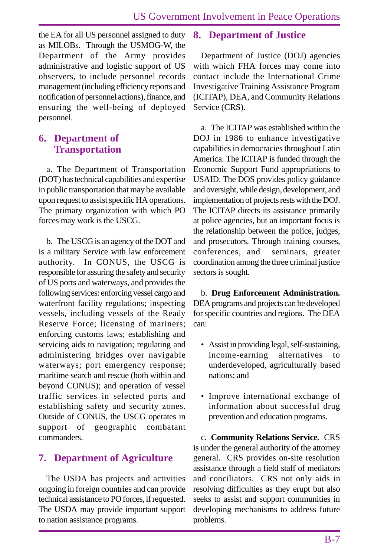the EA for all US personnel assigned to duty as MILOBs. Through the USMOG-W, the Department of the Army provides administrative and logistic support of US observers, to include personnel records management (including efficiency reports and notification of personnel actions), finance, and ensuring the well-being of deployed personnel.

## **6. Department of Transportation**

a. The Department of Transportation (DOT) has technical capabilities and expertise in public transportation that may be available upon request to assist specific HA operations. The primary organization with which PO forces may work is the USCG.

b. The USCG is an agency of the DOT and is a military Service with law enforcement authority. In CONUS, the USCG is responsible for assuring the safety and security of US ports and waterways, and provides the following services: enforcing vessel cargo and waterfront facility regulations; inspecting vessels, including vessels of the Ready Reserve Force; licensing of mariners; enforcing customs laws; establishing and servicing aids to navigation; regulating and administering bridges over navigable waterways; port emergency response; maritime search and rescue (both within and beyond CONUS); and operation of vessel traffic services in selected ports and establishing safety and security zones. Outside of CONUS, the USCG operates in support of geographic combatant commanders.

## **7. Department of Agriculture**

The USDA has projects and activities ongoing in foreign countries and can provide technical assistance to PO forces, if requested. The USDA may provide important support to nation assistance programs.

### **8. Department of Justice**

Department of Justice (DOJ) agencies with which FHA forces may come into contact include the International Crime Investigative Training Assistance Program (ICITAP), DEA, and Community Relations Service (CRS).

a. The ICITAP was established within the DOJ in 1986 to enhance investigative capabilities in democracies throughout Latin America. The ICITAP is funded through the Economic Support Fund appropriations to USAID. The DOS provides policy guidance and oversight, while design, development, and implementation of projects rests with the DOJ. The ICITAP directs its assistance primarily at police agencies, but an important focus is the relationship between the police, judges, and prosecutors. Through training courses, conferences, and seminars, greater coordination among the three criminal justice sectors is sought.

b. **Drug Enforcement Administration.** DEA programs and projects can be developed for specific countries and regions. The DEA can:

- Assist in providing legal, self-sustaining, income-earning alternatives to underdeveloped, agriculturally based nations; and
- Improve international exchange of information about successful drug prevention and education programs.

c. **Community Relations Service.** CRS is under the general authority of the attorney general. CRS provides on-site resolution assistance through a field staff of mediators and conciliators. CRS not only aids in resolving difficulties as they erupt but also seeks to assist and support communities in developing mechanisms to address future problems.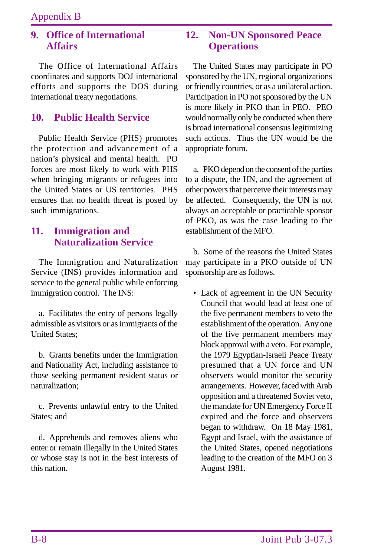## **9. Office of International Affairs**

The Office of International Affairs coordinates and supports DOJ international efforts and supports the DOS during international treaty negotiations.

## **10. Public Health Service**

Public Health Service (PHS) promotes the protection and advancement of a nation's physical and mental health. PO forces are most likely to work with PHS when bringing migrants or refugees into the United States or US territories. PHS ensures that no health threat is posed by such immigrations.

## **11. Immigration and Naturalization Service**

The Immigration and Naturalization Service (INS) provides information and service to the general public while enforcing immigration control. The INS:

a. Facilitates the entry of persons legally admissible as visitors or as immigrants of the United States;

b. Grants benefits under the Immigration and Nationality Act, including assistance to those seeking permanent resident status or naturalization;

c. Prevents unlawful entry to the United States; and

d. Apprehends and removes aliens who enter or remain illegally in the United States or whose stay is not in the best interests of this nation.

## **12. Non-UN Sponsored Peace Operations**

The United States may participate in PO sponsored by the UN, regional organizations or friendly countries, or as a unilateral action. Participation in PO not sponsored by the UN is more likely in PKO than in PEO. PEO would normally only be conducted when there is broad international consensus legitimizing such actions. Thus the UN would be the appropriate forum.

a. PKO depend on the consent of the parties to a dispute, the HN, and the agreement of other powers that perceive their interests may be affected. Consequently, the UN is not always an acceptable or practicable sponsor of PKO, as was the case leading to the establishment of the MFO.

b. Some of the reasons the United States may participate in a PKO outside of UN sponsorship are as follows.

• Lack of agreement in the UN Security Council that would lead at least one of the five permanent members to veto the establishment of the operation. Any one of the five permanent members may block approval with a veto. For example, the 1979 Egyptian-Israeli Peace Treaty presumed that a UN force and UN observers would monitor the security arrangements. However, faced with Arab opposition and a threatened Soviet veto, the mandate for UN Emergency Force II expired and the force and observers began to withdraw. On 18 May 1981, Egypt and Israel, with the assistance of the United States, opened negotiations leading to the creation of the MFO on 3 August 1981.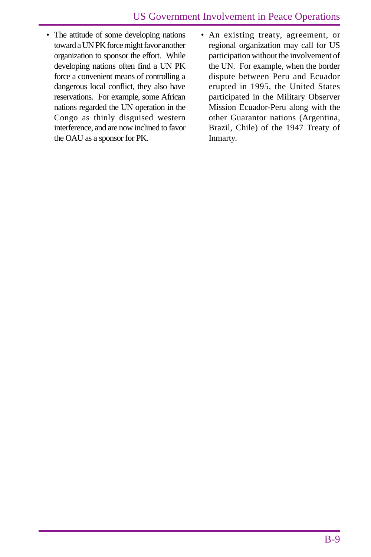- The attitude of some developing nations toward a UN PK force might favor another organization to sponsor the effort. While developing nations often find a UN PK force a convenient means of controlling a dangerous local conflict, they also have reservations. For example, some African nations regarded the UN operation in the Congo as thinly disguised western interference, and are now inclined to favor the OAU as a sponsor for PK.
- An existing treaty, agreement, or regional organization may call for US participation without the involvement of the UN. For example, when the border dispute between Peru and Ecuador erupted in 1995, the United States participated in the Military Observer Mission Ecuador-Peru along with the other Guarantor nations (Argentina, Brazil, Chile) of the 1947 Treaty of Inmarty.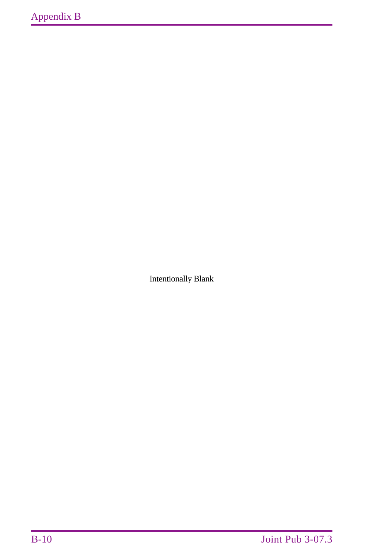Intentionally Blank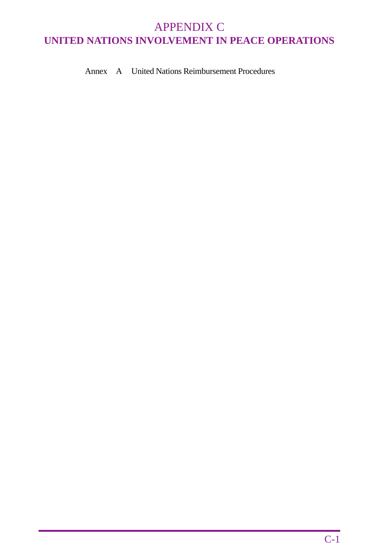# APPENDIX C **UNITED NATIONS INVOLVEMENT IN PEACE OPERATIONS**

Annex A United Nations Reimbursement Procedures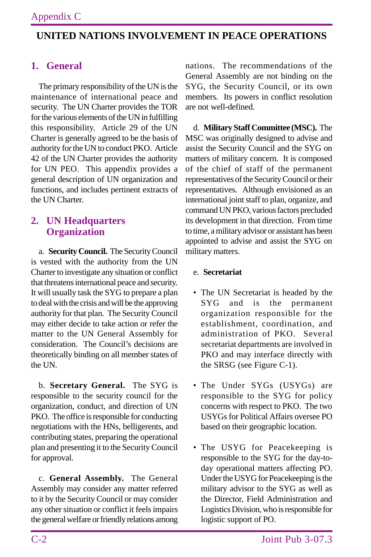# **UNITED NATIONS INVOLVEMENT IN PEACE OPERATIONS**

# **1. General**

The primary responsibility of the UN is the maintenance of international peace and security. The UN Charter provides the TOR for the various elements of the UN in fulfilling this responsibility. Article 29 of the UN Charter is generally agreed to be the basis of authority for the UN to conduct PKO. Article 42 of the UN Charter provides the authority for UN PEO. This appendix provides a general description of UN organization and functions, and includes pertinent extracts of the UN Charter.

# **2. UN Headquarters Organization**

a. **Security Council.** The Security Council is vested with the authority from the UN Charter to investigate any situation or conflict that threatens international peace and security. It will usually task the SYG to prepare a plan to deal with the crisis and will be the approving authority for that plan. The Security Council may either decide to take action or refer the matter to the UN General Assembly for consideration. The Council's decisions are theoretically binding on all member states of the UN.

b. **Secretary General.** The SYG is responsible to the security council for the organization, conduct, and direction of UN PKO. The office is responsible for conducting negotiations with the HNs, belligerents, and contributing states, preparing the operational plan and presenting it to the Security Council for approval.

c. **General Assembly.** The General Assembly may consider any matter referred to it by the Security Council or may consider any other situation or conflict it feels impairs the general welfare or friendly relations among

nations. The recommendations of the General Assembly are not binding on the SYG, the Security Council, or its own members. Its powers in conflict resolution are not well-defined.

d. **Military Staff Committee (MSC).** The MSC was originally designed to advise and assist the Security Council and the SYG on matters of military concern. It is composed of the chief of staff of the permanent representatives of the Security Council or their representatives. Although envisioned as an international joint staff to plan, organize, and command UN PKO, various factors precluded its development in that direction. From time to time, a military advisor or assistant has been appointed to advise and assist the SYG on military matters.

#### e. **Secretariat**

- The UN Secretariat is headed by the SYG and is the permanent organization responsible for the establishment, coordination, and administration of PKO. Several secretariat departments are involved in PKO and may interface directly with the SRSG (see Figure C-1).
- The Under SYGs (USYGs) are responsible to the SYG for policy concerns with respect to PKO. The two USYGs for Political Affairs oversee PO based on their geographic location.
- The USYG for Peacekeeping is responsible to the SYG for the day-today operational matters affecting PO. Under the USYG for Peacekeeping is the military advisor to the SYG as well as the Director, Field Administration and Logistics Division, who is responsible for logistic support of PO.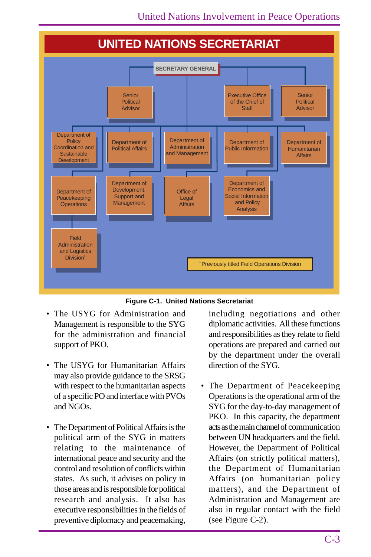



- The USYG for Administration and Management is responsible to the SYG for the administration and financial support of PKO.
- The USYG for Humanitarian Affairs may also provide guidance to the SRSG with respect to the humanitarian aspects of a specific PO and interface with PVOs and NGOs.
- The Department of Political Affairs is the political arm of the SYG in matters relating to the maintenance of international peace and security and the control and resolution of conflicts within states. As such, it advises on policy in those areas and is responsible for political research and analysis. It also has executive responsibilities in the fields of preventive diplomacy and peacemaking,

including negotiations and other diplomatic activities. All these functions and responsibilities as they relate to field operations are prepared and carried out by the department under the overall direction of the SYG.

• The Department of Peacekeeping Operations is the operational arm of the SYG for the day-to-day management of PKO. In this capacity, the department acts as the main channel of communication between UN headquarters and the field. However, the Department of Political Affairs (on strictly political matters), the Department of Humanitarian Affairs (on humanitarian policy matters), and the Department of Administration and Management are also in regular contact with the field (see Figure C-2).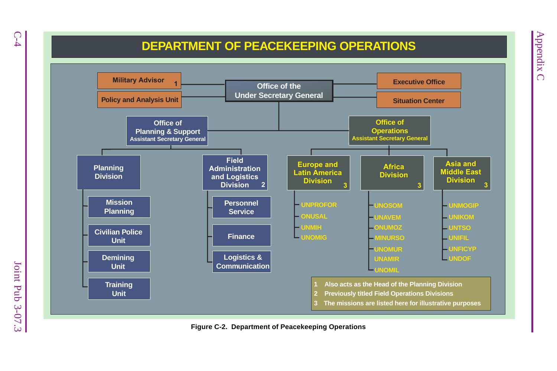

**Figure C-2. Department of Peacekeeping Operations**

 $\Omega$ 

Appendix C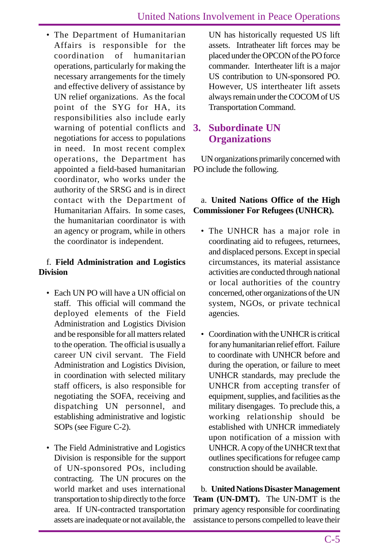• The Department of Humanitarian Affairs is responsible for the coordination of humanitarian operations, particularly for making the necessary arrangements for the timely and effective delivery of assistance by UN relief organizations. As the focal point of the SYG for HA, its responsibilities also include early warning of potential conflicts and negotiations for access to populations in need. In most recent complex operations, the Department has appointed a field-based humanitarian coordinator, who works under the authority of the SRSG and is in direct contact with the Department of Humanitarian Affairs. In some cases, the humanitarian coordinator is with an agency or program, while in others the coordinator is independent.

#### f. **Field Administration and Logistics Division**

- Each UN PO will have a UN official on staff. This official will command the deployed elements of the Field Administration and Logistics Division and be responsible for all matters related to the operation. The official is usually a career UN civil servant. The Field Administration and Logistics Division, in coordination with selected military staff officers, is also responsible for negotiating the SOFA, receiving and dispatching UN personnel, and establishing administrative and logistic SOPs (see Figure C-2).
- The Field Administrative and Logistics Division is responsible for the support of UN-sponsored POs, including contracting. The UN procures on the world market and uses international transportation to ship directly to the force area. If UN-contracted transportation assets are inadequate or not available, the

UN has historically requested US lift assets. Intratheater lift forces may be placed under the OPCON of the PO force commander. Intertheater lift is a major US contribution to UN-sponsored PO. However, US intertheater lift assets always remain under the COCOM of US Transportation Command.

## **3. Subordinate UN Organizations**

UN organizations primarily concerned with PO include the following.

#### a. **United Nations Office of the High Commissioner For Refugees (UNHCR).**

- The UNHCR has a major role in coordinating aid to refugees, returnees, and displaced persons. Except in special circumstances, its material assistance activities are conducted through national or local authorities of the country concerned, other organizations of the UN system, NGOs, or private technical agencies.
- Coordination with the UNHCR is critical for any humanitarian relief effort. Failure to coordinate with UNHCR before and during the operation, or failure to meet UNHCR standards, may preclude the UNHCR from accepting transfer of equipment, supplies, and facilities as the military disengages. To preclude this, a working relationship should be established with UNHCR immediately upon notification of a mission with UNHCR. A copy of the UNHCR text that outlines specifications for refugee camp construction should be available.

b. **United Nations Disaster Management Team (UN-DMT).** The UN-DMT is the primary agency responsible for coordinating assistance to persons compelled to leave their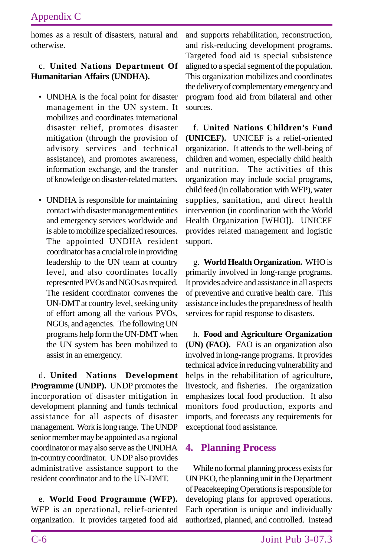homes as a result of disasters, natural and otherwise.

#### c. **United Nations Department Of Humanitarian Affairs (UNDHA).**

- UNDHA is the focal point for disaster management in the UN system. It mobilizes and coordinates international disaster relief, promotes disaster mitigation (through the provision of advisory services and technical assistance), and promotes awareness, information exchange, and the transfer of knowledge on disaster-related matters.
- UNDHA is responsible for maintaining contact with disaster management entities and emergency services worldwide and is able to mobilize specialized resources. The appointed UNDHA resident coordinator has a crucial role in providing leadership to the UN team at country level, and also coordinates locally represented PVOs and NGOs as required. The resident coordinator convenes the UN-DMT at country level, seeking unity of effort among all the various PVOs, NGOs, and agencies. The following UN programs help form the UN-DMT when the UN system has been mobilized to assist in an emergency.

d. **United Nations Development Programme (UNDP).** UNDP promotes the incorporation of disaster mitigation in development planning and funds technical assistance for all aspects of disaster management. Work is long range. The UNDP senior member may be appointed as a regional coordinator or may also serve as the UNDHA in-country coordinator. UNDP also provides administrative assistance support to the resident coordinator and to the UN-DMT.

e. **World Food Programme (WFP).** WFP is an operational, relief-oriented organization. It provides targeted food aid and supports rehabilitation, reconstruction, and risk-reducing development programs. Targeted food aid is special subsistence aligned to a special segment of the population. This organization mobilizes and coordinates the delivery of complementary emergency and program food aid from bilateral and other sources.

f. **United Nations Children's Fund (UNICEF).** UNICEF is a relief-oriented organization. It attends to the well-being of children and women, especially child health and nutrition. The activities of this organization may include social programs, child feed (in collaboration with WFP), water supplies, sanitation, and direct health intervention (in coordination with the World Health Organization [WHO]). UNICEF provides related management and logistic support.

g. **World Health Organization.** WHO is primarily involved in long-range programs. It provides advice and assistance in all aspects of preventive and curative health care. This assistance includes the preparedness of health services for rapid response to disasters.

h. **Food and Agriculture Organization (UN) (FAO).** FAO is an organization also involved in long-range programs. It provides technical advice in reducing vulnerability and helps in the rehabilitation of agriculture, livestock, and fisheries. The organization emphasizes local food production. It also monitors food production, exports and imports, and forecasts any requirements for exceptional food assistance.

## **4. Planning Process**

While no formal planning process exists for UN PKO, the planning unit in the Department of Peacekeeping Operations is responsible for developing plans for approved operations. Each operation is unique and individually authorized, planned, and controlled. Instead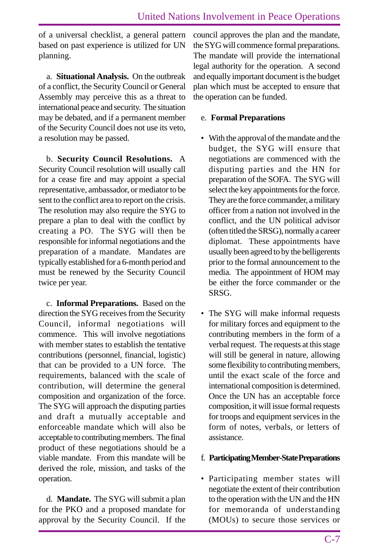of a universal checklist, a general pattern based on past experience is utilized for UN planning.

a. **Situational Analysis.** On the outbreak of a conflict, the Security Council or General Assembly may perceive this as a threat to international peace and security. The situation may be debated, and if a permanent member of the Security Council does not use its veto, a resolution may be passed.

b. **Security Council Resolutions.** A Security Council resolution will usually call for a cease fire and may appoint a special representative, ambassador, or mediator to be sent to the conflict area to report on the crisis. The resolution may also require the SYG to prepare a plan to deal with the conflict by creating a PO. The SYG will then be responsible for informal negotiations and the preparation of a mandate. Mandates are typically established for a 6-month period and must be renewed by the Security Council twice per year.

c. **Informal Preparations.** Based on the direction the SYG receives from the Security Council, informal negotiations will commence. This will involve negotiations with member states to establish the tentative contributions (personnel, financial, logistic) that can be provided to a UN force. The requirements, balanced with the scale of contribution, will determine the general composition and organization of the force. The SYG will approach the disputing parties and draft a mutually acceptable and enforceable mandate which will also be acceptable to contributing members. The final product of these negotiations should be a viable mandate. From this mandate will be derived the role, mission, and tasks of the operation.

d. **Mandate.** The SYG will submit a plan for the PKO and a proposed mandate for approval by the Security Council. If the

council approves the plan and the mandate, the SYG will commence formal preparations. The mandate will provide the international legal authority for the operation. A second and equally important document is the budget plan which must be accepted to ensure that the operation can be funded.

#### e. **Formal Preparations**

- With the approval of the mandate and the budget, the SYG will ensure that negotiations are commenced with the disputing parties and the HN for preparation of the SOFA. The SYG will select the key appointments for the force. They are the force commander, a military officer from a nation not involved in the conflict, and the UN political advisor (often titled the SRSG), normally a career diplomat. These appointments have usually been agreed to by the belligerents prior to the formal announcement to the media. The appointment of HOM may be either the force commander or the SRSG.
- The SYG will make informal requests for military forces and equipment to the contributing members in the form of a verbal request. The requests at this stage will still be general in nature, allowing some flexibility to contributing members, until the exact scale of the force and international composition is determined. Once the UN has an acceptable force composition, it will issue formal requests for troops and equipment services in the form of notes, verbals, or letters of assistance.

#### f. **Participating Member-State Preparations**

• Participating member states will negotiate the extent of their contribution to the operation with the UN and the HN for memoranda of understanding (MOUs) to secure those services or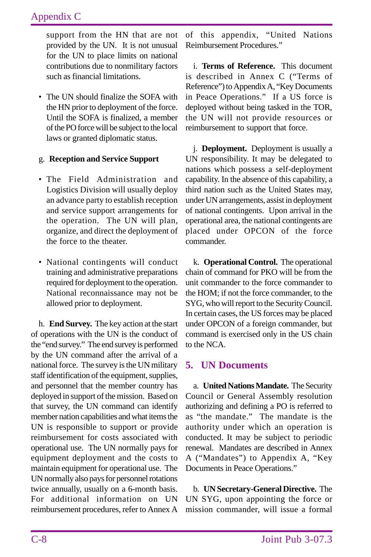support from the HN that are not provided by the UN. It is not unusual for the UN to place limits on national contributions due to nonmilitary factors such as financial limitations.

• The UN should finalize the SOFA with the HN prior to deployment of the force. Until the SOFA is finalized, a member of the PO force will be subject to the local laws or granted diplomatic status.

### g. **Reception and Service Support**

- The Field Administration and Logistics Division will usually deploy an advance party to establish reception and service support arrangements for the operation. The UN will plan, organize, and direct the deployment of the force to the theater.
- National contingents will conduct training and administrative preparations required for deployment to the operation. National reconnaissance may not be allowed prior to deployment.

h. **End Survey.** The key action at the start of operations with the UN is the conduct of the "end survey." The end survey is performed by the UN command after the arrival of a national force. The survey is the UN military staff identification of the equipment, supplies, and personnel that the member country has deployed in support of the mission. Based on that survey, the UN command can identify member nation capabilities and what items the UN is responsible to support or provide reimbursement for costs associated with operational use. The UN normally pays for equipment deployment and the costs to maintain equipment for operational use. The UN normally also pays for personnel rotations twice annually, usually on a 6-month basis. For additional information on UN reimbursement procedures, refer to Annex A of this appendix, "United Nations Reimbursement Procedures."

i. **Terms of Reference.** This document is described in Annex C ("Terms of Reference") to Appendix A, "Key Documents in Peace Operations." If a US force is deployed without being tasked in the TOR, the UN will not provide resources or reimbursement to support that force.

j. **Deployment.** Deployment is usually a UN responsibility. It may be delegated to nations which possess a self-deployment capability. In the absence of this capability, a third nation such as the United States may, under UN arrangements, assist in deployment of national contingents. Upon arrival in the operational area, the national contingents are placed under OPCON of the force commander.

k. **Operational Control.** The operational chain of command for PKO will be from the unit commander to the force commander to the HOM; if not the force commander, to the SYG, who will report to the Security Council. In certain cases, the US forces may be placed under OPCON of a foreign commander, but command is exercised only in the US chain to the NCA.

# **5. UN Documents**

a. **United Nations Mandate.** The Security Council or General Assembly resolution authorizing and defining a PO is referred to as "the mandate." The mandate is the authority under which an operation is conducted. It may be subject to periodic renewal. Mandates are described in Annex A ("Mandates") to Appendix A, "Key Documents in Peace Operations."

b. **UN Secretary-General Directive.** The UN SYG, upon appointing the force or mission commander, will issue a formal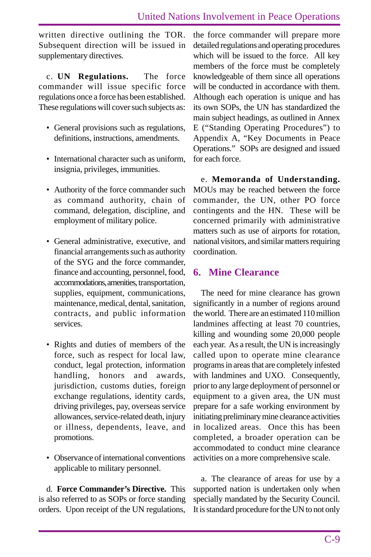written directive outlining the TOR. Subsequent direction will be issued in supplementary directives.

c. **UN Regulations.** The force commander will issue specific force regulations once a force has been established. These regulations will cover such subjects as:

- General provisions such as regulations, definitions, instructions, amendments.
- International character such as uniform, insignia, privileges, immunities.
- Authority of the force commander such as command authority, chain of command, delegation, discipline, and employment of military police.
- General administrative, executive, and financial arrangements such as authority of the SYG and the force commander, finance and accounting, personnel, food, accommodations, amenities, transportation, supplies, equipment, communications, maintenance, medical, dental, sanitation, contracts, and public information services.
- Rights and duties of members of the force, such as respect for local law, conduct, legal protection, information handling, honors and awards, jurisdiction, customs duties, foreign exchange regulations, identity cards, driving privileges, pay, overseas service allowances, service-related death, injury or illness, dependents, leave, and promotions.
- Observance of international conventions applicable to military personnel.

d. **Force Commander's Directive.** This is also referred to as SOPs or force standing orders. Upon receipt of the UN regulations,

the force commander will prepare more detailed regulations and operating procedures which will be issued to the force. All key members of the force must be completely knowledgeable of them since all operations will be conducted in accordance with them. Although each operation is unique and has its own SOPs, the UN has standardized the main subject headings, as outlined in Annex E ("Standing Operating Procedures") to Appendix A, "Key Documents in Peace Operations." SOPs are designed and issued for each force.

e. **Memoranda of Understanding.** MOUs may be reached between the force commander, the UN, other PO force contingents and the HN. These will be concerned primarily with administrative matters such as use of airports for rotation, national visitors, and similar matters requiring coordination.

## **6. Mine Clearance**

The need for mine clearance has grown significantly in a number of regions around the world. There are an estimated 110 million landmines affecting at least 70 countries, killing and wounding some 20,000 people each year. As a result, the UN is increasingly called upon to operate mine clearance programs in areas that are completely infested with landmines and UXO. Consequently, prior to any large deployment of personnel or equipment to a given area, the UN must prepare for a safe working environment by initiating preliminary mine clearance activities in localized areas. Once this has been completed, a broader operation can be accommodated to conduct mine clearance activities on a more comprehensive scale.

a. The clearance of areas for use by a supported nation is undertaken only when specially mandated by the Security Council. It is standard procedure for the UN to not only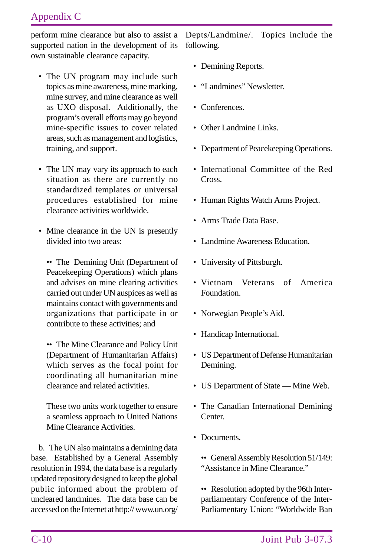# Appendix C

perform mine clearance but also to assist a supported nation in the development of its own sustainable clearance capacity.

- The UN program may include such topics as mine awareness, mine marking, mine survey, and mine clearance as well as UXO disposal. Additionally, the program's overall efforts may go beyond mine-specific issues to cover related areas, such as management and logistics, training, and support.
- The UN may vary its approach to each situation as there are currently no standardized templates or universal procedures established for mine clearance activities worldwide.
- Mine clearance in the UN is presently divided into two areas:

•• The Demining Unit (Department of Peacekeeping Operations) which plans and advises on mine clearing activities carried out under UN auspices as well as maintains contact with governments and organizations that participate in or contribute to these activities; and

•• The Mine Clearance and Policy Unit (Department of Humanitarian Affairs) which serves as the focal point for coordinating all humanitarian mine clearance and related activities.

These two units work together to ensure a seamless approach to United Nations Mine Clearance Activities.

b. The UN also maintains a demining data base. Established by a General Assembly resolution in 1994, the data base is a regularly updated repository designed to keep the global public informed about the problem of uncleared landmines. The data base can be accessed on the Internet at http:// www.un.org/

Depts/Landmine/. Topics include the following.

- Demining Reports.
- "Landmines" Newsletter.
- Conferences.
- Other Landmine Links.
- Department of Peacekeeping Operations.
- International Committee of the Red Cross.
- Human Rights Watch Arms Project.
- Arms Trade Data Base.
- Landmine Awareness Education.
- University of Pittsburgh.
- Vietnam Veterans of America Foundation.
- Norwegian People's Aid.
- Handicap International.
- US Department of Defense Humanitarian Demining.
- US Department of State Mine Web.
- The Canadian International Demining Center.
- Documents.
	- •• General Assembly Resolution 51/149: "Assistance in Mine Clearance."

•• Resolution adopted by the 96th Interparliamentary Conference of the Inter-Parliamentary Union: "Worldwide Ban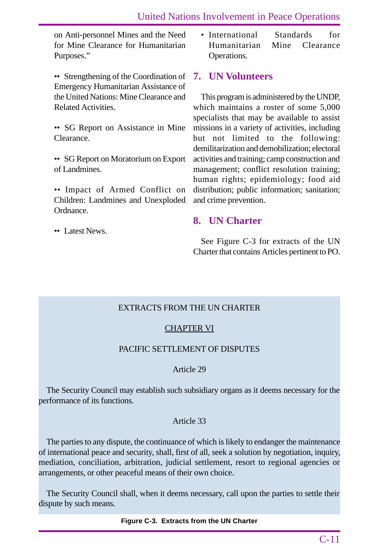on Anti-personnel Mines and the Need for Mine Clearance for Humanitarian Purposes."

•• Strengthening of the Coordination of Emergency Humanitarian Assistance of the United Nations: Mine Clearance and Related Activities.

• SG Report on Assistance in Mine Clearance.

•• SG Report on Moratorium on Export of Landmines.

•• Impact of Armed Conflict on Children: Landmines and Unexploded Ordnance.

•• Latest News.

• International Standards for Humanitarian Mine Clearance Operations.

#### **7. UN Volunteers**

This program is administered by the UNDP, which maintains a roster of some 5,000 specialists that may be available to assist missions in a variety of activities, including but not limited to the following: demilitarization and demobilization; electoral activities and training; camp construction and management; conflict resolution training; human rights; epidemiology; food aid distribution; public information; sanitation; and crime prevention.

### **8. UN Charter**

See Figure C-3 for extracts of the UN Charter that contains Articles pertinent to PO.

#### EXTRACTS FROM THE UN CHARTER

#### CHAPTER VI

#### PACIFIC SETTLEMENT OF DISPUTES

#### Article 29

The Security Council may establish such subsidiary organs as it deems necessary for the performance of its functions.

#### Article 33

The parties to any dispute, the continuance of which is likely to endanger the maintenance of international peace and security, shall, first of all, seek a solution by negotiation, inquiry, mediation, conciliation, arbitration, judicial settlement, resort to regional agencies or arrangements, or other peaceful means of their own choice.

The Security Council shall, when it deems necessary, call upon the parties to settle their dispute by such means.

**Figure C-3. Extracts from the UN Charter**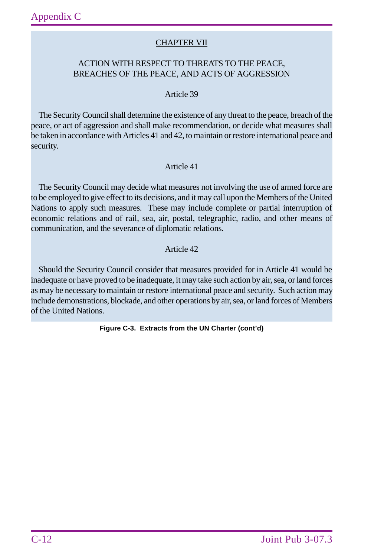#### CHAPTER VII

#### ACTION WITH RESPECT TO THREATS TO THE PEACE, BREACHES OF THE PEACE, AND ACTS OF AGGRESSION

#### Article 39

The Security Council shall determine the existence of any threat to the peace, breach of the peace, or act of aggression and shall make recommendation, or decide what measures shall be taken in accordance with Articles 41 and 42, to maintain or restore international peace and security.

#### Article 41

The Security Council may decide what measures not involving the use of armed force are to be employed to give effect to its decisions, and it may call upon the Members of the United Nations to apply such measures. These may include complete or partial interruption of economic relations and of rail, sea, air, postal, telegraphic, radio, and other means of communication, and the severance of diplomatic relations.

#### Article 42

Should the Security Council consider that measures provided for in Article 41 would be inadequate or have proved to be inadequate, it may take such action by air, sea, or land forces as may be necessary to maintain or restore international peace and security. Such action may include demonstrations, blockade, and other operations by air, sea, or land forces of Members of the United Nations.

**Figure C-3. Extracts from the UN Charter (cont'd)**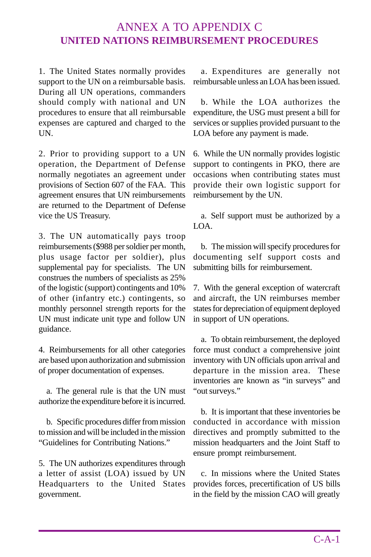# ANNEX A TO APPENDIX C **UNITED NATIONS REIMBURSEMENT PROCEDURES**

1. The United States normally provides support to the UN on a reimbursable basis. During all UN operations, commanders should comply with national and UN procedures to ensure that all reimbursable expenses are captured and charged to the UN.

2. Prior to providing support to a UN operation, the Department of Defense normally negotiates an agreement under provisions of Section 607 of the FAA. This agreement ensures that UN reimbursements are returned to the Department of Defense vice the US Treasury.

3. The UN automatically pays troop reimbursements (\$988 per soldier per month, plus usage factor per soldier), plus supplemental pay for specialists. The UN construes the numbers of specialists as 25% of the logistic (support) contingents and 10% of other (infantry etc.) contingents, so monthly personnel strength reports for the UN must indicate unit type and follow UN guidance.

4. Reimbursements for all other categories are based upon authorization and submission of proper documentation of expenses.

a. The general rule is that the UN must authorize the expenditure before it is incurred.

b. Specific procedures differ from mission to mission and will be included in the mission "Guidelines for Contributing Nations."

5. The UN authorizes expenditures through a letter of assist (LOA) issued by UN Headquarters to the United States government.

a. Expenditures are generally not reimbursable unless an LOA has been issued.

b. While the LOA authorizes the expenditure, the USG must present a bill for services or supplies provided pursuant to the LOA before any payment is made.

6. While the UN normally provides logistic support to contingents in PKO, there are occasions when contributing states must provide their own logistic support for reimbursement by the UN.

a. Self support must be authorized by a LOA.

b. The mission will specify procedures for documenting self support costs and submitting bills for reimbursement.

7. With the general exception of watercraft and aircraft, the UN reimburses member states for depreciation of equipment deployed in support of UN operations.

a. To obtain reimbursement, the deployed force must conduct a comprehensive joint inventory with UN officials upon arrival and departure in the mission area. These inventories are known as "in surveys" and "out surveys."

b. It is important that these inventories be conducted in accordance with mission directives and promptly submitted to the mission headquarters and the Joint Staff to ensure prompt reimbursement.

c. In missions where the United States provides forces, precertification of US bills in the field by the mission CAO will greatly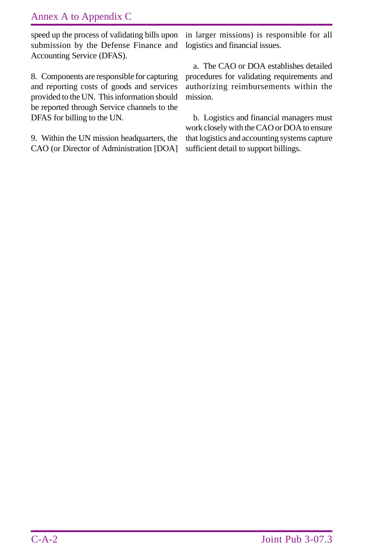# Annex A to Appendix C

speed up the process of validating bills upon submission by the Defense Finance and Accounting Service (DFAS).

8. Components are responsible for capturing and reporting costs of goods and services provided to the UN. This information should be reported through Service channels to the DFAS for billing to the UN.

9. Within the UN mission headquarters, the CAO (or Director of Administration [DOA] in larger missions) is responsible for all logistics and financial issues.

a. The CAO or DOA establishes detailed procedures for validating requirements and authorizing reimbursements within the mission.

b. Logistics and financial managers must work closely with the CAO or DOA to ensure that logistics and accounting systems capture sufficient detail to support billings.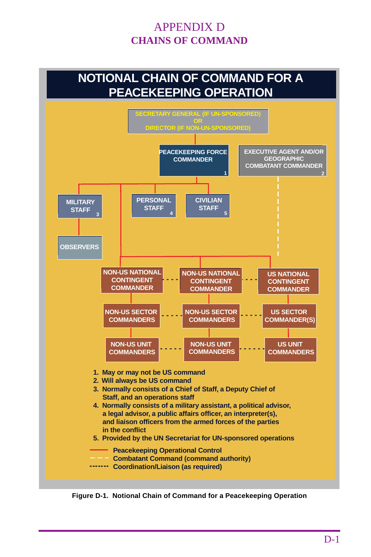# APPENDIX D **CHAINS OF COMMAND**

# **NOTIONAL CHAIN OF COMMAND FOR A PEACEKEEPING OPERATION**



**Figure D-1. Notional Chain of Command for a Peacekeeping Operation**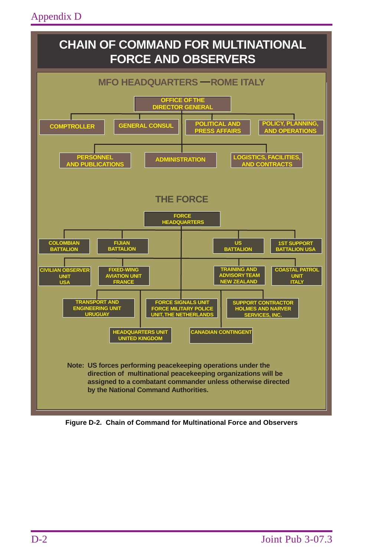# Appendix D



**Note: US forces performing peacekeeping operations under the direction of multinational peacekeeping organizations will be assigned to a combatant commander unless otherwise directed by the National Command Authorities.**

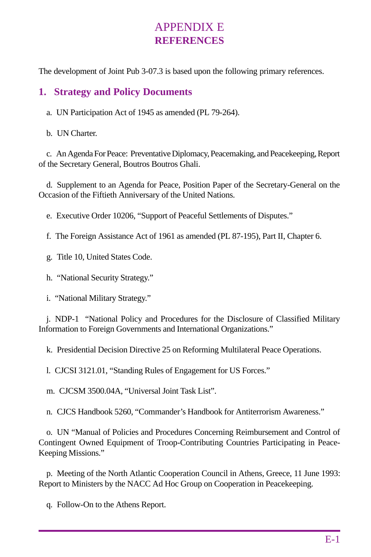# APPENDIX E **REFERENCES**

The development of Joint Pub 3-07.3 is based upon the following primary references.

## **1. Strategy and Policy Documents**

a. UN Participation Act of 1945 as amended (PL 79-264).

b. UN Charter.

c. An Agenda For Peace: Preventative Diplomacy, Peacemaking, and Peacekeeping, Report of the Secretary General, Boutros Boutros Ghali.

d. Supplement to an Agenda for Peace, Position Paper of the Secretary-General on the Occasion of the Fiftieth Anniversary of the United Nations.

e. Executive Order 10206, "Support of Peaceful Settlements of Disputes."

f. The Foreign Assistance Act of 1961 as amended (PL 87-195), Part II, Chapter 6.

g. Title 10, United States Code.

h. "National Security Strategy."

i. "National Military Strategy."

j. NDP-1 "National Policy and Procedures for the Disclosure of Classified Military Information to Foreign Governments and International Organizations."

k. Presidential Decision Directive 25 on Reforming Multilateral Peace Operations.

l. CJCSI 3121.01, "Standing Rules of Engagement for US Forces."

m. CJCSM 3500.04A, "Universal Joint Task List".

n. CJCS Handbook 5260, "Commander's Handbook for Antiterrorism Awareness."

o. UN "Manual of Policies and Procedures Concerning Reimbursement and Control of Contingent Owned Equipment of Troop-Contributing Countries Participating in Peace-Keeping Missions."

p. Meeting of the North Atlantic Cooperation Council in Athens, Greece, 11 June 1993: Report to Ministers by the NACC Ad Hoc Group on Cooperation in Peacekeeping.

q. Follow-On to the Athens Report.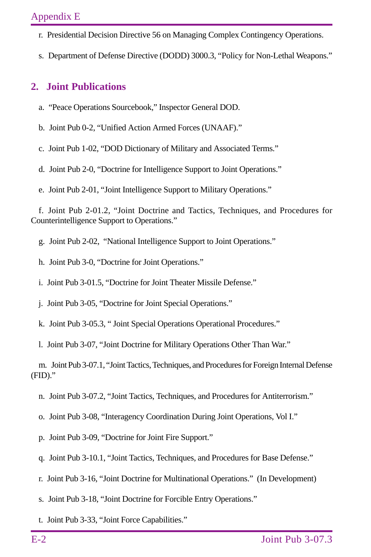#### Appendix E

- r. Presidential Decision Directive 56 on Managing Complex Contingency Operations.
- s. Department of Defense Directive (DODD) 3000.3, "Policy for Non-Lethal Weapons."

## **2. Joint Publications**

- a. "Peace Operations Sourcebook," Inspector General DOD.
- b. Joint Pub 0-2, "Unified Action Armed Forces (UNAAF)."
- c. Joint Pub 1-02, "DOD Dictionary of Military and Associated Terms."
- d. Joint Pub 2-0, "Doctrine for Intelligence Support to Joint Operations."
- e. Joint Pub 2-01, "Joint Intelligence Support to Military Operations."

f. Joint Pub 2-01.2, "Joint Doctrine and Tactics, Techniques, and Procedures for Counterintelligence Support to Operations."

- g. Joint Pub 2-02, "National Intelligence Support to Joint Operations."
- h. Joint Pub 3-0, "Doctrine for Joint Operations."
- i. Joint Pub 3-01.5, "Doctrine for Joint Theater Missile Defense."
- j. Joint Pub 3-05, "Doctrine for Joint Special Operations."
- k. Joint Pub 3-05.3, " Joint Special Operations Operational Procedures."
- l. Joint Pub 3-07, "Joint Doctrine for Military Operations Other Than War."

m. Joint Pub 3-07.1, "Joint Tactics, Techniques, and Procedures for Foreign Internal Defense (FID)."

- n. Joint Pub 3-07.2, "Joint Tactics, Techniques, and Procedures for Antiterrorism."
- o. Joint Pub 3-08, "Interagency Coordination During Joint Operations, Vol I."
- p. Joint Pub 3-09, "Doctrine for Joint Fire Support."
- q. Joint Pub 3-10.1, "Joint Tactics, Techniques, and Procedures for Base Defense."
- r. Joint Pub 3-16, "Joint Doctrine for Multinational Operations." (In Development)
- s. Joint Pub 3-18, "Joint Doctrine for Forcible Entry Operations."
- t. Joint Pub 3-33, "Joint Force Capabilities."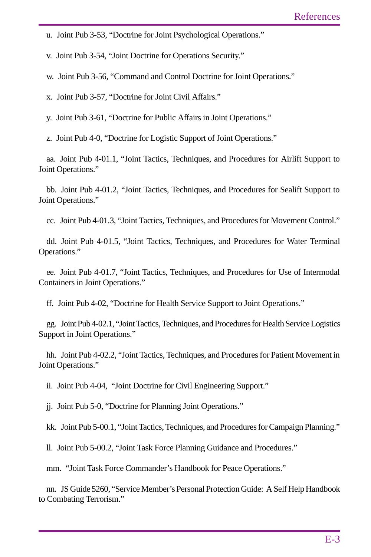u. Joint Pub 3-53, "Doctrine for Joint Psychological Operations."

v. Joint Pub 3-54, "Joint Doctrine for Operations Security."

w. Joint Pub 3-56, "Command and Control Doctrine for Joint Operations."

x. Joint Pub 3-57, "Doctrine for Joint Civil Affairs."

y. Joint Pub 3-61, "Doctrine for Public Affairs in Joint Operations."

z. Joint Pub 4-0, "Doctrine for Logistic Support of Joint Operations."

aa. Joint Pub 4-01.1, "Joint Tactics, Techniques, and Procedures for Airlift Support to Joint Operations."

bb. Joint Pub 4-01.2, "Joint Tactics, Techniques, and Procedures for Sealift Support to Joint Operations."

cc. Joint Pub 4-01.3, "Joint Tactics, Techniques, and Procedures for Movement Control."

dd. Joint Pub 4-01.5, "Joint Tactics, Techniques, and Procedures for Water Terminal Operations."

ee. Joint Pub 4-01.7, "Joint Tactics, Techniques, and Procedures for Use of Intermodal Containers in Joint Operations."

ff. Joint Pub 4-02, "Doctrine for Health Service Support to Joint Operations."

gg. Joint Pub 4-02.1, "Joint Tactics, Techniques, and Procedures for Health Service Logistics Support in Joint Operations."

hh. Joint Pub 4-02.2, "Joint Tactics, Techniques, and Procedures for Patient Movement in Joint Operations."

ii. Joint Pub 4-04, "Joint Doctrine for Civil Engineering Support."

jj. Joint Pub 5-0, "Doctrine for Planning Joint Operations."

kk. Joint Pub 5-00.1, "Joint Tactics, Techniques, and Procedures for Campaign Planning."

ll. Joint Pub 5-00.2, "Joint Task Force Planning Guidance and Procedures."

mm. "Joint Task Force Commander's Handbook for Peace Operations."

nn. JS Guide 5260, "Service Member's Personal Protection Guide: A Self Help Handbook to Combating Terrorism."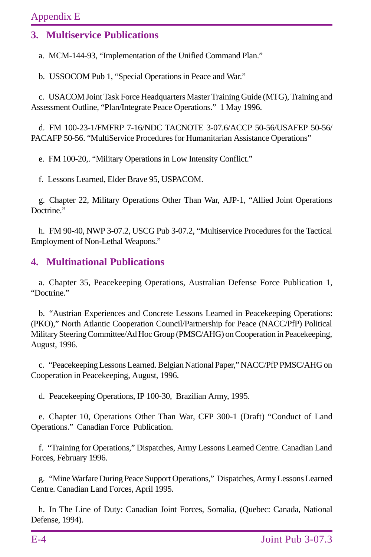## **3. Multiservice Publications**

a. MCM-144-93, "Implementation of the Unified Command Plan."

b. USSOCOM Pub 1, "Special Operations in Peace and War."

c. USACOM Joint Task Force Headquarters Master Training Guide (MTG), Training and Assessment Outline, "Plan/Integrate Peace Operations." 1 May 1996.

d. FM 100-23-1/FMFRP 7-16/NDC TACNOTE 3-07.6/ACCP 50-56/USAFEP 50-56/ PACAFP 50-56. "MultiService Procedures for Humanitarian Assistance Operations"

e. FM 100-20,. "Military Operations in Low Intensity Conflict."

f. Lessons Learned, Elder Brave 95, USPACOM.

g. Chapter 22, Military Operations Other Than War, AJP-1, "Allied Joint Operations Doctrine."

h. FM 90-40, NWP 3-07.2, USCG Pub 3-07.2, "Multiservice Procedures for the Tactical Employment of Non-Lethal Weapons."

### **4. Multinational Publications**

a. Chapter 35, Peacekeeping Operations, Australian Defense Force Publication 1, "Doctrine."

b. "Austrian Experiences and Concrete Lessons Learned in Peacekeeping Operations: (PKO)," North Atlantic Cooperation Council/Partnership for Peace (NACC/PfP) Political Military Steering Committee/Ad Hoc Group (PMSC/AHG) on Cooperation in Peacekeeping, August, 1996.

c. "Peacekeeping Lessons Learned. Belgian National Paper," NACC/PfP PMSC/AHG on Cooperation in Peacekeeping, August, 1996.

d. Peacekeeping Operations, IP 100-30, Brazilian Army, 1995.

e. Chapter 10, Operations Other Than War, CFP 300-1 (Draft) "Conduct of Land Operations." Canadian Force Publication.

f. "Training for Operations," Dispatches, Army Lessons Learned Centre. Canadian Land Forces, February 1996.

g. "Mine Warfare During Peace Support Operations," Dispatches, Army Lessons Learned Centre. Canadian Land Forces, April 1995.

h. In The Line of Duty: Canadian Joint Forces, Somalia, (Quebec: Canada, National Defense, 1994).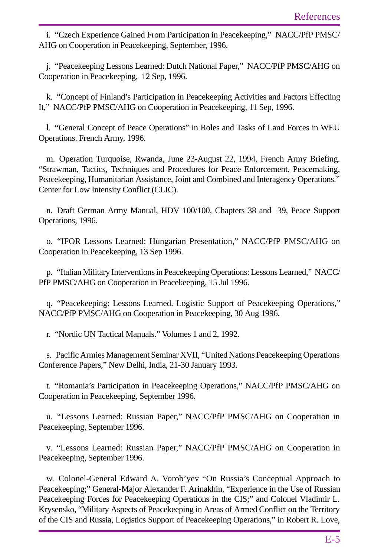i. "Czech Experience Gained From Participation in Peacekeeping," NACC/PfP PMSC/ AHG on Cooperation in Peacekeeping, September, 1996.

j. "Peacekeeping Lessons Learned: Dutch National Paper," NACC/PfP PMSC/AHG on Cooperation in Peacekeeping, 12 Sep, 1996.

k. "Concept of Finland's Participation in Peacekeeping Activities and Factors Effecting It," NACC/PfP PMSC/AHG on Cooperation in Peacekeeping, 11 Sep, 1996.

l. "General Concept of Peace Operations" in Roles and Tasks of Land Forces in WEU Operations. French Army, 1996.

m. Operation Turquoise, Rwanda, June 23-August 22, 1994, French Army Briefing. "Strawman, Tactics, Techniques and Procedures for Peace Enforcement, Peacemaking, Peacekeeping, Humanitarian Assistance, Joint and Combined and Interagency Operations." Center for Low Intensity Conflict (CLIC).

n. Draft German Army Manual, HDV 100/100, Chapters 38 and 39, Peace Support Operations, 1996.

o. "IFOR Lessons Learned: Hungarian Presentation," NACC/PfP PMSC/AHG on Cooperation in Peacekeeping, 13 Sep 1996.

p. "Italian Military Interventions in Peacekeeping Operations: Lessons Learned," NACC/ PfP PMSC/AHG on Cooperation in Peacekeeping, 15 Jul 1996.

q. "Peacekeeping: Lessons Learned. Logistic Support of Peacekeeping Operations," NACC/PfP PMSC/AHG on Cooperation in Peacekeeping, 30 Aug 1996.

r. "Nordic UN Tactical Manuals." Volumes 1 and 2, 1992.

s. Pacific Armies Management Seminar XVII, "United Nations Peacekeeping Operations Conference Papers," New Delhi, India, 21-30 January 1993.

t. "Romania's Participation in Peacekeeping Operations," NACC/PfP PMSC/AHG on Cooperation in Peacekeeping, September 1996.

u. "Lessons Learned: Russian Paper," NACC/PfP PMSC/AHG on Cooperation in Peacekeeping, September 1996.

v. "Lessons Learned: Russian Paper," NACC/PfP PMSC/AHG on Cooperation in Peacekeeping, September 1996.

w. Colonel-General Edward A. Vorob'yev "On Russia's Conceptual Approach to Peacekeeping;" General-Major Alexander F. Arinakhin, "Experience in the Use of Russian Peacekeeping Forces for Peacekeeping Operations in the CIS;" and Colonel Vladimir L. Krysensko, "Military Aspects of Peacekeeping in Areas of Armed Conflict on the Territory of the CIS and Russia, Logistics Support of Peacekeeping Operations," in Robert R. Love,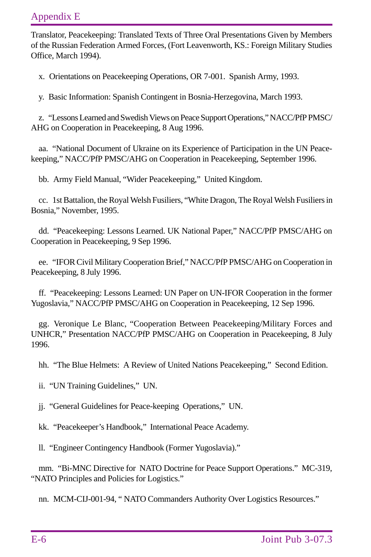## Appendix E

Translator, Peacekeeping: Translated Texts of Three Oral Presentations Given by Members of the Russian Federation Armed Forces, (Fort Leavenworth, KS.: Foreign Military Studies Office, March 1994).

x. Orientations on Peacekeeping Operations, OR 7-001. Spanish Army, 1993.

y. Basic Information: Spanish Contingent in Bosnia-Herzegovina, March 1993.

z. "Lessons Learned and Swedish Views on Peace Support Operations," NACC/PfP PMSC/ AHG on Cooperation in Peacekeeping, 8 Aug 1996.

aa. "National Document of Ukraine on its Experience of Participation in the UN Peacekeeping," NACC/PfP PMSC/AHG on Cooperation in Peacekeeping, September 1996.

bb. Army Field Manual, "Wider Peacekeeping," United Kingdom.

cc. 1st Battalion, the Royal Welsh Fusiliers, "White Dragon, The Royal Welsh Fusiliers in Bosnia," November, 1995.

dd. "Peacekeeping: Lessons Learned. UK National Paper," NACC/PfP PMSC/AHG on Cooperation in Peacekeeping, 9 Sep 1996.

ee. "IFOR Civil Military Cooperation Brief," NACC/PfP PMSC/AHG on Cooperation in Peacekeeping, 8 July 1996.

ff. "Peacekeeping: Lessons Learned: UN Paper on UN-IFOR Cooperation in the former Yugoslavia," NACC/PfP PMSC/AHG on Cooperation in Peacekeeping, 12 Sep 1996.

gg. Veronique Le Blanc, "Cooperation Between Peacekeeping/Military Forces and UNHCR," Presentation NACC/PfP PMSC/AHG on Cooperation in Peacekeeping, 8 July 1996.

hh. "The Blue Helmets: A Review of United Nations Peacekeeping," Second Edition.

ii. "UN Training Guidelines," UN.

jj. "General Guidelines for Peace-keeping Operations," UN.

kk. "Peacekeeper's Handbook," International Peace Academy.

ll. "Engineer Contingency Handbook (Former Yugoslavia)."

mm. "Bi-MNC Directive for NATO Doctrine for Peace Support Operations." MC-319, "NATO Principles and Policies for Logistics."

nn. MCM-CIJ-001-94, " NATO Commanders Authority Over Logistics Resources."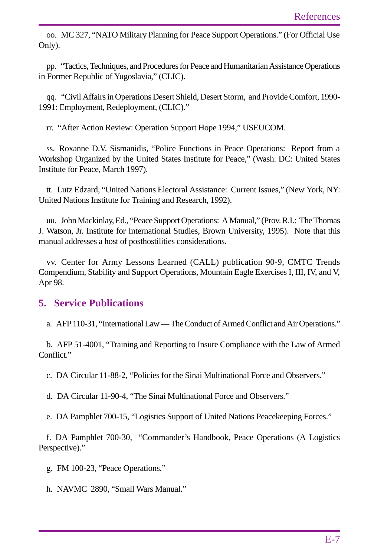oo. MC 327, "NATO Military Planning for Peace Support Operations." (For Official Use Only).

pp. "Tactics, Techniques, and Procedures for Peace and Humanitarian Assistance Operations in Former Republic of Yugoslavia," (CLIC).

qq. "Civil Affairs in Operations Desert Shield, Desert Storm, and Provide Comfort, 1990- 1991: Employment, Redeployment, (CLIC)."

rr. "After Action Review: Operation Support Hope 1994," USEUCOM.

ss. Roxanne D.V. Sismanidis, "Police Functions in Peace Operations: Report from a Workshop Organized by the United States Institute for Peace," (Wash. DC: United States Institute for Peace, March 1997).

tt. Lutz Edzard, "United Nations Electoral Assistance: Current Issues," (New York, NY: United Nations Institute for Training and Research, 1992).

uu. John Mackinlay, Ed., "Peace Support Operations: A Manual," (Prov. R.I.: The Thomas J. Watson, Jr. Institute for International Studies, Brown University, 1995). Note that this manual addresses a host of posthostilities considerations.

vv. Center for Army Lessons Learned (CALL) publication 90-9, CMTC Trends Compendium, Stability and Support Operations, Mountain Eagle Exercises I, III, IV, and V, Apr 98.

#### **5. Service Publications**

a. AFP 110-31, "International Law — The Conduct of Armed Conflict and Air Operations."

b. AFP 51-4001, "Training and Reporting to Insure Compliance with the Law of Armed Conflict."

c. DA Circular 11-88-2, "Policies for the Sinai Multinational Force and Observers."

d. DA Circular 11-90-4, "The Sinai Multinational Force and Observers."

e. DA Pamphlet 700-15, "Logistics Support of United Nations Peacekeeping Forces."

f. DA Pamphlet 700-30, "Commander's Handbook, Peace Operations (A Logistics Perspective)."

g. FM 100-23, "Peace Operations."

h. NAVMC 2890, "Small Wars Manual."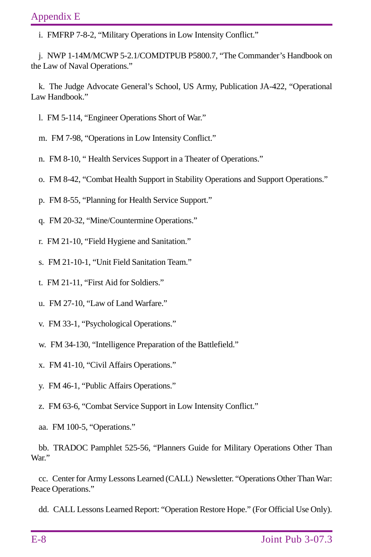i. FMFRP 7-8-2, "Military Operations in Low Intensity Conflict."

j. NWP 1-14M/MCWP 5-2.1/COMDTPUB P5800.7, "The Commander's Handbook on the Law of Naval Operations."

k. The Judge Advocate General's School, US Army, Publication JA-422, "Operational Law Handbook."

l. FM 5-114, "Engineer Operations Short of War."

- m. FM 7-98, "Operations in Low Intensity Conflict."
- n. FM 8-10, " Health Services Support in a Theater of Operations."

o. FM 8-42, "Combat Health Support in Stability Operations and Support Operations."

- p. FM 8-55, "Planning for Health Service Support."
- q. FM 20-32, "Mine/Countermine Operations."
- r. FM 21-10, "Field Hygiene and Sanitation."
- s. FM 21-10-1, "Unit Field Sanitation Team."
- t. FM 21-11, "First Aid for Soldiers."
- u. FM 27-10, "Law of Land Warfare."
- v. FM 33-1, "Psychological Operations."
- w. FM 34-130, "Intelligence Preparation of the Battlefield."
- x. FM 41-10, "Civil Affairs Operations."
- y. FM 46-1, "Public Affairs Operations."
- z. FM 63-6, "Combat Service Support in Low Intensity Conflict."
- aa. FM 100-5, "Operations."

bb. TRADOC Pamphlet 525-56, "Planners Guide for Military Operations Other Than War."

cc. Center for Army Lessons Learned (CALL) Newsletter. "Operations Other Than War: Peace Operations."

dd. CALL Lessons Learned Report: "Operation Restore Hope." (For Official Use Only).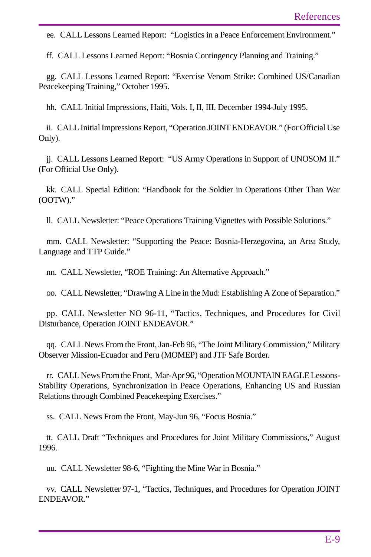ee. CALL Lessons Learned Report: "Logistics in a Peace Enforcement Environment."

ff. CALL Lessons Learned Report: "Bosnia Contingency Planning and Training."

gg. CALL Lessons Learned Report: "Exercise Venom Strike: Combined US/Canadian Peacekeeping Training," October 1995.

hh. CALL Initial Impressions, Haiti, Vols. I, II, III. December 1994-July 1995.

ii. CALL Initial Impressions Report, "Operation JOINT ENDEAVOR." (For Official Use Only).

jj. CALL Lessons Learned Report: "US Army Operations in Support of UNOSOM II." (For Official Use Only).

kk. CALL Special Edition: "Handbook for the Soldier in Operations Other Than War (OOTW)."

ll. CALL Newsletter: "Peace Operations Training Vignettes with Possible Solutions."

mm. CALL Newsletter: "Supporting the Peace: Bosnia-Herzegovina, an Area Study, Language and TTP Guide."

nn. CALL Newsletter, "ROE Training: An Alternative Approach."

oo. CALL Newsletter, "Drawing A Line in the Mud: Establishing A Zone of Separation."

pp. CALL Newsletter NO 96-11, "Tactics, Techniques, and Procedures for Civil Disturbance, Operation JOINT ENDEAVOR."

qq. CALL News From the Front, Jan-Feb 96, "The Joint Military Commission," Military Observer Mission-Ecuador and Peru (MOMEP) and JTF Safe Border.

rr. CALL News From the Front, Mar-Apr 96, "Operation MOUNTAIN EAGLE Lessons-Stability Operations, Synchronization in Peace Operations, Enhancing US and Russian Relations through Combined Peacekeeping Exercises."

ss. CALL News From the Front, May-Jun 96, "Focus Bosnia."

tt. CALL Draft "Techniques and Procedures for Joint Military Commissions," August 1996.

uu. CALL Newsletter 98-6, "Fighting the Mine War in Bosnia."

vv. CALL Newsletter 97-1, "Tactics, Techniques, and Procedures for Operation JOINT ENDEAVOR."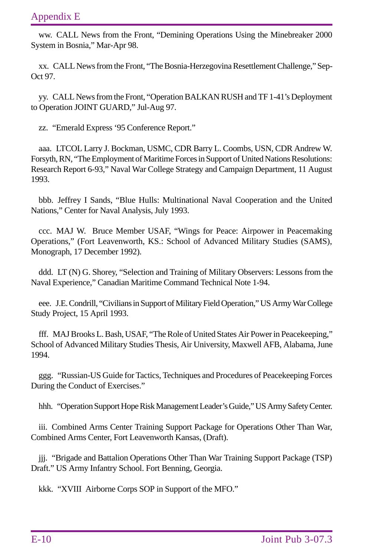ww. CALL News from the Front, "Demining Operations Using the Minebreaker 2000 System in Bosnia," Mar-Apr 98.

xx. CALL News from the Front, "The Bosnia-Herzegovina Resettlement Challenge," Sep-Oct 97.

yy. CALL News from the Front, "Operation BALKAN RUSH and TF 1-41's Deployment to Operation JOINT GUARD," Jul-Aug 97.

zz. "Emerald Express '95 Conference Report."

aaa. LTCOL Larry J. Bockman, USMC, CDR Barry L. Coombs, USN, CDR Andrew W. Forsyth, RN, "The Employment of Maritime Forces in Support of United Nations Resolutions: Research Report 6-93," Naval War College Strategy and Campaign Department, 11 August 1993.

bbb. Jeffrey I Sands, "Blue Hulls: Multinational Naval Cooperation and the United Nations," Center for Naval Analysis, July 1993.

ccc. MAJ W. Bruce Member USAF, "Wings for Peace: Airpower in Peacemaking Operations," (Fort Leavenworth, KS.: School of Advanced Military Studies (SAMS), Monograph, 17 December 1992).

ddd. LT (N) G. Shorey, "Selection and Training of Military Observers: Lessons from the Naval Experience," Canadian Maritime Command Technical Note 1-94.

eee. J.E. Condrill, "Civilians in Support of Military Field Operation," US Army War College Study Project, 15 April 1993.

fff. MAJ Brooks L. Bash, USAF, "The Role of United States Air Power in Peacekeeping," School of Advanced Military Studies Thesis, Air University, Maxwell AFB, Alabama, June 1994.

ggg. "Russian-US Guide for Tactics, Techniques and Procedures of Peacekeeping Forces During the Conduct of Exercises."

hhh. "Operation Support Hope Risk Management Leader's Guide," US Army Safety Center.

iii. Combined Arms Center Training Support Package for Operations Other Than War, Combined Arms Center, Fort Leavenworth Kansas, (Draft).

jjj. "Brigade and Battalion Operations Other Than War Training Support Package (TSP) Draft." US Army Infantry School. Fort Benning, Georgia.

kkk. "XVIII Airborne Corps SOP in Support of the MFO."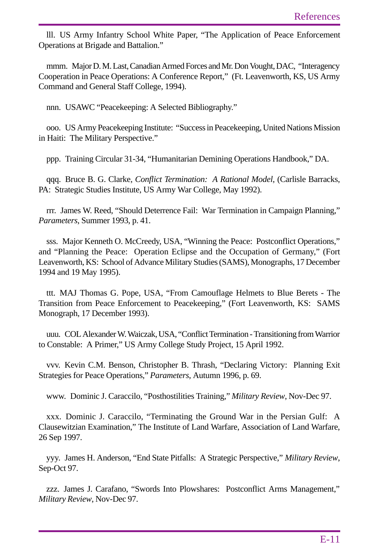lll. US Army Infantry School White Paper, "The Application of Peace Enforcement Operations at Brigade and Battalion."

mmm. Major D. M. Last, Canadian Armed Forces and Mr. Don Vought, DAC, "Interagency Cooperation in Peace Operations: A Conference Report," (Ft. Leavenworth, KS, US Army Command and General Staff College, 1994).

nnn. USAWC "Peacekeeping: A Selected Bibliography."

ooo. US Army Peacekeeping Institute: "Success in Peacekeeping, United Nations Mission in Haiti: The Military Perspective."

ppp. Training Circular 31-34, "Humanitarian Demining Operations Handbook," DA.

qqq. Bruce B. G. Clarke, *Conflict Termination: A Rational Model*, (Carlisle Barracks, PA: Strategic Studies Institute, US Army War College, May 1992).

rrr. James W. Reed, "Should Deterrence Fail: War Termination in Campaign Planning," *Parameters*, Summer 1993, p. 41.

sss. Major Kenneth O. McCreedy, USA, "Winning the Peace: Postconflict Operations," and "Planning the Peace: Operation Eclipse and the Occupation of Germany," (Fort Leavenworth, KS: School of Advance Military Studies (SAMS), Monographs, 17 December 1994 and 19 May 1995).

ttt. MAJ Thomas G. Pope, USA, "From Camouflage Helmets to Blue Berets - The Transition from Peace Enforcement to Peacekeeping," (Fort Leavenworth, KS: SAMS Monograph, 17 December 1993).

uuu. COL Alexander W. Waiczak, USA, "Conflict Termination - Transitioning from Warrior to Constable: A Primer," US Army College Study Project, 15 April 1992.

vvv. Kevin C.M. Benson, Christopher B. Thrash, "Declaring Victory: Planning Exit Strategies for Peace Operations," *Parameters*, Autumn 1996, p. 69.

www. Dominic J. Caraccilo, "Posthostilities Training," *Military Review*, Nov-Dec 97.

xxx. Dominic J. Caraccilo, "Terminating the Ground War in the Persian Gulf: A Clausewitzian Examination," The Institute of Land Warfare, Association of Land Warfare, 26 Sep 1997.

yyy. James H. Anderson, "End State Pitfalls: A Strategic Perspective," *Military Review*, Sep-Oct 97.

zzz. James J. Carafano, "Swords Into Plowshares: Postconflict Arms Management," *Military Review*, Nov-Dec 97.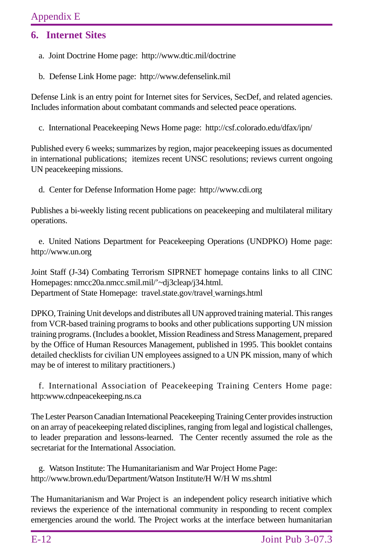## **6. Internet Sites**

a. Joint Doctrine Home page: http://www.dtic.mil/doctrine

b. Defense Link Home page: http://www.defenselink.mil

Defense Link is an entry point for Internet sites for Services, SecDef, and related agencies. Includes information about combatant commands and selected peace operations.

c. International Peacekeeping News Home page: http://csf.colorado.edu/dfax/ipn/

Published every 6 weeks; summarizes by region, major peacekeeping issues as documented in international publications; itemizes recent UNSC resolutions; reviews current ongoing UN peacekeeping missions.

d. Center for Defense Information Home page: http://www.cdi.org

Publishes a bi-weekly listing recent publications on peacekeeping and multilateral military operations.

e. United Nations Department for Peacekeeping Operations (UNDPKO) Home page: http://www.un.org

Joint Staff (J-34) Combating Terrorism SIPRNET homepage contains links to all CINC Homepages: nmcc20a.nmcc.smil.mil/'~dj3cleap/j34.html. Department of State Homepage: travel.state.gov/travel warnings.html

DPKO, Training Unit develops and distributes all UN approved training material. This ranges from VCR-based training programs to books and other publications supporting UN mission training programs. (Includes a booklet, Mission Readiness and Stress Management, prepared by the Office of Human Resources Management, published in 1995. This booklet contains detailed checklists for civilian UN employees assigned to a UN PK mission, many of which may be of interest to military practitioners.)

f. International Association of Peacekeeping Training Centers Home page: http:www.cdnpeacekeeping.ns.ca

The Lester Pearson Canadian International Peacekeeping Training Center provides instruction on an array of peacekeeping related disciplines, ranging from legal and logistical challenges, to leader preparation and lessons-learned. The Center recently assumed the role as the secretariat for the International Association.

g. Watson Institute: The Humanitarianism and War Project Home Page: http://www.brown.edu/Department/Watson Institute/H W/H W ms.shtml

The Humanitarianism and War Project is an independent policy research initiative which reviews the experience of the international community in responding to recent complex emergencies around the world. The Project works at the interface between humanitarian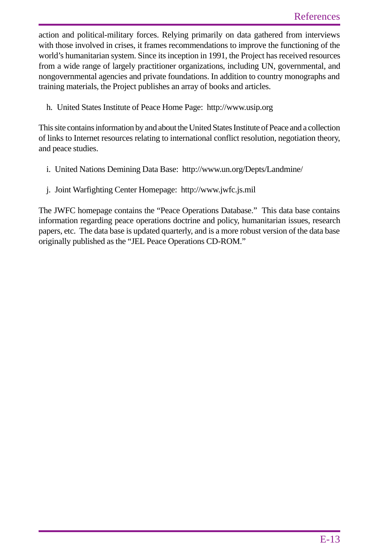action and political-military forces. Relying primarily on data gathered from interviews with those involved in crises, it frames recommendations to improve the functioning of the world's humanitarian system. Since its inception in 1991, the Project has received resources from a wide range of largely practitioner organizations, including UN, governmental, and nongovernmental agencies and private foundations. In addition to country monographs and training materials, the Project publishes an array of books and articles.

h. United States Institute of Peace Home Page: http://www.usip.org

This site contains information by and about the United States Institute of Peace and a collection of links to Internet resources relating to international conflict resolution, negotiation theory, and peace studies.

- i. United Nations Demining Data Base: http://www.un.org/Depts/Landmine/
- j. Joint Warfighting Center Homepage: http://www.jwfc.js.mil

The JWFC homepage contains the "Peace Operations Database." This data base contains information regarding peace operations doctrine and policy, humanitarian issues, research papers, etc. The data base is updated quarterly, and is a more robust version of the data base originally published as the "JEL Peace Operations CD-ROM."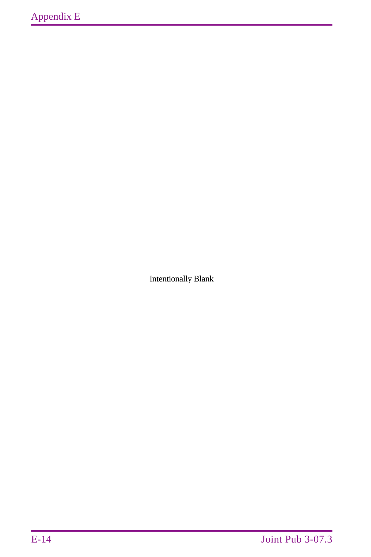Intentionally Blank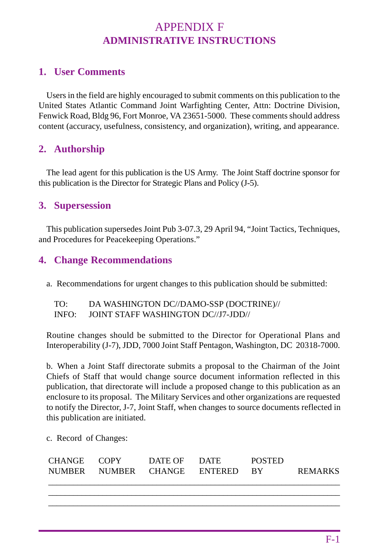# APPENDIX F **ADMINISTRATIVE INSTRUCTIONS**

#### **1. User Comments**

Users in the field are highly encouraged to submit comments on this publication to the United States Atlantic Command Joint Warfighting Center, Attn: Doctrine Division, Fenwick Road, Bldg 96, Fort Monroe, VA 23651-5000. These comments should address content (accuracy, usefulness, consistency, and organization), writing, and appearance.

#### **2. Authorship**

The lead agent for this publication is the US Army. The Joint Staff doctrine sponsor for this publication is the Director for Strategic Plans and Policy (J-5).

#### **3. Supersession**

This publication supersedes Joint Pub 3-07.3, 29 April 94, "Joint Tactics, Techniques, and Procedures for Peacekeeping Operations."

#### **4. Change Recommendations**

a. Recommendations for urgent changes to this publication should be submitted:

TO: DA WASHINGTON DC//DAMO-SSP (DOCTRINE)// INFO: JOINT STAFF WASHINGTON DC//J7-JDD//

Routine changes should be submitted to the Director for Operational Plans and Interoperability (J-7), JDD, 7000 Joint Staff Pentagon, Washington, DC 20318-7000.

b. When a Joint Staff directorate submits a proposal to the Chairman of the Joint Chiefs of Staff that would change source document information reflected in this publication, that directorate will include a proposed change to this publication as an enclosure to its proposal. The Military Services and other organizations are requested to notify the Director, J-7, Joint Staff, when changes to source documents reflected in this publication are initiated.

c. Record of Changes:

| CHANGE COPY |                              | DATE OF | <b>DATE</b> | <b>POSTED</b> |                |
|-------------|------------------------------|---------|-------------|---------------|----------------|
|             | NUMBER NUMBER CHANGE ENTERED |         |             | <b>RY</b>     | <b>REMARKS</b> |

\_\_\_\_\_\_\_\_\_\_\_\_\_\_\_\_\_\_\_\_\_\_\_\_\_\_\_\_\_\_\_\_\_\_\_\_\_\_\_\_\_\_\_\_\_\_\_\_\_\_\_\_\_\_\_\_\_\_\_\_\_\_\_\_\_\_\_\_\_\_ \_\_\_\_\_\_\_\_\_\_\_\_\_\_\_\_\_\_\_\_\_\_\_\_\_\_\_\_\_\_\_\_\_\_\_\_\_\_\_\_\_\_\_\_\_\_\_\_\_\_\_\_\_\_\_\_\_\_\_\_\_\_\_\_\_\_\_\_\_\_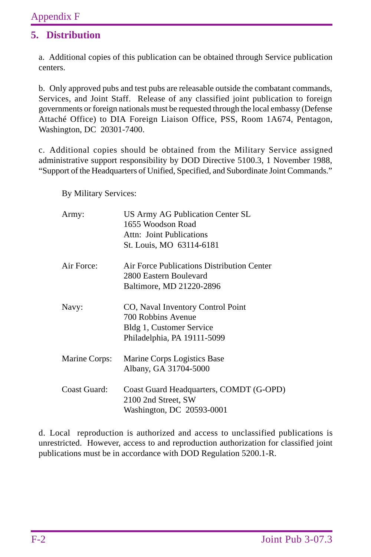## **5. Distribution**

a. Additional copies of this publication can be obtained through Service publication centers.

b. Only approved pubs and test pubs are releasable outside the combatant commands, Services, and Joint Staff. Release of any classified joint publication to foreign governments or foreign nationals must be requested through the local embassy (Defense Attaché Office) to DIA Foreign Liaison Office, PSS, Room 1A674, Pentagon, Washington, DC 20301-7400.

c. Additional copies should be obtained from the Military Service assigned administrative support responsibility by DOD Directive 5100.3, 1 November 1988, "Support of the Headquarters of Unified, Specified, and Subordinate Joint Commands."

By Military Services:

| Army:         | US Army AG Publication Center SL<br>1655 Woodson Road<br>Attn: Joint Publications<br>St. Louis, MO 63114-6181      |
|---------------|--------------------------------------------------------------------------------------------------------------------|
| Air Force:    | Air Force Publications Distribution Center<br>2800 Eastern Boulevard<br>Baltimore, MD 21220-2896                   |
| Navy:         | CO, Naval Inventory Control Point<br>700 Robbins Avenue<br>Bldg 1, Customer Service<br>Philadelphia, PA 19111-5099 |
| Marine Corps: | Marine Corps Logistics Base<br>Albany, GA 31704-5000                                                               |
| Coast Guard:  | Coast Guard Headquarters, COMDT (G-OPD)<br>2100 2nd Street, SW<br>Washington, DC 20593-0001                        |

d. Local reproduction is authorized and access to unclassified publications is unrestricted. However, access to and reproduction authorization for classified joint publications must be in accordance with DOD Regulation 5200.1-R.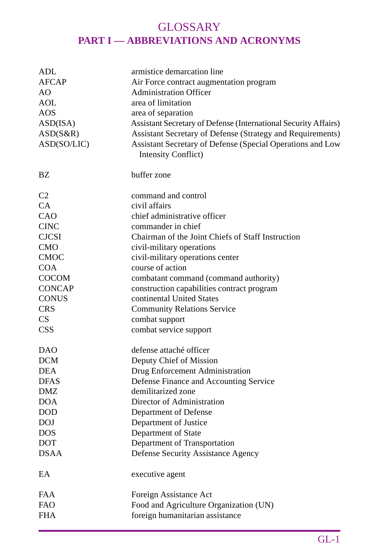# **GLOSSARY PART I — ABBREVIATIONS AND ACRONYMS**

| ADL            | armistice demarcation line                                                                |
|----------------|-------------------------------------------------------------------------------------------|
| <b>AFCAP</b>   | Air Force contract augmentation program                                                   |
| AO             | <b>Administration Officer</b>                                                             |
| AOL            | area of limitation                                                                        |
| AOS            | area of separation                                                                        |
| ASD(ISA)       | Assistant Secretary of Defense (International Security Affairs)                           |
| $ASD(S\&R)$    | Assistant Secretary of Defense (Strategy and Requirements)                                |
| ASD(SO/LIC)    | Assistant Secretary of Defense (Special Operations and Low<br><b>Intensity Conflict</b> ) |
| BΖ             | buffer zone                                                                               |
| C <sub>2</sub> | command and control                                                                       |
| CA             | civil affairs                                                                             |
| CAO            | chief administrative officer                                                              |
| <b>CINC</b>    | commander in chief                                                                        |
| <b>CJCSI</b>   | Chairman of the Joint Chiefs of Staff Instruction                                         |
| <b>CMO</b>     | civil-military operations                                                                 |
| <b>CMOC</b>    | civil-military operations center                                                          |
| <b>COA</b>     | course of action                                                                          |
| <b>COCOM</b>   | combatant command (command authority)                                                     |
| <b>CONCAP</b>  | construction capabilities contract program                                                |
| <b>CONUS</b>   | continental United States                                                                 |
| <b>CRS</b>     | <b>Community Relations Service</b>                                                        |
| CS             | combat support                                                                            |
| <b>CSS</b>     | combat service support                                                                    |
| <b>DAO</b>     | defense attaché officer                                                                   |
| <b>DCM</b>     | Deputy Chief of Mission                                                                   |
| <b>DEA</b>     | Drug Enforcement Administration                                                           |
| <b>DFAS</b>    | Defense Finance and Accounting Service                                                    |
| DMZ            | demilitarized zone                                                                        |
| <b>DOA</b>     | Director of Administration                                                                |
| <b>DOD</b>     | Department of Defense                                                                     |
| <b>DOJ</b>     | Department of Justice                                                                     |
| <b>DOS</b>     | Department of State                                                                       |
| DOT            | Department of Transportation                                                              |
| <b>DSAA</b>    | Defense Security Assistance Agency                                                        |
| EA             | executive agent                                                                           |
| FAA            | Foreign Assistance Act                                                                    |
| <b>FAO</b>     | Food and Agriculture Organization (UN)                                                    |
| <b>FHA</b>     | foreign humanitarian assistance                                                           |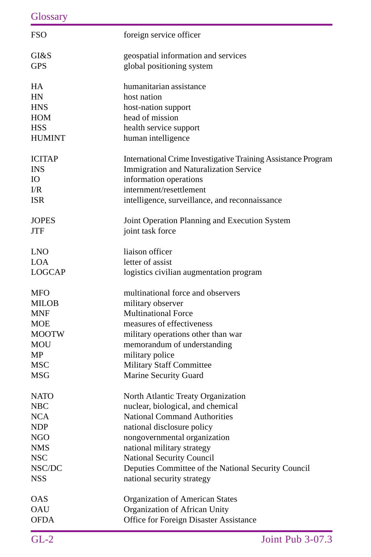# **Glossary**

| <b>FSO</b>      | foreign service officer                                       |
|-----------------|---------------------------------------------------------------|
| GI&S            | geospatial information and services                           |
| <b>GPS</b>      | global positioning system                                     |
| HA.             | humanitarian assistance                                       |
| HN              | host nation                                                   |
| <b>HNS</b>      | host-nation support                                           |
| <b>HOM</b>      | head of mission                                               |
| <b>HSS</b>      | health service support                                        |
| <b>HUMINT</b>   | human intelligence                                            |
| <b>ICITAP</b>   | International Crime Investigative Training Assistance Program |
| <b>INS</b>      | Immigration and Naturalization Service                        |
| IO <sub>1</sub> | information operations                                        |
| $\Gamma$        | internment/resettlement                                       |
| <b>ISR</b>      | intelligence, surveillance, and reconnaissance                |
| <b>JOPES</b>    | Joint Operation Planning and Execution System                 |
| JTF             | joint task force                                              |
| <b>LNO</b>      | liaison officer                                               |
| <b>LOA</b>      | letter of assist                                              |
| <b>LOGCAP</b>   | logistics civilian augmentation program                       |
| MFO             | multinational force and observers                             |
| <b>MILOB</b>    | military observer                                             |
| <b>MNF</b>      | <b>Multinational Force</b>                                    |
| <b>MOE</b>      | measures of effectiveness                                     |
| <b>MOOTW</b>    | military operations other than war                            |
| MOU             | memorandum of understanding                                   |
| <b>MP</b>       | military police                                               |
| <b>MSC</b>      | Military Staff Committee                                      |
| MSG             | Marine Security Guard                                         |
| <b>NATO</b>     | North Atlantic Treaty Organization                            |
| <b>NBC</b>      | nuclear, biological, and chemical                             |
| <b>NCA</b>      | <b>National Command Authorities</b>                           |
| NDP             | national disclosure policy                                    |
| <b>NGO</b>      | nongovernmental organization                                  |
| <b>NMS</b>      | national military strategy                                    |
| <b>NSC</b>      | National Security Council                                     |
| NSC/DC          | Deputies Committee of the National Security Council           |
| <b>NSS</b>      | national security strategy                                    |
| OAS             | Organization of American States                               |
| <b>OAU</b>      | Organization of African Unity                                 |
| <b>OFDA</b>     | Office for Foreign Disaster Assistance                        |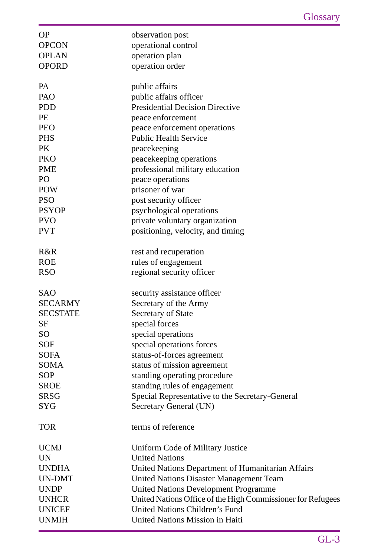| <b>OP</b>       | observation post                                             |
|-----------------|--------------------------------------------------------------|
| <b>OPCON</b>    | operational control                                          |
| <b>OPLAN</b>    | operation plan                                               |
| <b>OPORD</b>    | operation order                                              |
| PA              | public affairs                                               |
| PAO             | public affairs officer                                       |
| <b>PDD</b>      | <b>Presidential Decision Directive</b>                       |
| PE              | peace enforcement                                            |
| <b>PEO</b>      |                                                              |
| <b>PHS</b>      | peace enforcement operations<br><b>Public Health Service</b> |
| <b>PK</b>       |                                                              |
|                 | peacekeeping                                                 |
| <b>PKO</b>      | peacekeeping operations                                      |
| <b>PME</b>      | professional military education                              |
| PO              | peace operations                                             |
| <b>POW</b>      | prisoner of war                                              |
| <b>PSO</b>      | post security officer                                        |
| <b>PSYOP</b>    | psychological operations                                     |
| <b>PVO</b>      | private voluntary organization                               |
| <b>PVT</b>      | positioning, velocity, and timing                            |
| R&R             | rest and recuperation                                        |
| <b>ROE</b>      | rules of engagement                                          |
| <b>RSO</b>      | regional security officer                                    |
| SAO             | security assistance officer                                  |
| <b>SECARMY</b>  | Secretary of the Army                                        |
| <b>SECSTATE</b> | Secretary of State                                           |
| SF              | special forces                                               |
| SO              | special operations                                           |
| SOF             | special operations forces                                    |
| <b>SOFA</b>     |                                                              |
|                 | status-of-forces agreement                                   |
| SOMA            | status of mission agreement                                  |
| <b>SOP</b>      | standing operating procedure                                 |
| <b>SROE</b>     | standing rules of engagement                                 |
| <b>SRSG</b>     | Special Representative to the Secretary-General              |
| SYG             | Secretary General (UN)                                       |
| <b>TOR</b>      | terms of reference                                           |
| <b>UCMJ</b>     | Uniform Code of Military Justice                             |
| <b>UN</b>       | <b>United Nations</b>                                        |
| <b>UNDHA</b>    | United Nations Department of Humanitarian Affairs            |
| <b>UN-DMT</b>   | United Nations Disaster Management Team                      |
| <b>UNDP</b>     | <b>United Nations Development Programme</b>                  |
| <b>UNHCR</b>    | United Nations Office of the High Commissioner for Refugees  |
| <b>UNICEF</b>   | United Nations Children's Fund                               |
| <b>UNMIH</b>    | United Nations Mission in Haiti                              |
|                 |                                                              |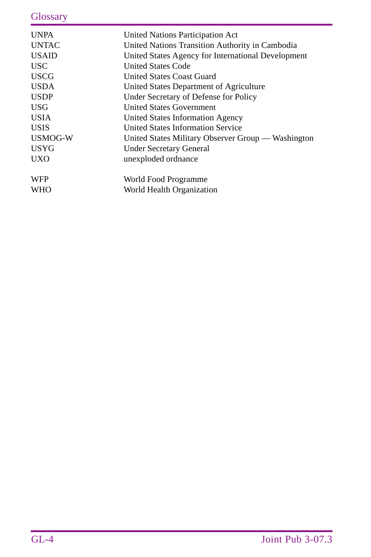## **Glossary**

| <b>UNPA</b>      | United Nations Participation Act                   |
|------------------|----------------------------------------------------|
| <b>UNTAC</b>     | United Nations Transition Authority in Cambodia    |
| <b>USAID</b>     | United States Agency for International Development |
| USC <sup>1</sup> | <b>United States Code</b>                          |
| <b>USCG</b>      | <b>United States Coast Guard</b>                   |
| <b>USDA</b>      | United States Department of Agriculture            |
| <b>USDP</b>      | Under Secretary of Defense for Policy              |
| <b>USG</b>       | <b>United States Government</b>                    |
| <b>USIA</b>      | United States Information Agency                   |
| <b>USIS</b>      | <b>United States Information Service</b>           |
| USMOG-W          | United States Military Observer Group — Washington |
| <b>USYG</b>      | <b>Under Secretary General</b>                     |
| <b>UXO</b>       | unexploded ordnance                                |
| <b>WFP</b>       | World Food Programme                               |
| <b>WHO</b>       | World Health Organization                          |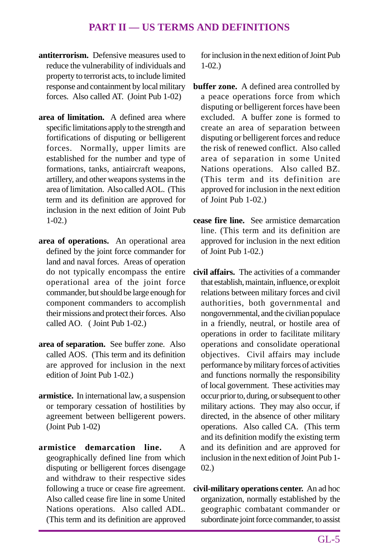#### **PART II — US TERMS AND DEFINITIONS**

- **antiterrorism.** Defensive measures used to reduce the vulnerability of individuals and property to terrorist acts, to include limited response and containment by local military forces. Also called AT. (Joint Pub 1-02)
- **area of limitation.** A defined area where specific limitations apply to the strength and fortifications of disputing or belligerent forces. Normally, upper limits are established for the number and type of formations, tanks, antiaircraft weapons, artillery, and other weapons systems in the area of limitation. Also called AOL. (This term and its definition are approved for inclusion in the next edition of Joint Pub 1-02.)
- **area of operations.** An operational area defined by the joint force commander for land and naval forces. Areas of operation do not typically encompass the entire operational area of the joint force commander, but should be large enough for component commanders to accomplish their missions and protect their forces. Also called AO. ( Joint Pub 1-02.)
- **area of separation.** See buffer zone. Also called AOS. (This term and its definition are approved for inclusion in the next edition of Joint Pub 1-02.)
- **armistice.** In international law, a suspension or temporary cessation of hostilities by agreement between belligerent powers. (Joint Pub 1-02)
- **armistice demarcation line.** A geographically defined line from which disputing or belligerent forces disengage and withdraw to their respective sides following a truce or cease fire agreement. Also called cease fire line in some United Nations operations. Also called ADL. (This term and its definition are approved

for inclusion in the next edition of Joint Pub 1-02.)

- **buffer zone.** A defined area controlled by a peace operations force from which disputing or belligerent forces have been excluded. A buffer zone is formed to create an area of separation between disputing or belligerent forces and reduce the risk of renewed conflict. Also called area of separation in some United Nations operations. Also called BZ. (This term and its definition are approved for inclusion in the next edition of Joint Pub 1-02.)
- **cease fire line.** See armistice demarcation line. (This term and its definition are approved for inclusion in the next edition of Joint Pub 1-02.)
- **civil affairs.** The activities of a commander that establish, maintain, influence, or exploit relations between military forces and civil authorities, both governmental and nongovernmental, and the civilian populace in a friendly, neutral, or hostile area of operations in order to facilitate military operations and consolidate operational objectives. Civil affairs may include performance by military forces of activities and functions normally the responsibility of local government. These activities may occur prior to, during, or subsequent to other military actions. They may also occur, if directed, in the absence of other military operations. Also called CA. (This term and its definition modify the existing term and its definition and are approved for inclusion in the next edition of Joint Pub 1- 02.)
- **civil-military operations center.** An ad hoc organization, normally established by the geographic combatant commander or subordinate joint force commander, to assist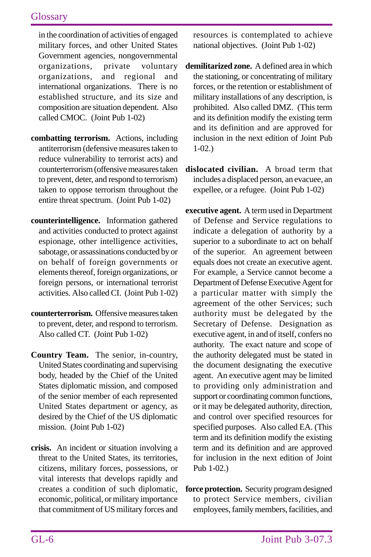in the coordination of activities of engaged military forces, and other United States Government agencies, nongovernmental organizations, private voluntary organizations, and regional and international organizations. There is no established structure, and its size and composition are situation dependent. Also called CMOC. (Joint Pub 1-02)

- **combatting terrorism.** Actions, including antiterrorism (defensive measures taken to reduce vulnerability to terrorist acts) and counterterrorism (offensive measures taken to prevent, deter, and respond to terrorism) taken to oppose terrorism throughout the entire threat spectrum. (Joint Pub 1-02)
- **counterintelligence.** Information gathered and activities conducted to protect against espionage, other intelligence activities, sabotage, or assassinations conducted by or on behalf of foreign governments or elements thereof, foreign organizations, or foreign persons, or international terrorist activities. Also called CI. (Joint Pub 1-02)
- **counterterrorism.** Offensive measures taken to prevent, deter, and respond to terrorism. Also called CT. (Joint Pub 1-02)
- **Country Team.** The senior, in-country, United States coordinating and supervising body, headed by the Chief of the United States diplomatic mission, and composed of the senior member of each represented United States department or agency, as desired by the Chief of the US diplomatic mission. (Joint Pub 1-02)
- **crisis.** An incident or situation involving a threat to the United States, its territories, citizens, military forces, possessions, or vital interests that develops rapidly and creates a condition of such diplomatic, economic, political, or military importance that commitment of US military forces and

resources is contemplated to achieve national objectives. (Joint Pub 1-02)

- **demilitarized zone.** A defined area in which the stationing, or concentrating of military forces, or the retention or establishment of military installations of any description, is prohibited. Also called DMZ. (This term and its definition modify the existing term and its definition and are approved for inclusion in the next edition of Joint Pub 1-02.)
- **dislocated civilian.** A broad term that includes a displaced person, an evacuee, an expellee, or a refugee. (Joint Pub 1-02)
- **executive agent.** A term used in Department of Defense and Service regulations to indicate a delegation of authority by a superior to a subordinate to act on behalf of the superior. An agreement between equals does not create an executive agent. For example, a Service cannot become a Department of Defense Executive Agent for a particular matter with simply the agreement of the other Services; such authority must be delegated by the Secretary of Defense. Designation as executive agent, in and of itself, confers no authority. The exact nature and scope of the authority delegated must be stated in the document designating the executive agent. An executive agent may be limited to providing only administration and support or coordinating common functions, or it may be delegated authority, direction, and control over specified resources for specified purposes. Also called EA. (This term and its definition modify the existing term and its definition and are approved for inclusion in the next edition of Joint Pub 1-02.)
- **force protection.** Security program designed to protect Service members, civilian employees, family members, facilities, and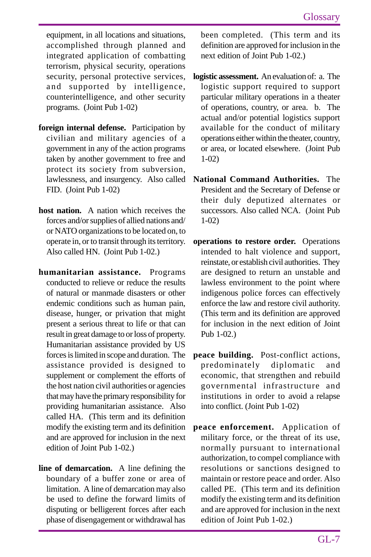equipment, in all locations and situations, accomplished through planned and integrated application of combatting terrorism, physical security, operations security, personal protective services, and supported by intelligence, counterintelligence, and other security programs. (Joint Pub 1-02)

- **foreign internal defense.** Participation by civilian and military agencies of a government in any of the action programs taken by another government to free and protect its society from subversion, lawlessness, and insurgency. Also called FID. (Joint Pub 1-02)
- **host nation.** A nation which receives the forces and/or supplies of allied nations and/ or NATO organizations to be located on, to operate in, or to transit through its territory. Also called HN. (Joint Pub 1-02.)
- **humanitarian assistance.** Programs conducted to relieve or reduce the results of natural or manmade disasters or other endemic conditions such as human pain, disease, hunger, or privation that might present a serious threat to life or that can result in great damage to or loss of property. Humanitarian assistance provided by US forces is limited in scope and duration. The assistance provided is designed to supplement or complement the efforts of the host nation civil authorities or agencies that may have the primary responsibility for providing humanitarian assistance. Also called HA. (This term and its definition modify the existing term and its definition and are approved for inclusion in the next edition of Joint Pub 1-02.)
- **line of demarcation.** A line defining the boundary of a buffer zone or area of limitation. A line of demarcation may also be used to define the forward limits of disputing or belligerent forces after each phase of disengagement or withdrawal has

been completed. (This term and its definition are approved for inclusion in the next edition of Joint Pub 1-02.)

- **logistic assessment.** An evaluation of: a. The logistic support required to support particular military operations in a theater of operations, country, or area. b. The actual and/or potential logistics support available for the conduct of military operations either within the theater, country, or area, or located elsewhere. (Joint Pub 1-02)
- **National Command Authorities.** The President and the Secretary of Defense or their duly deputized alternates or successors. Also called NCA. (Joint Pub 1-02)
- **operations to restore order.** Operations intended to halt violence and support, reinstate, or establish civil authorities. They are designed to return an unstable and lawless environment to the point where indigenous police forces can effectively enforce the law and restore civil authority. (This term and its definition are approved for inclusion in the next edition of Joint Pub 1-02.)
- **peace building.** Post-conflict actions, predominately diplomatic and economic, that strengthen and rebuild governmental infrastructure and institutions in order to avoid a relapse into conflict. (Joint Pub 1-02)
- **peace enforcement.** Application of military force, or the threat of its use, normally pursuant to international authorization, to compel compliance with resolutions or sanctions designed to maintain or restore peace and order. Also called PE. (This term and its definition modify the existing term and its definition and are approved for inclusion in the next edition of Joint Pub 1-02.)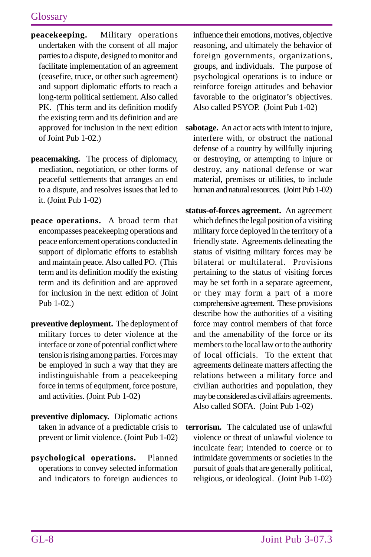- **peacekeeping.** Military operations undertaken with the consent of all major parties to a dispute, designed to monitor and facilitate implementation of an agreement (ceasefire, truce, or other such agreement) and support diplomatic efforts to reach a long-term political settlement. Also called PK. (This term and its definition modify the existing term and its definition and are approved for inclusion in the next edition of Joint Pub 1-02.)
- **peacemaking.** The process of diplomacy, mediation, negotiation, or other forms of peaceful settlements that arranges an end to a dispute, and resolves issues that led to it. (Joint Pub 1-02)
- **peace operations.** A broad term that encompasses peacekeeping operations and peace enforcement operations conducted in support of diplomatic efforts to establish and maintain peace. Also called PO. (This term and its definition modify the existing term and its definition and are approved for inclusion in the next edition of Joint Pub 1-02.)
- **preventive deployment.** The deployment of military forces to deter violence at the interface or zone of potential conflict where tension is rising among parties. Forces may be employed in such a way that they are indistinguishable from a peacekeeping force in terms of equipment, force posture, and activities. (Joint Pub 1-02)
- **preventive diplomacy.** Diplomatic actions taken in advance of a predictable crisis to prevent or limit violence. (Joint Pub 1-02)
- **psychological operations.** Planned operations to convey selected information and indicators to foreign audiences to

influence their emotions, motives, objective reasoning, and ultimately the behavior of foreign governments, organizations, groups, and individuals. The purpose of psychological operations is to induce or reinforce foreign attitudes and behavior favorable to the originator's objectives. Also called PSYOP. (Joint Pub 1-02)

- **sabotage.** An act or acts with intent to injure, interfere with, or obstruct the national defense of a country by willfully injuring or destroying, or attempting to injure or destroy, any national defense or war material, premises or utilities, to include human and natural resources. (Joint Pub 1-02)
- **status-of-forces agreement.** An agreement which defines the legal position of a visiting military force deployed in the territory of a friendly state. Agreements delineating the status of visiting military forces may be bilateral or multilateral. Provisions pertaining to the status of visiting forces may be set forth in a separate agreement, or they may form a part of a more comprehensive agreement. These provisions describe how the authorities of a visiting force may control members of that force and the amenability of the force or its members to the local law or to the authority of local officials. To the extent that agreements delineate matters affecting the relations between a military force and civilian authorities and population, they may be considered as civil affairs agreements. Also called SOFA. (Joint Pub 1-02)
- **terrorism.** The calculated use of unlawful violence or threat of unlawful violence to inculcate fear; intended to coerce or to intimidate governments or societies in the pursuit of goals that are generally political, religious, or ideological. (Joint Pub 1-02)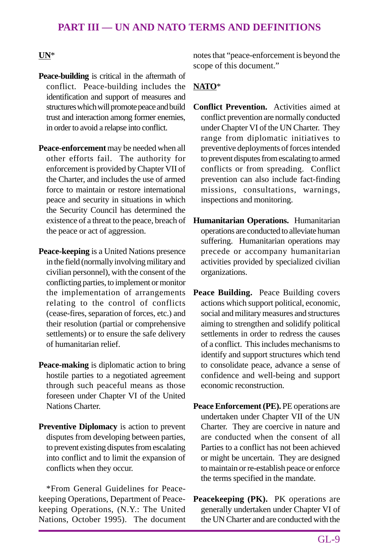#### **PART III — UN AND NATO TERMS AND DEFINITIONS**

#### **UN**\*

- **Peace-building** is critical in the aftermath of conflict. Peace-building includes the identification and support of measures and structures which will promote peace and build trust and interaction among former enemies, in order to avoid a relapse into conflict.
- **Peace-enforcement** may be needed when all other efforts fail. The authority for enforcement is provided by Chapter VII of the Charter, and includes the use of armed force to maintain or restore international peace and security in situations in which the Security Council has determined the existence of a threat to the peace, breach of the peace or act of aggression.
- **Peace-keeping** is a United Nations presence in the field (normally involving military and civilian personnel), with the consent of the conflicting parties, to implement or monitor the implementation of arrangements relating to the control of conflicts (cease-fires, separation of forces, etc.) and their resolution (partial or comprehensive settlements) or to ensure the safe delivery of humanitarian relief.
- **Peace-making** is diplomatic action to bring hostile parties to a negotiated agreement through such peaceful means as those foreseen under Chapter VI of the United Nations Charter.
- **Preventive Diplomacy** is action to prevent disputes from developing between parties, to prevent existing disputes from escalating into conflict and to limit the expansion of conflicts when they occur.

\*From General Guidelines for Peacekeeping Operations, Department of Peacekeeping Operations, (N.Y.: The United Nations, October 1995). The document

notes that "peace-enforcement is beyond the scope of this document."

#### **NATO**\*

- **Conflict Prevention.** Activities aimed at conflict prevention are normally conducted under Chapter VI of the UN Charter. They range from diplomatic initiatives to preventive deployments of forces intended to prevent disputes from escalating to armed conflicts or from spreading. Conflict prevention can also include fact-finding missions, consultations, warnings, inspections and monitoring.
- **Humanitarian Operations.** Humanitarian operations are conducted to alleviate human suffering. Humanitarian operations may precede or accompany humanitarian activities provided by specialized civilian organizations.
- **Peace Building.** Peace Building covers actions which support political, economic, social and military measures and structures aiming to strengthen and solidify political settlements in order to redress the causes of a conflict. This includes mechanisms to identify and support structures which tend to consolidate peace, advance a sense of confidence and well-being and support economic reconstruction.
- **Peace Enforcement (PE).** PE operations are undertaken under Chapter VII of the UN Charter. They are coercive in nature and are conducted when the consent of all Parties to a conflict has not been achieved or might be uncertain. They are designed to maintain or re-establish peace or enforce the terms specified in the mandate.
- **Peacekeeping (PK).** PK operations are generally undertaken under Chapter VI of the UN Charter and are conducted with the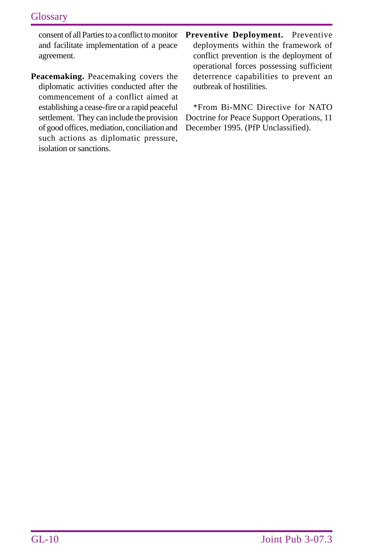consent of all Parties to a conflict to monitor and facilitate implementation of a peace agreement.

- **Peacemaking.** Peacemaking covers the diplomatic activities conducted after the commencement of a conflict aimed at establishing a cease-fire or a rapid peaceful settlement. They can include the provision of good offices, mediation, conciliation and such actions as diplomatic pressure, isolation or sanctions.
- **Preventive Deployment.** Preventive deployments within the framework of conflict prevention is the deployment of operational forces possessing sufficient deterrence capabilities to prevent an outbreak of hostilities.

\*From Bi-MNC Directive for NATO Doctrine for Peace Support Operations, 11 December 1995. (PfP Unclassified).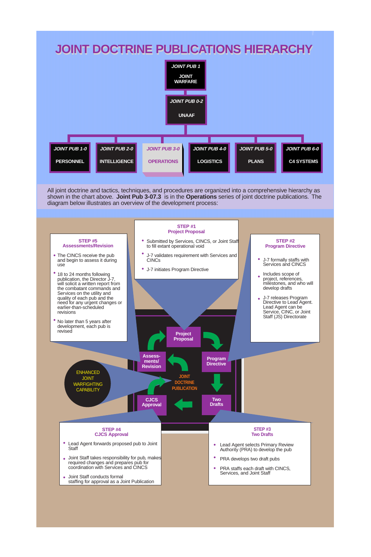